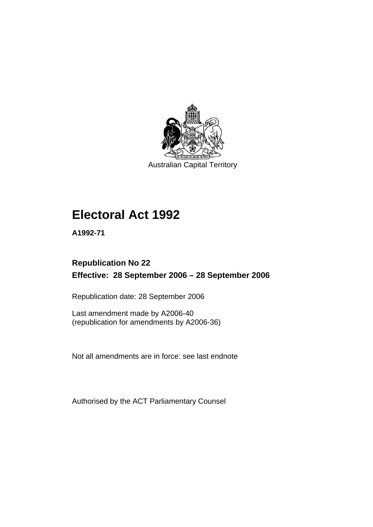

Australian Capital Territory

# **Electoral Act 1992**

**A1992-71** 

# **Republication No 22 Effective: 28 September 2006 – 28 September 2006**

Republication date: 28 September 2006

Last amendment made by A2006-40 (republication for amendments by A2006-36)

Not all amendments are in force: see last endnote

Authorised by the ACT Parliamentary Counsel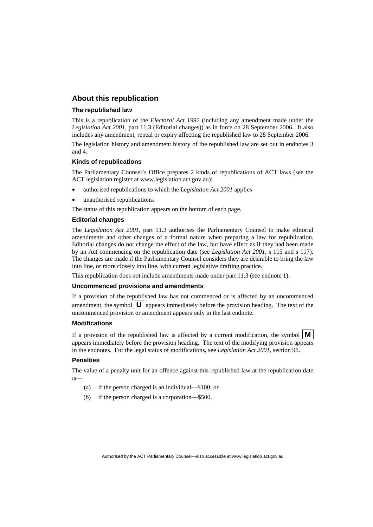### **About this republication**

#### **The republished law**

This is a republication of the *Electoral Act 1992* (including any amendment made under the *Legislation Act 2001*, part 11.3 (Editorial changes)) as in force on 28 September 2006*.* It also includes any amendment, repeal or expiry affecting the republished law to 28 September 2006.

The legislation history and amendment history of the republished law are set out in endnotes 3 and 4.

#### **Kinds of republications**

The Parliamentary Counsel's Office prepares 2 kinds of republications of ACT laws (see the ACT legislation register at www.legislation.act.gov.au):

- authorised republications to which the *Legislation Act 2001* applies
- unauthorised republications.

The status of this republication appears on the bottom of each page.

#### **Editorial changes**

The *Legislation Act 2001*, part 11.3 authorises the Parliamentary Counsel to make editorial amendments and other changes of a formal nature when preparing a law for republication. Editorial changes do not change the effect of the law, but have effect as if they had been made by an Act commencing on the republication date (see *Legislation Act 2001*, s 115 and s 117). The changes are made if the Parliamentary Counsel considers they are desirable to bring the law into line, or more closely into line, with current legislative drafting practice.

This republication does not include amendments made under part 11.3 (see endnote 1).

#### **Uncommenced provisions and amendments**

If a provision of the republished law has not commenced or is affected by an uncommenced amendment, the symbol  $\mathbf{U}$  appears immediately before the provision heading. The text of the uncommenced provision or amendment appears only in the last endnote.

#### **Modifications**

If a provision of the republished law is affected by a current modification, the symbol  $\mathbf{M}$ appears immediately before the provision heading. The text of the modifying provision appears in the endnotes. For the legal status of modifications, see *Legislation Act 2001*, section 95.

#### **Penalties**

The value of a penalty unit for an offence against this republished law at the republication date is—

- (a) if the person charged is an individual—\$100; or
- (b) if the person charged is a corporation—\$500.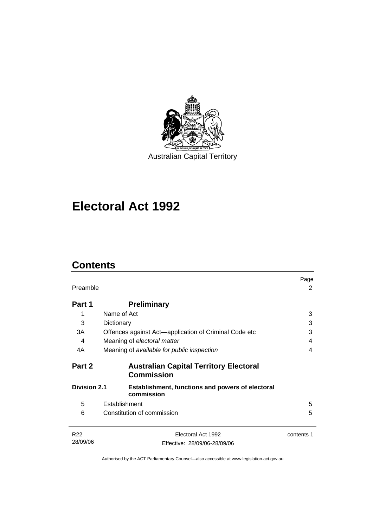

Australian Capital Territory

# **Electoral Act 1992**

# **Contents**

| Preamble                                                                                     |                                                                    | Page<br>2  |
|----------------------------------------------------------------------------------------------|--------------------------------------------------------------------|------------|
| Part 1                                                                                       | <b>Preliminary</b>                                                 |            |
| 1                                                                                            | Name of Act                                                        | 3          |
| 3                                                                                            | Dictionary                                                         | 3          |
| 3A                                                                                           | Offences against Act—application of Criminal Code etc              | 3          |
| 4                                                                                            | Meaning of electoral matter                                        | 4          |
| 4A                                                                                           | Meaning of available for public inspection                         | 4          |
| Part 2                                                                                       | <b>Australian Capital Territory Electoral</b><br><b>Commission</b> |            |
| <b>Division 2.1</b><br><b>Establishment, functions and powers of electoral</b><br>commission |                                                                    |            |
| 5                                                                                            | Establishment                                                      | 5          |
| 6                                                                                            | Constitution of commission                                         | 5          |
| R <sub>22</sub>                                                                              | Electoral Act 1992                                                 | contents 1 |
| 28/09/06                                                                                     | Effective: 28/09/06-28/09/06                                       |            |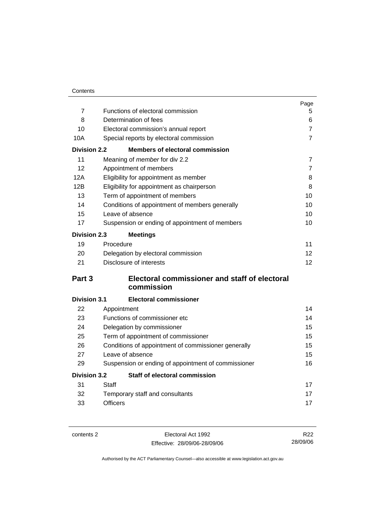|                     |                                                      | Page           |  |
|---------------------|------------------------------------------------------|----------------|--|
| $\overline{7}$      | Functions of electoral commission                    | 5              |  |
| 8                   | Determination of fees                                | 6              |  |
| 10                  | Electoral commission's annual report                 | 7              |  |
| 10A                 | Special reports by electoral commission              | $\overline{7}$ |  |
| <b>Division 2.2</b> | <b>Members of electoral commission</b>               |                |  |
| 11                  | Meaning of member for div 2.2                        | $\overline{7}$ |  |
| 12                  | Appointment of members                               | $\overline{7}$ |  |
| 12A                 | Eligibility for appointment as member                |                |  |
| 12B                 | Eligibility for appointment as chairperson           |                |  |
| 13                  | Term of appointment of members                       |                |  |
| 14                  | Conditions of appointment of members generally       |                |  |
| 15                  | Leave of absence                                     | 10             |  |
| 17                  | Suspension or ending of appointment of members       | 10             |  |
| <b>Division 2.3</b> | <b>Meetings</b>                                      |                |  |
| 19                  | Procedure                                            | 11             |  |
| 20                  | Delegation by electoral commission                   | 12             |  |
| 21                  | Disclosure of interests                              | 12             |  |
| Part 3              | <b>Electoral commissioner and staff of electoral</b> |                |  |
|                     | commission                                           |                |  |
| <b>Division 3.1</b> | <b>Electoral commissioner</b>                        |                |  |
| 22                  | Appointment                                          | 14             |  |
| 23                  | Functions of commissioner etc                        | 14             |  |
| 24                  | Delegation by commissioner                           | 15             |  |
| 25                  | Term of appointment of commissioner                  | 15             |  |
| 26                  | Conditions of appointment of commissioner generally  |                |  |
| 27                  | Leave of absence                                     |                |  |
| 29                  | Suspension or ending of appointment of commissioner  | 16             |  |
| <b>Division 3.2</b> | <b>Staff of electoral commission</b>                 |                |  |
| 31                  | Staff                                                | 17             |  |
| 32                  | Temporary staff and consultants                      | 17             |  |
| 33                  | <b>Officers</b>                                      | 17             |  |

contents 2 Electoral Act 1992 Effective: 28/09/06-28/09/06

R22 28/09/06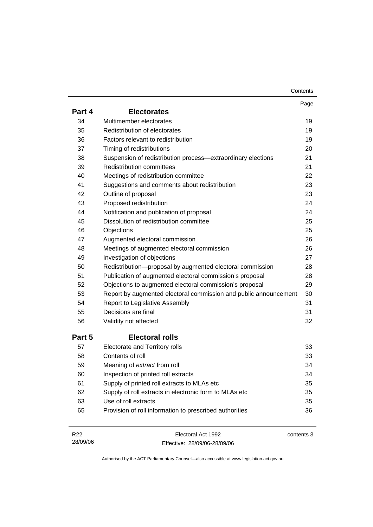| Contents |
|----------|
|----------|

|        |                                                                  | Page |
|--------|------------------------------------------------------------------|------|
| Part 4 | <b>Electorates</b>                                               |      |
| 34     | Multimember electorates                                          | 19   |
| 35     | Redistribution of electorates                                    | 19   |
| 36     | Factors relevant to redistribution                               | 19   |
| 37     | Timing of redistributions                                        | 20   |
| 38     | Suspension of redistribution process-extraordinary elections     | 21   |
| 39     | <b>Redistribution committees</b>                                 | 21   |
| 40     | Meetings of redistribution committee                             | 22   |
| 41     | Suggestions and comments about redistribution                    | 23   |
| 42     | Outline of proposal                                              | 23   |
| 43     | Proposed redistribution                                          | 24   |
| 44     | Notification and publication of proposal                         | 24   |
| 45     | Dissolution of redistribution committee                          | 25   |
| 46     | Objections                                                       | 25   |
| 47     | Augmented electoral commission                                   | 26   |
| 48     | Meetings of augmented electoral commission                       | 26   |
| 49     | Investigation of objections                                      | 27   |
| 50     | Redistribution-proposal by augmented electoral commission        | 28   |
| 51     | Publication of augmented electoral commission's proposal         | 28   |
| 52     | Objections to augmented electoral commission's proposal          | 29   |
| 53     | Report by augmented electoral commission and public announcement | 30   |
| 54     | Report to Legislative Assembly                                   | 31   |
| 55     | Decisions are final                                              | 31   |
| 56     | Validity not affected                                            | 32   |
| Part 5 | <b>Electoral rolls</b>                                           |      |
| 57     | Electorate and Territory rolls                                   | 33   |
| 58     | Contents of roll                                                 | 33   |
| 59     | Meaning of extract from roll                                     | 34   |
| 60     | Inspection of printed roll extracts                              | 34   |
| 61     | Supply of printed roll extracts to MLAs etc                      | 35   |
| 62     | Supply of roll extracts in electronic form to MLAs etc           | 35   |
| 63     | Use of roll extracts                                             | 35   |
| 65     | Provision of roll information to prescribed authorities          | 36   |
|        |                                                                  |      |

| R22      | Electoral Act 1992           | contents 3 |
|----------|------------------------------|------------|
| 28/09/06 | Effective: 28/09/06-28/09/06 |            |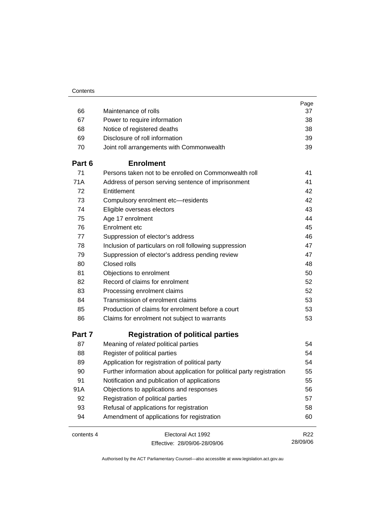|            |                                                                        | Page            |
|------------|------------------------------------------------------------------------|-----------------|
| 66         | Maintenance of rolls                                                   | 37              |
| 67         | Power to require information                                           | 38              |
| 68         | Notice of registered deaths                                            | 38              |
| 69         | Disclosure of roll information                                         | 39              |
| 70         | Joint roll arrangements with Commonwealth                              | 39              |
| Part 6     | <b>Enrolment</b>                                                       |                 |
| 71         | Persons taken not to be enrolled on Commonwealth roll                  | 41              |
| 71A        | Address of person serving sentence of imprisonment                     | 41              |
| 72         | Entitlement                                                            | 42              |
| 73         | Compulsory enrolment etc-residents                                     | 42              |
| 74         | Eligible overseas electors                                             | 43              |
| 75         | Age 17 enrolment                                                       | 44              |
| 76         | Enrolment etc                                                          | 45              |
| 77         | Suppression of elector's address                                       | 46              |
| 78         | Inclusion of particulars on roll following suppression                 | 47              |
| 79         | Suppression of elector's address pending review                        | 47              |
| 80         | Closed rolls                                                           | 48              |
| 81         | Objections to enrolment                                                | 50              |
| 82         | Record of claims for enrolment                                         | 52              |
| 83         | Processing enrolment claims                                            | 52              |
| 84         | Transmission of enrolment claims                                       | 53              |
| 85         | Production of claims for enrolment before a court                      | 53              |
| 86         | Claims for enrolment not subject to warrants                           | 53              |
| Part 7     | <b>Registration of political parties</b>                               |                 |
| 87         | Meaning of related political parties                                   | 54              |
| 88         | Register of political parties                                          | 54              |
| 89         | Application for registration of political party                        | 54              |
| 90         | Further information about application for political party registration | 55              |
| 91         | Notification and publication of applications                           | 55              |
| 91A        | Objections to applications and responses                               | 56              |
| 92         | Registration of political parties                                      | 57              |
| 93         | Refusal of applications for registration                               | 58              |
| 94         | Amendment of applications for registration                             | 60              |
| contents 4 | Electoral Act 1992                                                     | R <sub>22</sub> |
|            | Effective: 28/09/06-28/09/06                                           | 28/09/06        |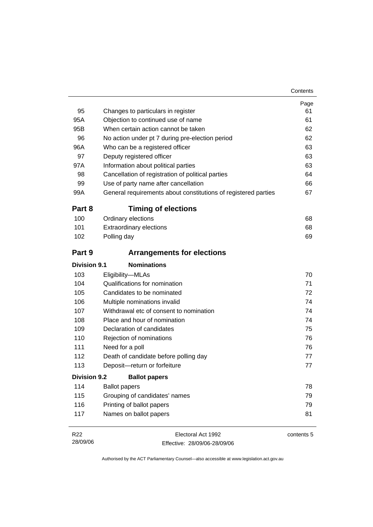| 95                  | Changes to particulars in register                             | Page<br>61 |
|---------------------|----------------------------------------------------------------|------------|
| 95A                 | Objection to continued use of name                             | 61         |
| 95B                 | When certain action cannot be taken                            | 62         |
| 96                  | No action under pt 7 during pre-election period                | 62         |
| 96A                 | Who can be a registered officer                                | 63         |
| 97                  | Deputy registered officer                                      | 63         |
| 97A                 | Information about political parties                            | 63         |
| 98                  | Cancellation of registration of political parties              | 64         |
| 99                  | Use of party name after cancellation                           | 66         |
| 99A                 | General requirements about constitutions of registered parties | 67         |
| Part 8              | <b>Timing of elections</b>                                     |            |
| 100                 | Ordinary elections                                             | 68         |
| 101                 | <b>Extraordinary elections</b>                                 | 68         |
| 102                 | Polling day                                                    | 69         |
| Part 9              | <b>Arrangements for elections</b>                              |            |
| <b>Division 9.1</b> | <b>Nominations</b>                                             |            |
| 103                 | Eligibility-MLAs                                               | 70         |
| 104                 | Qualifications for nomination                                  | 71         |
| 105                 | Candidates to be nominated                                     | 72         |
| 106                 | Multiple nominations invalid                                   | 74         |
| 107                 | Withdrawal etc of consent to nomination                        | 74         |
| 108                 | Place and hour of nomination                                   | 74         |
| 109                 | Declaration of candidates                                      | 75         |
| 110                 | Rejection of nominations                                       | 76         |
| 111                 | Need for a poll                                                | 76         |
| 112                 | Death of candidate before polling day                          | 77         |
| 113                 | Deposit-return or forfeiture                                   | 77         |
| <b>Division 9.2</b> | <b>Ballot papers</b>                                           |            |
| 114                 | <b>Ballot papers</b>                                           | 78         |
| 115                 | Grouping of candidates' names                                  | 79         |
| 116                 | Printing of ballot papers                                      | 79         |
| 117                 | Names on ballot papers                                         | 81         |

| R22      | Electoral Act 1992           | contents 5 |
|----------|------------------------------|------------|
| 28/09/06 | Effective: 28/09/06-28/09/06 |            |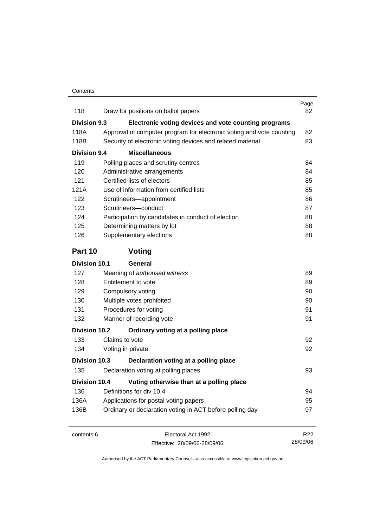| 118                  | Draw for positions on ballot papers                                  | Page<br>82      |
|----------------------|----------------------------------------------------------------------|-----------------|
| <b>Division 9.3</b>  | Electronic voting devices and vote counting programs                 |                 |
| 118A                 | Approval of computer program for electronic voting and vote counting | 82              |
| 118B                 | Security of electronic voting devices and related material           | 83              |
| <b>Division 9.4</b>  | <b>Miscellaneous</b>                                                 |                 |
| 119                  | Polling places and scrutiny centres                                  | 84              |
| 120                  | Administrative arrangements                                          | 84              |
| 121                  | Certified lists of electors                                          | 85              |
| 121A                 | Use of information from certified lists                              | 85              |
| 122                  | Scrutineers-appointment                                              | 86              |
| 123                  | Scrutineers-conduct                                                  | 87              |
| 124                  | Participation by candidates in conduct of election                   | 88              |
| 125                  | Determining matters by lot                                           | 88              |
| 126                  | Supplementary elections                                              | 88              |
| Part 10              | Voting                                                               |                 |
| <b>Division 10.1</b> | <b>General</b>                                                       |                 |
| 127                  | Meaning of authorised witness                                        | 89              |
| 128                  | Entitlement to vote                                                  | 89              |
| 129                  | Compulsory voting                                                    | 90              |
| 130                  | Multiple votes prohibited                                            | 90              |
| 131                  | Procedures for voting                                                | 91              |
| 132                  | Manner of recording vote                                             | 91              |
| <b>Division 10.2</b> | Ordinary voting at a polling place                                   |                 |
| 133                  | Claims to vote                                                       | 92              |
| 134                  | Voting in private                                                    | 92              |
| Division 10.3        | Declaration voting at a polling place                                |                 |
| 135                  | Declaration voting at polling places                                 | 93              |
| <b>Division 10.4</b> | Voting otherwise than at a polling place                             |                 |
| 136                  | Definitions for div 10.4                                             | 94              |
| 136A                 | Applications for postal voting papers                                | 95              |
| 136B                 | Ordinary or declaration voting in ACT before polling day             | 97              |
| contents 6           | Electoral Act 1992                                                   | R <sub>22</sub> |

Effective: 28/09/06-28/09/06

28/09/06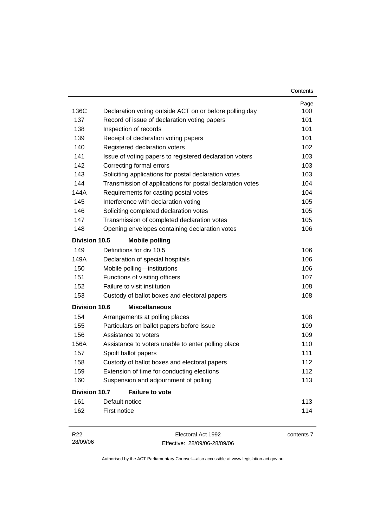|                      |                                                                                                         | Contents    |
|----------------------|---------------------------------------------------------------------------------------------------------|-------------|
| 136C                 |                                                                                                         | Page<br>100 |
| 137                  | Declaration voting outside ACT on or before polling day<br>Record of issue of declaration voting papers | 101         |
| 138                  | Inspection of records                                                                                   | 101         |
| 139                  | Receipt of declaration voting papers                                                                    | 101         |
| 140                  | Registered declaration voters                                                                           | 102         |
| 141                  | Issue of voting papers to registered declaration voters                                                 | 103         |
| 142                  | Correcting formal errors                                                                                | 103         |
| 143                  | Soliciting applications for postal declaration votes                                                    | 103         |
| 144                  | Transmission of applications for postal declaration votes                                               | 104         |
| 144A                 | Requirements for casting postal votes                                                                   | 104         |
| 145                  | Interference with declaration voting                                                                    | 105         |
| 146                  | Soliciting completed declaration votes                                                                  | 105         |
| 147                  | Transmission of completed declaration votes                                                             | 105         |
| 148                  | Opening envelopes containing declaration votes                                                          | 106         |
| Division 10.5        | <b>Mobile polling</b>                                                                                   |             |
| 149                  | Definitions for div 10.5                                                                                | 106         |
| 149A                 | Declaration of special hospitals                                                                        | 106         |
| 150                  | Mobile polling-institutions                                                                             | 106         |
| 151                  | Functions of visiting officers                                                                          | 107         |
| 152                  | Failure to visit institution                                                                            | 108         |
| 153                  | Custody of ballot boxes and electoral papers                                                            | 108         |
| <b>Division 10.6</b> | <b>Miscellaneous</b>                                                                                    |             |
| 154                  | Arrangements at polling places                                                                          | 108         |
| 155                  | Particulars on ballot papers before issue                                                               | 109         |
| 156                  | Assistance to voters                                                                                    | 109         |
| 156A                 | Assistance to voters unable to enter polling place                                                      | 110         |
| 157                  | Spoilt ballot papers                                                                                    | 111         |
| 158                  | Custody of ballot boxes and electoral papers                                                            | 112         |
| 159                  | Extension of time for conducting elections                                                              | 112         |
| 160                  | Suspension and adjournment of polling                                                                   | 113         |
| <b>Division 10.7</b> | <b>Failure to vote</b>                                                                                  |             |
| 161                  | Default notice                                                                                          | 113         |
| 162                  | First notice                                                                                            | 114         |
| R <sub>22</sub>      | Electoral Act 1992                                                                                      | contents 7  |

| 28/09/06 | Effective: 28/09/06-28/09/06 |
|----------|------------------------------|
|          |                              |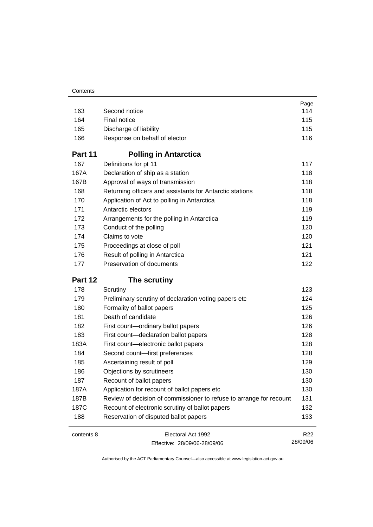|            |                                                                     | Page            |
|------------|---------------------------------------------------------------------|-----------------|
| 163        | Second notice                                                       | 114             |
| 164        | Final notice                                                        | 115             |
| 165        | Discharge of liability                                              | 115             |
| 166        | Response on behalf of elector                                       | 116             |
| Part 11    | <b>Polling in Antarctica</b>                                        |                 |
| 167        | Definitions for pt 11                                               | 117             |
| 167A       | Declaration of ship as a station                                    | 118             |
| 167B       | Approval of ways of transmission                                    | 118             |
| 168        | Returning officers and assistants for Antarctic stations            | 118             |
| 170        | Application of Act to polling in Antarctica                         | 118             |
| 171        | Antarctic electors                                                  | 119             |
| 172        | Arrangements for the polling in Antarctica                          | 119             |
| 173        | Conduct of the polling                                              | 120             |
| 174        | Claims to vote                                                      | 120             |
| 175        | Proceedings at close of poll                                        | 121             |
| 176        | Result of polling in Antarctica                                     | 121             |
| 177        | Preservation of documents                                           | 122             |
| Part 12    | The scrutiny                                                        |                 |
| 178        | Scrutiny                                                            | 123             |
| 179        | Preliminary scrutiny of declaration voting papers etc               | 124             |
| 180        | Formality of ballot papers                                          | 125             |
| 181        | Death of candidate                                                  | 126             |
| 182        | First count-ordinary ballot papers                                  | 126             |
| 183        | First count-declaration ballot papers                               | 128             |
| 183A       | First count-electronic ballot papers                                | 128             |
| 184        | Second count-first preferences                                      | 128             |
| 185        | Ascertaining result of poll                                         | 129             |
| 186        | Objections by scrutineers                                           | 130             |
| 187        | Recount of ballot papers                                            | 130             |
| 187A       | Application for recount of ballot papers etc                        | 130             |
| 187B       | Review of decision of commissioner to refuse to arrange for recount | 131             |
| 187C       | Recount of electronic scrutiny of ballot papers                     | 132             |
| 188        | Reservation of disputed ballot papers                               | 133             |
| contents 8 | Electoral Act 1992                                                  | R <sub>22</sub> |
|            | Effective: 28/09/06-28/09/06                                        | 28/09/06        |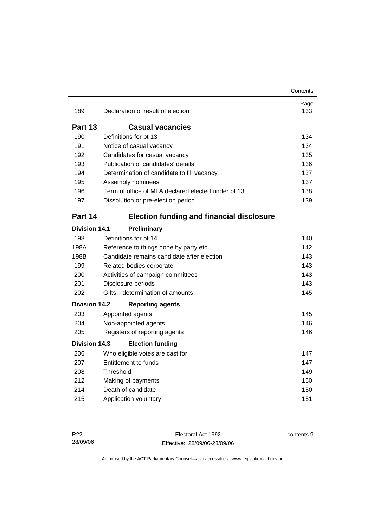|                      |                                                    | Contents    |
|----------------------|----------------------------------------------------|-------------|
| 189                  | Declaration of result of election                  | Page<br>133 |
| Part 13              | <b>Casual vacancies</b>                            |             |
| 190                  | Definitions for pt 13                              | 134         |
| 191                  | Notice of casual vacancy                           | 134         |
| 192                  | Candidates for casual vacancy                      | 135         |
| 193                  | Publication of candidates' details                 | 136         |
| 194                  | Determination of candidate to fill vacancy         | 137         |
| 195                  | Assembly nominees                                  | 137         |
| 196                  | Term of office of MLA declared elected under pt 13 | 138         |
| 197                  | Dissolution or pre-election period                 | 139         |
| Part 14              | <b>Election funding and financial disclosure</b>   |             |
| <b>Division 14.1</b> | Preliminary                                        |             |
| 198                  | Definitions for pt 14                              | 140         |
| 198A                 | Reference to things done by party etc              | 142         |
| 198B                 | Candidate remains candidate after election         | 143         |
| 199                  | Related bodies corporate                           | 143         |
| 200                  | Activities of campaign committees                  | 143         |
| 201                  | Disclosure periods                                 | 143         |
| 202                  | Gifts-determination of amounts                     | 145         |
| <b>Division 14.2</b> | <b>Reporting agents</b>                            |             |
| 203                  | Appointed agents                                   | 145         |
| 204                  | Non-appointed agents                               | 146         |
| 205                  | Registers of reporting agents                      | 146         |
| <b>Division 14.3</b> | <b>Election funding</b>                            |             |
| 206                  | Who eligible votes are cast for                    | 147         |
| 207                  | <b>Entitlement to funds</b>                        | 147         |
| 208                  | Threshold                                          | 149         |
| 212                  | Making of payments                                 | 150         |
| 214                  | Death of candidate                                 | 150         |
| 215                  | Application voluntary                              | 151         |

Electoral Act 1992 Effective: 28/09/06-28/09/06 contents 9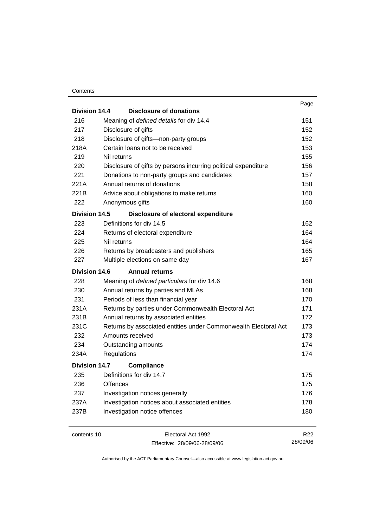#### **Contents**

| Division 14.4<br>Disclosure of donations<br>216<br>Meaning of defined details for div 14.4<br>217<br>Disclosure of gifts<br>218<br>Disclosure of gifts-non-party groups | 151<br>152<br>152<br>153<br>155<br>156<br>157 |
|-------------------------------------------------------------------------------------------------------------------------------------------------------------------------|-----------------------------------------------|
|                                                                                                                                                                         |                                               |
|                                                                                                                                                                         |                                               |
|                                                                                                                                                                         |                                               |
|                                                                                                                                                                         |                                               |
| 218A<br>Certain loans not to be received                                                                                                                                |                                               |
| 219<br>Nil returns                                                                                                                                                      |                                               |
| 220<br>Disclosure of gifts by persons incurring political expenditure                                                                                                   |                                               |
| 221<br>Donations to non-party groups and candidates                                                                                                                     |                                               |
| Annual returns of donations<br>221A                                                                                                                                     | 158                                           |
| 221B<br>Advice about obligations to make returns                                                                                                                        | 160                                           |
| 222<br>Anonymous gifts                                                                                                                                                  | 160                                           |
| Division 14.5<br>Disclosure of electoral expenditure                                                                                                                    |                                               |
| Definitions for div 14.5<br>223                                                                                                                                         | 162                                           |
| 224<br>Returns of electoral expenditure                                                                                                                                 | 164                                           |
| 225<br>Nil returns                                                                                                                                                      | 164                                           |
| 226<br>Returns by broadcasters and publishers                                                                                                                           | 165                                           |
| 227<br>Multiple elections on same day                                                                                                                                   | 167                                           |
| Division 14.6<br><b>Annual returns</b>                                                                                                                                  |                                               |
| 228<br>Meaning of defined particulars for div 14.6                                                                                                                      | 168                                           |
| 230<br>Annual returns by parties and MLAs                                                                                                                               | 168                                           |
| 231<br>Periods of less than financial year                                                                                                                              | 170                                           |
| 231A<br>Returns by parties under Commonwealth Electoral Act                                                                                                             | 171                                           |
| 231B<br>Annual returns by associated entities                                                                                                                           | 172                                           |
| 231C<br>Returns by associated entities under Commonwealth Electoral Act                                                                                                 | 173                                           |
| Amounts received<br>232                                                                                                                                                 | 173                                           |
| 234<br>Outstanding amounts                                                                                                                                              | 174                                           |
| 234A<br>Regulations                                                                                                                                                     | 174                                           |
| <b>Division 14.7</b><br><b>Compliance</b>                                                                                                                               |                                               |
| Definitions for div 14.7<br>235                                                                                                                                         | 175                                           |
| 236<br>Offences                                                                                                                                                         | 175                                           |
| 237<br>Investigation notices generally                                                                                                                                  | 176                                           |
| Investigation notices about associated entities<br>237A                                                                                                                 | 178                                           |
| Investigation notice offences<br>237B                                                                                                                                   | 180                                           |
|                                                                                                                                                                         |                                               |

contents 10 Electoral Act 1992 Effective: 28/09/06-28/09/06

R22 28/09/06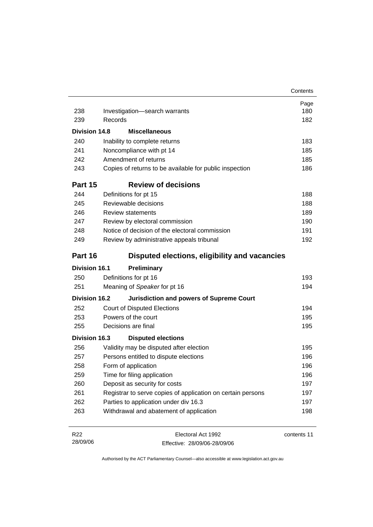|                             |                                                             | Contents    |
|-----------------------------|-------------------------------------------------------------|-------------|
|                             |                                                             | Page        |
| 238                         | Investigation-search warrants                               | 180         |
| 239                         | Records                                                     | 182         |
| Division 14.8               | <b>Miscellaneous</b>                                        |             |
| 240                         | Inability to complete returns                               | 183         |
| 241                         | Noncompliance with pt 14                                    | 185         |
| 242                         | Amendment of returns                                        | 185         |
| 243                         | Copies of returns to be available for public inspection     | 186         |
| Part 15                     | <b>Review of decisions</b>                                  |             |
| 244                         | Definitions for pt 15                                       | 188         |
| 245                         | Reviewable decisions                                        | 188         |
| 246                         | <b>Review statements</b>                                    | 189         |
| 247                         | Review by electoral commission                              | 190         |
| 248                         | Notice of decision of the electoral commission              | 191         |
| 249                         | Review by administrative appeals tribunal                   | 192         |
| Part 16                     | Disputed elections, eligibility and vacancies               |             |
| <b>Division 16.1</b>        | <b>Preliminary</b>                                          |             |
| 250                         | Definitions for pt 16                                       | 193         |
| 251                         | Meaning of Speaker for pt 16                                | 194         |
| <b>Division 16.2</b>        | <b>Jurisdiction and powers of Supreme Court</b>             |             |
| 252                         | <b>Court of Disputed Elections</b>                          | 194         |
| 253                         | Powers of the court                                         | 195         |
| 255                         | Decisions are final                                         | 195         |
| <b>Division 16.3</b>        | <b>Disputed elections</b>                                   |             |
| 256                         | Validity may be disputed after election                     | 195         |
| 257                         | Persons entitled to dispute elections                       | 196         |
| 258                         | Form of application                                         | 196         |
| 259                         | Time for filing application                                 | 196         |
| 260                         | Deposit as security for costs                               | 197         |
| 261                         | Registrar to serve copies of application on certain persons | 197         |
| 262                         | Parties to application under div 16.3                       | 197         |
| 263                         | Withdrawal and abatement of application                     | 198         |
| R <sub>22</sub><br>28/09/06 | Electoral Act 1992<br>Effective: 28/09/06-28/09/06          | contents 11 |

Effective: 28/09/06-28/09/06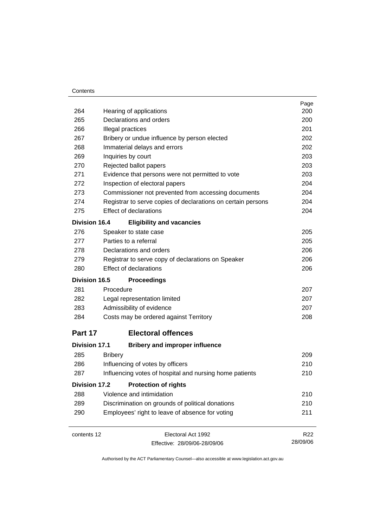### **Contents**

|                      |                |                                                              | Page     |
|----------------------|----------------|--------------------------------------------------------------|----------|
| 264                  |                | Hearing of applications                                      | 200      |
| 265                  |                | Declarations and orders                                      | 200      |
| 266                  |                | Illegal practices                                            | 201      |
| 267                  |                | Bribery or undue influence by person elected                 | 202      |
| 268                  |                | Immaterial delays and errors                                 | 202      |
| 269                  |                | Inquiries by court                                           | 203      |
| 270                  |                | Rejected ballot papers                                       | 203      |
| 271                  |                | Evidence that persons were not permitted to vote             | 203      |
| 272                  |                | Inspection of electoral papers                               | 204      |
| 273                  |                | Commissioner not prevented from accessing documents          | 204      |
| 274                  |                | Registrar to serve copies of declarations on certain persons | 204      |
| 275                  |                | <b>Effect of declarations</b>                                | 204      |
| <b>Division 16.4</b> |                | <b>Eligibility and vacancies</b>                             |          |
| 276                  |                | Speaker to state case                                        | 205      |
| 277                  |                | Parties to a referral                                        | 205      |
| 278                  |                | Declarations and orders                                      | 206      |
| 279                  |                | Registrar to serve copy of declarations on Speaker           | 206      |
| 280                  |                | <b>Effect of declarations</b>                                | 206      |
| Division 16.5        |                | <b>Proceedings</b>                                           |          |
| 281                  | Procedure      |                                                              | 207      |
| 282                  |                | Legal representation limited                                 | 207      |
| 283                  |                | Admissibility of evidence                                    | 207      |
| 284                  |                | Costs may be ordered against Territory                       | 208      |
| Part 17              |                | <b>Electoral offences</b>                                    |          |
| <b>Division 17.1</b> |                | <b>Bribery and improper influence</b>                        |          |
| 285                  | <b>Bribery</b> |                                                              | 209      |
| 286                  |                | Influencing of votes by officers                             | 210      |
| 287                  |                | Influencing votes of hospital and nursing home patients      | 210      |
| <b>Division 17.2</b> |                | <b>Protection of rights</b>                                  |          |
| 288                  |                | Violence and intimidation                                    | 210      |
| 289                  |                | Discrimination on grounds of political donations             | 210      |
| 290                  |                | Employees' right to leave of absence for voting              | 211      |
| contents 12          |                | Electoral Act 1992                                           | R22      |
|                      |                | Effective: 28/09/06-28/09/06                                 | 28/09/06 |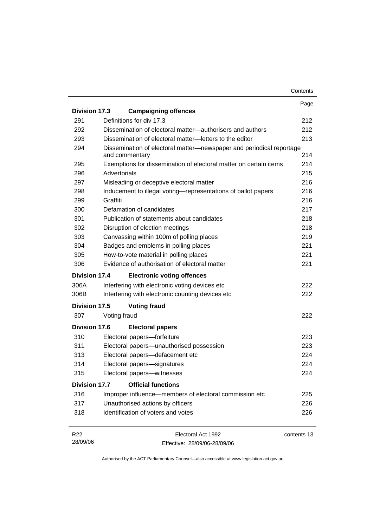|                      |                                                                                        | Contents |
|----------------------|----------------------------------------------------------------------------------------|----------|
|                      |                                                                                        | Page     |
| <b>Division 17.3</b> | <b>Campaigning offences</b>                                                            |          |
| 291                  | Definitions for div 17.3                                                               | 212      |
| 292                  | Dissemination of electoral matter—authorisers and authors                              | 212      |
| 293                  | Dissemination of electoral matter-letters to the editor                                | 213      |
| 294                  | Dissemination of electoral matter-newspaper and periodical reportage<br>and commentary | 214      |
| 295                  | Exemptions for dissemination of electoral matter on certain items                      | 214      |
| 296                  | Advertorials                                                                           | 215      |
| 297                  | Misleading or deceptive electoral matter                                               | 216      |
| 298                  | Inducement to illegal voting-representations of ballot papers                          | 216      |
| 299                  | Graffiti                                                                               | 216      |
| 300                  | Defamation of candidates                                                               | 217      |
| 301                  | Publication of statements about candidates                                             | 218      |
| 302                  | Disruption of election meetings                                                        | 218      |
| 303                  | Canvassing within 100m of polling places                                               | 219      |
| 304                  | Badges and emblems in polling places                                                   | 221      |
| 305                  | How-to-vote material in polling places                                                 | 221      |
| 306                  | Evidence of authorisation of electoral matter                                          | 221      |
| Division 17.4        | <b>Electronic voting offences</b>                                                      |          |
| 306A                 | Interfering with electronic voting devices etc                                         | 222      |
| 306B                 | Interfering with electronic counting devices etc                                       | 222      |
| <b>Division 17.5</b> | <b>Voting fraud</b>                                                                    |          |
| 307                  | Voting fraud                                                                           | 222      |
| <b>Division 17.6</b> | <b>Electoral papers</b>                                                                |          |
| 310                  | Electoral papers-forfeiture                                                            | 223      |
| 311                  | Electoral papers-unauthorised possession                                               | 223      |
| 313                  | Electoral papers-defacement etc                                                        | 224      |
| 314                  | Electoral papers-signatures                                                            | 224      |
| 315                  | Electoral papers-witnesses                                                             | 224      |
| <b>Division 17.7</b> | <b>Official functions</b>                                                              |          |
| 316                  | Improper influence—members of electoral commission etc                                 | 225      |
| 317                  | Unauthorised actions by officers                                                       | 226      |
| 318                  | Identification of voters and votes                                                     | 226      |
|                      | $\frac{1}{2}$                                                                          |          |

| R <sub>22</sub> | Electoral Act 1992           | contents 13 |
|-----------------|------------------------------|-------------|
| 28/09/06        | Effective: 28/09/06-28/09/06 |             |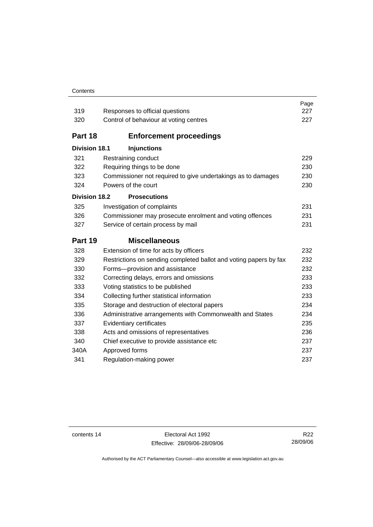#### **Contents**

| 319                  | Responses to official questions                                   | Page<br>227 |
|----------------------|-------------------------------------------------------------------|-------------|
| 320                  | Control of behaviour at voting centres                            | 227         |
|                      |                                                                   |             |
| Part 18              | <b>Enforcement proceedings</b>                                    |             |
| <b>Division 18.1</b> | <b>Injunctions</b>                                                |             |
| 321                  | Restraining conduct                                               | 229         |
| 322                  | Requiring things to be done                                       | 230         |
| 323                  | Commissioner not required to give undertakings as to damages      | 230         |
| 324                  | Powers of the court                                               | 230         |
| <b>Division 18.2</b> | <b>Prosecutions</b>                                               |             |
| 325                  | Investigation of complaints                                       | 231         |
| 326                  | Commissioner may prosecute enrolment and voting offences          | 231         |
| 327                  | Service of certain process by mail                                | 231         |
|                      |                                                                   |             |
| Part 19              | <b>Miscellaneous</b>                                              |             |
| 328                  | Extension of time for acts by officers                            | 232         |
| 329                  | Restrictions on sending completed ballot and voting papers by fax | 232         |
| 330                  | Forms-provision and assistance                                    | 232         |
| 332                  | Correcting delays, errors and omissions                           | 233         |
| 333                  | Voting statistics to be published                                 | 233         |
| 334                  | Collecting further statistical information                        | 233         |
| 335                  | Storage and destruction of electoral papers                       | 234         |
| 336                  | Administrative arrangements with Commonwealth and States          | 234         |
| 337                  | Evidentiary certificates                                          | 235         |
| 338                  | Acts and omissions of representatives                             | 236         |
| 340                  | Chief executive to provide assistance etc                         | 237         |
| 340A                 | Approved forms                                                    | 237         |
| 341                  | Regulation-making power                                           | 237         |

contents 14 Electoral Act 1992 Effective: 28/09/06-28/09/06

R22 28/09/06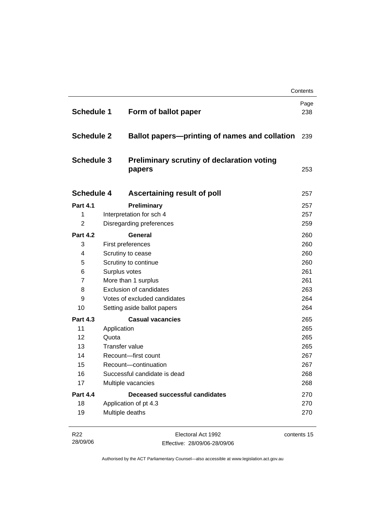|                                                             |                                       |                                                                                                                                      | Contents |                   |  |                             |     |
|-------------------------------------------------------------|---------------------------------------|--------------------------------------------------------------------------------------------------------------------------------------|----------|-------------------|--|-----------------------------|-----|
| <b>Schedule 1</b><br><b>Schedule 2</b><br><b>Schedule 3</b> |                                       | Form of ballot paper<br><b>Ballot papers—printing of names and collation</b><br>Preliminary scrutiny of declaration voting<br>papers |          |                   |  |                             |     |
|                                                             |                                       |                                                                                                                                      |          | <b>Schedule 4</b> |  | Ascertaining result of poll | 257 |
|                                                             |                                       |                                                                                                                                      |          | <b>Part 4.1</b>   |  | Preliminary                 | 257 |
| 1                                                           |                                       | Interpretation for sch 4                                                                                                             | 257      |                   |  |                             |     |
| $\overline{2}$                                              |                                       | Disregarding preferences                                                                                                             | 259      |                   |  |                             |     |
| <b>Part 4.2</b>                                             |                                       | General                                                                                                                              | 260      |                   |  |                             |     |
| 3                                                           | First preferences                     |                                                                                                                                      | 260      |                   |  |                             |     |
| 4                                                           | Scrutiny to cease                     |                                                                                                                                      | 260      |                   |  |                             |     |
| 5                                                           |                                       | Scrutiny to continue                                                                                                                 |          |                   |  |                             |     |
| 6                                                           | Surplus votes                         |                                                                                                                                      | 261      |                   |  |                             |     |
| $\overline{7}$                                              | More than 1 surplus                   |                                                                                                                                      | 261      |                   |  |                             |     |
| 8                                                           | <b>Exclusion of candidates</b>        |                                                                                                                                      | 263      |                   |  |                             |     |
| 9                                                           | Votes of excluded candidates          |                                                                                                                                      | 264      |                   |  |                             |     |
| 10                                                          |                                       | Setting aside ballot papers                                                                                                          |          |                   |  |                             |     |
| <b>Part 4.3</b>                                             |                                       | <b>Casual vacancies</b>                                                                                                              | 265      |                   |  |                             |     |
| 11                                                          | Application                           |                                                                                                                                      | 265      |                   |  |                             |     |
| 12                                                          | Quota                                 |                                                                                                                                      | 265      |                   |  |                             |     |
| 13                                                          | <b>Transfer value</b>                 |                                                                                                                                      | 265      |                   |  |                             |     |
| 14                                                          | Recount-first count                   |                                                                                                                                      | 267      |                   |  |                             |     |
| 15                                                          | Recount-continuation                  |                                                                                                                                      | 267      |                   |  |                             |     |
| 16                                                          |                                       | Successful candidate is dead                                                                                                         | 268      |                   |  |                             |     |
| 17                                                          |                                       | Multiple vacancies                                                                                                                   | 268      |                   |  |                             |     |
| <b>Part 4.4</b>                                             | <b>Deceased successful candidates</b> |                                                                                                                                      | 270      |                   |  |                             |     |
| 18                                                          |                                       | Application of pt 4.3                                                                                                                | 270      |                   |  |                             |     |
| 19                                                          |                                       | Multiple deaths                                                                                                                      | 270      |                   |  |                             |     |

| R22      | Electoral Act 1992           | contents 15 |
|----------|------------------------------|-------------|
| 28/09/06 | Effective: 28/09/06-28/09/06 |             |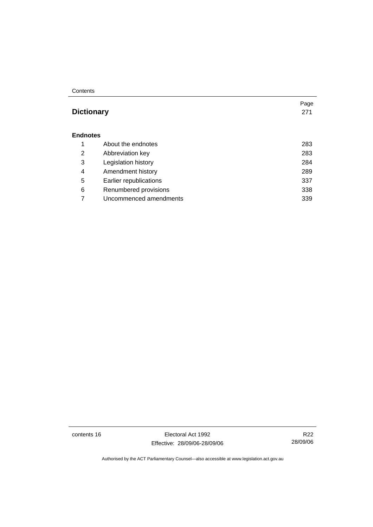#### **Contents**

# **Dictionary** 271

Page

#### **Endnotes**

|   | About the endnotes     | 283 |
|---|------------------------|-----|
| 2 | Abbreviation key       | 283 |
| 3 | Legislation history    | 284 |
| 4 | Amendment history      | 289 |
| 5 | Earlier republications | 337 |
| 6 | Renumbered provisions  | 338 |
|   | Uncommenced amendments | 339 |

contents 16 Electoral Act 1992 Effective: 28/09/06-28/09/06

R22 28/09/06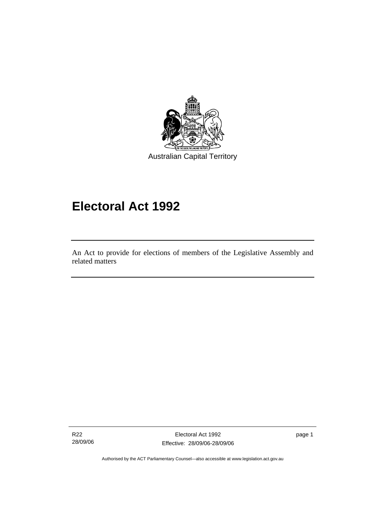

# **Electoral Act 1992**

An Act to provide for elections of members of the Legislative Assembly and related matters

R22 28/09/06

Ī

Electoral Act 1992 Effective: 28/09/06-28/09/06 page 1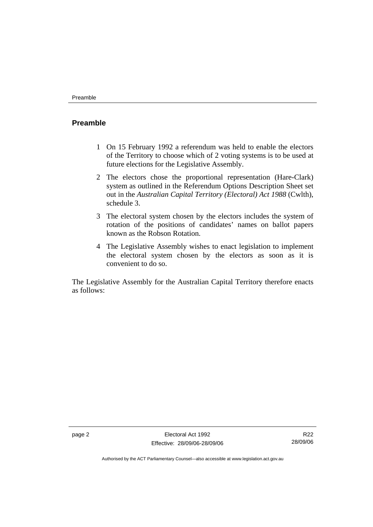# **Preamble**

- 1 On 15 February 1992 a referendum was held to enable the electors of the Territory to choose which of 2 voting systems is to be used at future elections for the Legislative Assembly.
- 2 The electors chose the proportional representation (Hare-Clark) system as outlined in the Referendum Options Description Sheet set out in the *Australian Capital Territory (Electoral) Act 1988* (Cwlth), schedule 3.
- 3 The electoral system chosen by the electors includes the system of rotation of the positions of candidates' names on ballot papers known as the Robson Rotation.
- 4 The Legislative Assembly wishes to enact legislation to implement the electoral system chosen by the electors as soon as it is convenient to do so.

The Legislative Assembly for the Australian Capital Territory therefore enacts as follows:

R22 28/09/06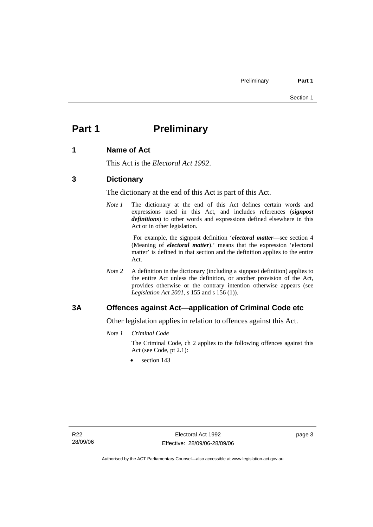# **Part 1** Preliminary

# **1 Name of Act**

This Act is the *Electoral Act 1992*.

# **3 Dictionary**

The dictionary at the end of this Act is part of this Act.

*Note 1* The dictionary at the end of this Act defines certain words and expressions used in this Act, and includes references (*signpost definitions*) to other words and expressions defined elsewhere in this Act or in other legislation.

> For example, the signpost definition '*electoral matter*—see section 4 (Meaning of *electoral matter*).' means that the expression 'electoral matter' is defined in that section and the definition applies to the entire Act.

*Note 2* A definition in the dictionary (including a signpost definition) applies to the entire Act unless the definition, or another provision of the Act, provides otherwise or the contrary intention otherwise appears (see *Legislation Act 2001*, s 155 and s 156 (1)).

# **3A Offences against Act—application of Criminal Code etc**

Other legislation applies in relation to offences against this Act.

*Note 1 Criminal Code*

The Criminal Code, ch 2 applies to the following offences against this Act (see Code, pt 2.1):

section 143

page 3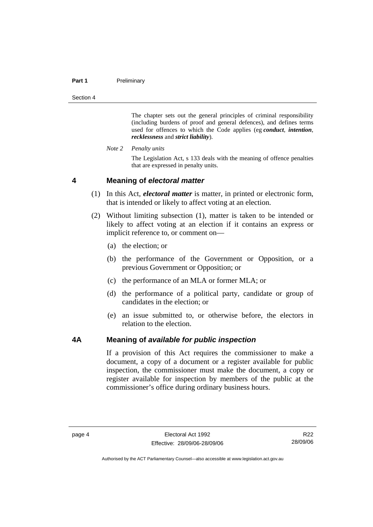#### **Part 1** Preliminary

Section 4

The chapter sets out the general principles of criminal responsibility (including burdens of proof and general defences), and defines terms used for offences to which the Code applies (eg *conduct*, *intention*, *recklessness* and *strict liability*).

*Note 2 Penalty units* 

The Legislation Act, s 133 deals with the meaning of offence penalties that are expressed in penalty units.

### **4 Meaning of** *electoral matter*

- (1) In this Act, *electoral matter* is matter, in printed or electronic form, that is intended or likely to affect voting at an election.
- (2) Without limiting subsection (1), matter is taken to be intended or likely to affect voting at an election if it contains an express or implicit reference to, or comment on—
	- (a) the election; or
	- (b) the performance of the Government or Opposition, or a previous Government or Opposition; or
	- (c) the performance of an MLA or former MLA; or
	- (d) the performance of a political party, candidate or group of candidates in the election; or
	- (e) an issue submitted to, or otherwise before, the electors in relation to the election.

### **4A Meaning of** *available for public inspection*

If a provision of this Act requires the commissioner to make a document, a copy of a document or a register available for public inspection, the commissioner must make the document, a copy or register available for inspection by members of the public at the commissioner's office during ordinary business hours.

R22 28/09/06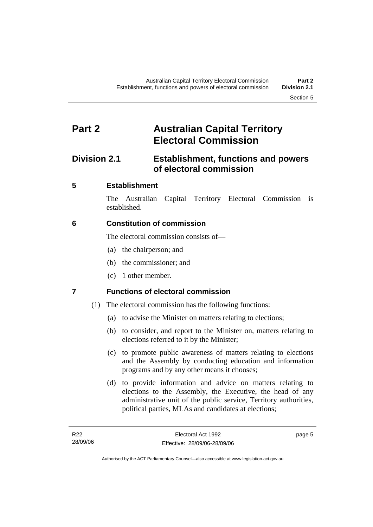# **Part 2 Australian Capital Territory Electoral Commission**

# **Division 2.1 Establishment, functions and powers of electoral commission**

# **5 Establishment**

The Australian Capital Territory Electoral Commission is established.

# **6 Constitution of commission**

The electoral commission consists of—

- (a) the chairperson; and
- (b) the commissioner; and
- (c) 1 other member.

# **7 Functions of electoral commission**

- (1) The electoral commission has the following functions:
	- (a) to advise the Minister on matters relating to elections;
	- (b) to consider, and report to the Minister on, matters relating to elections referred to it by the Minister;
	- (c) to promote public awareness of matters relating to elections and the Assembly by conducting education and information programs and by any other means it chooses;
	- (d) to provide information and advice on matters relating to elections to the Assembly, the Executive, the head of any administrative unit of the public service, Territory authorities, political parties, MLAs and candidates at elections;

page 5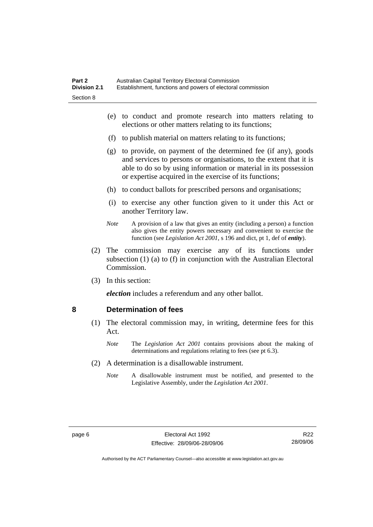- (e) to conduct and promote research into matters relating to elections or other matters relating to its functions;
- (f) to publish material on matters relating to its functions;
- (g) to provide, on payment of the determined fee (if any), goods and services to persons or organisations, to the extent that it is able to do so by using information or material in its possession or expertise acquired in the exercise of its functions;
- (h) to conduct ballots for prescribed persons and organisations;
- (i) to exercise any other function given to it under this Act or another Territory law.
- *Note* A provision of a law that gives an entity (including a person) a function also gives the entity powers necessary and convenient to exercise the function (see *Legislation Act 2001*, s 196 and dict, pt 1, def of *entity*).
- (2) The commission may exercise any of its functions under subsection (1) (a) to (f) in conjunction with the Australian Electoral Commission.
- (3) In this section:

*election* includes a referendum and any other ballot.

### **8 Determination of fees**

- (1) The electoral commission may, in writing, determine fees for this Act.
	- *Note* The *Legislation Act 2001* contains provisions about the making of determinations and regulations relating to fees (see pt 6.3).
- (2) A determination is a disallowable instrument.
	- *Note* A disallowable instrument must be notified, and presented to the Legislative Assembly, under the *Legislation Act 2001*.

R22 28/09/06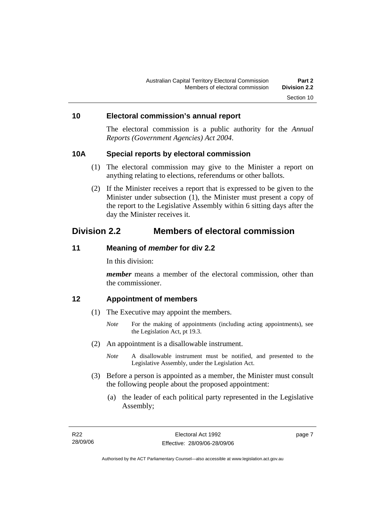### **10 Electoral commission's annual report**

The electoral commission is a public authority for the *Annual Reports (Government Agencies) Act 2004*.

### **10A Special reports by electoral commission**

- (1) The electoral commission may give to the Minister a report on anything relating to elections, referendums or other ballots.
- (2) If the Minister receives a report that is expressed to be given to the Minister under subsection (1), the Minister must present a copy of the report to the Legislative Assembly within 6 sitting days after the day the Minister receives it.

# **Division 2.2 Members of electoral commission**

#### **11 Meaning of** *member* **for div 2.2**

In this division:

*member* means a member of the electoral commission, other than the commissioner.

# **12 Appointment of members**

- (1) The Executive may appoint the members.
	- *Note* For the making of appointments (including acting appointments), see the Legislation Act, pt 19.3.
- (2) An appointment is a disallowable instrument.
	- *Note* A disallowable instrument must be notified, and presented to the Legislative Assembly, under the Legislation Act.
- (3) Before a person is appointed as a member, the Minister must consult the following people about the proposed appointment:
	- (a) the leader of each political party represented in the Legislative Assembly;

page 7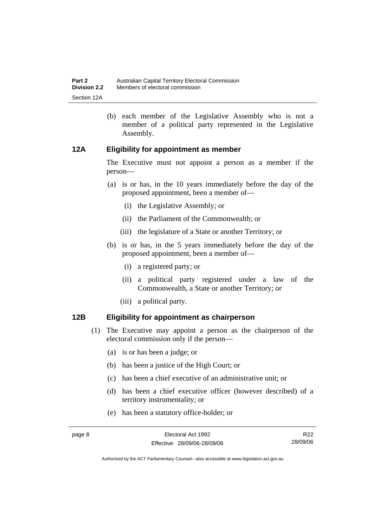(b) each member of the Legislative Assembly who is not a member of a political party represented in the Legislative Assembly.

# **12A Eligibility for appointment as member**

The Executive must not appoint a person as a member if the person—

- (a) is or has, in the 10 years immediately before the day of the proposed appointment, been a member of—
	- (i) the Legislative Assembly; or
	- (ii) the Parliament of the Commonwealth; or
	- (iii) the legislature of a State or another Territory; or
- (b) is or has, in the 5 years immediately before the day of the proposed appointment, been a member of—
	- (i) a registered party; or
	- (ii) a political party registered under a law of the Commonwealth, a State or another Territory; or
	- (iii) a political party.

# **12B Eligibility for appointment as chairperson**

- (1) The Executive may appoint a person as the chairperson of the electoral commission only if the person—
	- (a) is or has been a judge; or
	- (b) has been a justice of the High Court; or
	- (c) has been a chief executive of an administrative unit; or
	- (d) has been a chief executive officer (however described) of a territory instrumentality; or
	- (e) has been a statutory office-holder; or

R22 28/09/06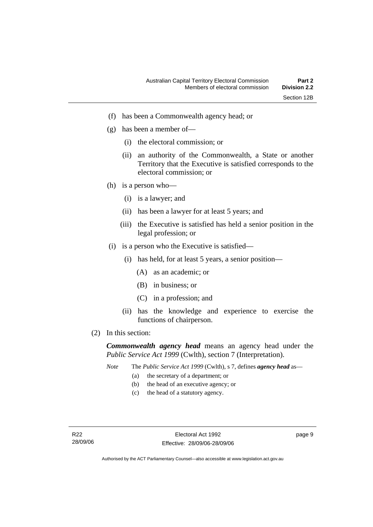- (f) has been a Commonwealth agency head; or
- (g) has been a member of—
	- (i) the electoral commission; or
	- (ii) an authority of the Commonwealth, a State or another Territory that the Executive is satisfied corresponds to the electoral commission; or
- (h) is a person who—
	- (i) is a lawyer; and
	- (ii) has been a lawyer for at least 5 years; and
	- (iii) the Executive is satisfied has held a senior position in the legal profession; or
- (i) is a person who the Executive is satisfied—
	- (i) has held, for at least 5 years, a senior position—
		- (A) as an academic; or
		- (B) in business; or
		- (C) in a profession; and
	- (ii) has the knowledge and experience to exercise the functions of chairperson.
- (2) In this section:

*Commonwealth agency head* means an agency head under the *Public Service Act 1999* (Cwlth), section 7 (Interpretation).

- *Note* The *Public Service Act 1999* (Cwlth), s 7, defines *agency head* as—
	- (a) the secretary of a department; or
	- (b) the head of an executive agency; or
	- (c) the head of a statutory agency.

page 9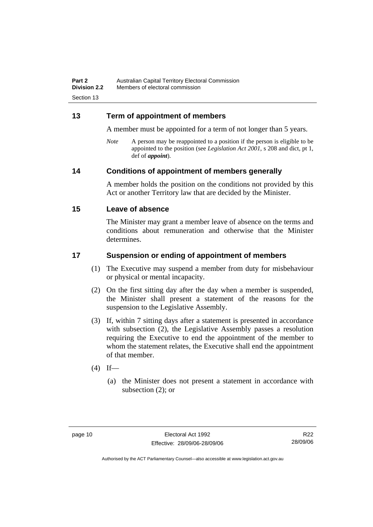# **13 Term of appointment of members**

A member must be appointed for a term of not longer than 5 years.

*Note* A person may be reappointed to a position if the person is eligible to be appointed to the position (see *Legislation Act 2001*, s 208 and dict, pt 1, def of *appoint*).

# **14 Conditions of appointment of members generally**

A member holds the position on the conditions not provided by this Act or another Territory law that are decided by the Minister.

# **15 Leave of absence**

The Minister may grant a member leave of absence on the terms and conditions about remuneration and otherwise that the Minister determines.

# **17 Suspension or ending of appointment of members**

- (1) The Executive may suspend a member from duty for misbehaviour or physical or mental incapacity.
- (2) On the first sitting day after the day when a member is suspended, the Minister shall present a statement of the reasons for the suspension to the Legislative Assembly.
- (3) If, within 7 sitting days after a statement is presented in accordance with subsection (2), the Legislative Assembly passes a resolution requiring the Executive to end the appointment of the member to whom the statement relates, the Executive shall end the appointment of that member.
- $(4)$  If—
	- (a) the Minister does not present a statement in accordance with subsection (2); or

R22 28/09/06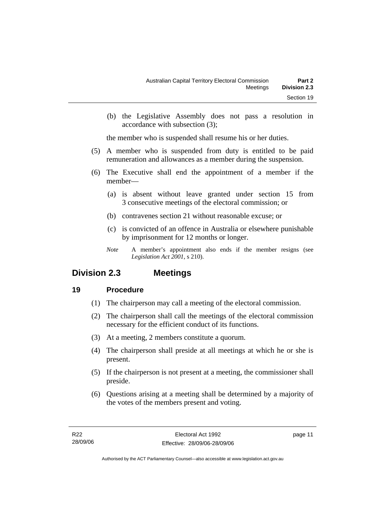(b) the Legislative Assembly does not pass a resolution in accordance with subsection (3);

the member who is suspended shall resume his or her duties.

- (5) A member who is suspended from duty is entitled to be paid remuneration and allowances as a member during the suspension.
- (6) The Executive shall end the appointment of a member if the member—
	- (a) is absent without leave granted under section 15 from 3 consecutive meetings of the electoral commission; or
	- (b) contravenes section 21 without reasonable excuse; or
	- (c) is convicted of an offence in Australia or elsewhere punishable by imprisonment for 12 months or longer.
	- *Note* A member's appointment also ends if the member resigns (see *Legislation Act 2001*, s 210).

# **Division 2.3 Meetings**

# **19 Procedure**

- (1) The chairperson may call a meeting of the electoral commission.
- (2) The chairperson shall call the meetings of the electoral commission necessary for the efficient conduct of its functions.
- (3) At a meeting, 2 members constitute a quorum.
- (4) The chairperson shall preside at all meetings at which he or she is present.
- (5) If the chairperson is not present at a meeting, the commissioner shall preside.
- (6) Questions arising at a meeting shall be determined by a majority of the votes of the members present and voting.

page 11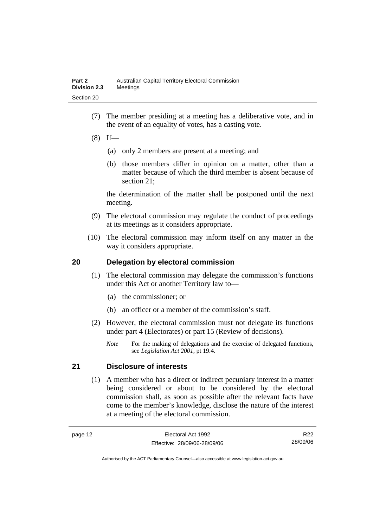- (7) The member presiding at a meeting has a deliberative vote, and in the event of an equality of votes, has a casting vote.
- $(8)$  If—
	- (a) only 2 members are present at a meeting; and
	- (b) those members differ in opinion on a matter, other than a matter because of which the third member is absent because of section 21;

the determination of the matter shall be postponed until the next meeting.

- (9) The electoral commission may regulate the conduct of proceedings at its meetings as it considers appropriate.
- (10) The electoral commission may inform itself on any matter in the way it considers appropriate.

# **20 Delegation by electoral commission**

- (1) The electoral commission may delegate the commission's functions under this Act or another Territory law to—
	- (a) the commissioner; or
	- (b) an officer or a member of the commission's staff.
- (2) However, the electoral commission must not delegate its functions under part 4 (Electorates) or part 15 (Review of decisions).
	- *Note* For the making of delegations and the exercise of delegated functions, see *Legislation Act 2001*, pt 19.4.

# **21 Disclosure of interests**

 (1) A member who has a direct or indirect pecuniary interest in a matter being considered or about to be considered by the electoral commission shall, as soon as possible after the relevant facts have come to the member's knowledge, disclose the nature of the interest at a meeting of the electoral commission.

R22 28/09/06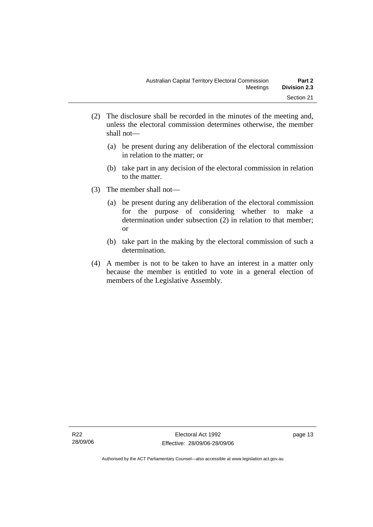- (2) The disclosure shall be recorded in the minutes of the meeting and, unless the electoral commission determines otherwise, the member shall not—
	- (a) be present during any deliberation of the electoral commission in relation to the matter; or
	- (b) take part in any decision of the electoral commission in relation to the matter.
- (3) The member shall not—
	- (a) be present during any deliberation of the electoral commission for the purpose of considering whether to make a determination under subsection (2) in relation to that member; or
	- (b) take part in the making by the electoral commission of such a determination.
- (4) A member is not to be taken to have an interest in a matter only because the member is entitled to vote in a general election of members of the Legislative Assembly.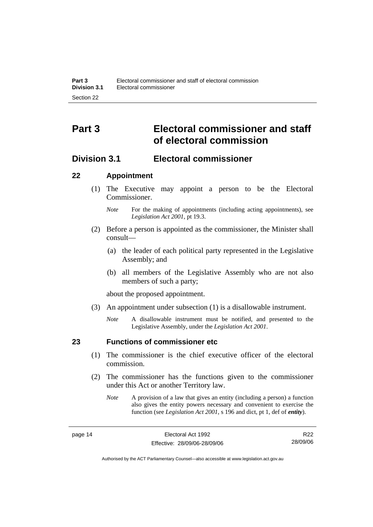# **Part 3 Electoral commissioner and staff of electoral commission**

# **Division 3.1 Electoral commissioner**

# **22 Appointment**

- (1) The Executive may appoint a person to be the Electoral Commissioner.
	- *Note* For the making of appointments (including acting appointments), see *Legislation Act 2001*, pt 19.3.
- (2) Before a person is appointed as the commissioner, the Minister shall consult—
	- (a) the leader of each political party represented in the Legislative Assembly; and
	- (b) all members of the Legislative Assembly who are not also members of such a party;

about the proposed appointment.

- (3) An appointment under subsection (1) is a disallowable instrument.
	- *Note* A disallowable instrument must be notified, and presented to the Legislative Assembly, under the *Legislation Act 2001*.

# **23 Functions of commissioner etc**

- (1) The commissioner is the chief executive officer of the electoral commission.
- (2) The commissioner has the functions given to the commissioner under this Act or another Territory law.
	- *Note* A provision of a law that gives an entity (including a person) a function also gives the entity powers necessary and convenient to exercise the function (see *Legislation Act 2001*, s 196 and dict, pt 1, def of *entity*).

R22 28/09/06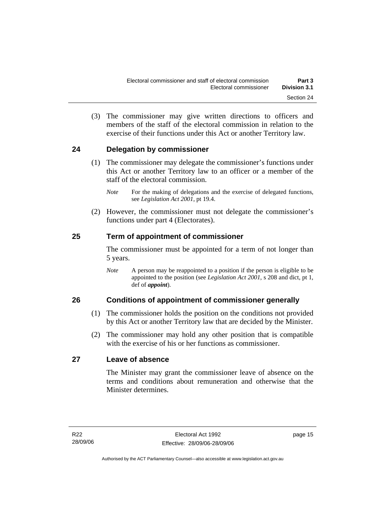(3) The commissioner may give written directions to officers and members of the staff of the electoral commission in relation to the exercise of their functions under this Act or another Territory law.

# **24 Delegation by commissioner**

- (1) The commissioner may delegate the commissioner's functions under this Act or another Territory law to an officer or a member of the staff of the electoral commission.
	- *Note* For the making of delegations and the exercise of delegated functions, see *Legislation Act 2001*, pt 19.4.
- (2) However, the commissioner must not delegate the commissioner's functions under part 4 (Electorates).

# **25 Term of appointment of commissioner**

The commissioner must be appointed for a term of not longer than 5 years.

*Note* A person may be reappointed to a position if the person is eligible to be appointed to the position (see *Legislation Act 2001*, s 208 and dict, pt 1, def of *appoint*).

# **26 Conditions of appointment of commissioner generally**

- (1) The commissioner holds the position on the conditions not provided by this Act or another Territory law that are decided by the Minister.
- (2) The commissioner may hold any other position that is compatible with the exercise of his or her functions as commissioner.

# **27 Leave of absence**

The Minister may grant the commissioner leave of absence on the terms and conditions about remuneration and otherwise that the Minister determines.

page 15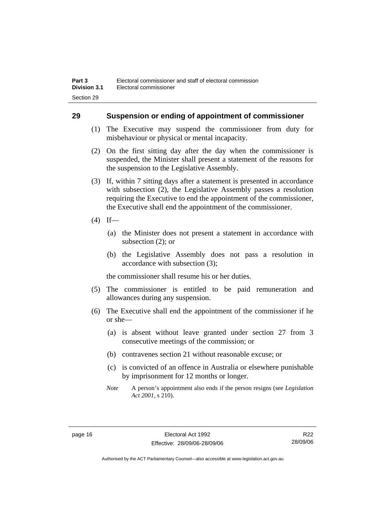# **29 Suspension or ending of appointment of commissioner**

- (1) The Executive may suspend the commissioner from duty for misbehaviour or physical or mental incapacity.
- (2) On the first sitting day after the day when the commissioner is suspended, the Minister shall present a statement of the reasons for the suspension to the Legislative Assembly.
- (3) If, within 7 sitting days after a statement is presented in accordance with subsection (2), the Legislative Assembly passes a resolution requiring the Executive to end the appointment of the commissioner, the Executive shall end the appointment of the commissioner.
- $(4)$  If—
	- (a) the Minister does not present a statement in accordance with subsection (2); or
	- (b) the Legislative Assembly does not pass a resolution in accordance with subsection (3);

the commissioner shall resume his or her duties.

- (5) The commissioner is entitled to be paid remuneration and allowances during any suspension.
- (6) The Executive shall end the appointment of the commissioner if he or she—
	- (a) is absent without leave granted under section 27 from 3 consecutive meetings of the commission; or
	- (b) contravenes section 21 without reasonable excuse; or
	- (c) is convicted of an offence in Australia or elsewhere punishable by imprisonment for 12 months or longer.
	- *Note* A person's appointment also ends if the person resigns (see *Legislation Act 2001*, s 210).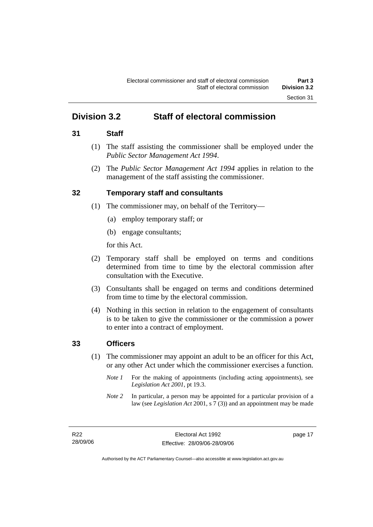# **Division 3.2 Staff of electoral commission**

# **31 Staff**

- (1) The staff assisting the commissioner shall be employed under the *Public Sector Management Act 1994*.
- (2) The *Public Sector Management Act 1994* applies in relation to the management of the staff assisting the commissioner.

# **32 Temporary staff and consultants**

- (1) The commissioner may, on behalf of the Territory—
	- (a) employ temporary staff; or
	- (b) engage consultants;

for this Act.

- (2) Temporary staff shall be employed on terms and conditions determined from time to time by the electoral commission after consultation with the Executive.
- (3) Consultants shall be engaged on terms and conditions determined from time to time by the electoral commission.
- (4) Nothing in this section in relation to the engagement of consultants is to be taken to give the commissioner or the commission a power to enter into a contract of employment.

# **33 Officers**

- (1) The commissioner may appoint an adult to be an officer for this Act, or any other Act under which the commissioner exercises a function.
	- *Note 1* For the making of appointments (including acting appointments), see *Legislation Act 2001*, pt 19.3.
	- *Note 2* In particular, a person may be appointed for a particular provision of a law (see *Legislation Act* 2001, s 7 (3)) and an appointment may be made

page 17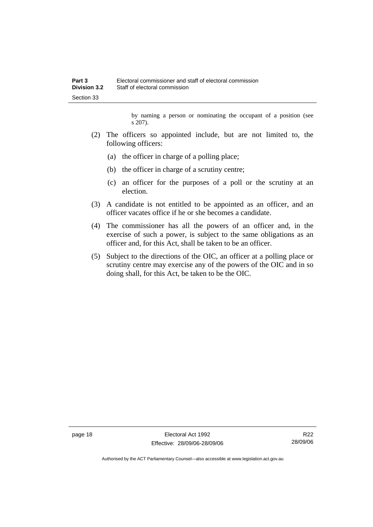by naming a person or nominating the occupant of a position (see s 207).

- (2) The officers so appointed include, but are not limited to, the following officers:
	- (a) the officer in charge of a polling place;
	- (b) the officer in charge of a scrutiny centre;
	- (c) an officer for the purposes of a poll or the scrutiny at an election.
- (3) A candidate is not entitled to be appointed as an officer, and an officer vacates office if he or she becomes a candidate.
- (4) The commissioner has all the powers of an officer and, in the exercise of such a power, is subject to the same obligations as an officer and, for this Act, shall be taken to be an officer.
- (5) Subject to the directions of the OIC, an officer at a polling place or scrutiny centre may exercise any of the powers of the OIC and in so doing shall, for this Act, be taken to be the OIC.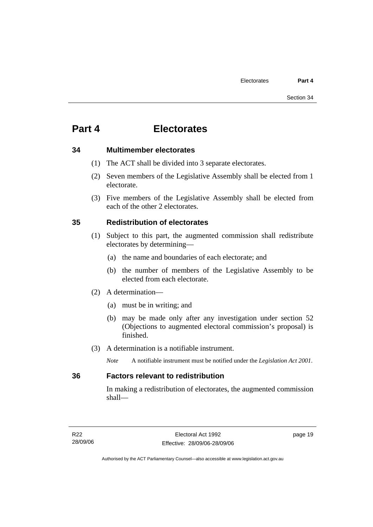### **34 Multimember electorates**

- (1) The ACT shall be divided into 3 separate electorates.
- (2) Seven members of the Legislative Assembly shall be elected from 1 electorate.
- (3) Five members of the Legislative Assembly shall be elected from each of the other 2 electorates.

### **35 Redistribution of electorates**

- (1) Subject to this part, the augmented commission shall redistribute electorates by determining—
	- (a) the name and boundaries of each electorate; and
	- (b) the number of members of the Legislative Assembly to be elected from each electorate.
- (2) A determination—
	- (a) must be in writing; and
	- (b) may be made only after any investigation under section 52 (Objections to augmented electoral commission's proposal) is finished.
- (3) A determination is a notifiable instrument.
	- *Note* A notifiable instrument must be notified under the *Legislation Act 2001*.

### **36 Factors relevant to redistribution**

In making a redistribution of electorates, the augmented commission shall—

page 19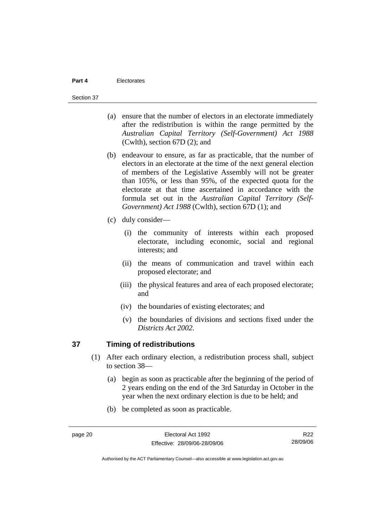#### Section 37

- (a) ensure that the number of electors in an electorate immediately after the redistribution is within the range permitted by the *Australian Capital Territory (Self-Government) Act 1988*  (Cwlth), section 67D (2); and
- (b) endeavour to ensure, as far as practicable, that the number of electors in an electorate at the time of the next general election of members of the Legislative Assembly will not be greater than 105%, or less than 95%, of the expected quota for the electorate at that time ascertained in accordance with the formula set out in the *Australian Capital Territory (Self-Government) Act 1988* (Cwlth), section 67D (1); and
- (c) duly consider—
	- (i) the community of interests within each proposed electorate, including economic, social and regional interests; and
	- (ii) the means of communication and travel within each proposed electorate; and
	- (iii) the physical features and area of each proposed electorate; and
	- (iv) the boundaries of existing electorates; and
	- (v) the boundaries of divisions and sections fixed under the *Districts Act 2002*.

### **37 Timing of redistributions**

- (1) After each ordinary election, a redistribution process shall, subject to section 38—
	- (a) begin as soon as practicable after the beginning of the period of 2 years ending on the end of the 3rd Saturday in October in the year when the next ordinary election is due to be held; and
	- (b) be completed as soon as practicable.

R22 28/09/06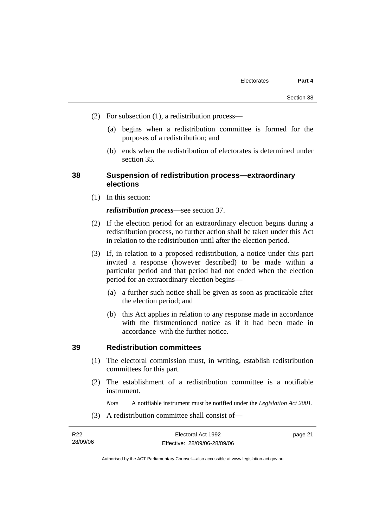- (2) For subsection (1), a redistribution process—
	- (a) begins when a redistribution committee is formed for the purposes of a redistribution; and
	- (b) ends when the redistribution of electorates is determined under section 35.

### **38 Suspension of redistribution process—extraordinary elections**

(1) In this section:

#### *redistribution process*—see section 37.

- (2) If the election period for an extraordinary election begins during a redistribution process, no further action shall be taken under this Act in relation to the redistribution until after the election period.
- (3) If, in relation to a proposed redistribution, a notice under this part invited a response (however described) to be made within a particular period and that period had not ended when the election period for an extraordinary election begins—
	- (a) a further such notice shall be given as soon as practicable after the election period; and
	- (b) this Act applies in relation to any response made in accordance with the firstmentioned notice as if it had been made in accordance with the further notice.

#### **39 Redistribution committees**

- (1) The electoral commission must, in writing, establish redistribution committees for this part.
- (2) The establishment of a redistribution committee is a notifiable instrument.

*Note* A notifiable instrument must be notified under the *Legislation Act 2001*.

(3) A redistribution committee shall consist of—

| R22      | Electoral Act 1992           | page 21 |
|----------|------------------------------|---------|
| 28/09/06 | Effective: 28/09/06-28/09/06 |         |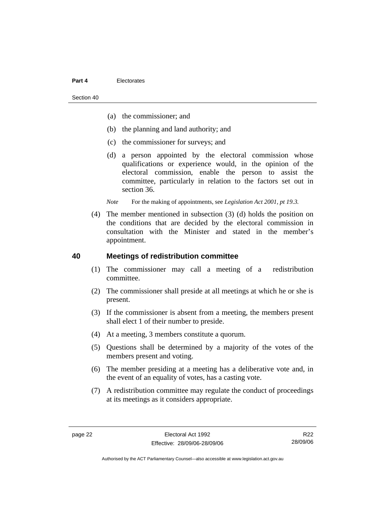Section 40

- (a) the commissioner; and
- (b) the planning and land authority; and
- (c) the commissioner for surveys; and
- (d) a person appointed by the electoral commission whose qualifications or experience would, in the opinion of the electoral commission, enable the person to assist the committee, particularly in relation to the factors set out in section 36.

*Note* For the making of appointments, see *Legislation Act 2001, pt 19.3.* 

 (4) The member mentioned in subsection (3) (d) holds the position on the conditions that are decided by the electoral commission in consultation with the Minister and stated in the member's appointment.

#### **40 Meetings of redistribution committee**

- (1) The commissioner may call a meeting of a redistribution committee.
- (2) The commissioner shall preside at all meetings at which he or she is present.
- (3) If the commissioner is absent from a meeting, the members present shall elect 1 of their number to preside.
- (4) At a meeting, 3 members constitute a quorum.
- (5) Questions shall be determined by a majority of the votes of the members present and voting.
- (6) The member presiding at a meeting has a deliberative vote and, in the event of an equality of votes, has a casting vote.
- (7) A redistribution committee may regulate the conduct of proceedings at its meetings as it considers appropriate.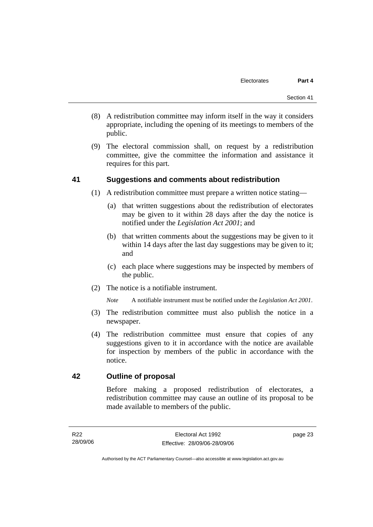- (8) A redistribution committee may inform itself in the way it considers appropriate, including the opening of its meetings to members of the public.
- (9) The electoral commission shall, on request by a redistribution committee, give the committee the information and assistance it requires for this part.

### **41 Suggestions and comments about redistribution**

- (1) A redistribution committee must prepare a written notice stating—
	- (a) that written suggestions about the redistribution of electorates may be given to it within 28 days after the day the notice is notified under the *Legislation Act 2001*; and
	- (b) that written comments about the suggestions may be given to it within 14 days after the last day suggestions may be given to it; and
	- (c) each place where suggestions may be inspected by members of the public.
- (2) The notice is a notifiable instrument.

*Note* A notifiable instrument must be notified under the *Legislation Act 2001*.

- (3) The redistribution committee must also publish the notice in a newspaper.
- (4) The redistribution committee must ensure that copies of any suggestions given to it in accordance with the notice are available for inspection by members of the public in accordance with the notice.

### **42 Outline of proposal**

Before making a proposed redistribution of electorates, a redistribution committee may cause an outline of its proposal to be made available to members of the public.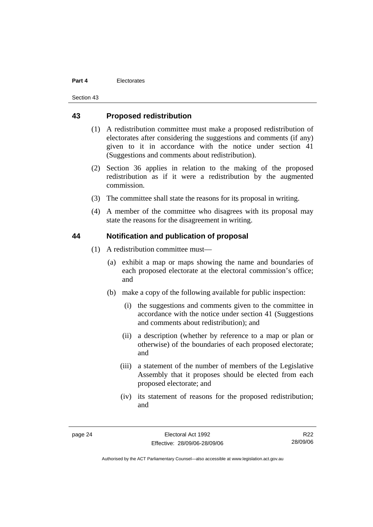Section 43

#### **43 Proposed redistribution**

- (1) A redistribution committee must make a proposed redistribution of electorates after considering the suggestions and comments (if any) given to it in accordance with the notice under section 41 (Suggestions and comments about redistribution).
- (2) Section 36 applies in relation to the making of the proposed redistribution as if it were a redistribution by the augmented commission.
- (3) The committee shall state the reasons for its proposal in writing.
- (4) A member of the committee who disagrees with its proposal may state the reasons for the disagreement in writing.

### **44 Notification and publication of proposal**

- (1) A redistribution committee must—
	- (a) exhibit a map or maps showing the name and boundaries of each proposed electorate at the electoral commission's office; and
	- (b) make a copy of the following available for public inspection:
		- (i) the suggestions and comments given to the committee in accordance with the notice under section 41 (Suggestions and comments about redistribution); and
		- (ii) a description (whether by reference to a map or plan or otherwise) of the boundaries of each proposed electorate; and
		- (iii) a statement of the number of members of the Legislative Assembly that it proposes should be elected from each proposed electorate; and
		- (iv) its statement of reasons for the proposed redistribution; and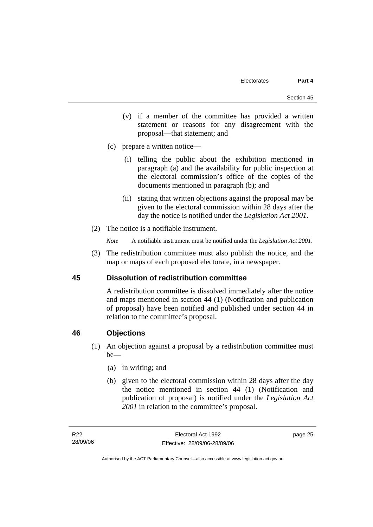- (v) if a member of the committee has provided a written statement or reasons for any disagreement with the proposal—that statement; and
- (c) prepare a written notice—
	- (i) telling the public about the exhibition mentioned in paragraph (a) and the availability for public inspection at the electoral commission's office of the copies of the documents mentioned in paragraph (b); and
	- (ii) stating that written objections against the proposal may be given to the electoral commission within 28 days after the day the notice is notified under the *Legislation Act 2001*.
- (2) The notice is a notifiable instrument.
	- *Note* A notifiable instrument must be notified under the *Legislation Act 2001*.
- (3) The redistribution committee must also publish the notice, and the map or maps of each proposed electorate, in a newspaper.

### **45 Dissolution of redistribution committee**

A redistribution committee is dissolved immediately after the notice and maps mentioned in section 44 (1) (Notification and publication of proposal) have been notified and published under section 44 in relation to the committee's proposal.

### **46 Objections**

- (1) An objection against a proposal by a redistribution committee must be—
	- (a) in writing; and
	- (b) given to the electoral commission within 28 days after the day the notice mentioned in section 44 (1) (Notification and publication of proposal) is notified under the *Legislation Act 2001* in relation to the committee's proposal.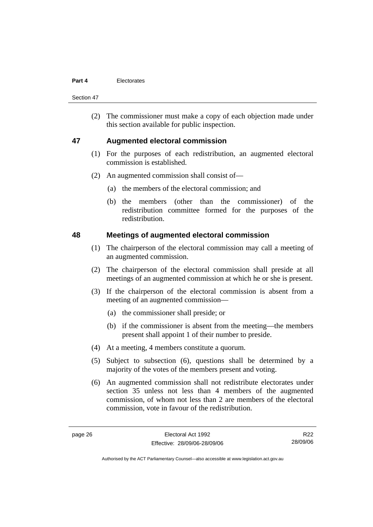Section 47

 (2) The commissioner must make a copy of each objection made under this section available for public inspection.

### **47 Augmented electoral commission**

- (1) For the purposes of each redistribution, an augmented electoral commission is established.
- (2) An augmented commission shall consist of—
	- (a) the members of the electoral commission; and
	- (b) the members (other than the commissioner) of the redistribution committee formed for the purposes of the redistribution.

#### **48 Meetings of augmented electoral commission**

- (1) The chairperson of the electoral commission may call a meeting of an augmented commission.
- (2) The chairperson of the electoral commission shall preside at all meetings of an augmented commission at which he or she is present.
- (3) If the chairperson of the electoral commission is absent from a meeting of an augmented commission—
	- (a) the commissioner shall preside; or
	- (b) if the commissioner is absent from the meeting—the members present shall appoint 1 of their number to preside.
- (4) At a meeting, 4 members constitute a quorum.
- (5) Subject to subsection (6), questions shall be determined by a majority of the votes of the members present and voting.
- (6) An augmented commission shall not redistribute electorates under section 35 unless not less than 4 members of the augmented commission, of whom not less than 2 are members of the electoral commission, vote in favour of the redistribution.

R22 28/09/06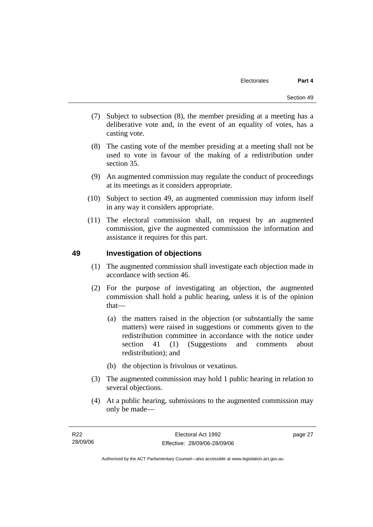- (7) Subject to subsection (8), the member presiding at a meeting has a deliberative vote and, in the event of an equality of votes, has a casting vote.
- (8) The casting vote of the member presiding at a meeting shall not be used to vote in favour of the making of a redistribution under section 35.
- (9) An augmented commission may regulate the conduct of proceedings at its meetings as it considers appropriate.
- (10) Subject to section 49, an augmented commission may inform itself in any way it considers appropriate.
- (11) The electoral commission shall, on request by an augmented commission, give the augmented commission the information and assistance it requires for this part.

### **49 Investigation of objections**

- (1) The augmented commission shall investigate each objection made in accordance with section 46.
- (2) For the purpose of investigating an objection, the augmented commission shall hold a public hearing, unless it is of the opinion that—
	- (a) the matters raised in the objection (or substantially the same matters) were raised in suggestions or comments given to the redistribution committee in accordance with the notice under section 41 (1) (Suggestions and comments about redistribution); and
	- (b) the objection is frivolous or vexatious.
- (3) The augmented commission may hold 1 public hearing in relation to several objections.
- (4) At a public hearing, submissions to the augmented commission may only be made—

page 27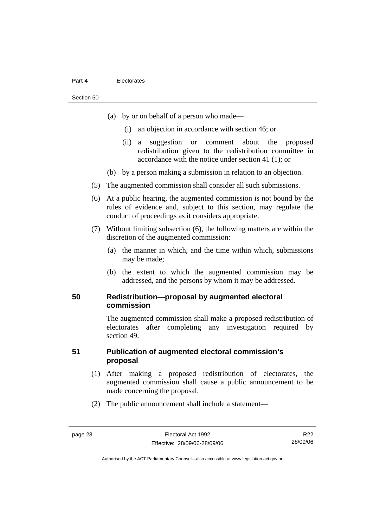#### Section 50

- (a) by or on behalf of a person who made—
	- (i) an objection in accordance with section 46; or
	- (ii) a suggestion or comment about the proposed redistribution given to the redistribution committee in accordance with the notice under section 41 (1); or
- (b) by a person making a submission in relation to an objection.
- (5) The augmented commission shall consider all such submissions.
- (6) At a public hearing, the augmented commission is not bound by the rules of evidence and, subject to this section, may regulate the conduct of proceedings as it considers appropriate.
- (7) Without limiting subsection (6), the following matters are within the discretion of the augmented commission:
	- (a) the manner in which, and the time within which, submissions may be made;
	- (b) the extent to which the augmented commission may be addressed, and the persons by whom it may be addressed.

#### **50 Redistribution—proposal by augmented electoral commission**

The augmented commission shall make a proposed redistribution of electorates after completing any investigation required by section 49.

### **51 Publication of augmented electoral commission's proposal**

- (1) After making a proposed redistribution of electorates, the augmented commission shall cause a public announcement to be made concerning the proposal.
- (2) The public announcement shall include a statement—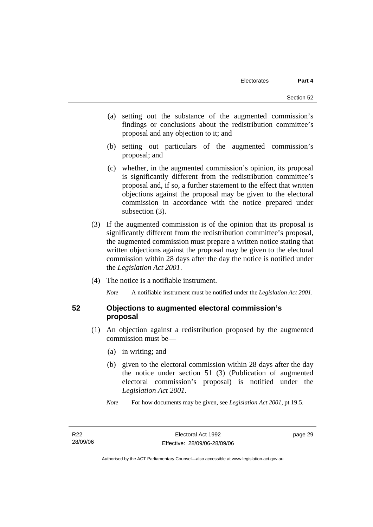- (a) setting out the substance of the augmented commission's findings or conclusions about the redistribution committee's proposal and any objection to it; and
- (b) setting out particulars of the augmented commission's proposal; and
- (c) whether, in the augmented commission's opinion, its proposal is significantly different from the redistribution committee's proposal and, if so, a further statement to the effect that written objections against the proposal may be given to the electoral commission in accordance with the notice prepared under subsection  $(3)$ .
- (3) If the augmented commission is of the opinion that its proposal is significantly different from the redistribution committee's proposal, the augmented commission must prepare a written notice stating that written objections against the proposal may be given to the electoral commission within 28 days after the day the notice is notified under the *Legislation Act 2001*.
- (4) The notice is a notifiable instrument.

*Note* A notifiable instrument must be notified under the *Legislation Act 2001*.

#### **52 Objections to augmented electoral commission's proposal**

- (1) An objection against a redistribution proposed by the augmented commission must be—
	- (a) in writing; and
	- (b) given to the electoral commission within 28 days after the day the notice under section 51 (3) (Publication of augmented electoral commission's proposal) is notified under the *Legislation Act 2001*.
	- *Note* For how documents may be given, see *Legislation Act 2001*, pt 19.5.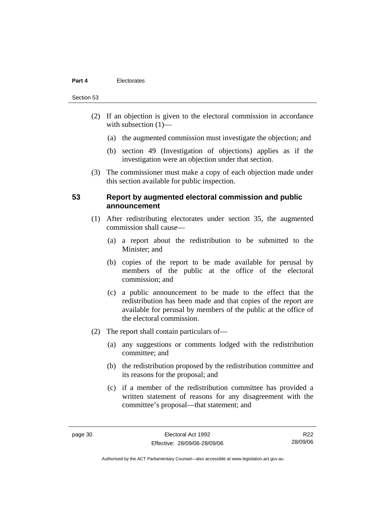#### Section 53

- (2) If an objection is given to the electoral commission in accordance with subsection  $(1)$ —
	- (a) the augmented commission must investigate the objection; and
	- (b) section 49 (Investigation of objections) applies as if the investigation were an objection under that section.
- (3) The commissioner must make a copy of each objection made under this section available for public inspection.

#### **53 Report by augmented electoral commission and public announcement**

- (1) After redistributing electorates under section 35, the augmented commission shall cause—
	- (a) a report about the redistribution to be submitted to the Minister; and
	- (b) copies of the report to be made available for perusal by members of the public at the office of the electoral commission; and
	- (c) a public announcement to be made to the effect that the redistribution has been made and that copies of the report are available for perusal by members of the public at the office of the electoral commission.
- (2) The report shall contain particulars of—
	- (a) any suggestions or comments lodged with the redistribution committee; and
	- (b) the redistribution proposed by the redistribution committee and its reasons for the proposal; and
	- (c) if a member of the redistribution committee has provided a written statement of reasons for any disagreement with the committee's proposal—that statement; and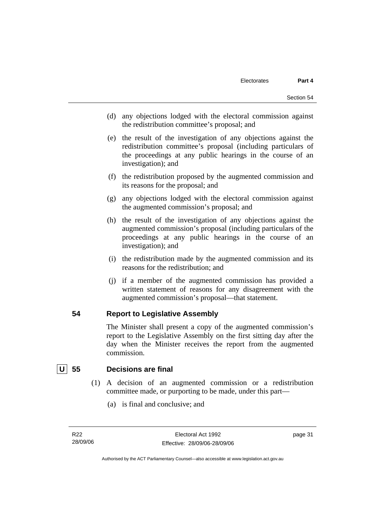- (d) any objections lodged with the electoral commission against the redistribution committee's proposal; and
- (e) the result of the investigation of any objections against the redistribution committee's proposal (including particulars of the proceedings at any public hearings in the course of an investigation); and
- (f) the redistribution proposed by the augmented commission and its reasons for the proposal; and
- (g) any objections lodged with the electoral commission against the augmented commission's proposal; and
- (h) the result of the investigation of any objections against the augmented commission's proposal (including particulars of the proceedings at any public hearings in the course of an investigation); and
- (i) the redistribution made by the augmented commission and its reasons for the redistribution; and
- (j) if a member of the augmented commission has provided a written statement of reasons for any disagreement with the augmented commission's proposal—that statement.

#### **54 Report to Legislative Assembly**

The Minister shall present a copy of the augmented commission's report to the Legislative Assembly on the first sitting day after the day when the Minister receives the report from the augmented commission.

### **U 55 Decisions are final**

- (1) A decision of an augmented commission or a redistribution committee made, or purporting to be made, under this part—
	- (a) is final and conclusive; and

R22 28/09/06 page 31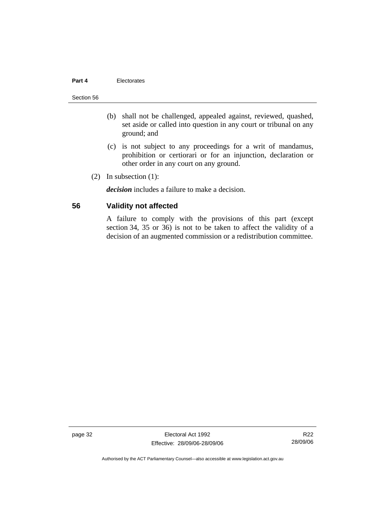#### Section 56

- (b) shall not be challenged, appealed against, reviewed, quashed, set aside or called into question in any court or tribunal on any ground; and
- (c) is not subject to any proceedings for a writ of mandamus, prohibition or certiorari or for an injunction, declaration or other order in any court on any ground.
- (2) In subsection (1):

*decision* includes a failure to make a decision.

#### **56 Validity not affected**

A failure to comply with the provisions of this part (except section 34, 35 or 36) is not to be taken to affect the validity of a decision of an augmented commission or a redistribution committee.

page 32 Electoral Act 1992 Effective: 28/09/06-28/09/06

R22 28/09/06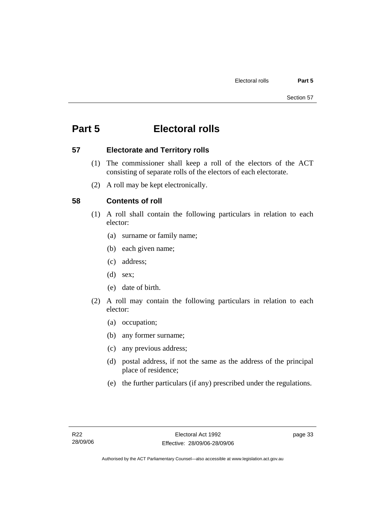# **Part 5 Electoral rolls**

### **57 Electorate and Territory rolls**

- (1) The commissioner shall keep a roll of the electors of the ACT consisting of separate rolls of the electors of each electorate.
- (2) A roll may be kept electronically.

## **58 Contents of roll**

- (1) A roll shall contain the following particulars in relation to each elector:
	- (a) surname or family name;
	- (b) each given name;
	- (c) address;
	- (d) sex;
	- (e) date of birth.
- (2) A roll may contain the following particulars in relation to each elector:
	- (a) occupation;
	- (b) any former surname;
	- (c) any previous address;
	- (d) postal address, if not the same as the address of the principal place of residence;
	- (e) the further particulars (if any) prescribed under the regulations.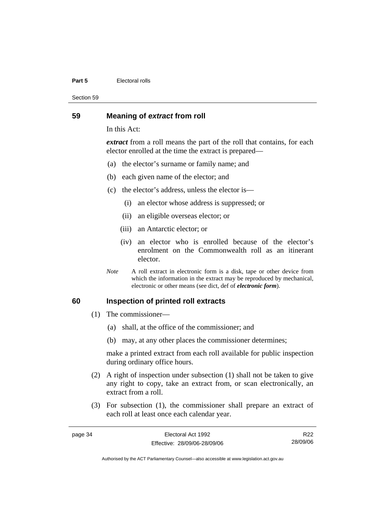#### **Part 5 Electoral rolls**

Section 59

#### **59 Meaning of** *extract* **from roll**

In this Act:

*extract* from a roll means the part of the roll that contains, for each elector enrolled at the time the extract is prepared—

- (a) the elector's surname or family name; and
- (b) each given name of the elector; and
- (c) the elector's address, unless the elector is—
	- (i) an elector whose address is suppressed; or
	- (ii) an eligible overseas elector; or
	- (iii) an Antarctic elector; or
	- (iv) an elector who is enrolled because of the elector's enrolment on the Commonwealth roll as an itinerant elector.
- *Note* A roll extract in electronic form is a disk, tape or other device from which the information in the extract may be reproduced by mechanical, electronic or other means (see dict, def of *electronic form*).

#### **60 Inspection of printed roll extracts**

- (1) The commissioner—
	- (a) shall, at the office of the commissioner; and
	- (b) may, at any other places the commissioner determines;

make a printed extract from each roll available for public inspection during ordinary office hours.

- (2) A right of inspection under subsection (1) shall not be taken to give any right to copy, take an extract from, or scan electronically, an extract from a roll.
- (3) For subsection (1), the commissioner shall prepare an extract of each roll at least once each calendar year.

| page 34 | Electoral Act 1992           | R <sub>22</sub> |
|---------|------------------------------|-----------------|
|         | Effective: 28/09/06-28/09/06 | 28/09/06        |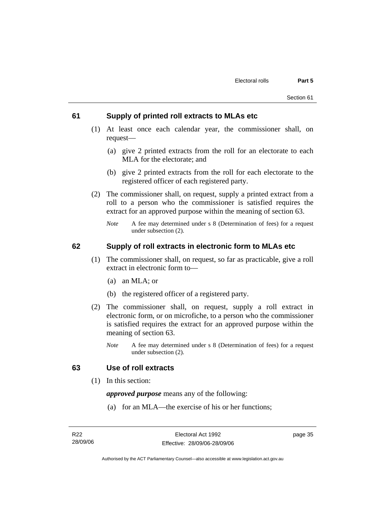#### **61 Supply of printed roll extracts to MLAs etc**

- (1) At least once each calendar year, the commissioner shall, on request—
	- (a) give 2 printed extracts from the roll for an electorate to each MLA for the electorate; and
	- (b) give 2 printed extracts from the roll for each electorate to the registered officer of each registered party.
- (2) The commissioner shall, on request, supply a printed extract from a roll to a person who the commissioner is satisfied requires the extract for an approved purpose within the meaning of section 63.
	- *Note* A fee may determined under s 8 (Determination of fees) for a request under subsection (2).

### **62 Supply of roll extracts in electronic form to MLAs etc**

- (1) The commissioner shall, on request, so far as practicable, give a roll extract in electronic form to—
	- (a) an MLA; or
	- (b) the registered officer of a registered party.
- (2) The commissioner shall, on request, supply a roll extract in electronic form, or on microfiche, to a person who the commissioner is satisfied requires the extract for an approved purpose within the meaning of section 63.
	- *Note* A fee may determined under s 8 (Determination of fees) for a request under subsection (2).

#### **63 Use of roll extracts**

(1) In this section:

*approved purpose* means any of the following:

(a) for an MLA—the exercise of his or her functions;

page 35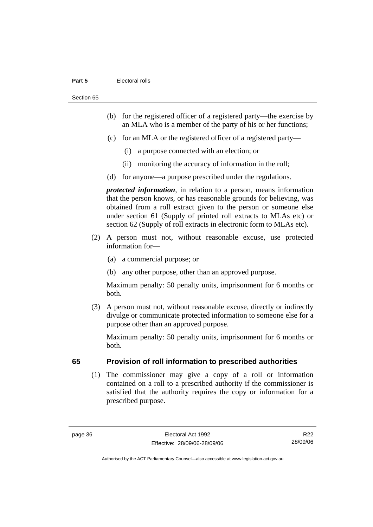#### **Part 5 Electoral rolls**

Section 65

- (b) for the registered officer of a registered party—the exercise by an MLA who is a member of the party of his or her functions;
- (c) for an MLA or the registered officer of a registered party—
	- (i) a purpose connected with an election; or
	- (ii) monitoring the accuracy of information in the roll;
- (d) for anyone—a purpose prescribed under the regulations.

*protected information*, in relation to a person, means information that the person knows, or has reasonable grounds for believing, was obtained from a roll extract given to the person or someone else under section 61 (Supply of printed roll extracts to MLAs etc) or section 62 (Supply of roll extracts in electronic form to MLAs etc).

- (2) A person must not, without reasonable excuse, use protected information for—
	- (a) a commercial purpose; or
	- (b) any other purpose, other than an approved purpose.

Maximum penalty: 50 penalty units, imprisonment for 6 months or both.

 (3) A person must not, without reasonable excuse, directly or indirectly divulge or communicate protected information to someone else for a purpose other than an approved purpose.

Maximum penalty: 50 penalty units, imprisonment for 6 months or both.

### **65 Provision of roll information to prescribed authorities**

 (1) The commissioner may give a copy of a roll or information contained on a roll to a prescribed authority if the commissioner is satisfied that the authority requires the copy or information for a prescribed purpose.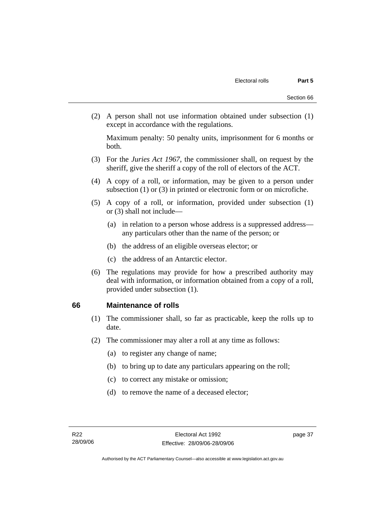(2) A person shall not use information obtained under subsection (1) except in accordance with the regulations.

Maximum penalty: 50 penalty units, imprisonment for 6 months or both.

- (3) For the *Juries Act 1967*, the commissioner shall, on request by the sheriff, give the sheriff a copy of the roll of electors of the ACT.
- (4) A copy of a roll, or information, may be given to a person under subsection (1) or (3) in printed or electronic form or on microfiche.
- (5) A copy of a roll, or information, provided under subsection (1) or (3) shall not include—
	- (a) in relation to a person whose address is a suppressed address any particulars other than the name of the person; or
	- (b) the address of an eligible overseas elector; or
	- (c) the address of an Antarctic elector.
- (6) The regulations may provide for how a prescribed authority may deal with information, or information obtained from a copy of a roll, provided under subsection (1).

### **66 Maintenance of rolls**

- (1) The commissioner shall, so far as practicable, keep the rolls up to date.
- (2) The commissioner may alter a roll at any time as follows:
	- (a) to register any change of name;
	- (b) to bring up to date any particulars appearing on the roll;
	- (c) to correct any mistake or omission;
	- (d) to remove the name of a deceased elector;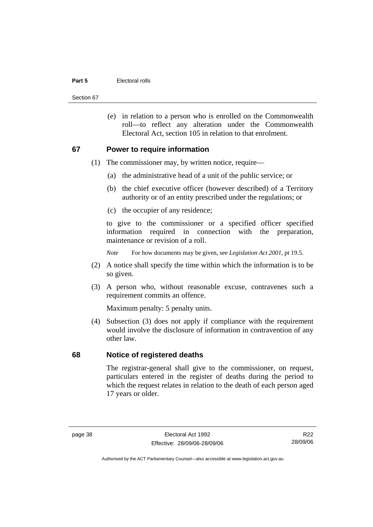#### **Part 5 Electoral rolls**

Section 67

 (e) in relation to a person who is enrolled on the Commonwealth roll—to reflect any alteration under the Commonwealth Electoral Act, section 105 in relation to that enrolment.

#### **67 Power to require information**

- (1) The commissioner may, by written notice, require—
	- (a) the administrative head of a unit of the public service; or
	- (b) the chief executive officer (however described) of a Territory authority or of an entity prescribed under the regulations; or
	- (c) the occupier of any residence;

to give to the commissioner or a specified officer specified information required in connection with the preparation, maintenance or revision of a roll.

*Note* For how documents may be given, see *Legislation Act 2001*, pt 19.5.

- (2) A notice shall specify the time within which the information is to be so given.
- (3) A person who, without reasonable excuse, contravenes such a requirement commits an offence.

Maximum penalty: 5 penalty units.

 (4) Subsection (3) does not apply if compliance with the requirement would involve the disclosure of information in contravention of any other law.

#### **68 Notice of registered deaths**

The registrar-general shall give to the commissioner, on request, particulars entered in the register of deaths during the period to which the request relates in relation to the death of each person aged 17 years or older.

R22 28/09/06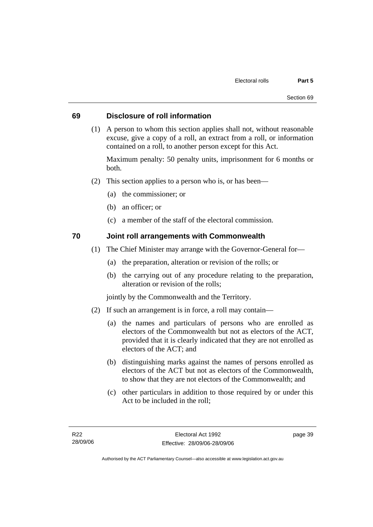### **69 Disclosure of roll information**

 (1) A person to whom this section applies shall not, without reasonable excuse, give a copy of a roll, an extract from a roll, or information contained on a roll, to another person except for this Act.

Maximum penalty: 50 penalty units, imprisonment for 6 months or both.

- (2) This section applies to a person who is, or has been—
	- (a) the commissioner; or
	- (b) an officer; or
	- (c) a member of the staff of the electoral commission.

### **70 Joint roll arrangements with Commonwealth**

- (1) The Chief Minister may arrange with the Governor-General for—
	- (a) the preparation, alteration or revision of the rolls; or
	- (b) the carrying out of any procedure relating to the preparation, alteration or revision of the rolls;

jointly by the Commonwealth and the Territory.

- (2) If such an arrangement is in force, a roll may contain—
	- (a) the names and particulars of persons who are enrolled as electors of the Commonwealth but not as electors of the ACT, provided that it is clearly indicated that they are not enrolled as electors of the ACT; and
	- (b) distinguishing marks against the names of persons enrolled as electors of the ACT but not as electors of the Commonwealth, to show that they are not electors of the Commonwealth; and
	- (c) other particulars in addition to those required by or under this Act to be included in the roll;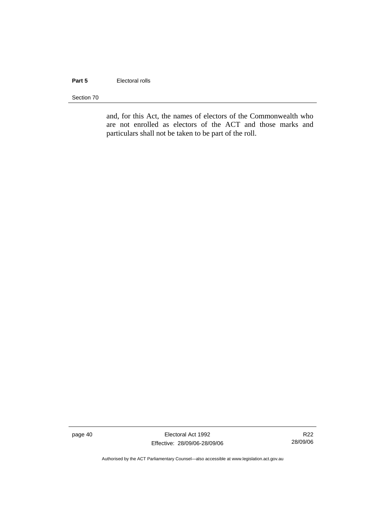#### **Part 5 Electoral rolls**

Section 70

and, for this Act, the names of electors of the Commonwealth who are not enrolled as electors of the ACT and those marks and particulars shall not be taken to be part of the roll.

page 40 Electoral Act 1992 Effective: 28/09/06-28/09/06

R22 28/09/06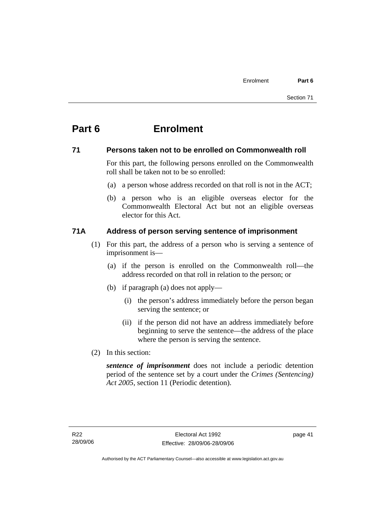# **Part 6 Enrolment**

### **71 Persons taken not to be enrolled on Commonwealth roll**

For this part, the following persons enrolled on the Commonwealth roll shall be taken not to be so enrolled:

- (a) a person whose address recorded on that roll is not in the ACT;
- (b) a person who is an eligible overseas elector for the Commonwealth Electoral Act but not an eligible overseas elector for this Act.

### **71A Address of person serving sentence of imprisonment**

- (1) For this part, the address of a person who is serving a sentence of imprisonment is—
	- (a) if the person is enrolled on the Commonwealth roll—the address recorded on that roll in relation to the person; or
	- (b) if paragraph (a) does not apply—
		- (i) the person's address immediately before the person began serving the sentence; or
		- (ii) if the person did not have an address immediately before beginning to serve the sentence—the address of the place where the person is serving the sentence.
- (2) In this section:

*sentence of imprisonment* does not include a periodic detention period of the sentence set by a court under the *Crimes (Sentencing) Act 2005*, section 11 (Periodic detention).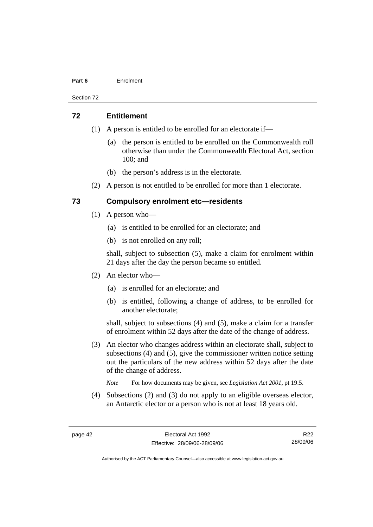#### **Part 6** Enrolment

Section 72

#### **72 Entitlement**

- (1) A person is entitled to be enrolled for an electorate if—
	- (a) the person is entitled to be enrolled on the Commonwealth roll otherwise than under the Commonwealth Electoral Act, section 100; and
	- (b) the person's address is in the electorate.
- (2) A person is not entitled to be enrolled for more than 1 electorate.

### **73 Compulsory enrolment etc—residents**

- (1) A person who—
	- (a) is entitled to be enrolled for an electorate; and
	- (b) is not enrolled on any roll;

shall, subject to subsection (5), make a claim for enrolment within 21 days after the day the person became so entitled.

- (2) An elector who—
	- (a) is enrolled for an electorate; and
	- (b) is entitled, following a change of address, to be enrolled for another electorate;

shall, subject to subsections (4) and (5), make a claim for a transfer of enrolment within 52 days after the date of the change of address.

- (3) An elector who changes address within an electorate shall, subject to subsections (4) and (5), give the commissioner written notice setting out the particulars of the new address within 52 days after the date of the change of address.
	- *Note* For how documents may be given, see *Legislation Act 2001*, pt 19.5.
- (4) Subsections (2) and (3) do not apply to an eligible overseas elector, an Antarctic elector or a person who is not at least 18 years old.

R22 28/09/06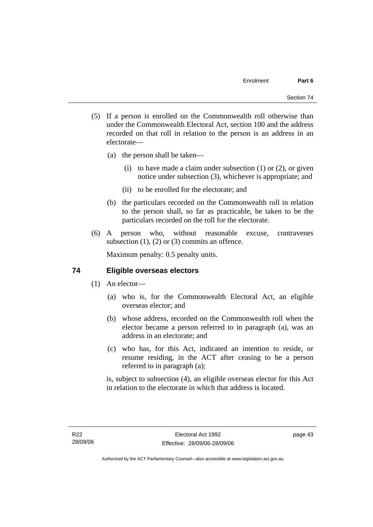- (5) If a person is enrolled on the Commonwealth roll otherwise than under the Commonwealth Electoral Act, section 100 and the address recorded on that roll in relation to the person is an address in an electorate—
	- (a) the person shall be taken—
		- (i) to have made a claim under subsection  $(1)$  or  $(2)$ , or given notice under subsection (3), whichever is appropriate; and
		- (ii) to be enrolled for the electorate; and
	- (b) the particulars recorded on the Commonwealth roll in relation to the person shall, so far as practicable, be taken to be the particulars recorded on the roll for the electorate.
- (6) A person who, without reasonable excuse, contravenes subsection  $(1)$ ,  $(2)$  or  $(3)$  commits an offence.

Maximum penalty: 0.5 penalty units.

### **74 Eligible overseas electors**

- (1) An elector—
	- (a) who is, for the Commonwealth Electoral Act, an eligible overseas elector; and
	- (b) whose address, recorded on the Commonwealth roll when the elector became a person referred to in paragraph (a), was an address in an electorate; and
	- (c) who has, for this Act, indicated an intention to reside, or resume residing, in the ACT after ceasing to be a person referred to in paragraph (a);

is, subject to subsection (4), an eligible overseas elector for this Act in relation to the electorate in which that address is located.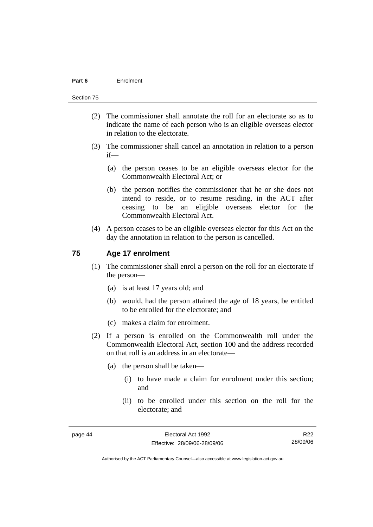#### **Part 6** Enrolment

#### Section 75

- (2) The commissioner shall annotate the roll for an electorate so as to indicate the name of each person who is an eligible overseas elector in relation to the electorate.
- (3) The commissioner shall cancel an annotation in relation to a person if—
	- (a) the person ceases to be an eligible overseas elector for the Commonwealth Electoral Act; or
	- (b) the person notifies the commissioner that he or she does not intend to reside, or to resume residing, in the ACT after ceasing to be an eligible overseas elector for the Commonwealth Electoral Act.
- (4) A person ceases to be an eligible overseas elector for this Act on the day the annotation in relation to the person is cancelled.

#### **75 Age 17 enrolment**

- (1) The commissioner shall enrol a person on the roll for an electorate if the person—
	- (a) is at least 17 years old; and
	- (b) would, had the person attained the age of 18 years, be entitled to be enrolled for the electorate; and
	- (c) makes a claim for enrolment.
- (2) If a person is enrolled on the Commonwealth roll under the Commonwealth Electoral Act, section 100 and the address recorded on that roll is an address in an electorate—
	- (a) the person shall be taken—
		- (i) to have made a claim for enrolment under this section; and
		- (ii) to be enrolled under this section on the roll for the electorate; and

R22 28/09/06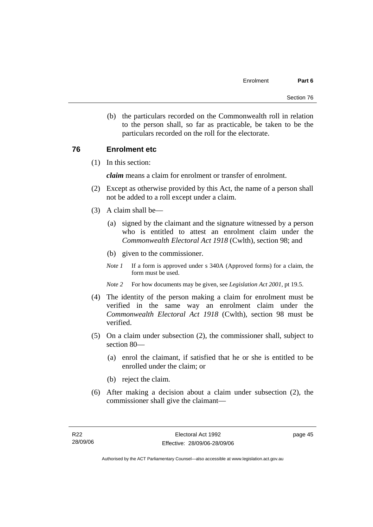(b) the particulars recorded on the Commonwealth roll in relation to the person shall, so far as practicable, be taken to be the particulars recorded on the roll for the electorate.

### **76 Enrolment etc**

(1) In this section:

*claim* means a claim for enrolment or transfer of enrolment.

- (2) Except as otherwise provided by this Act, the name of a person shall not be added to a roll except under a claim.
- (3) A claim shall be—
	- (a) signed by the claimant and the signature witnessed by a person who is entitled to attest an enrolment claim under the *Commonwealth Electoral Act 1918* (Cwlth), section 98; and
	- (b) given to the commissioner.
	- *Note 1* If a form is approved under s 340A (Approved forms) for a claim, the form must be used.
	- *Note 2* For how documents may be given, see *Legislation Act 2001*, pt 19.5.
- (4) The identity of the person making a claim for enrolment must be verified in the same way an enrolment claim under the *Commonwealth Electoral Act 1918* (Cwlth), section 98 must be verified.
- (5) On a claim under subsection (2), the commissioner shall, subject to section 80—
	- (a) enrol the claimant, if satisfied that he or she is entitled to be enrolled under the claim; or
	- (b) reject the claim.
- (6) After making a decision about a claim under subsection (2), the commissioner shall give the claimant—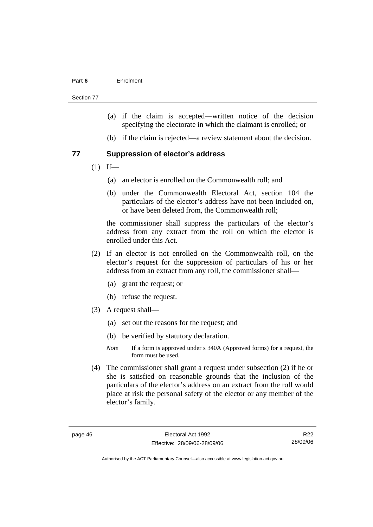#### **Part 6** Enrolment

Section 77

- (a) if the claim is accepted—written notice of the decision specifying the electorate in which the claimant is enrolled; or
- (b) if the claim is rejected—a review statement about the decision.

#### **77 Suppression of elector's address**

- $(1)$  If—
	- (a) an elector is enrolled on the Commonwealth roll; and
	- (b) under the Commonwealth Electoral Act, section 104 the particulars of the elector's address have not been included on, or have been deleted from, the Commonwealth roll;

the commissioner shall suppress the particulars of the elector's address from any extract from the roll on which the elector is enrolled under this Act.

- (2) If an elector is not enrolled on the Commonwealth roll, on the elector's request for the suppression of particulars of his or her address from an extract from any roll, the commissioner shall—
	- (a) grant the request; or
	- (b) refuse the request.
- (3) A request shall—
	- (a) set out the reasons for the request; and
	- (b) be verified by statutory declaration.
	- *Note* If a form is approved under s 340A (Approved forms) for a request, the form must be used.
- (4) The commissioner shall grant a request under subsection (2) if he or she is satisfied on reasonable grounds that the inclusion of the particulars of the elector's address on an extract from the roll would place at risk the personal safety of the elector or any member of the elector's family.

R22 28/09/06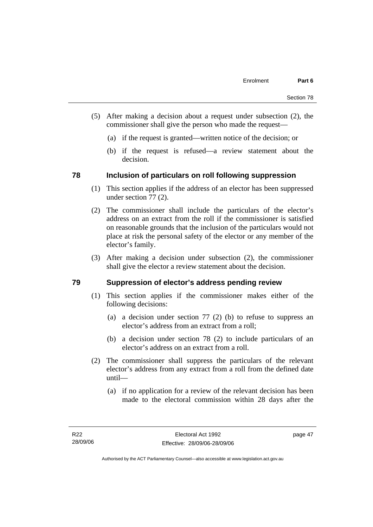- (5) After making a decision about a request under subsection (2), the commissioner shall give the person who made the request—
	- (a) if the request is granted—written notice of the decision; or
	- (b) if the request is refused—a review statement about the decision.

### **78 Inclusion of particulars on roll following suppression**

- (1) This section applies if the address of an elector has been suppressed under section 77 (2).
- (2) The commissioner shall include the particulars of the elector's address on an extract from the roll if the commissioner is satisfied on reasonable grounds that the inclusion of the particulars would not place at risk the personal safety of the elector or any member of the elector's family.
- (3) After making a decision under subsection (2), the commissioner shall give the elector a review statement about the decision.

### **79 Suppression of elector's address pending review**

- (1) This section applies if the commissioner makes either of the following decisions:
	- (a) a decision under section 77 (2) (b) to refuse to suppress an elector's address from an extract from a roll;
	- (b) a decision under section 78 (2) to include particulars of an elector's address on an extract from a roll.
- (2) The commissioner shall suppress the particulars of the relevant elector's address from any extract from a roll from the defined date until—
	- (a) if no application for a review of the relevant decision has been made to the electoral commission within 28 days after the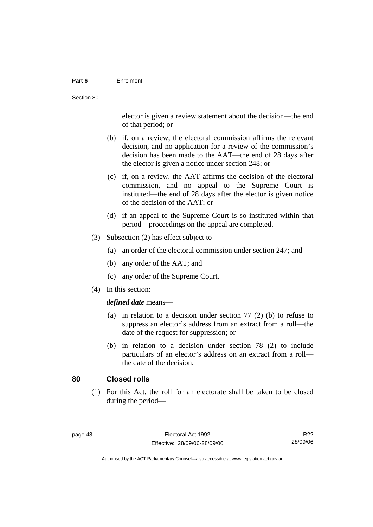#### **Part 6** Enrolment

elector is given a review statement about the decision—the end of that period; or

- (b) if, on a review, the electoral commission affirms the relevant decision, and no application for a review of the commission's decision has been made to the AAT—the end of 28 days after the elector is given a notice under section 248; or
- (c) if, on a review, the AAT affirms the decision of the electoral commission, and no appeal to the Supreme Court is instituted—the end of 28 days after the elector is given notice of the decision of the AAT; or
- (d) if an appeal to the Supreme Court is so instituted within that period—proceedings on the appeal are completed.
- (3) Subsection (2) has effect subject to—
	- (a) an order of the electoral commission under section 247; and
	- (b) any order of the AAT; and
	- (c) any order of the Supreme Court.
- (4) In this section:

#### *defined date* means—

- (a) in relation to a decision under section 77 (2) (b) to refuse to suppress an elector's address from an extract from a roll—the date of the request for suppression; or
- (b) in relation to a decision under section 78 (2) to include particulars of an elector's address on an extract from a roll the date of the decision.

### **80 Closed rolls**

 (1) For this Act, the roll for an electorate shall be taken to be closed during the period—

| page | 48 |
|------|----|
|------|----|

R22 28/09/06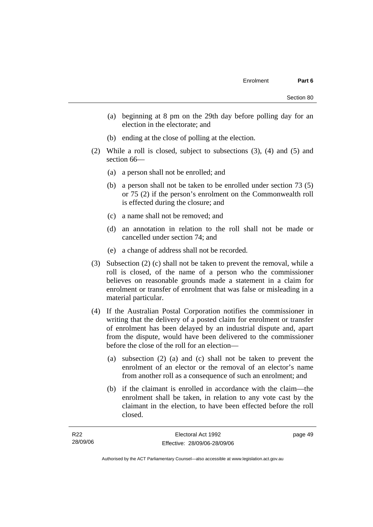page 49

- (a) beginning at 8 pm on the 29th day before polling day for an election in the electorate; and
- (b) ending at the close of polling at the election.
- (2) While a roll is closed, subject to subsections (3), (4) and (5) and section 66—
	- (a) a person shall not be enrolled; and
	- (b) a person shall not be taken to be enrolled under section 73 (5) or 75 (2) if the person's enrolment on the Commonwealth roll is effected during the closure; and
	- (c) a name shall not be removed; and
	- (d) an annotation in relation to the roll shall not be made or cancelled under section 74; and
	- (e) a change of address shall not be recorded.
- (3) Subsection (2) (c) shall not be taken to prevent the removal, while a roll is closed, of the name of a person who the commissioner believes on reasonable grounds made a statement in a claim for enrolment or transfer of enrolment that was false or misleading in a material particular.
- (4) If the Australian Postal Corporation notifies the commissioner in writing that the delivery of a posted claim for enrolment or transfer of enrolment has been delayed by an industrial dispute and, apart from the dispute, would have been delivered to the commissioner before the close of the roll for an election—
	- (a) subsection (2) (a) and (c) shall not be taken to prevent the enrolment of an elector or the removal of an elector's name from another roll as a consequence of such an enrolment; and
	- (b) if the claimant is enrolled in accordance with the claim—the enrolment shall be taken, in relation to any vote cast by the claimant in the election, to have been effected before the roll closed.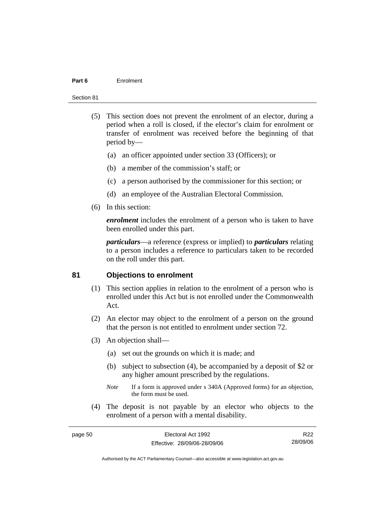#### **Part 6** Enrolment

#### Section 81

- (5) This section does not prevent the enrolment of an elector, during a period when a roll is closed, if the elector's claim for enrolment or transfer of enrolment was received before the beginning of that period by—
	- (a) an officer appointed under section 33 (Officers); or
	- (b) a member of the commission's staff; or
	- (c) a person authorised by the commissioner for this section; or
	- (d) an employee of the Australian Electoral Commission.
- (6) In this section:

*enrolment* includes the enrolment of a person who is taken to have been enrolled under this part.

*particulars*—a reference (express or implied) to *particulars* relating to a person includes a reference to particulars taken to be recorded on the roll under this part.

#### **81 Objections to enrolment**

- (1) This section applies in relation to the enrolment of a person who is enrolled under this Act but is not enrolled under the Commonwealth Act.
- (2) An elector may object to the enrolment of a person on the ground that the person is not entitled to enrolment under section 72.
- (3) An objection shall—
	- (a) set out the grounds on which it is made; and
	- (b) subject to subsection (4), be accompanied by a deposit of \$2 or any higher amount prescribed by the regulations.
	- *Note* If a form is approved under s 340A (Approved forms) for an objection, the form must be used.
- (4) The deposit is not payable by an elector who objects to the enrolment of a person with a mental disability.

| page 50 | Electoral Act 1992           | R <sub>22</sub> |
|---------|------------------------------|-----------------|
|         | Effective: 28/09/06-28/09/06 | 28/09/06        |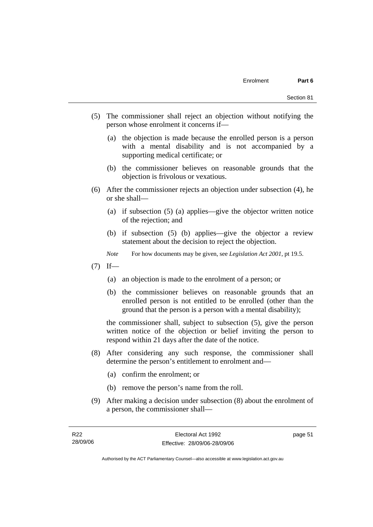- (5) The commissioner shall reject an objection without notifying the person whose enrolment it concerns if—
	- (a) the objection is made because the enrolled person is a person with a mental disability and is not accompanied by a supporting medical certificate; or
	- (b) the commissioner believes on reasonable grounds that the objection is frivolous or vexatious.
- (6) After the commissioner rejects an objection under subsection (4), he or she shall—
	- (a) if subsection (5) (a) applies—give the objector written notice of the rejection; and
	- (b) if subsection (5) (b) applies—give the objector a review statement about the decision to reject the objection.
	- *Note* For how documents may be given, see *Legislation Act 2001*, pt 19.5.
- $(7)$  If—
	- (a) an objection is made to the enrolment of a person; or
	- (b) the commissioner believes on reasonable grounds that an enrolled person is not entitled to be enrolled (other than the ground that the person is a person with a mental disability);

the commissioner shall, subject to subsection (5), give the person written notice of the objection or belief inviting the person to respond within 21 days after the date of the notice.

- (8) After considering any such response, the commissioner shall determine the person's entitlement to enrolment and—
	- (a) confirm the enrolment; or
	- (b) remove the person's name from the roll.
- (9) After making a decision under subsection (8) about the enrolment of a person, the commissioner shall—

page 51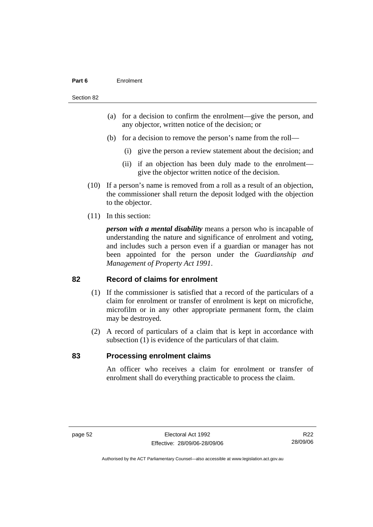#### **Part 6** Enrolment

#### Section 82

- (a) for a decision to confirm the enrolment—give the person, and any objector, written notice of the decision; or
- (b) for a decision to remove the person's name from the roll—
	- (i) give the person a review statement about the decision; and
	- (ii) if an objection has been duly made to the enrolment give the objector written notice of the decision.
- (10) If a person's name is removed from a roll as a result of an objection, the commissioner shall return the deposit lodged with the objection to the objector.
- (11) In this section:

*person with a mental disability* means a person who is incapable of understanding the nature and significance of enrolment and voting, and includes such a person even if a guardian or manager has not been appointed for the person under the *Guardianship and Management of Property Act 1991*.

#### **82 Record of claims for enrolment**

- (1) If the commissioner is satisfied that a record of the particulars of a claim for enrolment or transfer of enrolment is kept on microfiche, microfilm or in any other appropriate permanent form, the claim may be destroyed.
- (2) A record of particulars of a claim that is kept in accordance with subsection (1) is evidence of the particulars of that claim.

#### **83 Processing enrolment claims**

An officer who receives a claim for enrolment or transfer of enrolment shall do everything practicable to process the claim.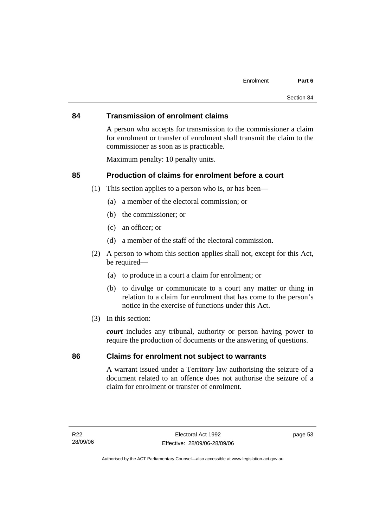#### **84 Transmission of enrolment claims**

A person who accepts for transmission to the commissioner a claim for enrolment or transfer of enrolment shall transmit the claim to the commissioner as soon as is practicable.

Maximum penalty: 10 penalty units.

### **85 Production of claims for enrolment before a court**

- (1) This section applies to a person who is, or has been—
	- (a) a member of the electoral commission; or
	- (b) the commissioner; or
	- (c) an officer; or
	- (d) a member of the staff of the electoral commission.
- (2) A person to whom this section applies shall not, except for this Act, be required—
	- (a) to produce in a court a claim for enrolment; or
	- (b) to divulge or communicate to a court any matter or thing in relation to a claim for enrolment that has come to the person's notice in the exercise of functions under this Act.
- (3) In this section:

*court* includes any tribunal, authority or person having power to require the production of documents or the answering of questions.

#### **86 Claims for enrolment not subject to warrants**

A warrant issued under a Territory law authorising the seizure of a document related to an offence does not authorise the seizure of a claim for enrolment or transfer of enrolment.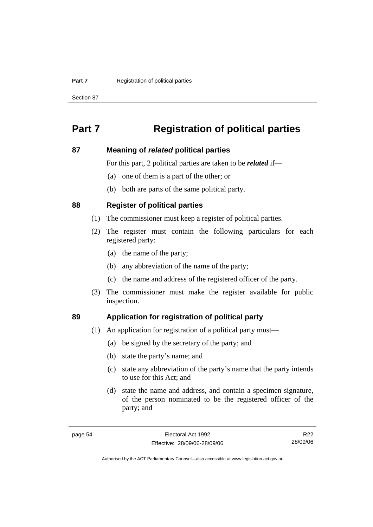#### **Part 7 Registration of political parties**

Section 87

## **Part 7 Registration of political parties**

#### **87 Meaning of** *related* **political parties**

For this part, 2 political parties are taken to be *related* if—

- (a) one of them is a part of the other; or
- (b) both are parts of the same political party.

#### **88 Register of political parties**

- (1) The commissioner must keep a register of political parties.
- (2) The register must contain the following particulars for each registered party:
	- (a) the name of the party;
	- (b) any abbreviation of the name of the party;
	- (c) the name and address of the registered officer of the party.
- (3) The commissioner must make the register available for public inspection.

### **89 Application for registration of political party**

- (1) An application for registration of a political party must—
	- (a) be signed by the secretary of the party; and
	- (b) state the party's name; and
	- (c) state any abbreviation of the party's name that the party intends to use for this Act; and
	- (d) state the name and address, and contain a specimen signature, of the person nominated to be the registered officer of the party; and

R22 28/09/06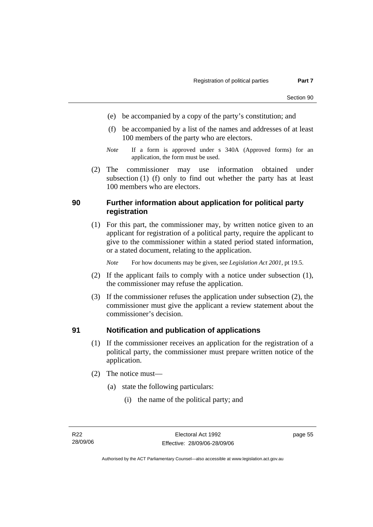- (e) be accompanied by a copy of the party's constitution; and
- (f) be accompanied by a list of the names and addresses of at least 100 members of the party who are electors.
- *Note* If a form is approved under s 340A (Approved forms) for an application, the form must be used.
- (2) The commissioner may use information obtained under subsection (1) (f) only to find out whether the party has at least 100 members who are electors.

### **90 Further information about application for political party registration**

 (1) For this part, the commissioner may, by written notice given to an applicant for registration of a political party, require the applicant to give to the commissioner within a stated period stated information, or a stated document, relating to the application.

*Note* For how documents may be given, see *Legislation Act 2001*, pt 19.5.

- (2) If the applicant fails to comply with a notice under subsection (1), the commissioner may refuse the application.
- (3) If the commissioner refuses the application under subsection (2), the commissioner must give the applicant a review statement about the commissioner's decision.

### **91 Notification and publication of applications**

- (1) If the commissioner receives an application for the registration of a political party, the commissioner must prepare written notice of the application.
- (2) The notice must—
	- (a) state the following particulars:
		- (i) the name of the political party; and

page 55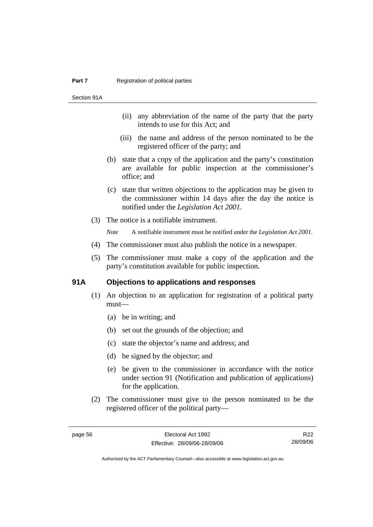Section 91A

- (ii) any abbreviation of the name of the party that the party intends to use for this Act; and
- (iii) the name and address of the person nominated to be the registered officer of the party; and
- (b) state that a copy of the application and the party's constitution are available for public inspection at the commissioner's office; and
- (c) state that written objections to the application may be given to the commissioner within 14 days after the day the notice is notified under the *Legislation Act 2001*.
- (3) The notice is a notifiable instrument.

*Note* A notifiable instrument must be notified under the *Legislation Act 2001*.

- (4) The commissioner must also publish the notice in a newspaper.
- (5) The commissioner must make a copy of the application and the party's constitution available for public inspection.

#### **91A Objections to applications and responses**

- (1) An objection to an application for registration of a political party must—
	- (a) be in writing; and
	- (b) set out the grounds of the objection; and
	- (c) state the objector's name and address; and
	- (d) be signed by the objector; and
	- (e) be given to the commissioner in accordance with the notice under section 91 (Notification and publication of applications) for the application.
- (2) The commissioner must give to the person nominated to be the registered officer of the political party—

R22 28/09/06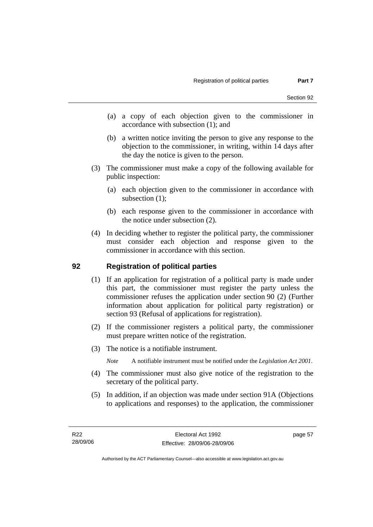- (a) a copy of each objection given to the commissioner in accordance with subsection (1); and
- (b) a written notice inviting the person to give any response to the objection to the commissioner, in writing, within 14 days after the day the notice is given to the person.
- (3) The commissioner must make a copy of the following available for public inspection:
	- (a) each objection given to the commissioner in accordance with subsection (1);
	- (b) each response given to the commissioner in accordance with the notice under subsection (2).
- (4) In deciding whether to register the political party, the commissioner must consider each objection and response given to the commissioner in accordance with this section.

### **92 Registration of political parties**

- (1) If an application for registration of a political party is made under this part, the commissioner must register the party unless the commissioner refuses the application under section 90 (2) (Further information about application for political party registration) or section 93 (Refusal of applications for registration).
- (2) If the commissioner registers a political party, the commissioner must prepare written notice of the registration.
- (3) The notice is a notifiable instrument.
	- *Note* A notifiable instrument must be notified under the *Legislation Act 2001*.
- (4) The commissioner must also give notice of the registration to the secretary of the political party.
- (5) In addition, if an objection was made under section 91A (Objections to applications and responses) to the application, the commissioner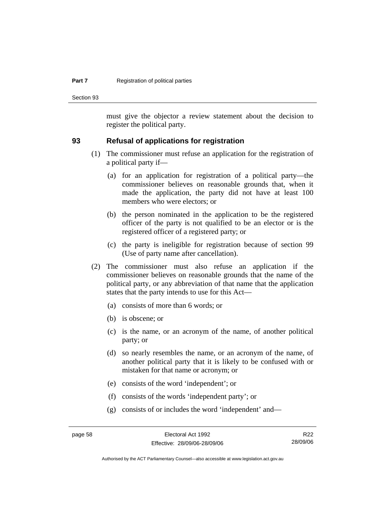#### **Part 7 Registration of political parties**

Section 93

must give the objector a review statement about the decision to register the political party.

#### **93 Refusal of applications for registration**

- (1) The commissioner must refuse an application for the registration of a political party if—
	- (a) for an application for registration of a political party—the commissioner believes on reasonable grounds that, when it made the application, the party did not have at least 100 members who were electors; or
	- (b) the person nominated in the application to be the registered officer of the party is not qualified to be an elector or is the registered officer of a registered party; or
	- (c) the party is ineligible for registration because of section 99 (Use of party name after cancellation).
- (2) The commissioner must also refuse an application if the commissioner believes on reasonable grounds that the name of the political party, or any abbreviation of that name that the application states that the party intends to use for this Act—
	- (a) consists of more than 6 words; or
	- (b) is obscene; or
	- (c) is the name, or an acronym of the name, of another political party; or
	- (d) so nearly resembles the name, or an acronym of the name, of another political party that it is likely to be confused with or mistaken for that name or acronym; or
	- (e) consists of the word 'independent'; or
	- (f) consists of the words 'independent party'; or
	- (g) consists of or includes the word 'independent' and—

R22 28/09/06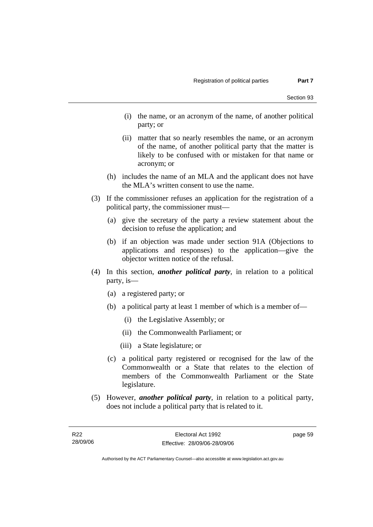- (i) the name, or an acronym of the name, of another political party; or
- (ii) matter that so nearly resembles the name, or an acronym of the name, of another political party that the matter is likely to be confused with or mistaken for that name or acronym; or
- (h) includes the name of an MLA and the applicant does not have the MLA's written consent to use the name.
- (3) If the commissioner refuses an application for the registration of a political party, the commissioner must—
	- (a) give the secretary of the party a review statement about the decision to refuse the application; and
	- (b) if an objection was made under section 91A (Objections to applications and responses) to the application—give the objector written notice of the refusal.
- (4) In this section, *another political party*, in relation to a political party, is—
	- (a) a registered party; or
	- (b) a political party at least 1 member of which is a member of—
		- (i) the Legislative Assembly; or
		- (ii) the Commonwealth Parliament; or
		- (iii) a State legislature; or
	- (c) a political party registered or recognised for the law of the Commonwealth or a State that relates to the election of members of the Commonwealth Parliament or the State legislature.
- (5) However, *another political party*, in relation to a political party, does not include a political party that is related to it.

page 59

Authorised by the ACT Parliamentary Counsel—also accessible at www.legislation.act.gov.au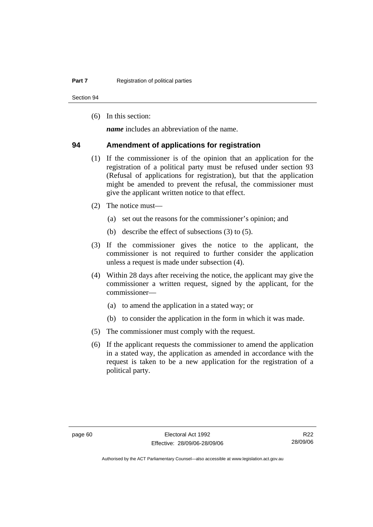Section 94

(6) In this section:

*name* includes an abbreviation of the name.

#### **94 Amendment of applications for registration**

- (1) If the commissioner is of the opinion that an application for the registration of a political party must be refused under section 93 (Refusal of applications for registration), but that the application might be amended to prevent the refusal, the commissioner must give the applicant written notice to that effect.
- (2) The notice must—
	- (a) set out the reasons for the commissioner's opinion; and
	- (b) describe the effect of subsections (3) to (5).
- (3) If the commissioner gives the notice to the applicant, the commissioner is not required to further consider the application unless a request is made under subsection (4).
- (4) Within 28 days after receiving the notice, the applicant may give the commissioner a written request, signed by the applicant, for the commissioner—
	- (a) to amend the application in a stated way; or
	- (b) to consider the application in the form in which it was made.
- (5) The commissioner must comply with the request.
- (6) If the applicant requests the commissioner to amend the application in a stated way, the application as amended in accordance with the request is taken to be a new application for the registration of a political party.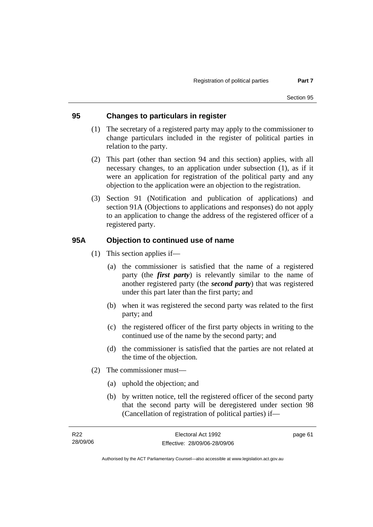### **95 Changes to particulars in register**

- (1) The secretary of a registered party may apply to the commissioner to change particulars included in the register of political parties in relation to the party.
- (2) This part (other than section 94 and this section) applies, with all necessary changes, to an application under subsection (1), as if it were an application for registration of the political party and any objection to the application were an objection to the registration.
- (3) Section 91 (Notification and publication of applications) and section 91A (Objections to applications and responses) do not apply to an application to change the address of the registered officer of a registered party.

### **95A Objection to continued use of name**

- (1) This section applies if—
	- (a) the commissioner is satisfied that the name of a registered party (the *first party*) is relevantly similar to the name of another registered party (the *second party*) that was registered under this part later than the first party; and
	- (b) when it was registered the second party was related to the first party; and
	- (c) the registered officer of the first party objects in writing to the continued use of the name by the second party; and
	- (d) the commissioner is satisfied that the parties are not related at the time of the objection.
- (2) The commissioner must—
	- (a) uphold the objection; and
	- (b) by written notice, tell the registered officer of the second party that the second party will be deregistered under section 98 (Cancellation of registration of political parties) if—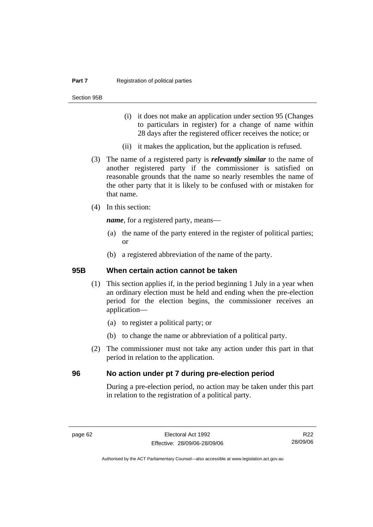#### **Part 7 Registration of political parties**

Section 95B

- (i) it does not make an application under section 95 (Changes to particulars in register) for a change of name within 28 days after the registered officer receives the notice; or
- (ii) it makes the application, but the application is refused.
- (3) The name of a registered party is *relevantly similar* to the name of another registered party if the commissioner is satisfied on reasonable grounds that the name so nearly resembles the name of the other party that it is likely to be confused with or mistaken for that name.
- (4) In this section:

*name*, for a registered party, means—

- (a) the name of the party entered in the register of political parties; or
- (b) a registered abbreviation of the name of the party.

#### **95B When certain action cannot be taken**

- (1) This section applies if, in the period beginning 1 July in a year when an ordinary election must be held and ending when the pre-election period for the election begins, the commissioner receives an application—
	- (a) to register a political party; or
	- (b) to change the name or abbreviation of a political party.
- (2) The commissioner must not take any action under this part in that period in relation to the application.

### **96 No action under pt 7 during pre-election period**

During a pre-election period, no action may be taken under this part in relation to the registration of a political party.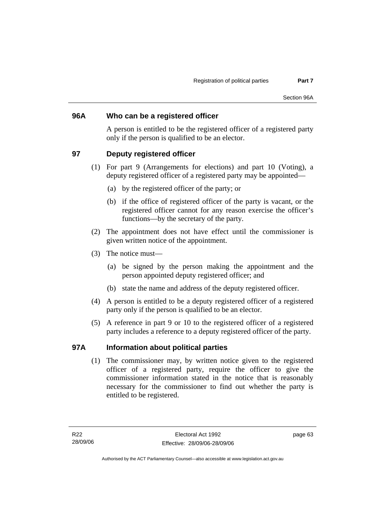### **96A Who can be a registered officer**

A person is entitled to be the registered officer of a registered party only if the person is qualified to be an elector.

### **97 Deputy registered officer**

- (1) For part 9 (Arrangements for elections) and part 10 (Voting), a deputy registered officer of a registered party may be appointed—
	- (a) by the registered officer of the party; or
	- (b) if the office of registered officer of the party is vacant, or the registered officer cannot for any reason exercise the officer's functions—by the secretary of the party.
- (2) The appointment does not have effect until the commissioner is given written notice of the appointment.
- (3) The notice must—
	- (a) be signed by the person making the appointment and the person appointed deputy registered officer; and
	- (b) state the name and address of the deputy registered officer.
- (4) A person is entitled to be a deputy registered officer of a registered party only if the person is qualified to be an elector.
- (5) A reference in part 9 or 10 to the registered officer of a registered party includes a reference to a deputy registered officer of the party.

### **97A Information about political parties**

 (1) The commissioner may, by written notice given to the registered officer of a registered party, require the officer to give the commissioner information stated in the notice that is reasonably necessary for the commissioner to find out whether the party is entitled to be registered.

page 63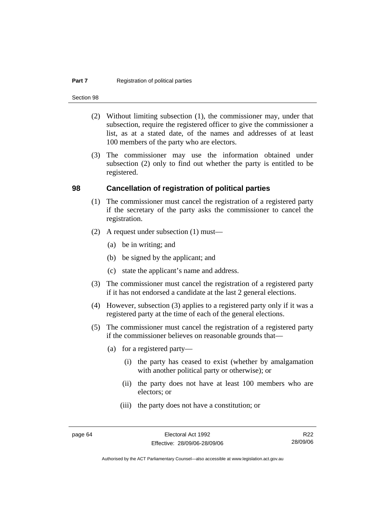#### **Part 7 Registration of political parties**

Section 98

- (2) Without limiting subsection (1), the commissioner may, under that subsection, require the registered officer to give the commissioner a list, as at a stated date, of the names and addresses of at least 100 members of the party who are electors.
- (3) The commissioner may use the information obtained under subsection (2) only to find out whether the party is entitled to be registered.

#### **98 Cancellation of registration of political parties**

- (1) The commissioner must cancel the registration of a registered party if the secretary of the party asks the commissioner to cancel the registration.
- (2) A request under subsection (1) must—
	- (a) be in writing; and
	- (b) be signed by the applicant; and
	- (c) state the applicant's name and address.
- (3) The commissioner must cancel the registration of a registered party if it has not endorsed a candidate at the last 2 general elections.
- (4) However, subsection (3) applies to a registered party only if it was a registered party at the time of each of the general elections.
- (5) The commissioner must cancel the registration of a registered party if the commissioner believes on reasonable grounds that—
	- (a) for a registered party—
		- (i) the party has ceased to exist (whether by amalgamation with another political party or otherwise); or
		- (ii) the party does not have at least 100 members who are electors; or
		- (iii) the party does not have a constitution; or

R22 28/09/06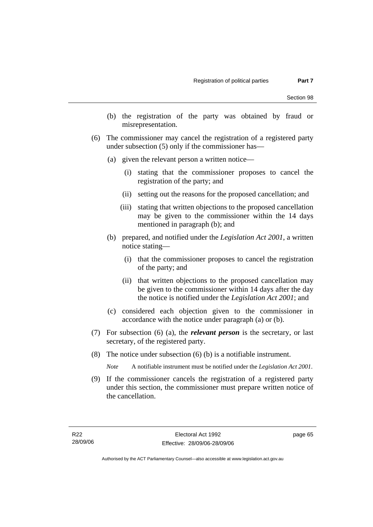- (b) the registration of the party was obtained by fraud or misrepresentation.
- (6) The commissioner may cancel the registration of a registered party under subsection (5) only if the commissioner has—
	- (a) given the relevant person a written notice—
		- (i) stating that the commissioner proposes to cancel the registration of the party; and
		- (ii) setting out the reasons for the proposed cancellation; and
		- (iii) stating that written objections to the proposed cancellation may be given to the commissioner within the 14 days mentioned in paragraph (b); and
	- (b) prepared, and notified under the *Legislation Act 2001*, a written notice stating—
		- (i) that the commissioner proposes to cancel the registration of the party; and
		- (ii) that written objections to the proposed cancellation may be given to the commissioner within 14 days after the day the notice is notified under the *Legislation Act 2001*; and
	- (c) considered each objection given to the commissioner in accordance with the notice under paragraph (a) or (b).
- (7) For subsection (6) (a), the *relevant person* is the secretary, or last secretary, of the registered party.
- (8) The notice under subsection (6) (b) is a notifiable instrument.

*Note* A notifiable instrument must be notified under the *Legislation Act 2001*.

 (9) If the commissioner cancels the registration of a registered party under this section, the commissioner must prepare written notice of the cancellation.

page 65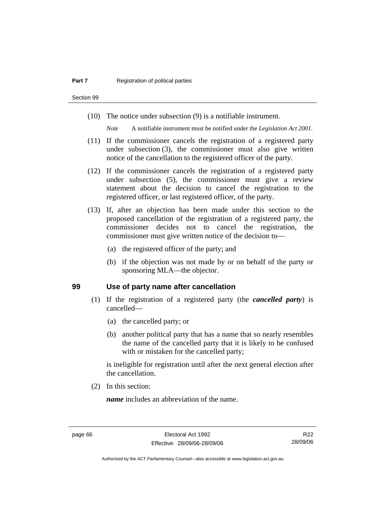Section 99

(10) The notice under subsection (9) is a notifiable instrument.

*Note* A notifiable instrument must be notified under the *Legislation Act 2001*.

- (11) If the commissioner cancels the registration of a registered party under subsection (3), the commissioner must also give written notice of the cancellation to the registered officer of the party.
- (12) If the commissioner cancels the registration of a registered party under subsection (5), the commissioner must give a review statement about the decision to cancel the registration to the registered officer, or last registered officer, of the party.
- (13) If, after an objection has been made under this section to the proposed cancellation of the registration of a registered party, the commissioner decides not to cancel the registration, the commissioner must give written notice of the decision to—
	- (a) the registered officer of the party; and
	- (b) if the objection was not made by or on behalf of the party or sponsoring MLA—the objector.

#### **99 Use of party name after cancellation**

- (1) If the registration of a registered party (the *cancelled party*) is cancelled—
	- (a) the cancelled party; or
	- (b) another political party that has a name that so nearly resembles the name of the cancelled party that it is likely to be confused with or mistaken for the cancelled party;

is ineligible for registration until after the next general election after the cancellation.

(2) In this section:

*name* includes an abbreviation of the name.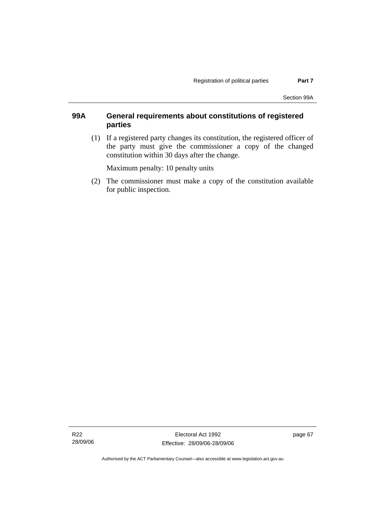### **99A General requirements about constitutions of registered parties**

 (1) If a registered party changes its constitution, the registered officer of the party must give the commissioner a copy of the changed constitution within 30 days after the change.

Maximum penalty: 10 penalty units

 (2) The commissioner must make a copy of the constitution available for public inspection.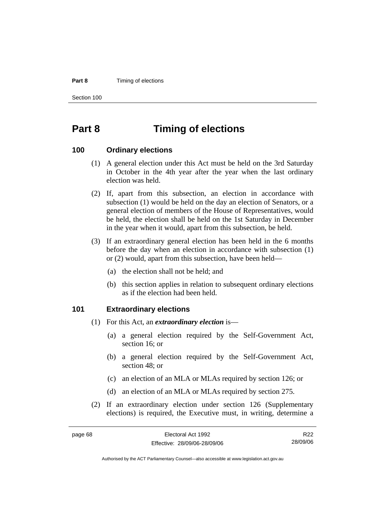#### **Part 8 Timing of elections**

Section 100

page 68

# **Part 8 Timing of elections**

#### **100 Ordinary elections**

- (1) A general election under this Act must be held on the 3rd Saturday in October in the 4th year after the year when the last ordinary election was held.
- (2) If, apart from this subsection, an election in accordance with subsection (1) would be held on the day an election of Senators, or a general election of members of the House of Representatives, would be held, the election shall be held on the 1st Saturday in December in the year when it would, apart from this subsection, be held.
- (3) If an extraordinary general election has been held in the 6 months before the day when an election in accordance with subsection (1) or (2) would, apart from this subsection, have been held—
	- (a) the election shall not be held; and
	- (b) this section applies in relation to subsequent ordinary elections as if the election had been held.

#### **101 Extraordinary elections**

- (1) For this Act, an *extraordinary election* is—
	- (a) a general election required by the Self-Government Act, section 16; or
	- (b) a general election required by the Self-Government Act, section 48; or
	- (c) an election of an MLA or MLAs required by section 126; or
	- (d) an election of an MLA or MLAs required by section 275.
- (2) If an extraordinary election under section 126 (Supplementary elections) is required, the Executive must, in writing, determine a

| Electoral Act 1992           | R <sub>22</sub> |
|------------------------------|-----------------|
| Effective: 28/09/06-28/09/06 | 28/09/06        |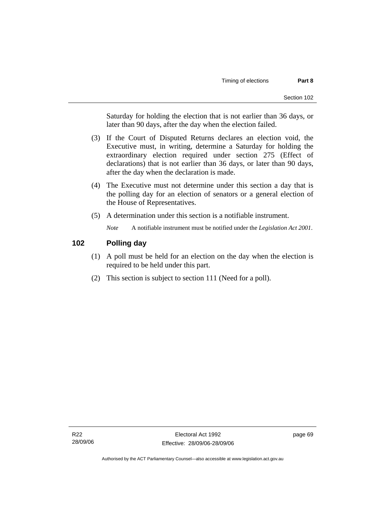Saturday for holding the election that is not earlier than 36 days, or later than 90 days, after the day when the election failed.

- (3) If the Court of Disputed Returns declares an election void, the Executive must, in writing, determine a Saturday for holding the extraordinary election required under section 275 (Effect of declarations) that is not earlier than 36 days, or later than 90 days, after the day when the declaration is made.
- (4) The Executive must not determine under this section a day that is the polling day for an election of senators or a general election of the House of Representatives.
- (5) A determination under this section is a notifiable instrument.

*Note* A notifiable instrument must be notified under the *Legislation Act 2001*.

### **102 Polling day**

- (1) A poll must be held for an election on the day when the election is required to be held under this part.
- (2) This section is subject to section 111 (Need for a poll).

page 69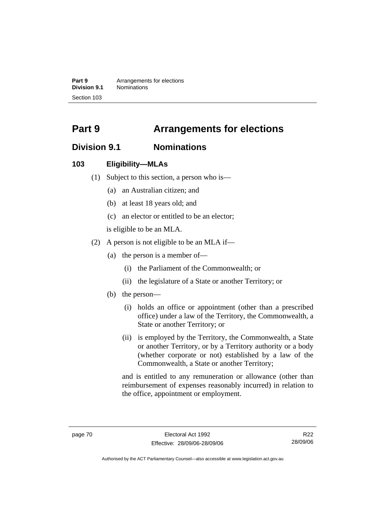**Part 9 Arrangements for elections Division 9.1** Nominations Section 103

# **Part 9 Arrangements for elections**

# **Division 9.1 Nominations**

### **103 Eligibility—MLAs**

- (1) Subject to this section, a person who is—
	- (a) an Australian citizen; and
	- (b) at least 18 years old; and
	- (c) an elector or entitled to be an elector;

is eligible to be an MLA.

- (2) A person is not eligible to be an MLA if—
	- (a) the person is a member of—
		- (i) the Parliament of the Commonwealth; or
		- (ii) the legislature of a State or another Territory; or
	- (b) the person—
		- (i) holds an office or appointment (other than a prescribed office) under a law of the Territory, the Commonwealth, a State or another Territory; or
		- (ii) is employed by the Territory, the Commonwealth, a State or another Territory, or by a Territory authority or a body (whether corporate or not) established by a law of the Commonwealth, a State or another Territory;

and is entitled to any remuneration or allowance (other than reimbursement of expenses reasonably incurred) in relation to the office, appointment or employment.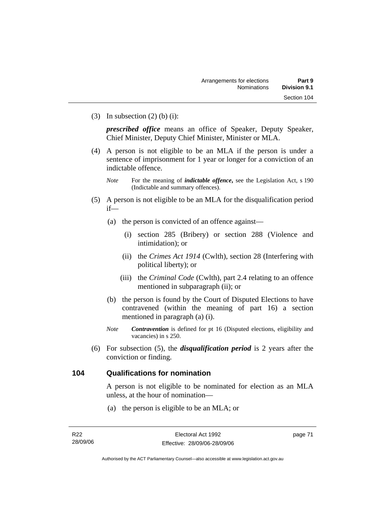(3) In subsection  $(2)$  (b) (i):

*prescribed office* means an office of Speaker, Deputy Speaker, Chief Minister, Deputy Chief Minister, Minister or MLA.

- (4) A person is not eligible to be an MLA if the person is under a sentence of imprisonment for 1 year or longer for a conviction of an indictable offence.
	- *Note* For the meaning of *indictable offence*, see the Legislation Act, s 190 (Indictable and summary offences).
- (5) A person is not eligible to be an MLA for the disqualification period if—
	- (a) the person is convicted of an offence against—
		- (i) section 285 (Bribery) or section 288 (Violence and intimidation); or
		- (ii) the *Crimes Act 1914* (Cwlth), section 28 (Interfering with political liberty); or
		- (iii) the *Criminal Code* (Cwlth), part 2.4 relating to an offence mentioned in subparagraph (ii); or
	- (b) the person is found by the Court of Disputed Elections to have contravened (within the meaning of part 16) a section mentioned in paragraph (a) (i).
	- *Note Contravention* is defined for pt 16 (Disputed elections, eligibility and vacancies) in s 250.
- (6) For subsection (5), the *disqualification period* is 2 years after the conviction or finding.

### **104 Qualifications for nomination**

A person is not eligible to be nominated for election as an MLA unless, at the hour of nomination—

(a) the person is eligible to be an MLA; or

page 71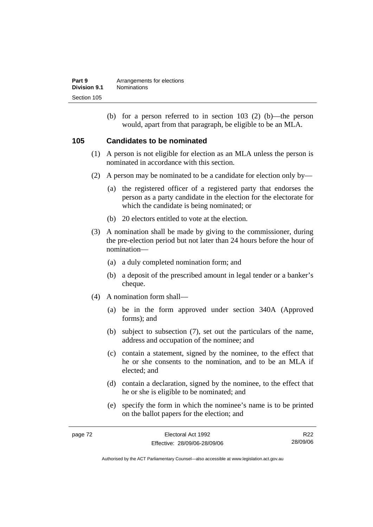| Part 9       | Arrangements for elections |
|--------------|----------------------------|
| Division 9.1 | <b>Nominations</b>         |
| Section 105  |                            |

 (b) for a person referred to in section 103 (2) (b)—the person would, apart from that paragraph, be eligible to be an MLA.

### **105 Candidates to be nominated**

- (1) A person is not eligible for election as an MLA unless the person is nominated in accordance with this section.
- (2) A person may be nominated to be a candidate for election only by—
	- (a) the registered officer of a registered party that endorses the person as a party candidate in the election for the electorate for which the candidate is being nominated; or
	- (b) 20 electors entitled to vote at the election.
- (3) A nomination shall be made by giving to the commissioner, during the pre-election period but not later than 24 hours before the hour of nomination—
	- (a) a duly completed nomination form; and
	- (b) a deposit of the prescribed amount in legal tender or a banker's cheque.
- (4) A nomination form shall—
	- (a) be in the form approved under section 340A (Approved forms); and
	- (b) subject to subsection (7), set out the particulars of the name, address and occupation of the nominee; and
	- (c) contain a statement, signed by the nominee, to the effect that he or she consents to the nomination, and to be an MLA if elected; and
	- (d) contain a declaration, signed by the nominee, to the effect that he or she is eligible to be nominated; and
	- (e) specify the form in which the nominee's name is to be printed on the ballot papers for the election; and

| page 72 | Electoral Act 1992           | R22      |
|---------|------------------------------|----------|
|         | Effective: 28/09/06-28/09/06 | 28/09/06 |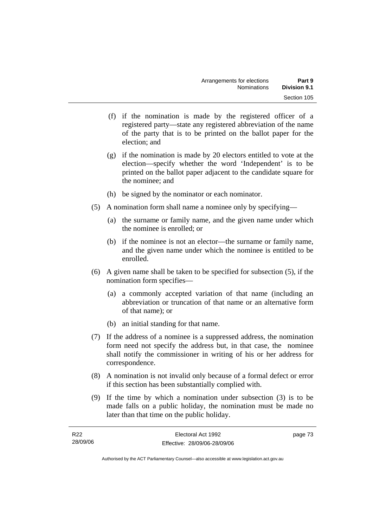- (f) if the nomination is made by the registered officer of a registered party—state any registered abbreviation of the name of the party that is to be printed on the ballot paper for the election; and
- (g) if the nomination is made by 20 electors entitled to vote at the election—specify whether the word 'Independent' is to be printed on the ballot paper adjacent to the candidate square for the nominee; and
- (h) be signed by the nominator or each nominator.
- (5) A nomination form shall name a nominee only by specifying—
	- (a) the surname or family name, and the given name under which the nominee is enrolled; or
	- (b) if the nominee is not an elector—the surname or family name, and the given name under which the nominee is entitled to be enrolled.
- (6) A given name shall be taken to be specified for subsection (5), if the nomination form specifies—
	- (a) a commonly accepted variation of that name (including an abbreviation or truncation of that name or an alternative form of that name); or
	- (b) an initial standing for that name.
- (7) If the address of a nominee is a suppressed address, the nomination form need not specify the address but, in that case, the nominee shall notify the commissioner in writing of his or her address for correspondence.
- (8) A nomination is not invalid only because of a formal defect or error if this section has been substantially complied with.
- (9) If the time by which a nomination under subsection (3) is to be made falls on a public holiday, the nomination must be made no later than that time on the public holiday.

| R22      | Electoral Act 1992           | page 73 |
|----------|------------------------------|---------|
| 28/09/06 | Effective: 28/09/06-28/09/06 |         |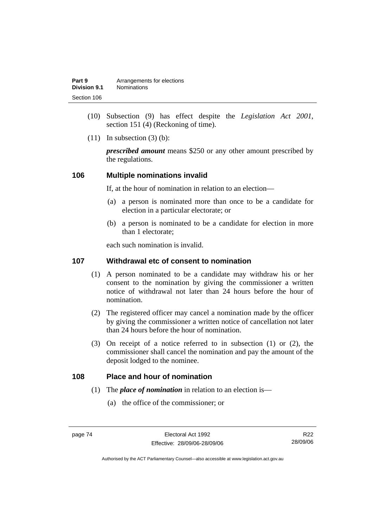| Part 9       | Arrangements for elections |
|--------------|----------------------------|
| Division 9.1 | <b>Nominations</b>         |
| Section 106  |                            |

- (10) Subsection (9) has effect despite the *Legislation Act 2001*, section 151 (4) (Reckoning of time).
- $(11)$  In subsection  $(3)$  (b):

*prescribed amount* means \$250 or any other amount prescribed by the regulations.

#### **106 Multiple nominations invalid**

If, at the hour of nomination in relation to an election—

- (a) a person is nominated more than once to be a candidate for election in a particular electorate; or
- (b) a person is nominated to be a candidate for election in more than 1 electorate;

each such nomination is invalid.

#### **107 Withdrawal etc of consent to nomination**

- (1) A person nominated to be a candidate may withdraw his or her consent to the nomination by giving the commissioner a written notice of withdrawal not later than 24 hours before the hour of nomination.
- (2) The registered officer may cancel a nomination made by the officer by giving the commissioner a written notice of cancellation not later than 24 hours before the hour of nomination.
- (3) On receipt of a notice referred to in subsection (1) or (2), the commissioner shall cancel the nomination and pay the amount of the deposit lodged to the nominee.

### **108 Place and hour of nomination**

- (1) The *place of nomination* in relation to an election is—
	- (a) the office of the commissioner; or

R22 28/09/06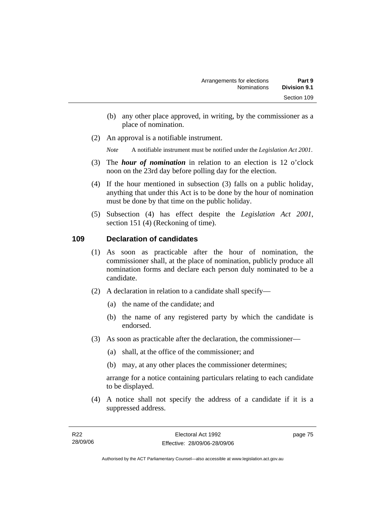- (b) any other place approved, in writing, by the commissioner as a place of nomination.
- (2) An approval is a notifiable instrument.

*Note* A notifiable instrument must be notified under the *Legislation Act 2001*.

- (3) The *hour of nomination* in relation to an election is 12 o'clock noon on the 23rd day before polling day for the election.
- (4) If the hour mentioned in subsection (3) falls on a public holiday, anything that under this Act is to be done by the hour of nomination must be done by that time on the public holiday.
- (5) Subsection (4) has effect despite the *Legislation Act 2001*, section 151 (4) (Reckoning of time).

### **109 Declaration of candidates**

- (1) As soon as practicable after the hour of nomination, the commissioner shall, at the place of nomination, publicly produce all nomination forms and declare each person duly nominated to be a candidate.
- (2) A declaration in relation to a candidate shall specify—
	- (a) the name of the candidate; and
	- (b) the name of any registered party by which the candidate is endorsed.
- (3) As soon as practicable after the declaration, the commissioner—
	- (a) shall, at the office of the commissioner; and
	- (b) may, at any other places the commissioner determines;

arrange for a notice containing particulars relating to each candidate to be displayed.

 (4) A notice shall not specify the address of a candidate if it is a suppressed address.

page 75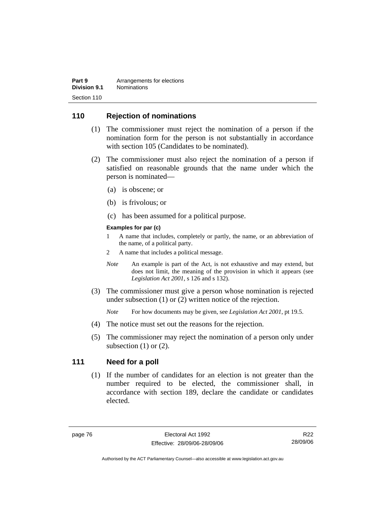| Part 9       | Arrangements for elections |
|--------------|----------------------------|
| Division 9.1 | <b>Nominations</b>         |
| Section 110  |                            |

### **110 Rejection of nominations**

- (1) The commissioner must reject the nomination of a person if the nomination form for the person is not substantially in accordance with section 105 (Candidates to be nominated).
- (2) The commissioner must also reject the nomination of a person if satisfied on reasonable grounds that the name under which the person is nominated—
	- (a) is obscene; or
	- (b) is frivolous; or
	- (c) has been assumed for a political purpose.

#### **Examples for par (c)**

- 1 A name that includes, completely or partly, the name, or an abbreviation of the name, of a political party.
- 2 A name that includes a political message.
- *Note* An example is part of the Act, is not exhaustive and may extend, but does not limit, the meaning of the provision in which it appears (see *Legislation Act 2001*, s 126 and s 132).
- (3) The commissioner must give a person whose nomination is rejected under subsection (1) or (2) written notice of the rejection.

*Note* For how documents may be given, see *Legislation Act 2001*, pt 19.5.

- (4) The notice must set out the reasons for the rejection.
- (5) The commissioner may reject the nomination of a person only under subsection  $(1)$  or  $(2)$ .

#### **111 Need for a poll**

 (1) If the number of candidates for an election is not greater than the number required to be elected, the commissioner shall, in accordance with section 189, declare the candidate or candidates elected.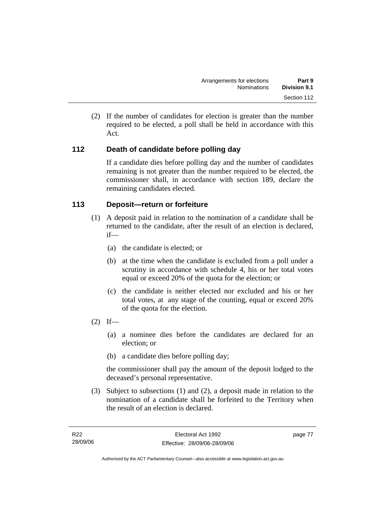(2) If the number of candidates for election is greater than the number required to be elected, a poll shall be held in accordance with this Act.

## **112 Death of candidate before polling day**

If a candidate dies before polling day and the number of candidates remaining is not greater than the number required to be elected, the commissioner shall, in accordance with section 189, declare the remaining candidates elected.

### **113 Deposit—return or forfeiture**

- (1) A deposit paid in relation to the nomination of a candidate shall be returned to the candidate, after the result of an election is declared, if—
	- (a) the candidate is elected; or
	- (b) at the time when the candidate is excluded from a poll under a scrutiny in accordance with schedule 4, his or her total votes equal or exceed 20% of the quota for the election; or
	- (c) the candidate is neither elected nor excluded and his or her total votes, at any stage of the counting, equal or exceed 20% of the quota for the election.
- $(2)$  If—
	- (a) a nominee dies before the candidates are declared for an election; or
	- (b) a candidate dies before polling day;

the commissioner shall pay the amount of the deposit lodged to the deceased's personal representative.

 (3) Subject to subsections (1) and (2), a deposit made in relation to the nomination of a candidate shall be forfeited to the Territory when the result of an election is declared.

page 77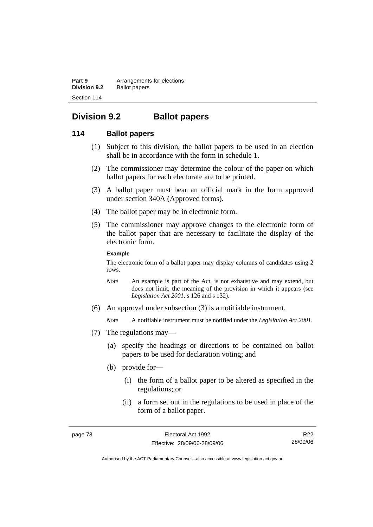**Part 9 Arrangements for elections Division 9.2** Ballot papers Section 114

# **Division 9.2 Ballot papers**

### **114 Ballot papers**

- (1) Subject to this division, the ballot papers to be used in an election shall be in accordance with the form in schedule 1.
- (2) The commissioner may determine the colour of the paper on which ballot papers for each electorate are to be printed.
- (3) A ballot paper must bear an official mark in the form approved under section 340A (Approved forms).
- (4) The ballot paper may be in electronic form.
- (5) The commissioner may approve changes to the electronic form of the ballot paper that are necessary to facilitate the display of the electronic form.

#### **Example**

The electronic form of a ballot paper may display columns of candidates using 2 rows.

- *Note* An example is part of the Act, is not exhaustive and may extend, but does not limit, the meaning of the provision in which it appears (see *Legislation Act 2001*, s 126 and s 132).
- (6) An approval under subsection (3) is a notifiable instrument.

*Note* A notifiable instrument must be notified under the *Legislation Act 2001*.

- (7) The regulations may—
	- (a) specify the headings or directions to be contained on ballot papers to be used for declaration voting; and
	- (b) provide for—
		- (i) the form of a ballot paper to be altered as specified in the regulations; or
		- (ii) a form set out in the regulations to be used in place of the form of a ballot paper.

R22 28/09/06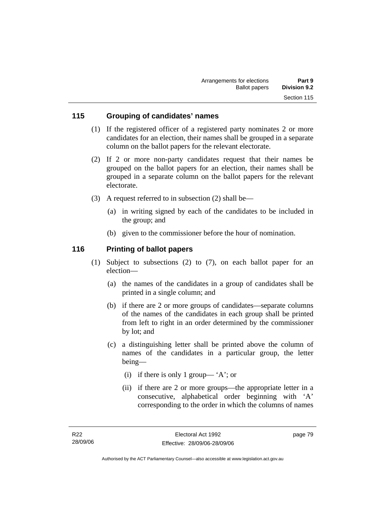### **115 Grouping of candidates' names**

- (1) If the registered officer of a registered party nominates 2 or more candidates for an election, their names shall be grouped in a separate column on the ballot papers for the relevant electorate.
- (2) If 2 or more non-party candidates request that their names be grouped on the ballot papers for an election, their names shall be grouped in a separate column on the ballot papers for the relevant electorate.
- (3) A request referred to in subsection (2) shall be—
	- (a) in writing signed by each of the candidates to be included in the group; and
	- (b) given to the commissioner before the hour of nomination.

### **116 Printing of ballot papers**

- (1) Subject to subsections (2) to (7), on each ballot paper for an election—
	- (a) the names of the candidates in a group of candidates shall be printed in a single column; and
	- (b) if there are 2 or more groups of candidates—separate columns of the names of the candidates in each group shall be printed from left to right in an order determined by the commissioner by lot; and
	- (c) a distinguishing letter shall be printed above the column of names of the candidates in a particular group, the letter being—
		- (i) if there is only 1 group— 'A'; or
		- (ii) if there are 2 or more groups—the appropriate letter in a consecutive, alphabetical order beginning with 'A' corresponding to the order in which the columns of names

page 79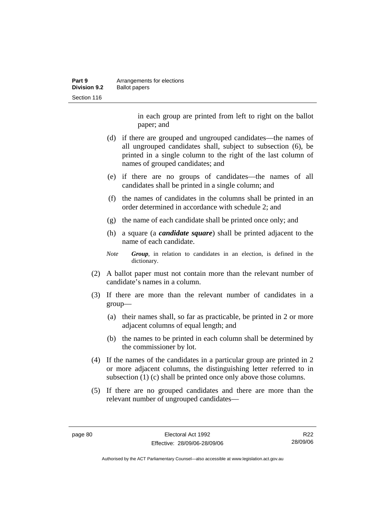| Part 9              | Arrangements for elections |
|---------------------|----------------------------|
| <b>Division 9.2</b> | <b>Ballot papers</b>       |
| Section 116         |                            |

in each group are printed from left to right on the ballot paper; and

- (d) if there are grouped and ungrouped candidates—the names of all ungrouped candidates shall, subject to subsection (6), be printed in a single column to the right of the last column of names of grouped candidates; and
- (e) if there are no groups of candidates—the names of all candidates shall be printed in a single column; and
- (f) the names of candidates in the columns shall be printed in an order determined in accordance with schedule 2; and
- (g) the name of each candidate shall be printed once only; and
- (h) a square (a *candidate square*) shall be printed adjacent to the name of each candidate.
- *Note Group*, in relation to candidates in an election, is defined in the dictionary.
- (2) A ballot paper must not contain more than the relevant number of candidate's names in a column.
- (3) If there are more than the relevant number of candidates in a group—
	- (a) their names shall, so far as practicable, be printed in 2 or more adjacent columns of equal length; and
	- (b) the names to be printed in each column shall be determined by the commissioner by lot.
- (4) If the names of the candidates in a particular group are printed in 2 or more adjacent columns, the distinguishing letter referred to in subsection (1) (c) shall be printed once only above those columns.
- (5) If there are no grouped candidates and there are more than the relevant number of ungrouped candidates—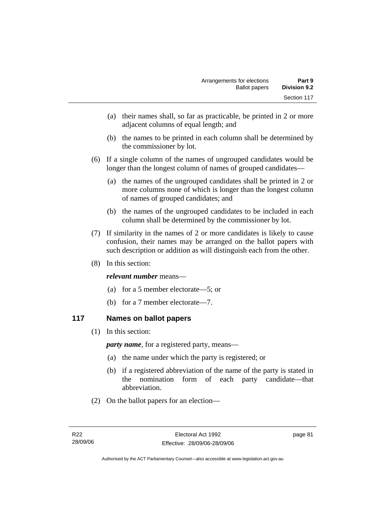- (a) their names shall, so far as practicable, be printed in 2 or more adjacent columns of equal length; and
- (b) the names to be printed in each column shall be determined by the commissioner by lot.
- (6) If a single column of the names of ungrouped candidates would be longer than the longest column of names of grouped candidates—
	- (a) the names of the ungrouped candidates shall be printed in 2 or more columns none of which is longer than the longest column of names of grouped candidates; and
	- (b) the names of the ungrouped candidates to be included in each column shall be determined by the commissioner by lot.
- (7) If similarity in the names of 2 or more candidates is likely to cause confusion, their names may be arranged on the ballot papers with such description or addition as will distinguish each from the other.
- (8) In this section:

### *relevant number* means—

- (a) for a 5 member electorate—5; or
- (b) for a 7 member electorate—7.

### **117 Names on ballot papers**

(1) In this section:

*party name*, for a registered party, means—

- (a) the name under which the party is registered; or
- (b) if a registered abbreviation of the name of the party is stated in the nomination form of each party candidate—that abbreviation.
- (2) On the ballot papers for an election—

page 81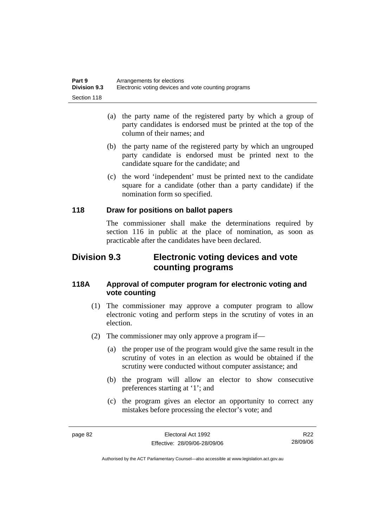| Part 9              | Arrangements for elections                           |
|---------------------|------------------------------------------------------|
| <b>Division 9.3</b> | Electronic voting devices and vote counting programs |
| Section 118         |                                                      |

- (a) the party name of the registered party by which a group of party candidates is endorsed must be printed at the top of the column of their names; and
- (b) the party name of the registered party by which an ungrouped party candidate is endorsed must be printed next to the candidate square for the candidate; and
- (c) the word 'independent' must be printed next to the candidate square for a candidate (other than a party candidate) if the nomination form so specified.

### **118 Draw for positions on ballot papers**

The commissioner shall make the determinations required by section 116 in public at the place of nomination, as soon as practicable after the candidates have been declared.

## **Division 9.3 Electronic voting devices and vote counting programs**

### **118A Approval of computer program for electronic voting and vote counting**

- (1) The commissioner may approve a computer program to allow electronic voting and perform steps in the scrutiny of votes in an election.
- (2) The commissioner may only approve a program if—
	- (a) the proper use of the program would give the same result in the scrutiny of votes in an election as would be obtained if the scrutiny were conducted without computer assistance; and
	- (b) the program will allow an elector to show consecutive preferences starting at '1'; and
	- (c) the program gives an elector an opportunity to correct any mistakes before processing the elector's vote; and

R22 28/09/06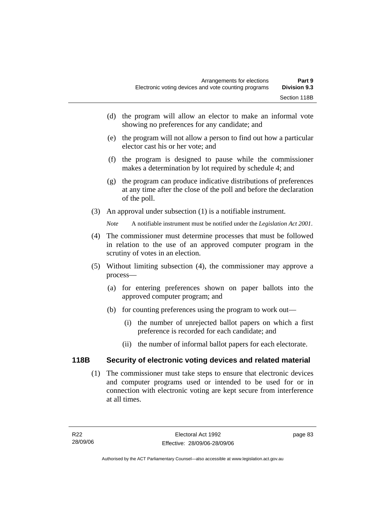- (d) the program will allow an elector to make an informal vote showing no preferences for any candidate; and
- (e) the program will not allow a person to find out how a particular elector cast his or her vote; and
- (f) the program is designed to pause while the commissioner makes a determination by lot required by schedule 4; and
- (g) the program can produce indicative distributions of preferences at any time after the close of the poll and before the declaration of the poll.
- (3) An approval under subsection (1) is a notifiable instrument.

*Note* A notifiable instrument must be notified under the *Legislation Act 2001*.

- (4) The commissioner must determine processes that must be followed in relation to the use of an approved computer program in the scrutiny of votes in an election.
- (5) Without limiting subsection (4), the commissioner may approve a process—
	- (a) for entering preferences shown on paper ballots into the approved computer program; and
	- (b) for counting preferences using the program to work out—
		- (i) the number of unrejected ballot papers on which a first preference is recorded for each candidate; and
		- (ii) the number of informal ballot papers for each electorate.

### **118B Security of electronic voting devices and related material**

 (1) The commissioner must take steps to ensure that electronic devices and computer programs used or intended to be used for or in connection with electronic voting are kept secure from interference at all times.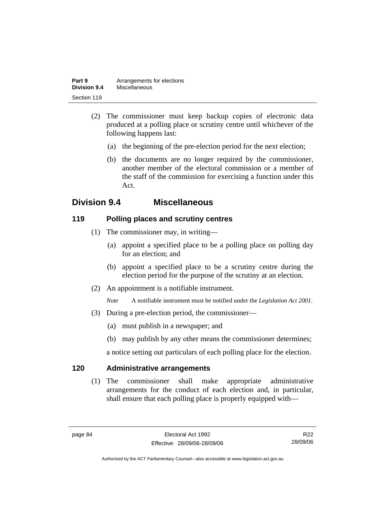| Part 9              | Arrangements for elections |
|---------------------|----------------------------|
| <b>Division 9.4</b> | Miscellaneous              |
| Section 119         |                            |

- (2) The commissioner must keep backup copies of electronic data produced at a polling place or scrutiny centre until whichever of the following happens last:
	- (a) the beginning of the pre-election period for the next election;
	- (b) the documents are no longer required by the commissioner, another member of the electoral commission or a member of the staff of the commission for exercising a function under this Act.

# **Division 9.4 Miscellaneous**

### **119 Polling places and scrutiny centres**

- (1) The commissioner may, in writing—
	- (a) appoint a specified place to be a polling place on polling day for an election; and
	- (b) appoint a specified place to be a scrutiny centre during the election period for the purpose of the scrutiny at an election.
- (2) An appointment is a notifiable instrument.

*Note* A notifiable instrument must be notified under the *Legislation Act 2001*.

- (3) During a pre-election period, the commissioner—
	- (a) must publish in a newspaper; and
	- (b) may publish by any other means the commissioner determines;

a notice setting out particulars of each polling place for the election.

### **120 Administrative arrangements**

 (1) The commissioner shall make appropriate administrative arrangements for the conduct of each election and, in particular, shall ensure that each polling place is properly equipped with—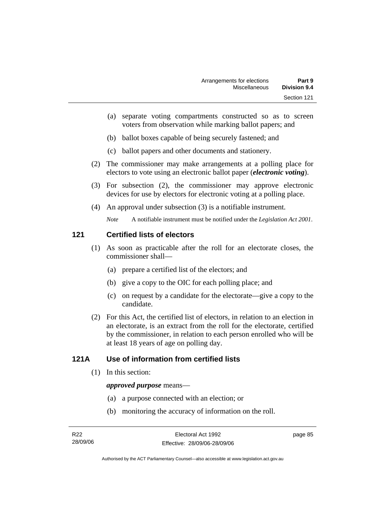- (a) separate voting compartments constructed so as to screen voters from observation while marking ballot papers; and
- (b) ballot boxes capable of being securely fastened; and
- (c) ballot papers and other documents and stationery.
- (2) The commissioner may make arrangements at a polling place for electors to vote using an electronic ballot paper (*electronic voting*).
- (3) For subsection (2), the commissioner may approve electronic devices for use by electors for electronic voting at a polling place.
- (4) An approval under subsection (3) is a notifiable instrument.

*Note* A notifiable instrument must be notified under the *Legislation Act 2001*.

### **121 Certified lists of electors**

- (1) As soon as practicable after the roll for an electorate closes, the commissioner shall—
	- (a) prepare a certified list of the electors; and
	- (b) give a copy to the OIC for each polling place; and
	- (c) on request by a candidate for the electorate—give a copy to the candidate.
- (2) For this Act, the certified list of electors, in relation to an election in an electorate, is an extract from the roll for the electorate, certified by the commissioner, in relation to each person enrolled who will be at least 18 years of age on polling day.

### **121A Use of information from certified lists**

(1) In this section:

#### *approved purpose* means—

- (a) a purpose connected with an election; or
- (b) monitoring the accuracy of information on the roll.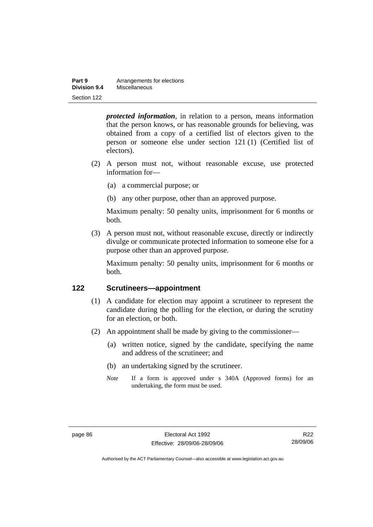| Part 9       | Arrangements for elections |
|--------------|----------------------------|
| Division 9.4 | Miscellaneous              |
| Section 122  |                            |

*protected information*, in relation to a person, means information that the person knows, or has reasonable grounds for believing, was obtained from a copy of a certified list of electors given to the person or someone else under section 121 (1) (Certified list of electors).

- (2) A person must not, without reasonable excuse, use protected information for—
	- (a) a commercial purpose; or
	- (b) any other purpose, other than an approved purpose.

Maximum penalty: 50 penalty units, imprisonment for 6 months or both.

 (3) A person must not, without reasonable excuse, directly or indirectly divulge or communicate protected information to someone else for a purpose other than an approved purpose.

Maximum penalty: 50 penalty units, imprisonment for 6 months or both.

### **122 Scrutineers—appointment**

- (1) A candidate for election may appoint a scrutineer to represent the candidate during the polling for the election, or during the scrutiny for an election, or both.
- (2) An appointment shall be made by giving to the commissioner—
	- (a) written notice, signed by the candidate, specifying the name and address of the scrutineer; and
	- (b) an undertaking signed by the scrutineer.
	- *Note* If a form is approved under s 340A (Approved forms) for an undertaking, the form must be used.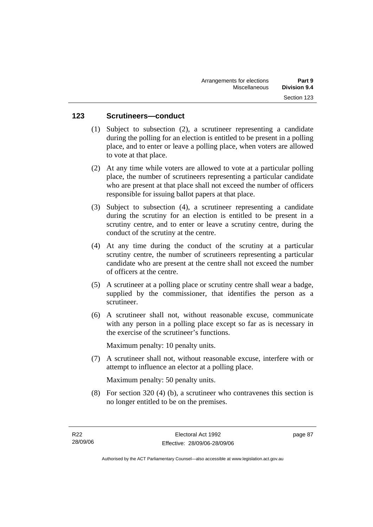### **123 Scrutineers—conduct**

- (1) Subject to subsection (2), a scrutineer representing a candidate during the polling for an election is entitled to be present in a polling place, and to enter or leave a polling place, when voters are allowed to vote at that place.
- (2) At any time while voters are allowed to vote at a particular polling place, the number of scrutineers representing a particular candidate who are present at that place shall not exceed the number of officers responsible for issuing ballot papers at that place.
- (3) Subject to subsection (4), a scrutineer representing a candidate during the scrutiny for an election is entitled to be present in a scrutiny centre, and to enter or leave a scrutiny centre, during the conduct of the scrutiny at the centre.
- (4) At any time during the conduct of the scrutiny at a particular scrutiny centre, the number of scrutineers representing a particular candidate who are present at the centre shall not exceed the number of officers at the centre.
- (5) A scrutineer at a polling place or scrutiny centre shall wear a badge, supplied by the commissioner, that identifies the person as a scrutineer.
- (6) A scrutineer shall not, without reasonable excuse, communicate with any person in a polling place except so far as is necessary in the exercise of the scrutineer's functions.

Maximum penalty: 10 penalty units.

 (7) A scrutineer shall not, without reasonable excuse, interfere with or attempt to influence an elector at a polling place.

Maximum penalty: 50 penalty units.

 (8) For section 320 (4) (b), a scrutineer who contravenes this section is no longer entitled to be on the premises.

page 87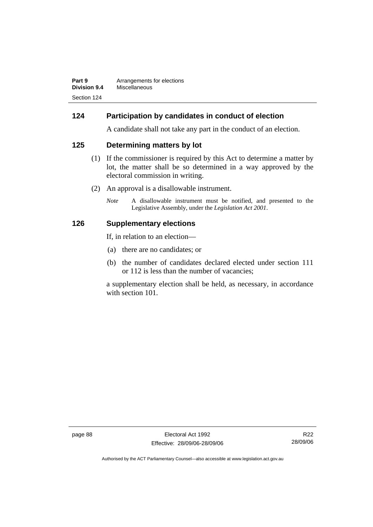| Part 9       | Arrangements for elections |
|--------------|----------------------------|
| Division 9.4 | Miscellaneous              |
| Section 124  |                            |

### **124 Participation by candidates in conduct of election**

A candidate shall not take any part in the conduct of an election.

### **125 Determining matters by lot**

- (1) If the commissioner is required by this Act to determine a matter by lot, the matter shall be so determined in a way approved by the electoral commission in writing.
- (2) An approval is a disallowable instrument.
	- *Note* A disallowable instrument must be notified, and presented to the Legislative Assembly, under the *Legislation Act 2001*.

#### **126 Supplementary elections**

If, in relation to an election—

- (a) there are no candidates; or
- (b) the number of candidates declared elected under section 111 or 112 is less than the number of vacancies;

a supplementary election shall be held, as necessary, in accordance with section 101.

page 88 Electoral Act 1992 Effective: 28/09/06-28/09/06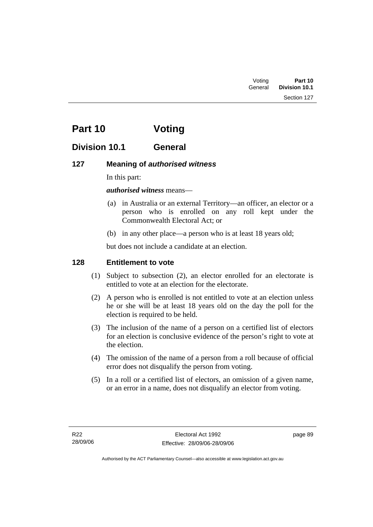Section 127

# **Part 10 Voting**

# **Division 10.1 General**

## **127 Meaning of** *authorised witness*

In this part:

### *authorised witness* means—

- (a) in Australia or an external Territory—an officer, an elector or a person who is enrolled on any roll kept under the Commonwealth Electoral Act; or
- (b) in any other place—a person who is at least 18 years old;

but does not include a candidate at an election.

### **128 Entitlement to vote**

- (1) Subject to subsection (2), an elector enrolled for an electorate is entitled to vote at an election for the electorate.
- (2) A person who is enrolled is not entitled to vote at an election unless he or she will be at least 18 years old on the day the poll for the election is required to be held.
- (3) The inclusion of the name of a person on a certified list of electors for an election is conclusive evidence of the person's right to vote at the election.
- (4) The omission of the name of a person from a roll because of official error does not disqualify the person from voting.
- (5) In a roll or a certified list of electors, an omission of a given name, or an error in a name, does not disqualify an elector from voting.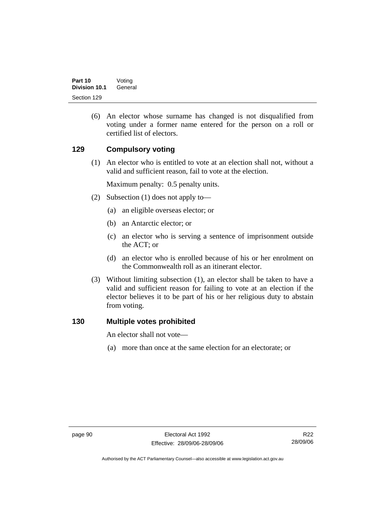(6) An elector whose surname has changed is not disqualified from voting under a former name entered for the person on a roll or certified list of electors.

### **129 Compulsory voting**

 (1) An elector who is entitled to vote at an election shall not, without a valid and sufficient reason, fail to vote at the election.

Maximum penalty: 0.5 penalty units.

- (2) Subsection (1) does not apply to—
	- (a) an eligible overseas elector; or
	- (b) an Antarctic elector; or
	- (c) an elector who is serving a sentence of imprisonment outside the ACT; or
	- (d) an elector who is enrolled because of his or her enrolment on the Commonwealth roll as an itinerant elector.
- (3) Without limiting subsection (1), an elector shall be taken to have a valid and sufficient reason for failing to vote at an election if the elector believes it to be part of his or her religious duty to abstain from voting.

### **130 Multiple votes prohibited**

An elector shall not vote—

(a) more than once at the same election for an electorate; or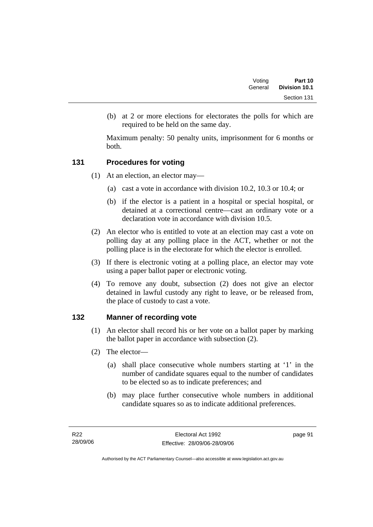(b) at 2 or more elections for electorates the polls for which are required to be held on the same day.

Maximum penalty: 50 penalty units, imprisonment for 6 months or both.

# **131 Procedures for voting**

- (1) At an election, an elector may—
	- (a) cast a vote in accordance with division 10.2, 10.3 or 10.4; or
	- (b) if the elector is a patient in a hospital or special hospital, or detained at a correctional centre—cast an ordinary vote or a declaration vote in accordance with division 10.5.
- (2) An elector who is entitled to vote at an election may cast a vote on polling day at any polling place in the ACT, whether or not the polling place is in the electorate for which the elector is enrolled.
- (3) If there is electronic voting at a polling place, an elector may vote using a paper ballot paper or electronic voting.
- (4) To remove any doubt, subsection (2) does not give an elector detained in lawful custody any right to leave, or be released from, the place of custody to cast a vote.

# **132 Manner of recording vote**

- (1) An elector shall record his or her vote on a ballot paper by marking the ballot paper in accordance with subsection (2).
- (2) The elector—
	- (a) shall place consecutive whole numbers starting at '1' in the number of candidate squares equal to the number of candidates to be elected so as to indicate preferences; and
	- (b) may place further consecutive whole numbers in additional candidate squares so as to indicate additional preferences.

page 91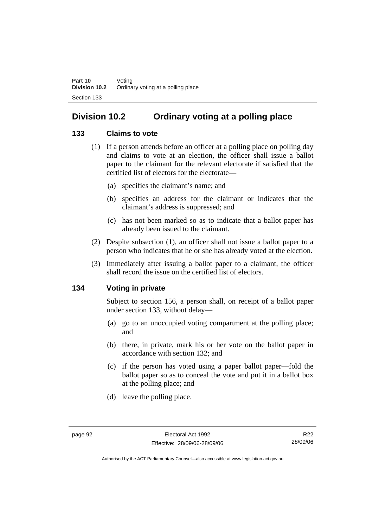# **Division 10.2 Ordinary voting at a polling place**

# **133 Claims to vote**

- (1) If a person attends before an officer at a polling place on polling day and claims to vote at an election, the officer shall issue a ballot paper to the claimant for the relevant electorate if satisfied that the certified list of electors for the electorate—
	- (a) specifies the claimant's name; and
	- (b) specifies an address for the claimant or indicates that the claimant's address is suppressed; and
	- (c) has not been marked so as to indicate that a ballot paper has already been issued to the claimant.
- (2) Despite subsection (1), an officer shall not issue a ballot paper to a person who indicates that he or she has already voted at the election.
- (3) Immediately after issuing a ballot paper to a claimant, the officer shall record the issue on the certified list of electors.

# **134 Voting in private**

Subject to section 156, a person shall, on receipt of a ballot paper under section 133, without delay—

- (a) go to an unoccupied voting compartment at the polling place; and
- (b) there, in private, mark his or her vote on the ballot paper in accordance with section 132; and
- (c) if the person has voted using a paper ballot paper—fold the ballot paper so as to conceal the vote and put it in a ballot box at the polling place; and
- (d) leave the polling place.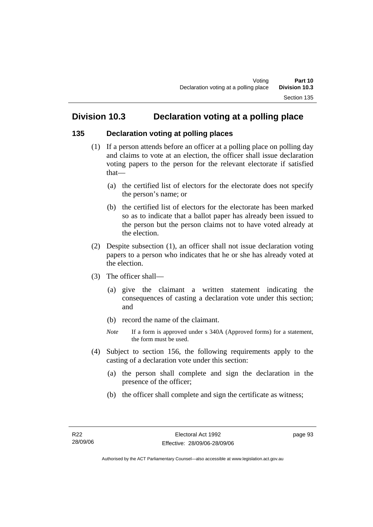# **Division 10.3 Declaration voting at a polling place**

# **135 Declaration voting at polling places**

- (1) If a person attends before an officer at a polling place on polling day and claims to vote at an election, the officer shall issue declaration voting papers to the person for the relevant electorate if satisfied that—
	- (a) the certified list of electors for the electorate does not specify the person's name; or
	- (b) the certified list of electors for the electorate has been marked so as to indicate that a ballot paper has already been issued to the person but the person claims not to have voted already at the election.
- (2) Despite subsection (1), an officer shall not issue declaration voting papers to a person who indicates that he or she has already voted at the election.
- (3) The officer shall—
	- (a) give the claimant a written statement indicating the consequences of casting a declaration vote under this section; and
	- (b) record the name of the claimant.
	- *Note* If a form is approved under s 340A (Approved forms) for a statement, the form must be used.
- (4) Subject to section 156, the following requirements apply to the casting of a declaration vote under this section:
	- (a) the person shall complete and sign the declaration in the presence of the officer;
	- (b) the officer shall complete and sign the certificate as witness;

page 93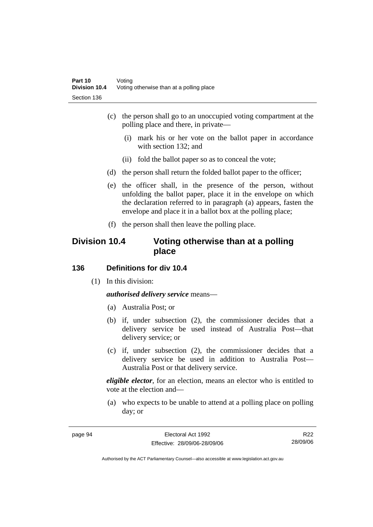- (c) the person shall go to an unoccupied voting compartment at the polling place and there, in private—
	- (i) mark his or her vote on the ballot paper in accordance with section 132; and
	- (ii) fold the ballot paper so as to conceal the vote;
- (d) the person shall return the folded ballot paper to the officer;
- (e) the officer shall, in the presence of the person, without unfolding the ballot paper, place it in the envelope on which the declaration referred to in paragraph (a) appears, fasten the envelope and place it in a ballot box at the polling place;
- (f) the person shall then leave the polling place.

# **Division 10.4 Voting otherwise than at a polling place**

#### **136 Definitions for div 10.4**

(1) In this division:

*authorised delivery service* means—

- (a) Australia Post; or
- (b) if, under subsection (2), the commissioner decides that a delivery service be used instead of Australia Post—that delivery service; or
- (c) if, under subsection (2), the commissioner decides that a delivery service be used in addition to Australia Post— Australia Post or that delivery service.

*eligible elector*, for an election, means an elector who is entitled to vote at the election and—

 (a) who expects to be unable to attend at a polling place on polling day; or

R22 28/09/06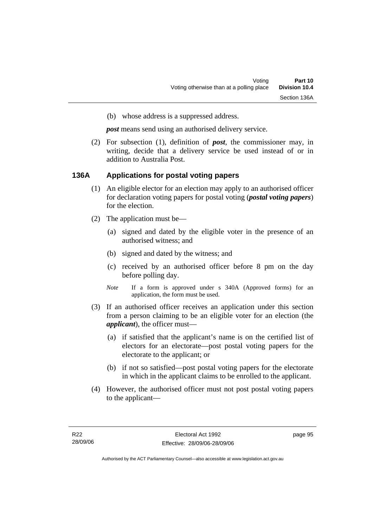(b) whose address is a suppressed address.

*post* means send using an authorised delivery service.

 (2) For subsection (1), definition of *post*, the commissioner may, in writing, decide that a delivery service be used instead of or in addition to Australia Post.

#### **136A Applications for postal voting papers**

- (1) An eligible elector for an election may apply to an authorised officer for declaration voting papers for postal voting (*postal voting papers*) for the election.
- (2) The application must be—
	- (a) signed and dated by the eligible voter in the presence of an authorised witness; and
	- (b) signed and dated by the witness; and
	- (c) received by an authorised officer before 8 pm on the day before polling day.
	- *Note* If a form is approved under s 340A (Approved forms) for an application, the form must be used.
- (3) If an authorised officer receives an application under this section from a person claiming to be an eligible voter for an election (the *applicant*), the officer must—
	- (a) if satisfied that the applicant's name is on the certified list of electors for an electorate—post postal voting papers for the electorate to the applicant; or
	- (b) if not so satisfied—post postal voting papers for the electorate in which in the applicant claims to be enrolled to the applicant.
- (4) However, the authorised officer must not post postal voting papers to the applicant—

page 95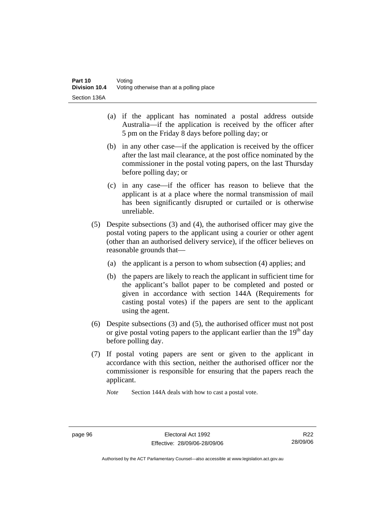- (a) if the applicant has nominated a postal address outside Australia—if the application is received by the officer after 5 pm on the Friday 8 days before polling day; or
- (b) in any other case—if the application is received by the officer after the last mail clearance, at the post office nominated by the commissioner in the postal voting papers, on the last Thursday before polling day; or
- (c) in any case—if the officer has reason to believe that the applicant is at a place where the normal transmission of mail has been significantly disrupted or curtailed or is otherwise unreliable.
- (5) Despite subsections (3) and (4), the authorised officer may give the postal voting papers to the applicant using a courier or other agent (other than an authorised delivery service), if the officer believes on reasonable grounds that—
	- (a) the applicant is a person to whom subsection (4) applies; and
	- (b) the papers are likely to reach the applicant in sufficient time for the applicant's ballot paper to be completed and posted or given in accordance with section 144A (Requirements for casting postal votes) if the papers are sent to the applicant using the agent.
- (6) Despite subsections (3) and (5), the authorised officer must not post or give postal voting papers to the applicant earlier than the  $19<sup>th</sup>$  day before polling day.
- (7) If postal voting papers are sent or given to the applicant in accordance with this section, neither the authorised officer nor the commissioner is responsible for ensuring that the papers reach the applicant.

*Note* Section 144A deals with how to cast a postal vote.

R22 28/09/06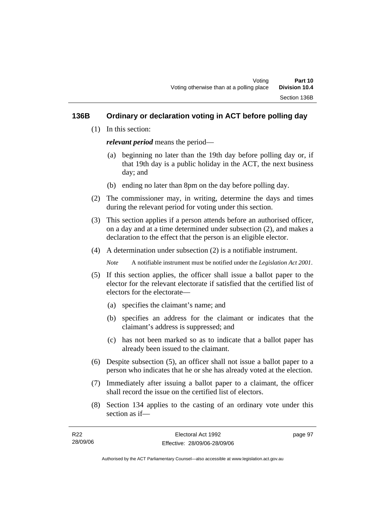# **136B Ordinary or declaration voting in ACT before polling day**

(1) In this section:

*relevant period* means the period—

- (a) beginning no later than the 19th day before polling day or, if that 19th day is a public holiday in the ACT, the next business day; and
- (b) ending no later than 8pm on the day before polling day.
- (2) The commissioner may, in writing, determine the days and times during the relevant period for voting under this section.
- (3) This section applies if a person attends before an authorised officer, on a day and at a time determined under subsection (2), and makes a declaration to the effect that the person is an eligible elector.
- (4) A determination under subsection (2) is a notifiable instrument.

*Note* A notifiable instrument must be notified under the *Legislation Act 2001*.

- (5) If this section applies, the officer shall issue a ballot paper to the elector for the relevant electorate if satisfied that the certified list of electors for the electorate—
	- (a) specifies the claimant's name; and
	- (b) specifies an address for the claimant or indicates that the claimant's address is suppressed; and
	- (c) has not been marked so as to indicate that a ballot paper has already been issued to the claimant.
- (6) Despite subsection (5), an officer shall not issue a ballot paper to a person who indicates that he or she has already voted at the election.
- (7) Immediately after issuing a ballot paper to a claimant, the officer shall record the issue on the certified list of electors.
- (8) Section 134 applies to the casting of an ordinary vote under this section as if—

| R22      | Electoral Act 1992           | page 97 |
|----------|------------------------------|---------|
| 28/09/06 | Effective: 28/09/06-28/09/06 |         |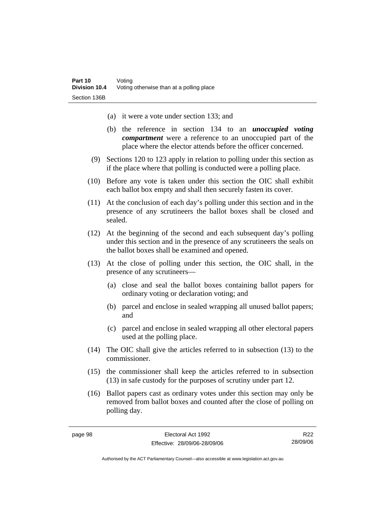- (a) it were a vote under section 133; and
- (b) the reference in section 134 to an *unoccupied voting compartment* were a reference to an unoccupied part of the place where the elector attends before the officer concerned.
- (9) Sections 120 to 123 apply in relation to polling under this section as if the place where that polling is conducted were a polling place.
- (10) Before any vote is taken under this section the OIC shall exhibit each ballot box empty and shall then securely fasten its cover.
- (11) At the conclusion of each day's polling under this section and in the presence of any scrutineers the ballot boxes shall be closed and sealed.
- (12) At the beginning of the second and each subsequent day's polling under this section and in the presence of any scrutineers the seals on the ballot boxes shall be examined and opened.
- (13) At the close of polling under this section, the OIC shall, in the presence of any scrutineers—
	- (a) close and seal the ballot boxes containing ballot papers for ordinary voting or declaration voting; and
	- (b) parcel and enclose in sealed wrapping all unused ballot papers; and
	- (c) parcel and enclose in sealed wrapping all other electoral papers used at the polling place.
- (14) The OIC shall give the articles referred to in subsection (13) to the commissioner.
- (15) the commissioner shall keep the articles referred to in subsection (13) in safe custody for the purposes of scrutiny under part 12.
- (16) Ballot papers cast as ordinary votes under this section may only be removed from ballot boxes and counted after the close of polling on polling day.

R22 28/09/06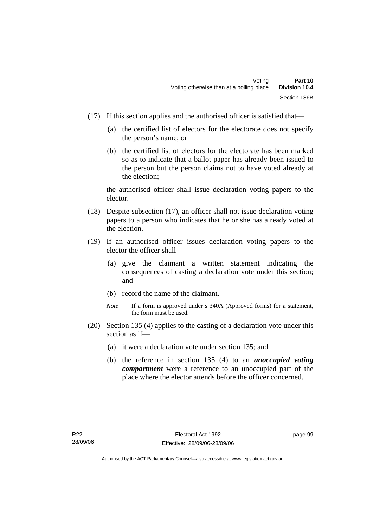- (17) If this section applies and the authorised officer is satisfied that—
	- (a) the certified list of electors for the electorate does not specify the person's name; or
	- (b) the certified list of electors for the electorate has been marked so as to indicate that a ballot paper has already been issued to the person but the person claims not to have voted already at the election;

the authorised officer shall issue declaration voting papers to the elector.

- (18) Despite subsection (17), an officer shall not issue declaration voting papers to a person who indicates that he or she has already voted at the election.
- (19) If an authorised officer issues declaration voting papers to the elector the officer shall—
	- (a) give the claimant a written statement indicating the consequences of casting a declaration vote under this section; and
	- (b) record the name of the claimant.
	- *Note* If a form is approved under s 340A (Approved forms) for a statement, the form must be used.
- (20) Section 135 (4) applies to the casting of a declaration vote under this section as if—
	- (a) it were a declaration vote under section 135; and
	- (b) the reference in section 135 (4) to an *unoccupied voting compartment* were a reference to an unoccupied part of the place where the elector attends before the officer concerned.

page 99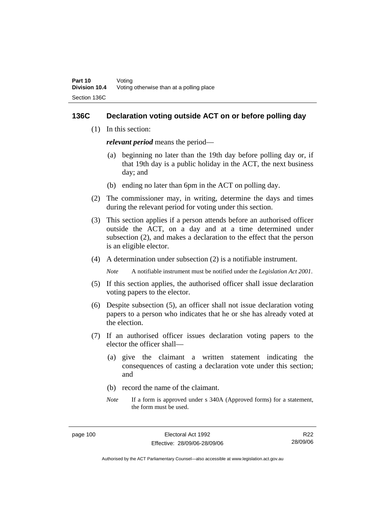## **136C Declaration voting outside ACT on or before polling day**

(1) In this section:

*relevant period* means the period—

- (a) beginning no later than the 19th day before polling day or, if that 19th day is a public holiday in the ACT, the next business day; and
- (b) ending no later than 6pm in the ACT on polling day.
- (2) The commissioner may, in writing, determine the days and times during the relevant period for voting under this section.
- (3) This section applies if a person attends before an authorised officer outside the ACT, on a day and at a time determined under subsection (2), and makes a declaration to the effect that the person is an eligible elector.
- (4) A determination under subsection (2) is a notifiable instrument.

*Note* A notifiable instrument must be notified under the *Legislation Act 2001*.

- (5) If this section applies, the authorised officer shall issue declaration voting papers to the elector.
- (6) Despite subsection (5), an officer shall not issue declaration voting papers to a person who indicates that he or she has already voted at the election.
- (7) If an authorised officer issues declaration voting papers to the elector the officer shall—
	- (a) give the claimant a written statement indicating the consequences of casting a declaration vote under this section; and
	- (b) record the name of the claimant.
	- *Note* If a form is approved under s 340A (Approved forms) for a statement, the form must be used.

R22 28/09/06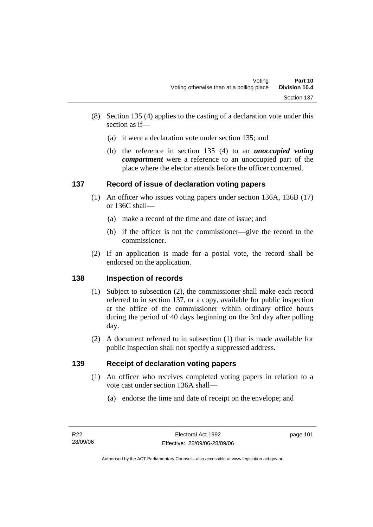- (8) Section 135 (4) applies to the casting of a declaration vote under this section as if—
	- (a) it were a declaration vote under section 135; and
	- (b) the reference in section 135 (4) to an *unoccupied voting compartment* were a reference to an unoccupied part of the place where the elector attends before the officer concerned.

# **137 Record of issue of declaration voting papers**

- (1) An officer who issues voting papers under section 136A, 136B (17) or 136C shall—
	- (a) make a record of the time and date of issue; and
	- (b) if the officer is not the commissioner—give the record to the commissioner.
- (2) If an application is made for a postal vote, the record shall be endorsed on the application.

# **138 Inspection of records**

- (1) Subject to subsection (2), the commissioner shall make each record referred to in section 137, or a copy, available for public inspection at the office of the commissioner within ordinary office hours during the period of 40 days beginning on the 3rd day after polling day.
- (2) A document referred to in subsection (1) that is made available for public inspection shall not specify a suppressed address.

# **139 Receipt of declaration voting papers**

- (1) An officer who receives completed voting papers in relation to a vote cast under section 136A shall—
	- (a) endorse the time and date of receipt on the envelope; and

page 101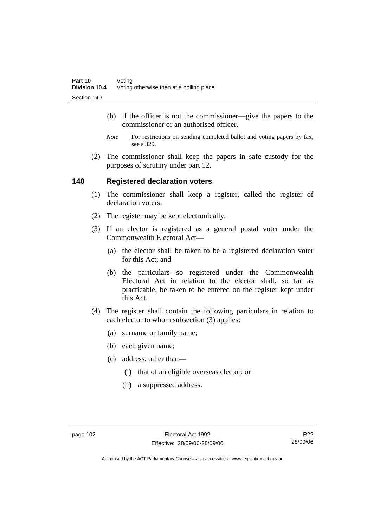- (b) if the officer is not the commissioner—give the papers to the commissioner or an authorised officer.
- *Note* For restrictions on sending completed ballot and voting papers by fax, see s 329.
- (2) The commissioner shall keep the papers in safe custody for the purposes of scrutiny under part 12.

### **140 Registered declaration voters**

- (1) The commissioner shall keep a register, called the register of declaration voters.
- (2) The register may be kept electronically.
- (3) If an elector is registered as a general postal voter under the Commonwealth Electoral Act—
	- (a) the elector shall be taken to be a registered declaration voter for this Act; and
	- (b) the particulars so registered under the Commonwealth Electoral Act in relation to the elector shall, so far as practicable, be taken to be entered on the register kept under this Act.
- (4) The register shall contain the following particulars in relation to each elector to whom subsection (3) applies:
	- (a) surname or family name;
	- (b) each given name;
	- (c) address, other than—
		- (i) that of an eligible overseas elector; or
		- (ii) a suppressed address.

R22 28/09/06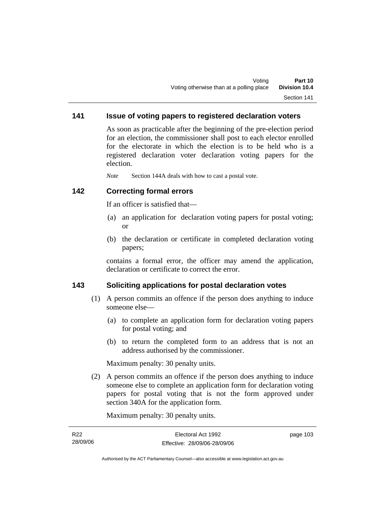# **141 Issue of voting papers to registered declaration voters**

As soon as practicable after the beginning of the pre-election period for an election, the commissioner shall post to each elector enrolled for the electorate in which the election is to be held who is a registered declaration voter declaration voting papers for the election.

*Note* Section 144A deals with how to cast a postal vote.

### **142 Correcting formal errors**

If an officer is satisfied that—

- (a) an application for declaration voting papers for postal voting; or
- (b) the declaration or certificate in completed declaration voting papers;

contains a formal error, the officer may amend the application, declaration or certificate to correct the error.

## **143 Soliciting applications for postal declaration votes**

- (1) A person commits an offence if the person does anything to induce someone else—
	- (a) to complete an application form for declaration voting papers for postal voting; and
	- (b) to return the completed form to an address that is not an address authorised by the commissioner.

Maximum penalty: 30 penalty units.

 (2) A person commits an offence if the person does anything to induce someone else to complete an application form for declaration voting papers for postal voting that is not the form approved under section 340A for the application form.

Maximum penalty: 30 penalty units.

| R22      | Electoral Act 1992           | page 103 |
|----------|------------------------------|----------|
| 28/09/06 | Effective: 28/09/06-28/09/06 |          |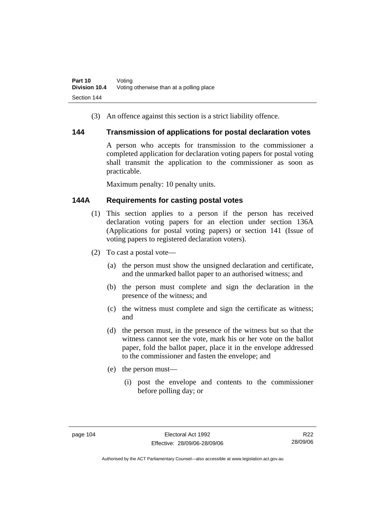(3) An offence against this section is a strict liability offence.

### **144 Transmission of applications for postal declaration votes**

A person who accepts for transmission to the commissioner a completed application for declaration voting papers for postal voting shall transmit the application to the commissioner as soon as practicable.

Maximum penalty: 10 penalty units.

# **144A Requirements for casting postal votes**

- (1) This section applies to a person if the person has received declaration voting papers for an election under section 136A (Applications for postal voting papers) or section 141 (Issue of voting papers to registered declaration voters).
- (2) To cast a postal vote—
	- (a) the person must show the unsigned declaration and certificate, and the unmarked ballot paper to an authorised witness; and
	- (b) the person must complete and sign the declaration in the presence of the witness; and
	- (c) the witness must complete and sign the certificate as witness; and
	- (d) the person must, in the presence of the witness but so that the witness cannot see the vote, mark his or her vote on the ballot paper, fold the ballot paper, place it in the envelope addressed to the commissioner and fasten the envelope; and
	- (e) the person must—
		- (i) post the envelope and contents to the commissioner before polling day; or

R22 28/09/06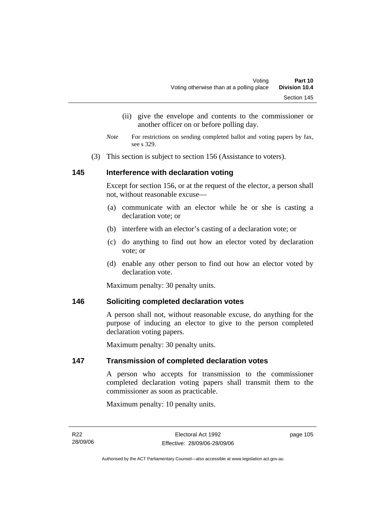- (ii) give the envelope and contents to the commissioner or another officer on or before polling day.
- *Note* For restrictions on sending completed ballot and voting papers by fax, see s 329.
- (3) This section is subject to section 156 (Assistance to voters).

# **145 Interference with declaration voting**

Except for section 156, or at the request of the elector, a person shall not, without reasonable excuse—

- (a) communicate with an elector while he or she is casting a declaration vote; or
- (b) interfere with an elector's casting of a declaration vote; or
- (c) do anything to find out how an elector voted by declaration vote; or
- (d) enable any other person to find out how an elector voted by declaration vote.

Maximum penalty: 30 penalty units.

### **146 Soliciting completed declaration votes**

A person shall not, without reasonable excuse, do anything for the purpose of inducing an elector to give to the person completed declaration voting papers.

Maximum penalty: 30 penalty units.

### **147 Transmission of completed declaration votes**

A person who accepts for transmission to the commissioner completed declaration voting papers shall transmit them to the commissioner as soon as practicable.

Maximum penalty: 10 penalty units.

page 105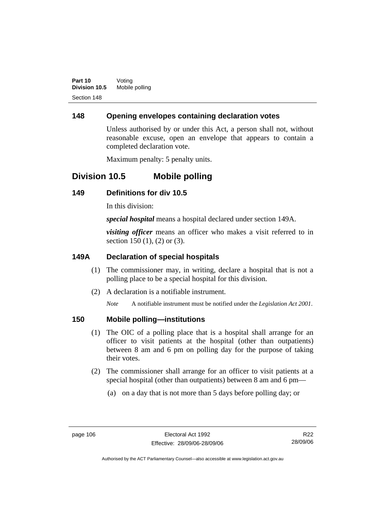# **148 Opening envelopes containing declaration votes**

Unless authorised by or under this Act, a person shall not, without reasonable excuse, open an envelope that appears to contain a completed declaration vote.

Maximum penalty: 5 penalty units.

# **Division 10.5 Mobile polling**

# **149 Definitions for div 10.5**

In this division:

*special hospital* means a hospital declared under section 149A.

*visiting officer* means an officer who makes a visit referred to in section 150 (1), (2) or (3).

# **149A Declaration of special hospitals**

- (1) The commissioner may, in writing, declare a hospital that is not a polling place to be a special hospital for this division.
- (2) A declaration is a notifiable instrument.

*Note* A notifiable instrument must be notified under the *Legislation Act 2001*.

# **150 Mobile polling—institutions**

- (1) The OIC of a polling place that is a hospital shall arrange for an officer to visit patients at the hospital (other than outpatients) between 8 am and 6 pm on polling day for the purpose of taking their votes.
- (2) The commissioner shall arrange for an officer to visit patients at a special hospital (other than outpatients) between 8 am and 6 pm—
	- (a) on a day that is not more than 5 days before polling day; or

R22 28/09/06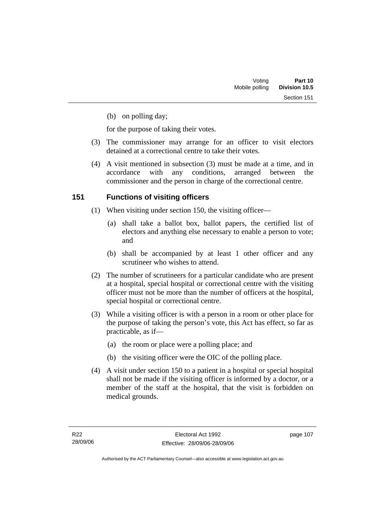(b) on polling day;

for the purpose of taking their votes.

- (3) The commissioner may arrange for an officer to visit electors detained at a correctional centre to take their votes.
- (4) A visit mentioned in subsection (3) must be made at a time, and in accordance with any conditions, arranged between the commissioner and the person in charge of the correctional centre.

# **151 Functions of visiting officers**

- (1) When visiting under section 150, the visiting officer—
	- (a) shall take a ballot box, ballot papers, the certified list of electors and anything else necessary to enable a person to vote; and
	- (b) shall be accompanied by at least 1 other officer and any scrutineer who wishes to attend.
- (2) The number of scrutineers for a particular candidate who are present at a hospital, special hospital or correctional centre with the visiting officer must not be more than the number of officers at the hospital, special hospital or correctional centre.
- (3) While a visiting officer is with a person in a room or other place for the purpose of taking the person's vote, this Act has effect, so far as practicable, as if—
	- (a) the room or place were a polling place; and
	- (b) the visiting officer were the OIC of the polling place.
- (4) A visit under section 150 to a patient in a hospital or special hospital shall not be made if the visiting officer is informed by a doctor, or a member of the staff at the hospital, that the visit is forbidden on medical grounds.

page 107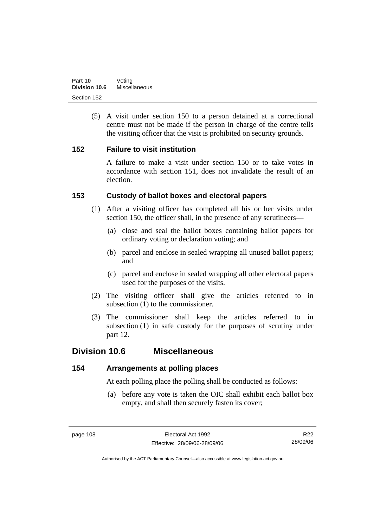(5) A visit under section 150 to a person detained at a correctional centre must not be made if the person in charge of the centre tells the visiting officer that the visit is prohibited on security grounds.

# **152 Failure to visit institution**

A failure to make a visit under section 150 or to take votes in accordance with section 151, does not invalidate the result of an election.

# **153 Custody of ballot boxes and electoral papers**

- (1) After a visiting officer has completed all his or her visits under section 150, the officer shall, in the presence of any scrutineers—
	- (a) close and seal the ballot boxes containing ballot papers for ordinary voting or declaration voting; and
	- (b) parcel and enclose in sealed wrapping all unused ballot papers; and
	- (c) parcel and enclose in sealed wrapping all other electoral papers used for the purposes of the visits.
- (2) The visiting officer shall give the articles referred to in subsection (1) to the commissioner.
- (3) The commissioner shall keep the articles referred to in subsection (1) in safe custody for the purposes of scrutiny under part 12.

# **Division 10.6 Miscellaneous**

# **154 Arrangements at polling places**

At each polling place the polling shall be conducted as follows:

 (a) before any vote is taken the OIC shall exhibit each ballot box empty, and shall then securely fasten its cover;

R22 28/09/06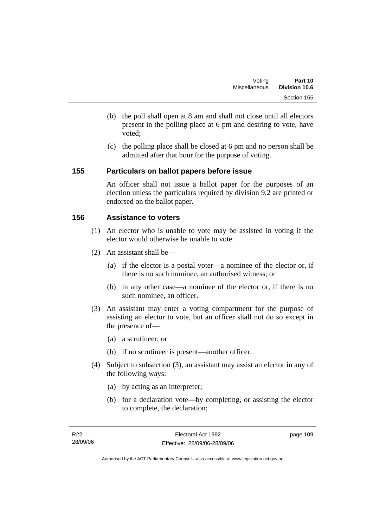- (b) the poll shall open at 8 am and shall not close until all electors present in the polling place at 6 pm and desiring to vote, have voted;
- (c) the polling place shall be closed at 6 pm and no person shall be admitted after that hour for the purpose of voting.

# **155 Particulars on ballot papers before issue**

An officer shall not issue a ballot paper for the purposes of an election unless the particulars required by division 9.2 are printed or endorsed on the ballot paper.

# **156 Assistance to voters**

- (1) An elector who is unable to vote may be assisted in voting if the elector would otherwise be unable to vote.
- (2) An assistant shall be—
	- (a) if the elector is a postal voter—a nominee of the elector or, if there is no such nominee, an authorised witness; or
	- (b) in any other case—a nominee of the elector or, if there is no such nominee, an officer.
- (3) An assistant may enter a voting compartment for the purpose of assisting an elector to vote, but an officer shall not do so except in the presence of—
	- (a) a scrutineer; or
	- (b) if no scrutineer is present—another officer.
- (4) Subject to subsection (3), an assistant may assist an elector in any of the following ways:
	- (a) by acting as an interpreter;
	- (b) for a declaration vote—by completing, or assisting the elector to complete, the declaration;

page 109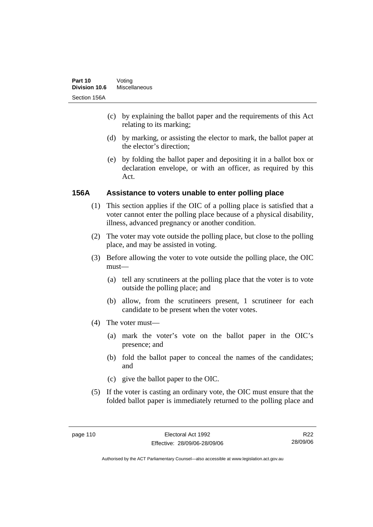- (c) by explaining the ballot paper and the requirements of this Act relating to its marking;
- (d) by marking, or assisting the elector to mark, the ballot paper at the elector's direction;
- (e) by folding the ballot paper and depositing it in a ballot box or declaration envelope, or with an officer, as required by this Act.

# **156A Assistance to voters unable to enter polling place**

- (1) This section applies if the OIC of a polling place is satisfied that a voter cannot enter the polling place because of a physical disability, illness, advanced pregnancy or another condition.
- (2) The voter may vote outside the polling place, but close to the polling place, and may be assisted in voting.
- (3) Before allowing the voter to vote outside the polling place, the OIC must—
	- (a) tell any scrutineers at the polling place that the voter is to vote outside the polling place; and
	- (b) allow, from the scrutineers present, 1 scrutineer for each candidate to be present when the voter votes.
- (4) The voter must—
	- (a) mark the voter's vote on the ballot paper in the OIC's presence; and
	- (b) fold the ballot paper to conceal the names of the candidates; and
	- (c) give the ballot paper to the OIC.
- (5) If the voter is casting an ordinary vote, the OIC must ensure that the folded ballot paper is immediately returned to the polling place and

R22 28/09/06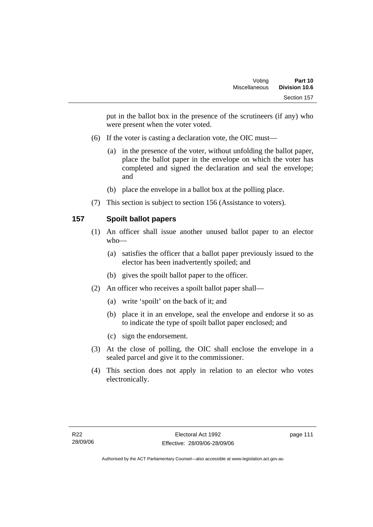put in the ballot box in the presence of the scrutineers (if any) who were present when the voter voted.

- (6) If the voter is casting a declaration vote, the OIC must—
	- (a) in the presence of the voter, without unfolding the ballot paper, place the ballot paper in the envelope on which the voter has completed and signed the declaration and seal the envelope; and
	- (b) place the envelope in a ballot box at the polling place.
- (7) This section is subject to section 156 (Assistance to voters).

# **157 Spoilt ballot papers**

- (1) An officer shall issue another unused ballot paper to an elector who—
	- (a) satisfies the officer that a ballot paper previously issued to the elector has been inadvertently spoiled; and
	- (b) gives the spoilt ballot paper to the officer.
- (2) An officer who receives a spoilt ballot paper shall—
	- (a) write 'spoilt' on the back of it; and
	- (b) place it in an envelope, seal the envelope and endorse it so as to indicate the type of spoilt ballot paper enclosed; and
	- (c) sign the endorsement.
- (3) At the close of polling, the OIC shall enclose the envelope in a sealed parcel and give it to the commissioner.
- (4) This section does not apply in relation to an elector who votes electronically.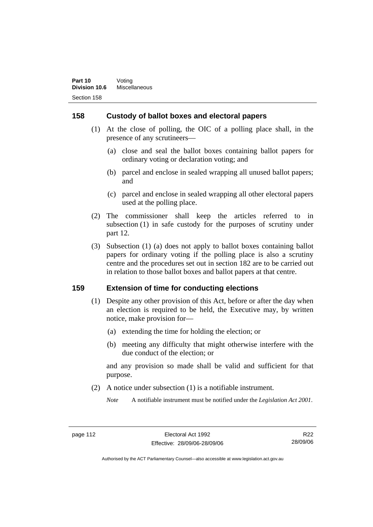# **158 Custody of ballot boxes and electoral papers**

- (1) At the close of polling, the OIC of a polling place shall, in the presence of any scrutineers—
	- (a) close and seal the ballot boxes containing ballot papers for ordinary voting or declaration voting; and
	- (b) parcel and enclose in sealed wrapping all unused ballot papers; and
	- (c) parcel and enclose in sealed wrapping all other electoral papers used at the polling place.
- (2) The commissioner shall keep the articles referred to in subsection (1) in safe custody for the purposes of scrutiny under part 12.
- (3) Subsection (1) (a) does not apply to ballot boxes containing ballot papers for ordinary voting if the polling place is also a scrutiny centre and the procedures set out in section 182 are to be carried out in relation to those ballot boxes and ballot papers at that centre.

### **159 Extension of time for conducting elections**

- (1) Despite any other provision of this Act, before or after the day when an election is required to be held, the Executive may, by written notice, make provision for—
	- (a) extending the time for holding the election; or
	- (b) meeting any difficulty that might otherwise interfere with the due conduct of the election; or

and any provision so made shall be valid and sufficient for that purpose.

(2) A notice under subsection (1) is a notifiable instrument.

*Note* A notifiable instrument must be notified under the *Legislation Act 2001*.

R22 28/09/06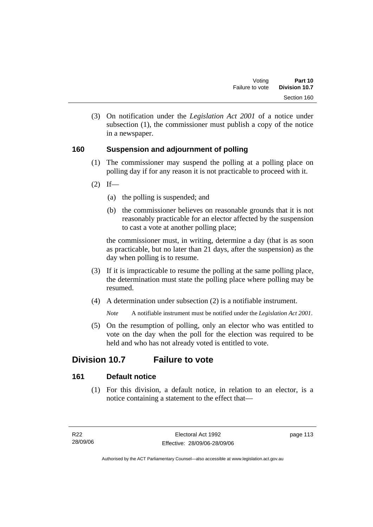(3) On notification under the *Legislation Act 2001* of a notice under subsection (1), the commissioner must publish a copy of the notice in a newspaper.

# **160 Suspension and adjournment of polling**

- (1) The commissioner may suspend the polling at a polling place on polling day if for any reason it is not practicable to proceed with it.
- $(2)$  If—
	- (a) the polling is suspended; and
	- (b) the commissioner believes on reasonable grounds that it is not reasonably practicable for an elector affected by the suspension to cast a vote at another polling place;

the commissioner must, in writing, determine a day (that is as soon as practicable, but no later than 21 days, after the suspension) as the day when polling is to resume.

- (3) If it is impracticable to resume the polling at the same polling place, the determination must state the polling place where polling may be resumed.
- (4) A determination under subsection (2) is a notifiable instrument.

*Note* A notifiable instrument must be notified under the *Legislation Act 2001*.

 (5) On the resumption of polling, only an elector who was entitled to vote on the day when the poll for the election was required to be held and who has not already voted is entitled to vote.

# **Division 10.7 Failure to vote**

# **161 Default notice**

 (1) For this division, a default notice, in relation to an elector, is a notice containing a statement to the effect that—

page 113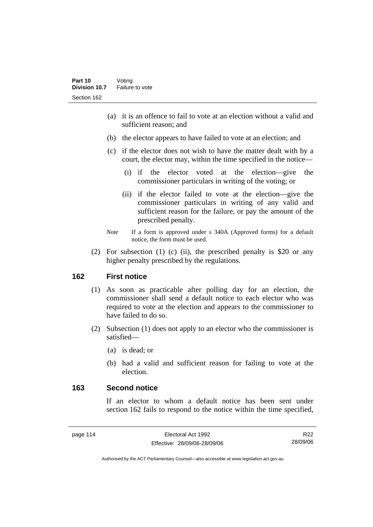- (a) it is an offence to fail to vote at an election without a valid and sufficient reason; and
- (b) the elector appears to have failed to vote at an election; and
- (c) if the elector does not wish to have the matter dealt with by a court, the elector may, within the time specified in the notice—
	- (i) if the elector voted at the election—give the commissioner particulars in writing of the voting; or
	- (ii) if the elector failed to vote at the election—give the commissioner particulars in writing of any valid and sufficient reason for the failure, or pay the amount of the prescribed penalty.
- *Note* If a form is approved under s 340A (Approved forms) for a default notice, the form must be used.
- (2) For subsection (1) (c) (ii), the prescribed penalty is \$20 or any higher penalty prescribed by the regulations.

# **162 First notice**

- (1) As soon as practicable after polling day for an election, the commissioner shall send a default notice to each elector who was required to vote at the election and appears to the commissioner to have failed to do so.
- (2) Subsection (1) does not apply to an elector who the commissioner is satisfied—
	- (a) is dead; or
	- (b) had a valid and sufficient reason for failing to vote at the election.

# **163 Second notice**

If an elector to whom a default notice has been sent under section 162 fails to respond to the notice within the time specified,

R22 28/09/06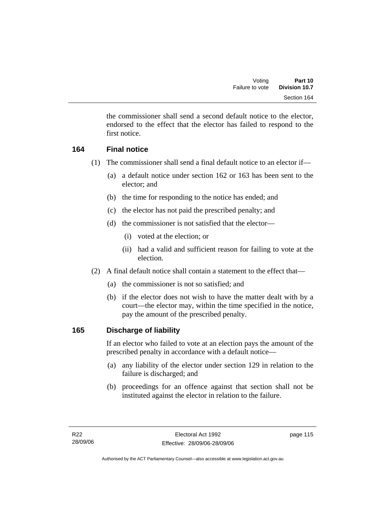the commissioner shall send a second default notice to the elector, endorsed to the effect that the elector has failed to respond to the first notice.

# **164 Final notice**

- (1) The commissioner shall send a final default notice to an elector if—
	- (a) a default notice under section 162 or 163 has been sent to the elector; and
	- (b) the time for responding to the notice has ended; and
	- (c) the elector has not paid the prescribed penalty; and
	- (d) the commissioner is not satisfied that the elector—
		- (i) voted at the election; or
		- (ii) had a valid and sufficient reason for failing to vote at the election.
- (2) A final default notice shall contain a statement to the effect that—
	- (a) the commissioner is not so satisfied; and
	- (b) if the elector does not wish to have the matter dealt with by a court—the elector may, within the time specified in the notice, pay the amount of the prescribed penalty.

# **165 Discharge of liability**

If an elector who failed to vote at an election pays the amount of the prescribed penalty in accordance with a default notice—

- (a) any liability of the elector under section 129 in relation to the failure is discharged; and
- (b) proceedings for an offence against that section shall not be instituted against the elector in relation to the failure.

page 115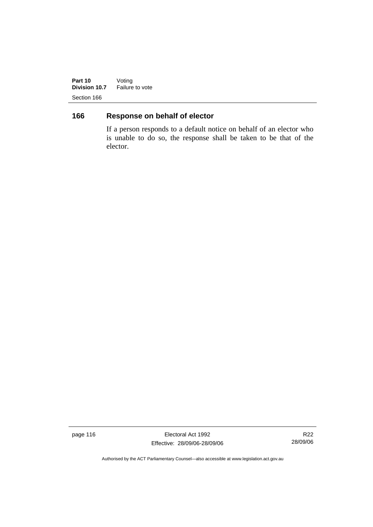**Part 10** Voting **Division 10.7** Failure to vote Section 166

# **166 Response on behalf of elector**

If a person responds to a default notice on behalf of an elector who is unable to do so, the response shall be taken to be that of the elector.

page 116 **Electoral Act 1992** Effective: 28/09/06-28/09/06

R22 28/09/06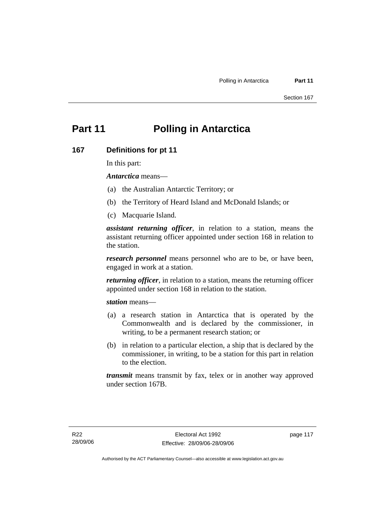# **Part 11 Polling in Antarctica**

#### **167 Definitions for pt 11**

In this part:

*Antarctica* means—

- (a) the Australian Antarctic Territory; or
- (b) the Territory of Heard Island and McDonald Islands; or
- (c) Macquarie Island.

*assistant returning officer*, in relation to a station, means the assistant returning officer appointed under section 168 in relation to the station.

*research personnel* means personnel who are to be, or have been, engaged in work at a station.

*returning officer*, in relation to a station, means the returning officer appointed under section 168 in relation to the station.

*station* means—

- (a) a research station in Antarctica that is operated by the Commonwealth and is declared by the commissioner, in writing, to be a permanent research station; or
- (b) in relation to a particular election, a ship that is declared by the commissioner, in writing, to be a station for this part in relation to the election.

*transmit* means transmit by fax, telex or in another way approved under section 167B.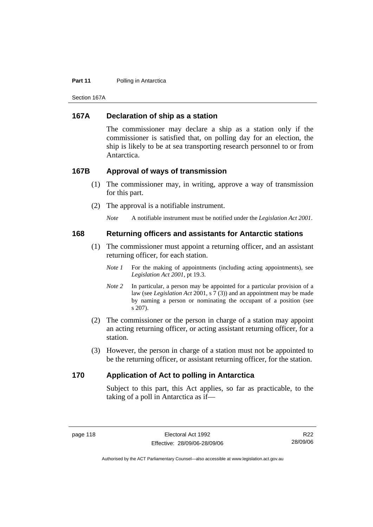#### **Part 11** Polling in Antarctica

Section 167A

## **167A Declaration of ship as a station**

The commissioner may declare a ship as a station only if the commissioner is satisfied that, on polling day for an election, the ship is likely to be at sea transporting research personnel to or from Antarctica.

#### **167B Approval of ways of transmission**

- (1) The commissioner may, in writing, approve a way of transmission for this part.
- (2) The approval is a notifiable instrument.

*Note* A notifiable instrument must be notified under the *Legislation Act 2001*.

#### **168 Returning officers and assistants for Antarctic stations**

- (1) The commissioner must appoint a returning officer, and an assistant returning officer, for each station.
	- *Note 1* For the making of appointments (including acting appointments), see *Legislation Act 2001*, pt 19.3.
	- *Note 2* In particular, a person may be appointed for a particular provision of a law (see *Legislation Act* 2001, s 7 (3)) and an appointment may be made by naming a person or nominating the occupant of a position (see s 207).
- (2) The commissioner or the person in charge of a station may appoint an acting returning officer, or acting assistant returning officer, for a station.
- (3) However, the person in charge of a station must not be appointed to be the returning officer, or assistant returning officer, for the station.

#### **170 Application of Act to polling in Antarctica**

Subject to this part, this Act applies, so far as practicable, to the taking of a poll in Antarctica as if—

R22 28/09/06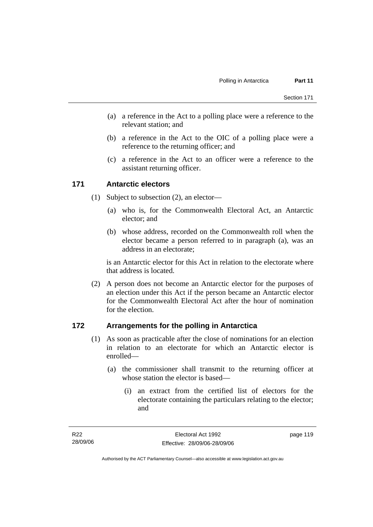- (a) a reference in the Act to a polling place were a reference to the relevant station; and
- (b) a reference in the Act to the OIC of a polling place were a reference to the returning officer; and
- (c) a reference in the Act to an officer were a reference to the assistant returning officer.

#### **171 Antarctic electors**

- (1) Subject to subsection (2), an elector—
	- (a) who is, for the Commonwealth Electoral Act, an Antarctic elector; and
	- (b) whose address, recorded on the Commonwealth roll when the elector became a person referred to in paragraph (a), was an address in an electorate;

is an Antarctic elector for this Act in relation to the electorate where that address is located.

 (2) A person does not become an Antarctic elector for the purposes of an election under this Act if the person became an Antarctic elector for the Commonwealth Electoral Act after the hour of nomination for the election.

#### **172 Arrangements for the polling in Antarctica**

- (1) As soon as practicable after the close of nominations for an election in relation to an electorate for which an Antarctic elector is enrolled—
	- (a) the commissioner shall transmit to the returning officer at whose station the elector is based—
		- (i) an extract from the certified list of electors for the electorate containing the particulars relating to the elector; and

page 119

Authorised by the ACT Parliamentary Counsel—also accessible at www.legislation.act.gov.au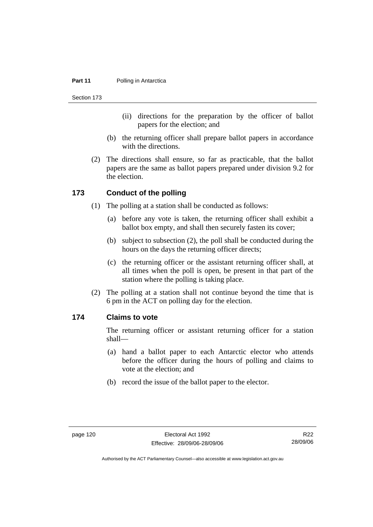#### **Part 11** Polling in Antarctica

Section 173

- (ii) directions for the preparation by the officer of ballot papers for the election; and
- (b) the returning officer shall prepare ballot papers in accordance with the directions.
- (2) The directions shall ensure, so far as practicable, that the ballot papers are the same as ballot papers prepared under division 9.2 for the election.

#### **173 Conduct of the polling**

- (1) The polling at a station shall be conducted as follows:
	- (a) before any vote is taken, the returning officer shall exhibit a ballot box empty, and shall then securely fasten its cover;
	- (b) subject to subsection (2), the poll shall be conducted during the hours on the days the returning officer directs;
	- (c) the returning officer or the assistant returning officer shall, at all times when the poll is open, be present in that part of the station where the polling is taking place.
- (2) The polling at a station shall not continue beyond the time that is 6 pm in the ACT on polling day for the election.

## **174 Claims to vote**

The returning officer or assistant returning officer for a station shall—

- (a) hand a ballot paper to each Antarctic elector who attends before the officer during the hours of polling and claims to vote at the election; and
- (b) record the issue of the ballot paper to the elector.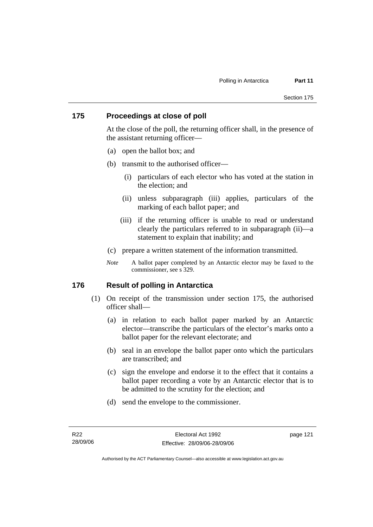### **175 Proceedings at close of poll**

At the close of the poll, the returning officer shall, in the presence of the assistant returning officer—

- (a) open the ballot box; and
- (b) transmit to the authorised officer—
	- (i) particulars of each elector who has voted at the station in the election; and
	- (ii) unless subparagraph (iii) applies, particulars of the marking of each ballot paper; and
	- (iii) if the returning officer is unable to read or understand clearly the particulars referred to in subparagraph (ii)—a statement to explain that inability; and
- (c) prepare a written statement of the information transmitted.
- *Note* A ballot paper completed by an Antarctic elector may be faxed to the commissioner, see s 329.

#### **176 Result of polling in Antarctica**

- (1) On receipt of the transmission under section 175, the authorised officer shall—
	- (a) in relation to each ballot paper marked by an Antarctic elector—transcribe the particulars of the elector's marks onto a ballot paper for the relevant electorate; and
	- (b) seal in an envelope the ballot paper onto which the particulars are transcribed; and
	- (c) sign the envelope and endorse it to the effect that it contains a ballot paper recording a vote by an Antarctic elector that is to be admitted to the scrutiny for the election; and
	- (d) send the envelope to the commissioner.

page 121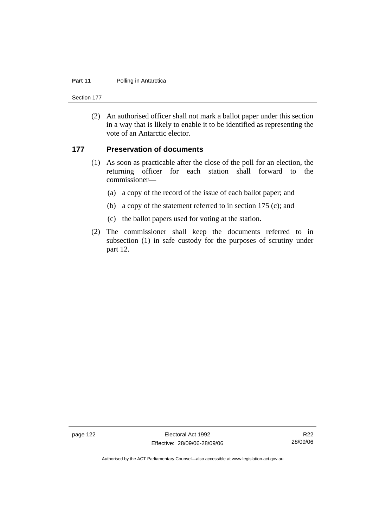#### **Part 11** Polling in Antarctica

Section 177

 (2) An authorised officer shall not mark a ballot paper under this section in a way that is likely to enable it to be identified as representing the vote of an Antarctic elector.

#### **177 Preservation of documents**

- (1) As soon as practicable after the close of the poll for an election, the returning officer for each station shall forward to the commissioner—
	- (a) a copy of the record of the issue of each ballot paper; and
	- (b) a copy of the statement referred to in section 175 (c); and
	- (c) the ballot papers used for voting at the station.
- (2) The commissioner shall keep the documents referred to in subsection (1) in safe custody for the purposes of scrutiny under part 12.

page 122 Electoral Act 1992 Effective: 28/09/06-28/09/06

R22 28/09/06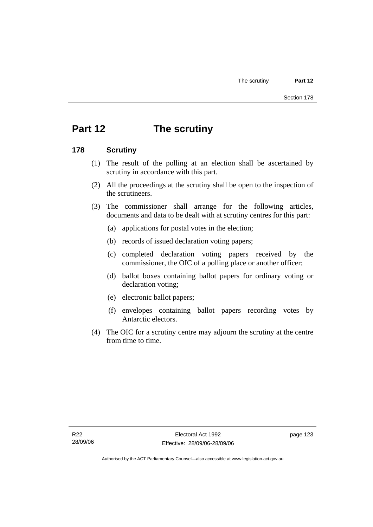# **Part 12 The scrutiny**

### **178 Scrutiny**

- (1) The result of the polling at an election shall be ascertained by scrutiny in accordance with this part.
- (2) All the proceedings at the scrutiny shall be open to the inspection of the scrutineers.
- (3) The commissioner shall arrange for the following articles, documents and data to be dealt with at scrutiny centres for this part:
	- (a) applications for postal votes in the election;
	- (b) records of issued declaration voting papers;
	- (c) completed declaration voting papers received by the commissioner, the OIC of a polling place or another officer;
	- (d) ballot boxes containing ballot papers for ordinary voting or declaration voting;
	- (e) electronic ballot papers;
	- (f) envelopes containing ballot papers recording votes by Antarctic electors.
- (4) The OIC for a scrutiny centre may adjourn the scrutiny at the centre from time to time.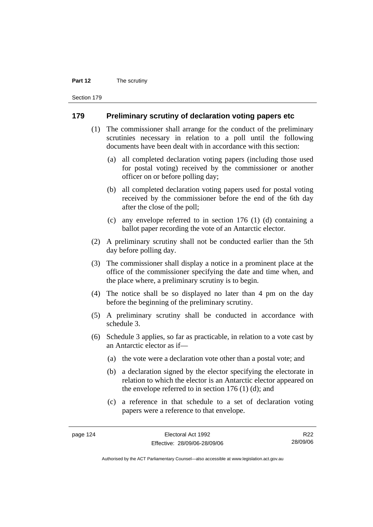#### **Part 12** The scrutiny

Section 179

#### **179 Preliminary scrutiny of declaration voting papers etc**

- (1) The commissioner shall arrange for the conduct of the preliminary scrutinies necessary in relation to a poll until the following documents have been dealt with in accordance with this section:
	- (a) all completed declaration voting papers (including those used for postal voting) received by the commissioner or another officer on or before polling day;
	- (b) all completed declaration voting papers used for postal voting received by the commissioner before the end of the 6th day after the close of the poll;
	- (c) any envelope referred to in section 176 (1) (d) containing a ballot paper recording the vote of an Antarctic elector.
- (2) A preliminary scrutiny shall not be conducted earlier than the 5th day before polling day.
- (3) The commissioner shall display a notice in a prominent place at the office of the commissioner specifying the date and time when, and the place where, a preliminary scrutiny is to begin.
- (4) The notice shall be so displayed no later than 4 pm on the day before the beginning of the preliminary scrutiny.
- (5) A preliminary scrutiny shall be conducted in accordance with schedule 3.
- (6) Schedule 3 applies, so far as practicable, in relation to a vote cast by an Antarctic elector as if—
	- (a) the vote were a declaration vote other than a postal vote; and
	- (b) a declaration signed by the elector specifying the electorate in relation to which the elector is an Antarctic elector appeared on the envelope referred to in section 176 (1) (d); and
	- (c) a reference in that schedule to a set of declaration voting papers were a reference to that envelope.

R22 28/09/06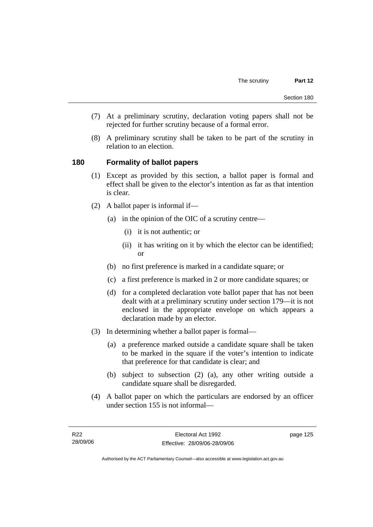- (7) At a preliminary scrutiny, declaration voting papers shall not be rejected for further scrutiny because of a formal error.
- (8) A preliminary scrutiny shall be taken to be part of the scrutiny in relation to an election.

### **180 Formality of ballot papers**

- (1) Except as provided by this section, a ballot paper is formal and effect shall be given to the elector's intention as far as that intention is clear.
- (2) A ballot paper is informal if—
	- (a) in the opinion of the OIC of a scrutiny centre—
		- (i) it is not authentic; or
		- (ii) it has writing on it by which the elector can be identified; or
	- (b) no first preference is marked in a candidate square; or
	- (c) a first preference is marked in 2 or more candidate squares; or
	- (d) for a completed declaration vote ballot paper that has not been dealt with at a preliminary scrutiny under section 179—it is not enclosed in the appropriate envelope on which appears a declaration made by an elector.
- (3) In determining whether a ballot paper is formal—
	- (a) a preference marked outside a candidate square shall be taken to be marked in the square if the voter's intention to indicate that preference for that candidate is clear; and
	- (b) subject to subsection (2) (a), any other writing outside a candidate square shall be disregarded.
- (4) A ballot paper on which the particulars are endorsed by an officer under section 155 is not informal—

page 125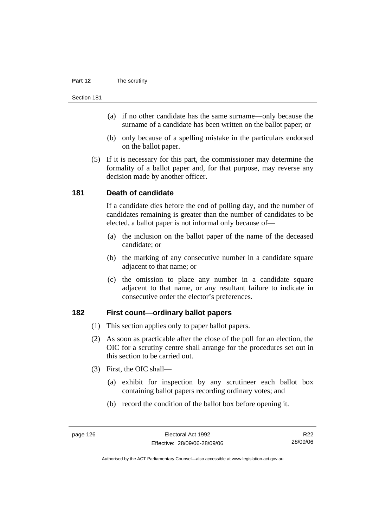#### **Part 12** The scrutiny

#### Section 181

- (a) if no other candidate has the same surname—only because the surname of a candidate has been written on the ballot paper; or
- (b) only because of a spelling mistake in the particulars endorsed on the ballot paper.
- (5) If it is necessary for this part, the commissioner may determine the formality of a ballot paper and, for that purpose, may reverse any decision made by another officer.

#### **181 Death of candidate**

If a candidate dies before the end of polling day, and the number of candidates remaining is greater than the number of candidates to be elected, a ballot paper is not informal only because of—

- (a) the inclusion on the ballot paper of the name of the deceased candidate; or
- (b) the marking of any consecutive number in a candidate square adjacent to that name; or
- (c) the omission to place any number in a candidate square adjacent to that name, or any resultant failure to indicate in consecutive order the elector's preferences.

#### **182 First count—ordinary ballot papers**

- (1) This section applies only to paper ballot papers.
- (2) As soon as practicable after the close of the poll for an election, the OIC for a scrutiny centre shall arrange for the procedures set out in this section to be carried out.
- (3) First, the OIC shall—
	- (a) exhibit for inspection by any scrutineer each ballot box containing ballot papers recording ordinary votes; and
	- (b) record the condition of the ballot box before opening it.

R22 28/09/06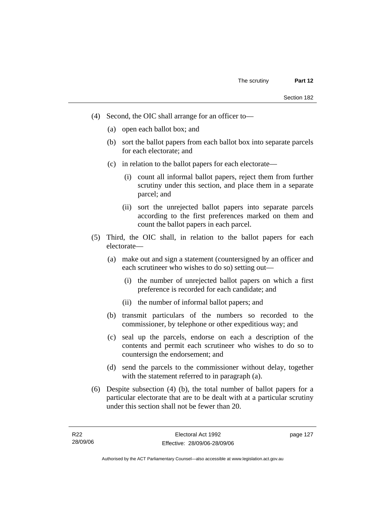- (4) Second, the OIC shall arrange for an officer to—
	- (a) open each ballot box; and
	- (b) sort the ballot papers from each ballot box into separate parcels for each electorate; and
	- (c) in relation to the ballot papers for each electorate—
		- (i) count all informal ballot papers, reject them from further scrutiny under this section, and place them in a separate parcel; and
		- (ii) sort the unrejected ballot papers into separate parcels according to the first preferences marked on them and count the ballot papers in each parcel.
- (5) Third, the OIC shall, in relation to the ballot papers for each electorate—
	- (a) make out and sign a statement (countersigned by an officer and each scrutineer who wishes to do so) setting out—
		- (i) the number of unrejected ballot papers on which a first preference is recorded for each candidate; and
		- (ii) the number of informal ballot papers; and
	- (b) transmit particulars of the numbers so recorded to the commissioner, by telephone or other expeditious way; and
	- (c) seal up the parcels, endorse on each a description of the contents and permit each scrutineer who wishes to do so to countersign the endorsement; and
	- (d) send the parcels to the commissioner without delay, together with the statement referred to in paragraph (a).
- (6) Despite subsection (4) (b), the total number of ballot papers for a particular electorate that are to be dealt with at a particular scrutiny under this section shall not be fewer than 20.

page 127

Authorised by the ACT Parliamentary Counsel—also accessible at www.legislation.act.gov.au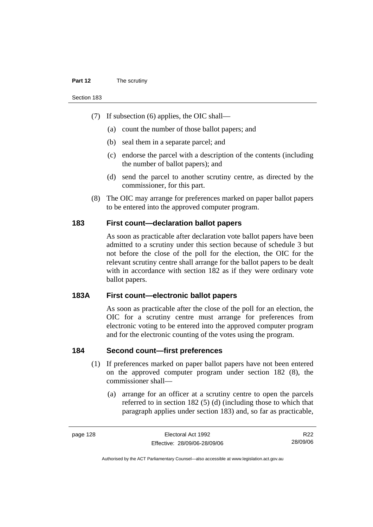#### **Part 12** The scrutiny

Section 183

- (7) If subsection (6) applies, the OIC shall—
	- (a) count the number of those ballot papers; and
	- (b) seal them in a separate parcel; and
	- (c) endorse the parcel with a description of the contents (including the number of ballot papers); and
	- (d) send the parcel to another scrutiny centre, as directed by the commissioner, for this part.
- (8) The OIC may arrange for preferences marked on paper ballot papers to be entered into the approved computer program.

#### **183 First count—declaration ballot papers**

As soon as practicable after declaration vote ballot papers have been admitted to a scrutiny under this section because of schedule 3 but not before the close of the poll for the election, the OIC for the relevant scrutiny centre shall arrange for the ballot papers to be dealt with in accordance with section 182 as if they were ordinary vote ballot papers.

#### **183A First count—electronic ballot papers**

As soon as practicable after the close of the poll for an election, the OIC for a scrutiny centre must arrange for preferences from electronic voting to be entered into the approved computer program and for the electronic counting of the votes using the program.

#### **184 Second count—first preferences**

- (1) If preferences marked on paper ballot papers have not been entered on the approved computer program under section 182 (8), the commissioner shall—
	- (a) arrange for an officer at a scrutiny centre to open the parcels referred to in section 182 (5) (d) (including those to which that paragraph applies under section 183) and, so far as practicable,

R22 28/09/06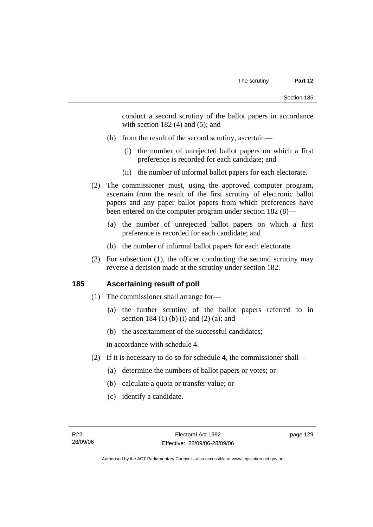conduct a second scrutiny of the ballot papers in accordance with section  $182(4)$  and  $(5)$ ; and

- (b) from the result of the second scrutiny, ascertain—
	- (i) the number of unrejected ballot papers on which a first preference is recorded for each candidate; and
	- (ii) the number of informal ballot papers for each electorate.
- (2) The commissioner must, using the approved computer program, ascertain from the result of the first scrutiny of electronic ballot papers and any paper ballot papers from which preferences have been entered on the computer program under section 182 (8)—
	- (a) the number of unrejected ballot papers on which a first preference is recorded for each candidate; and
	- (b) the number of informal ballot papers for each electorate.
- (3) For subsection (1), the officer conducting the second scrutiny may reverse a decision made at the scrutiny under section 182.

#### **185 Ascertaining result of poll**

- (1) The commissioner shall arrange for—
	- (a) the further scrutiny of the ballot papers referred to in section 184 (1) (b) (i) and (2) (a); and
	- (b) the ascertainment of the successful candidates;

in accordance with schedule 4.

- (2) If it is necessary to do so for schedule 4, the commissioner shall—
	- (a) determine the numbers of ballot papers or votes; or
	- (b) calculate a quota or transfer value; or
	- (c) identify a candidate.

page 129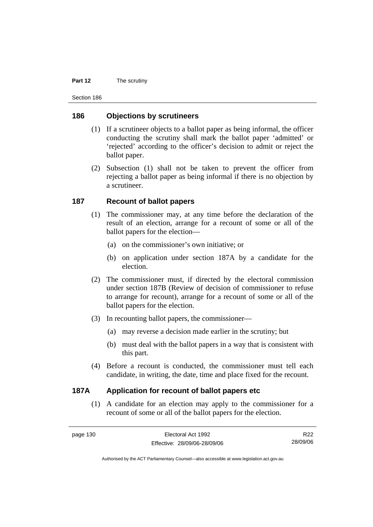#### **Part 12** The scrutiny

Section 186

#### **186 Objections by scrutineers**

- (1) If a scrutineer objects to a ballot paper as being informal, the officer conducting the scrutiny shall mark the ballot paper 'admitted' or 'rejected' according to the officer's decision to admit or reject the ballot paper.
- (2) Subsection (1) shall not be taken to prevent the officer from rejecting a ballot paper as being informal if there is no objection by a scrutineer.

#### **187 Recount of ballot papers**

- (1) The commissioner may, at any time before the declaration of the result of an election, arrange for a recount of some or all of the ballot papers for the election—
	- (a) on the commissioner's own initiative; or
	- (b) on application under section 187A by a candidate for the election.
- (2) The commissioner must, if directed by the electoral commission under section 187B (Review of decision of commissioner to refuse to arrange for recount), arrange for a recount of some or all of the ballot papers for the election.
- (3) In recounting ballot papers, the commissioner—
	- (a) may reverse a decision made earlier in the scrutiny; but
	- (b) must deal with the ballot papers in a way that is consistent with this part.
- (4) Before a recount is conducted, the commissioner must tell each candidate, in writing, the date, time and place fixed for the recount.

#### **187A Application for recount of ballot papers etc**

 (1) A candidate for an election may apply to the commissioner for a recount of some or all of the ballot papers for the election.

R22 28/09/06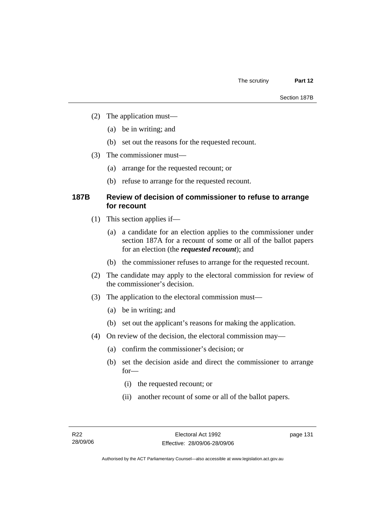- (2) The application must—
	- (a) be in writing; and
	- (b) set out the reasons for the requested recount.
- (3) The commissioner must—
	- (a) arrange for the requested recount; or
	- (b) refuse to arrange for the requested recount.

#### **187B Review of decision of commissioner to refuse to arrange for recount**

- (1) This section applies if—
	- (a) a candidate for an election applies to the commissioner under section 187A for a recount of some or all of the ballot papers for an election (the *requested recount*); and
	- (b) the commissioner refuses to arrange for the requested recount.
- (2) The candidate may apply to the electoral commission for review of the commissioner's decision.
- (3) The application to the electoral commission must—
	- (a) be in writing; and
	- (b) set out the applicant's reasons for making the application.
- (4) On review of the decision, the electoral commission may—
	- (a) confirm the commissioner's decision; or
	- (b) set the decision aside and direct the commissioner to arrange for—
		- (i) the requested recount; or
		- (ii) another recount of some or all of the ballot papers.

page 131

Authorised by the ACT Parliamentary Counsel—also accessible at www.legislation.act.gov.au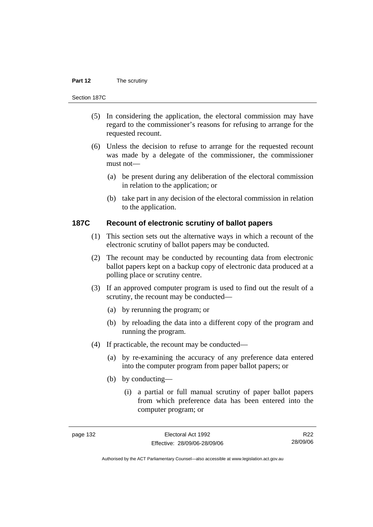#### **Part 12** The scrutiny

#### Section 187C

- (5) In considering the application, the electoral commission may have regard to the commissioner's reasons for refusing to arrange for the requested recount.
- (6) Unless the decision to refuse to arrange for the requested recount was made by a delegate of the commissioner, the commissioner must not—
	- (a) be present during any deliberation of the electoral commission in relation to the application; or
	- (b) take part in any decision of the electoral commission in relation to the application.

#### **187C Recount of electronic scrutiny of ballot papers**

- (1) This section sets out the alternative ways in which a recount of the electronic scrutiny of ballot papers may be conducted.
- (2) The recount may be conducted by recounting data from electronic ballot papers kept on a backup copy of electronic data produced at a polling place or scrutiny centre.
- (3) If an approved computer program is used to find out the result of a scrutiny, the recount may be conducted—
	- (a) by rerunning the program; or
	- (b) by reloading the data into a different copy of the program and running the program.
- (4) If practicable, the recount may be conducted—
	- (a) by re-examining the accuracy of any preference data entered into the computer program from paper ballot papers; or
	- (b) by conducting—
		- (i) a partial or full manual scrutiny of paper ballot papers from which preference data has been entered into the computer program; or

R22 28/09/06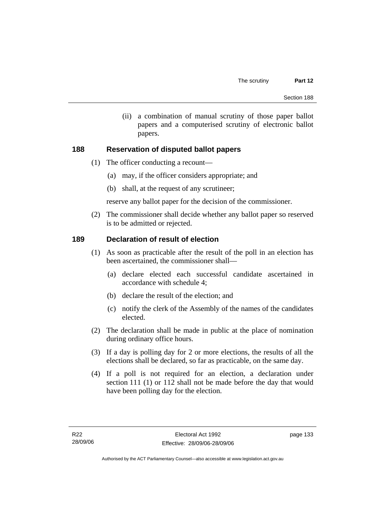(ii) a combination of manual scrutiny of those paper ballot papers and a computerised scrutiny of electronic ballot papers.

## **188 Reservation of disputed ballot papers**

- (1) The officer conducting a recount—
	- (a) may, if the officer considers appropriate; and
	- (b) shall, at the request of any scrutineer;

reserve any ballot paper for the decision of the commissioner.

 (2) The commissioner shall decide whether any ballot paper so reserved is to be admitted or rejected.

## **189 Declaration of result of election**

- (1) As soon as practicable after the result of the poll in an election has been ascertained, the commissioner shall—
	- (a) declare elected each successful candidate ascertained in accordance with schedule 4;
	- (b) declare the result of the election; and
	- (c) notify the clerk of the Assembly of the names of the candidates elected.
- (2) The declaration shall be made in public at the place of nomination during ordinary office hours.
- (3) If a day is polling day for 2 or more elections, the results of all the elections shall be declared, so far as practicable, on the same day.
- (4) If a poll is not required for an election, a declaration under section 111 (1) or 112 shall not be made before the day that would have been polling day for the election.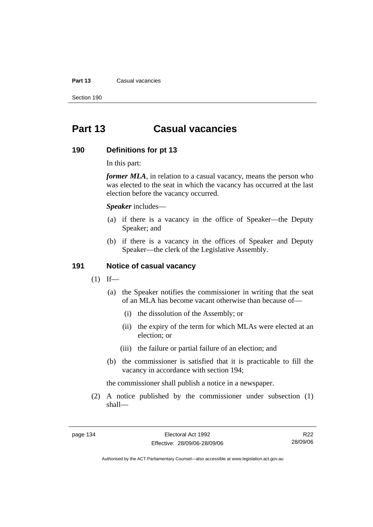#### **Part 13 Casual vacancies**

Section 190

# **Part 13 Casual vacancies**

#### **190 Definitions for pt 13**

In this part:

*former MLA*, in relation to a casual vacancy, means the person who was elected to the seat in which the vacancy has occurred at the last election before the vacancy occurred.

*Speaker* includes—

- (a) if there is a vacancy in the office of Speaker—the Deputy Speaker; and
- (b) if there is a vacancy in the offices of Speaker and Deputy Speaker—the clerk of the Legislative Assembly.

#### **191 Notice of casual vacancy**

- $(1)$  If—
	- (a) the Speaker notifies the commissioner in writing that the seat of an MLA has become vacant otherwise than because of—
		- (i) the dissolution of the Assembly; or
		- (ii) the expiry of the term for which MLAs were elected at an election; or
		- (iii) the failure or partial failure of an election; and
	- (b) the commissioner is satisfied that it is practicable to fill the vacancy in accordance with section 194;

the commissioner shall publish a notice in a newspaper.

 (2) A notice published by the commissioner under subsection (1) shall—

R22 28/09/06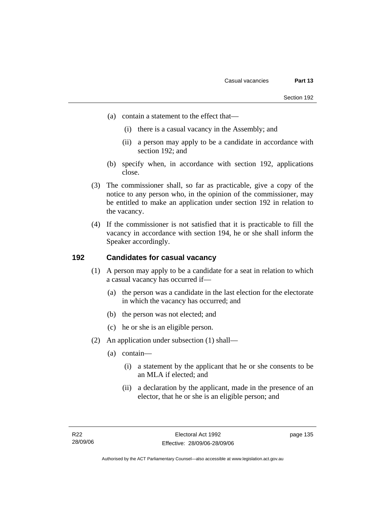- (a) contain a statement to the effect that—
	- (i) there is a casual vacancy in the Assembly; and
	- (ii) a person may apply to be a candidate in accordance with section 192; and
- (b) specify when, in accordance with section 192, applications close.
- (3) The commissioner shall, so far as practicable, give a copy of the notice to any person who, in the opinion of the commissioner, may be entitled to make an application under section 192 in relation to the vacancy.
- (4) If the commissioner is not satisfied that it is practicable to fill the vacancy in accordance with section 194, he or she shall inform the Speaker accordingly.

## **192 Candidates for casual vacancy**

- (1) A person may apply to be a candidate for a seat in relation to which a casual vacancy has occurred if—
	- (a) the person was a candidate in the last election for the electorate in which the vacancy has occurred; and
	- (b) the person was not elected; and
	- (c) he or she is an eligible person.
- (2) An application under subsection (1) shall—
	- (a) contain—
		- (i) a statement by the applicant that he or she consents to be an MLA if elected; and
		- (ii) a declaration by the applicant, made in the presence of an elector, that he or she is an eligible person; and

page 135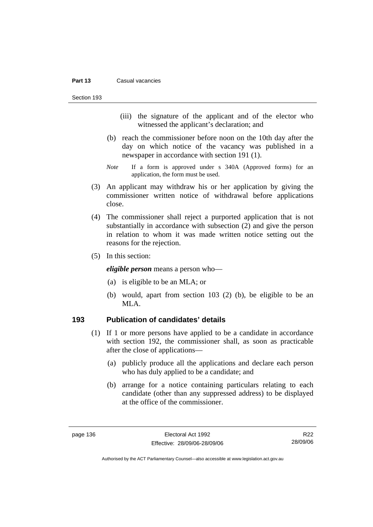#### **Part 13 Casual vacancies**

Section 193

- (iii) the signature of the applicant and of the elector who witnessed the applicant's declaration; and
- (b) reach the commissioner before noon on the 10th day after the day on which notice of the vacancy was published in a newspaper in accordance with section 191 (1).
- *Note* If a form is approved under s 340A (Approved forms) for an application, the form must be used.
- (3) An applicant may withdraw his or her application by giving the commissioner written notice of withdrawal before applications close.
- (4) The commissioner shall reject a purported application that is not substantially in accordance with subsection (2) and give the person in relation to whom it was made written notice setting out the reasons for the rejection.
- (5) In this section:

*eligible person* means a person who—

- (a) is eligible to be an MLA; or
- (b) would, apart from section 103 (2) (b), be eligible to be an MLA.

#### **193 Publication of candidates' details**

- (1) If 1 or more persons have applied to be a candidate in accordance with section 192, the commissioner shall, as soon as practicable after the close of applications—
	- (a) publicly produce all the applications and declare each person who has duly applied to be a candidate; and
	- (b) arrange for a notice containing particulars relating to each candidate (other than any suppressed address) to be displayed at the office of the commissioner.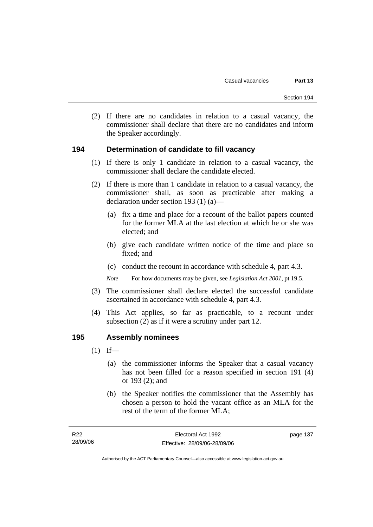(2) If there are no candidates in relation to a casual vacancy, the commissioner shall declare that there are no candidates and inform the Speaker accordingly.

#### **194 Determination of candidate to fill vacancy**

- (1) If there is only 1 candidate in relation to a casual vacancy, the commissioner shall declare the candidate elected.
- (2) If there is more than 1 candidate in relation to a casual vacancy, the commissioner shall, as soon as practicable after making a declaration under section 193 (1) (a)—
	- (a) fix a time and place for a recount of the ballot papers counted for the former MLA at the last election at which he or she was elected; and
	- (b) give each candidate written notice of the time and place so fixed; and
	- (c) conduct the recount in accordance with schedule 4, part 4.3.

*Note* For how documents may be given, see *Legislation Act 2001*, pt 19.5.

- (3) The commissioner shall declare elected the successful candidate ascertained in accordance with schedule 4, part 4.3.
- (4) This Act applies, so far as practicable, to a recount under subsection (2) as if it were a scrutiny under part 12.

#### **195 Assembly nominees**

- $(1)$  If—
	- (a) the commissioner informs the Speaker that a casual vacancy has not been filled for a reason specified in section 191 (4) or 193 (2); and
	- (b) the Speaker notifies the commissioner that the Assembly has chosen a person to hold the vacant office as an MLA for the rest of the term of the former MLA;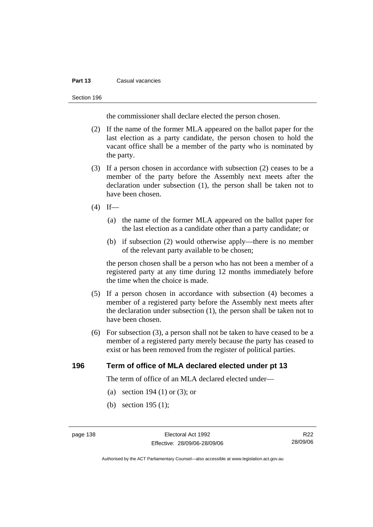#### **Part 13 Casual vacancies**

#### Section 196

the commissioner shall declare elected the person chosen.

- (2) If the name of the former MLA appeared on the ballot paper for the last election as a party candidate, the person chosen to hold the vacant office shall be a member of the party who is nominated by the party.
- (3) If a person chosen in accordance with subsection (2) ceases to be a member of the party before the Assembly next meets after the declaration under subsection (1), the person shall be taken not to have been chosen.
- $(4)$  If—
	- (a) the name of the former MLA appeared on the ballot paper for the last election as a candidate other than a party candidate; or
	- (b) if subsection (2) would otherwise apply—there is no member of the relevant party available to be chosen;

the person chosen shall be a person who has not been a member of a registered party at any time during 12 months immediately before the time when the choice is made.

- (5) If a person chosen in accordance with subsection (4) becomes a member of a registered party before the Assembly next meets after the declaration under subsection (1), the person shall be taken not to have been chosen.
- (6) For subsection (3), a person shall not be taken to have ceased to be a member of a registered party merely because the party has ceased to exist or has been removed from the register of political parties.

## **196 Term of office of MLA declared elected under pt 13**

The term of office of an MLA declared elected under—

- (a) section 194 (1) or (3); or
- (b) section 195 (1);

R22 28/09/06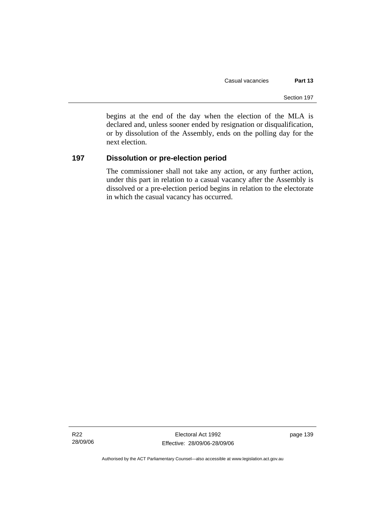begins at the end of the day when the election of the MLA is declared and, unless sooner ended by resignation or disqualification, or by dissolution of the Assembly, ends on the polling day for the next election.

## **197 Dissolution or pre-election period**

The commissioner shall not take any action, or any further action, under this part in relation to a casual vacancy after the Assembly is dissolved or a pre-election period begins in relation to the electorate in which the casual vacancy has occurred.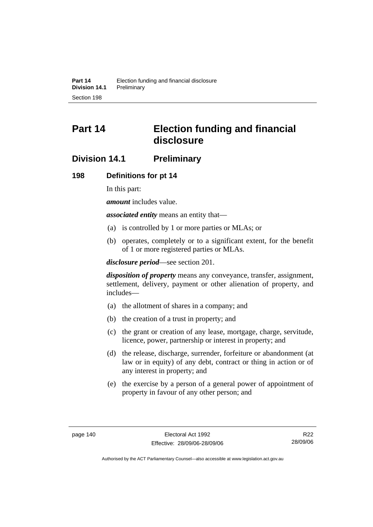# **Part 14 Election funding and financial disclosure**

# **Division 14.1 Preliminary**

#### **198 Definitions for pt 14**

In this part:

*amount* includes value.

*associated entity* means an entity that—

- (a) is controlled by 1 or more parties or MLAs; or
- (b) operates, completely or to a significant extent, for the benefit of 1 or more registered parties or MLAs.

*disclosure period*—see section 201.

*disposition of property* means any conveyance, transfer, assignment, settlement, delivery, payment or other alienation of property, and includes—

- (a) the allotment of shares in a company; and
- (b) the creation of a trust in property; and
- (c) the grant or creation of any lease, mortgage, charge, servitude, licence, power, partnership or interest in property; and
- (d) the release, discharge, surrender, forfeiture or abandonment (at law or in equity) of any debt, contract or thing in action or of any interest in property; and
- (e) the exercise by a person of a general power of appointment of property in favour of any other person; and

R22 28/09/06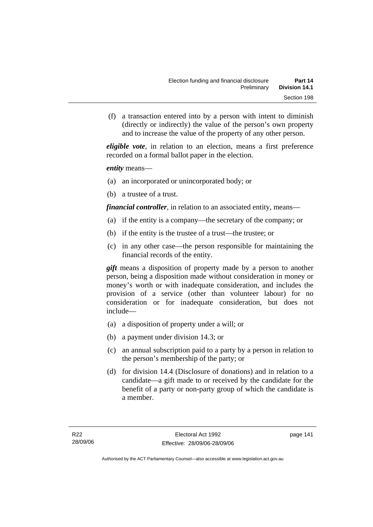(f) a transaction entered into by a person with intent to diminish (directly or indirectly) the value of the person's own property and to increase the value of the property of any other person.

*eligible vote*, in relation to an election, means a first preference recorded on a formal ballot paper in the election.

*entity* means—

- (a) an incorporated or unincorporated body; or
- (b) a trustee of a trust.

*financial controller*, in relation to an associated entity, means—

- (a) if the entity is a company—the secretary of the company; or
- (b) if the entity is the trustee of a trust—the trustee; or
- (c) in any other case—the person responsible for maintaining the financial records of the entity.

*gift* means a disposition of property made by a person to another person, being a disposition made without consideration in money or money's worth or with inadequate consideration, and includes the provision of a service (other than volunteer labour) for no consideration or for inadequate consideration, but does not include—

- (a) a disposition of property under a will; or
- (b) a payment under division 14.3; or
- (c) an annual subscription paid to a party by a person in relation to the person's membership of the party; or
- (d) for division 14.4 (Disclosure of donations) and in relation to a candidate—a gift made to or received by the candidate for the benefit of a party or non-party group of which the candidate is a member.

page 141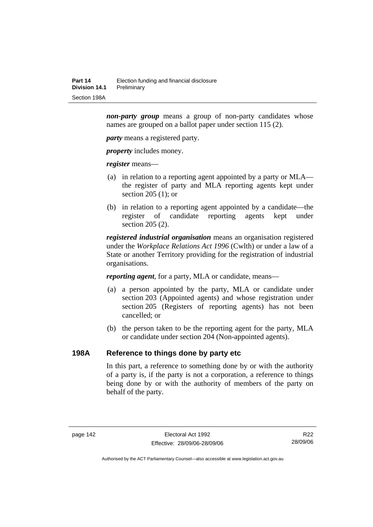*non-party group* means a group of non-party candidates whose names are grouped on a ballot paper under section 115 (2).

*party* means a registered party.

*property* includes money.

*register* means—

- (a) in relation to a reporting agent appointed by a party or MLA the register of party and MLA reporting agents kept under section 205 (1); or
- (b) in relation to a reporting agent appointed by a candidate—the register of candidate reporting agents kept under section 205 (2).

*registered industrial organisation* means an organisation registered under the *Workplace Relations Act 1996* (Cwlth) or under a law of a State or another Territory providing for the registration of industrial organisations.

*reporting agent*, for a party, MLA or candidate, means—

- (a) a person appointed by the party, MLA or candidate under section 203 (Appointed agents) and whose registration under section 205 (Registers of reporting agents) has not been cancelled; or
- (b) the person taken to be the reporting agent for the party, MLA or candidate under section 204 (Non-appointed agents).

#### **198A Reference to things done by party etc**

In this part, a reference to something done by or with the authority of a party is, if the party is not a corporation, a reference to things being done by or with the authority of members of the party on behalf of the party.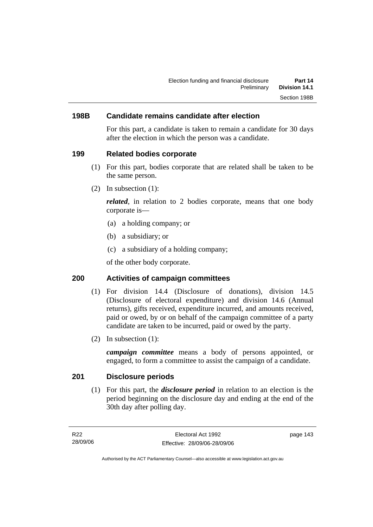## **198B Candidate remains candidate after election**

For this part, a candidate is taken to remain a candidate for 30 days after the election in which the person was a candidate.

#### **199 Related bodies corporate**

- (1) For this part, bodies corporate that are related shall be taken to be the same person.
- (2) In subsection (1):

*related*, in relation to 2 bodies corporate, means that one body corporate is—

- (a) a holding company; or
- (b) a subsidiary; or
- (c) a subsidiary of a holding company;

of the other body corporate.

## **200 Activities of campaign committees**

- (1) For division 14.4 (Disclosure of donations), division 14.5 (Disclosure of electoral expenditure) and division 14.6 (Annual returns), gifts received, expenditure incurred, and amounts received, paid or owed, by or on behalf of the campaign committee of a party candidate are taken to be incurred, paid or owed by the party.
- (2) In subsection (1):

*campaign committee* means a body of persons appointed, or engaged, to form a committee to assist the campaign of a candidate.

#### **201 Disclosure periods**

 (1) For this part, the *disclosure period* in relation to an election is the period beginning on the disclosure day and ending at the end of the 30th day after polling day.

page 143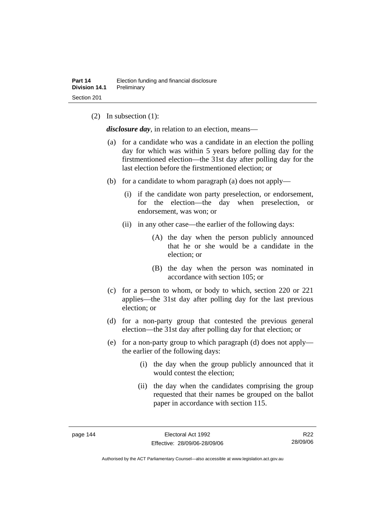(2) In subsection (1):

*disclosure day*, in relation to an election, means—

- (a) for a candidate who was a candidate in an election the polling day for which was within 5 years before polling day for the firstmentioned election—the 31st day after polling day for the last election before the firstmentioned election; or
- (b) for a candidate to whom paragraph (a) does not apply—
	- (i) if the candidate won party preselection, or endorsement, for the election—the day when preselection, or endorsement, was won; or
	- (ii) in any other case—the earlier of the following days:
		- (A) the day when the person publicly announced that he or she would be a candidate in the election; or
		- (B) the day when the person was nominated in accordance with section 105; or
- (c) for a person to whom, or body to which, section 220 or 221 applies—the 31st day after polling day for the last previous election; or
- (d) for a non-party group that contested the previous general election—the 31st day after polling day for that election; or
- (e) for a non-party group to which paragraph (d) does not apply the earlier of the following days:
	- (i) the day when the group publicly announced that it would contest the election;
	- (ii) the day when the candidates comprising the group requested that their names be grouped on the ballot paper in accordance with section 115.

R22 28/09/06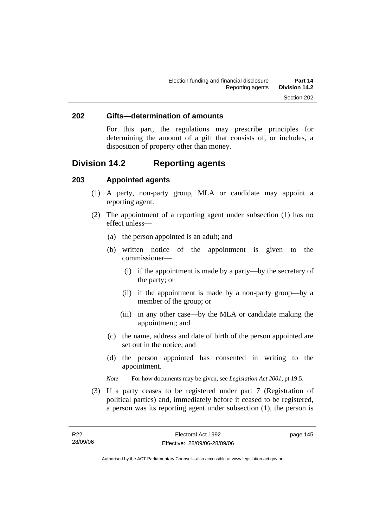#### **202 Gifts—determination of amounts**

For this part, the regulations may prescribe principles for determining the amount of a gift that consists of, or includes, a disposition of property other than money.

# **Division 14.2 Reporting agents**

#### **203 Appointed agents**

- (1) A party, non-party group, MLA or candidate may appoint a reporting agent.
- (2) The appointment of a reporting agent under subsection (1) has no effect unless—
	- (a) the person appointed is an adult; and
	- (b) written notice of the appointment is given to the commissioner—
		- (i) if the appointment is made by a party—by the secretary of the party; or
		- (ii) if the appointment is made by a non-party group—by a member of the group; or
		- (iii) in any other case—by the MLA or candidate making the appointment; and
	- (c) the name, address and date of birth of the person appointed are set out in the notice; and
	- (d) the person appointed has consented in writing to the appointment.
	- *Note* For how documents may be given, see *Legislation Act 2001*, pt 19.5.
- (3) If a party ceases to be registered under part 7 (Registration of political parties) and, immediately before it ceased to be registered, a person was its reporting agent under subsection (1), the person is

page 145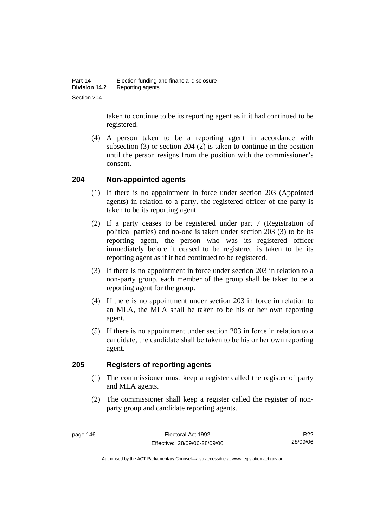taken to continue to be its reporting agent as if it had continued to be registered.

 (4) A person taken to be a reporting agent in accordance with subsection (3) or section 204 (2) is taken to continue in the position until the person resigns from the position with the commissioner's consent.

## **204 Non-appointed agents**

- (1) If there is no appointment in force under section 203 (Appointed agents) in relation to a party, the registered officer of the party is taken to be its reporting agent.
- (2) If a party ceases to be registered under part 7 (Registration of political parties) and no-one is taken under section 203 (3) to be its reporting agent, the person who was its registered officer immediately before it ceased to be registered is taken to be its reporting agent as if it had continued to be registered.
- (3) If there is no appointment in force under section 203 in relation to a non-party group, each member of the group shall be taken to be a reporting agent for the group.
- (4) If there is no appointment under section 203 in force in relation to an MLA, the MLA shall be taken to be his or her own reporting agent.
- (5) If there is no appointment under section 203 in force in relation to a candidate, the candidate shall be taken to be his or her own reporting agent.

#### **205 Registers of reporting agents**

- (1) The commissioner must keep a register called the register of party and MLA agents.
- (2) The commissioner shall keep a register called the register of nonparty group and candidate reporting agents.

R22 28/09/06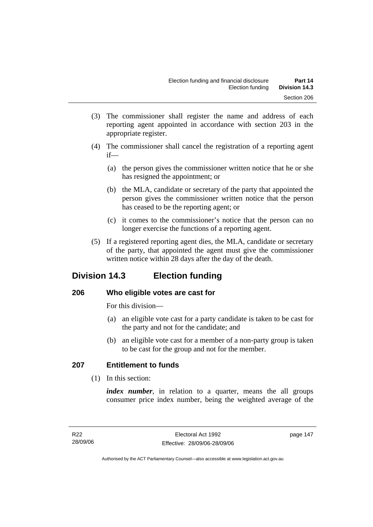- (3) The commissioner shall register the name and address of each reporting agent appointed in accordance with section 203 in the appropriate register.
- (4) The commissioner shall cancel the registration of a reporting agent if—
	- (a) the person gives the commissioner written notice that he or she has resigned the appointment; or
	- (b) the MLA, candidate or secretary of the party that appointed the person gives the commissioner written notice that the person has ceased to be the reporting agent; or
	- (c) it comes to the commissioner's notice that the person can no longer exercise the functions of a reporting agent.
- (5) If a registered reporting agent dies, the MLA, candidate or secretary of the party, that appointed the agent must give the commissioner written notice within 28 days after the day of the death.

# **Division 14.3 Election funding**

## **206 Who eligible votes are cast for**

For this division—

- (a) an eligible vote cast for a party candidate is taken to be cast for the party and not for the candidate; and
- (b) an eligible vote cast for a member of a non-party group is taken to be cast for the group and not for the member.

# **207 Entitlement to funds**

(1) In this section:

*index number*, in relation to a quarter, means the all groups consumer price index number, being the weighted average of the

page 147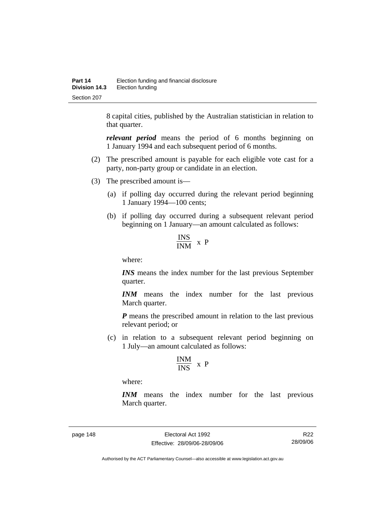8 capital cities, published by the Australian statistician in relation to that quarter.

*relevant period* means the period of 6 months beginning on 1 January 1994 and each subsequent period of 6 months.

- (2) The prescribed amount is payable for each eligible vote cast for a party, non-party group or candidate in an election.
- (3) The prescribed amount is—
	- (a) if polling day occurred during the relevant period beginning 1 January 1994—100 cents;
	- (b) if polling day occurred during a subsequent relevant period beginning on 1 January—an amount calculated as follows:

$$
\frac{\text{INS}}{\text{INM}} \times P
$$

where:

*INS* means the index number for the last previous September quarter.

*INM* means the index number for the last previous March quarter.

*P* means the prescribed amount in relation to the last previous relevant period; or

 (c) in relation to a subsequent relevant period beginning on 1 July—an amount calculated as follows:

$$
\frac{INM}{INS} \ x \ P
$$

where:

*INM* means the index number for the last previous March quarter.

page 148 Electoral Act 1992 Effective: 28/09/06-28/09/06

R22 28/09/06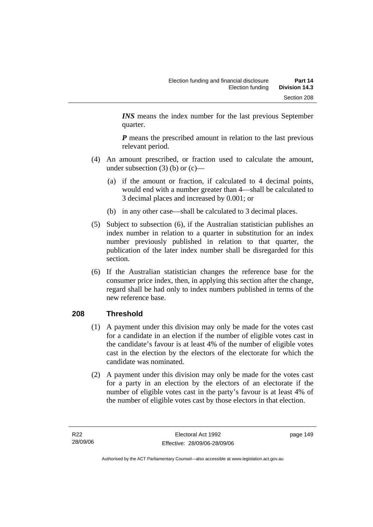*INS* means the index number for the last previous September quarter.

*P* means the prescribed amount in relation to the last previous relevant period.

- (4) An amount prescribed, or fraction used to calculate the amount, under subsection  $(3)$  (b) or  $(c)$ —
	- (a) if the amount or fraction, if calculated to 4 decimal points, would end with a number greater than 4—shall be calculated to 3 decimal places and increased by 0.001; or
	- (b) in any other case—shall be calculated to 3 decimal places.
- (5) Subject to subsection (6), if the Australian statistician publishes an index number in relation to a quarter in substitution for an index number previously published in relation to that quarter, the publication of the later index number shall be disregarded for this section.
- (6) If the Australian statistician changes the reference base for the consumer price index, then, in applying this section after the change, regard shall be had only to index numbers published in terms of the new reference base.

## **208 Threshold**

- (1) A payment under this division may only be made for the votes cast for a candidate in an election if the number of eligible votes cast in the candidate's favour is at least 4% of the number of eligible votes cast in the election by the electors of the electorate for which the candidate was nominated.
- (2) A payment under this division may only be made for the votes cast for a party in an election by the electors of an electorate if the number of eligible votes cast in the party's favour is at least 4% of the number of eligible votes cast by those electors in that election.

page 149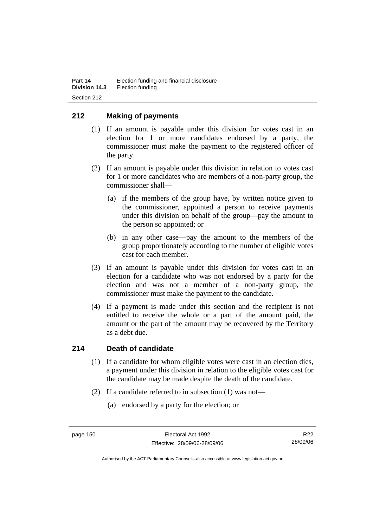## **212 Making of payments**

- (1) If an amount is payable under this division for votes cast in an election for 1 or more candidates endorsed by a party, the commissioner must make the payment to the registered officer of the party.
- (2) If an amount is payable under this division in relation to votes cast for 1 or more candidates who are members of a non-party group, the commissioner shall—
	- (a) if the members of the group have, by written notice given to the commissioner, appointed a person to receive payments under this division on behalf of the group—pay the amount to the person so appointed; or
	- (b) in any other case—pay the amount to the members of the group proportionately according to the number of eligible votes cast for each member.
- (3) If an amount is payable under this division for votes cast in an election for a candidate who was not endorsed by a party for the election and was not a member of a non-party group, the commissioner must make the payment to the candidate.
- (4) If a payment is made under this section and the recipient is not entitled to receive the whole or a part of the amount paid, the amount or the part of the amount may be recovered by the Territory as a debt due.

#### **214 Death of candidate**

- (1) If a candidate for whom eligible votes were cast in an election dies, a payment under this division in relation to the eligible votes cast for the candidate may be made despite the death of the candidate.
- (2) If a candidate referred to in subsection (1) was not—
	- (a) endorsed by a party for the election; or

R22 28/09/06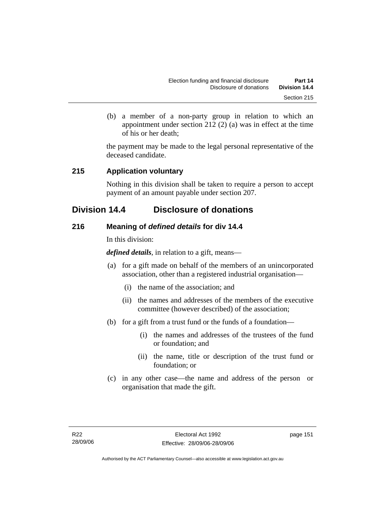(b) a member of a non-party group in relation to which an appointment under section 212 (2) (a) was in effect at the time of his or her death;

the payment may be made to the legal personal representative of the deceased candidate.

## **215 Application voluntary**

Nothing in this division shall be taken to require a person to accept payment of an amount payable under section 207.

# **Division 14.4 Disclosure of donations**

## **216 Meaning of** *defined details* **for div 14.4**

In this division:

*defined details*, in relation to a gift, means—

- (a) for a gift made on behalf of the members of an unincorporated association, other than a registered industrial organisation—
	- (i) the name of the association; and
	- (ii) the names and addresses of the members of the executive committee (however described) of the association;
- (b) for a gift from a trust fund or the funds of a foundation—
	- (i) the names and addresses of the trustees of the fund or foundation; and
	- (ii) the name, title or description of the trust fund or foundation; or
- (c) in any other case—the name and address of the person or organisation that made the gift.

page 151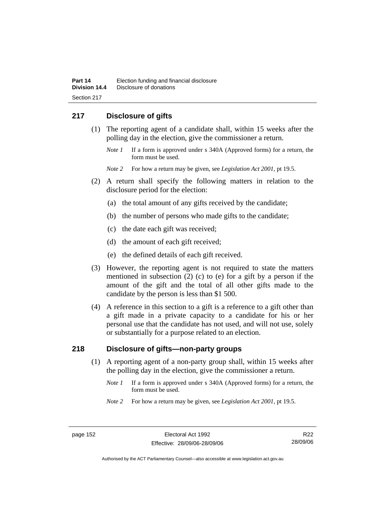# **217 Disclosure of gifts**

- (1) The reporting agent of a candidate shall, within 15 weeks after the polling day in the election, give the commissioner a return.
	- *Note 1* If a form is approved under s 340A (Approved forms) for a return, the form must be used.
	- *Note 2* For how a return may be given, see *Legislation Act 2001*, pt 19.5.
- (2) A return shall specify the following matters in relation to the disclosure period for the election:
	- (a) the total amount of any gifts received by the candidate;
	- (b) the number of persons who made gifts to the candidate;
	- (c) the date each gift was received;
	- (d) the amount of each gift received;
	- (e) the defined details of each gift received.
- (3) However, the reporting agent is not required to state the matters mentioned in subsection (2) (c) to (e) for a gift by a person if the amount of the gift and the total of all other gifts made to the candidate by the person is less than \$1 500.
- (4) A reference in this section to a gift is a reference to a gift other than a gift made in a private capacity to a candidate for his or her personal use that the candidate has not used, and will not use, solely or substantially for a purpose related to an election.

## **218 Disclosure of gifts—non-party groups**

- (1) A reporting agent of a non-party group shall, within 15 weeks after the polling day in the election, give the commissioner a return.
	- *Note 1* If a form is approved under s 340A (Approved forms) for a return, the form must be used.
	- *Note 2* For how a return may be given, see *Legislation Act 2001*, pt 19.5.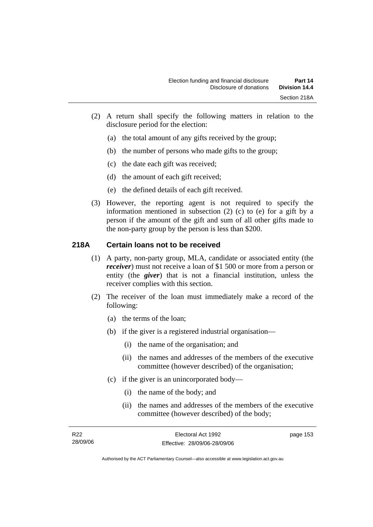- (2) A return shall specify the following matters in relation to the disclosure period for the election:
	- (a) the total amount of any gifts received by the group;
	- (b) the number of persons who made gifts to the group;
	- (c) the date each gift was received;
	- (d) the amount of each gift received;
	- (e) the defined details of each gift received.
- (3) However, the reporting agent is not required to specify the information mentioned in subsection (2) (c) to (e) for a gift by a person if the amount of the gift and sum of all other gifts made to the non-party group by the person is less than \$200.

## **218A Certain loans not to be received**

- (1) A party, non-party group, MLA, candidate or associated entity (the *receiver*) must not receive a loan of \$1 500 or more from a person or entity (the *giver*) that is not a financial institution, unless the receiver complies with this section.
- (2) The receiver of the loan must immediately make a record of the following:
	- (a) the terms of the loan;
	- (b) if the giver is a registered industrial organisation—
		- (i) the name of the organisation; and
		- (ii) the names and addresses of the members of the executive committee (however described) of the organisation;
	- (c) if the giver is an unincorporated body—
		- (i) the name of the body; and
		- (ii) the names and addresses of the members of the executive committee (however described) of the body;

| R22      | Electoral Act 1992           | page 153 |
|----------|------------------------------|----------|
| 28/09/06 | Effective: 28/09/06-28/09/06 |          |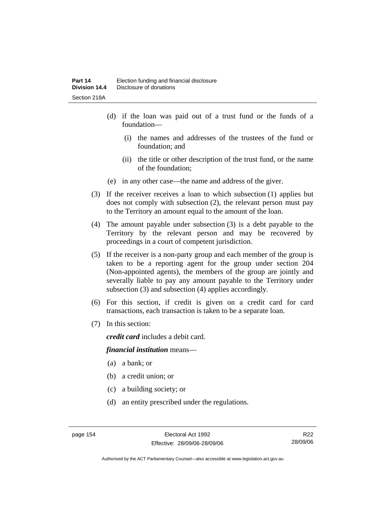- (d) if the loan was paid out of a trust fund or the funds of a foundation—
	- (i) the names and addresses of the trustees of the fund or foundation; and
	- (ii) the title or other description of the trust fund, or the name of the foundation;
- (e) in any other case—the name and address of the giver.
- (3) If the receiver receives a loan to which subsection (1) applies but does not comply with subsection (2), the relevant person must pay to the Territory an amount equal to the amount of the loan.
- (4) The amount payable under subsection (3) is a debt payable to the Territory by the relevant person and may be recovered by proceedings in a court of competent jurisdiction.
- (5) If the receiver is a non-party group and each member of the group is taken to be a reporting agent for the group under section 204 (Non-appointed agents), the members of the group are jointly and severally liable to pay any amount payable to the Territory under subsection (3) and subsection (4) applies accordingly.
- (6) For this section, if credit is given on a credit card for card transactions, each transaction is taken to be a separate loan.
- (7) In this section:

*credit card* includes a debit card.

#### *financial institution* means—

- (a) a bank; or
- (b) a credit union; or
- (c) a building society; or
- (d) an entity prescribed under the regulations.

R22 28/09/06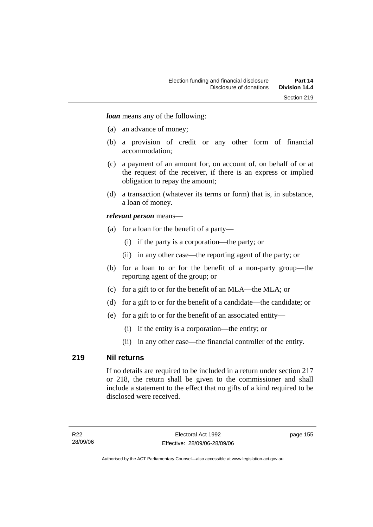*loan* means any of the following:

- (a) an advance of money;
- (b) a provision of credit or any other form of financial accommodation;
- (c) a payment of an amount for, on account of, on behalf of or at the request of the receiver, if there is an express or implied obligation to repay the amount;
- (d) a transaction (whatever its terms or form) that is, in substance, a loan of money.

#### *relevant person* means—

- (a) for a loan for the benefit of a party—
	- (i) if the party is a corporation—the party; or
	- (ii) in any other case—the reporting agent of the party; or
- (b) for a loan to or for the benefit of a non-party group—the reporting agent of the group; or
- (c) for a gift to or for the benefit of an MLA—the MLA; or
- (d) for a gift to or for the benefit of a candidate—the candidate; or
- (e) for a gift to or for the benefit of an associated entity—
	- (i) if the entity is a corporation—the entity; or
	- (ii) in any other case—the financial controller of the entity.

#### **219 Nil returns**

If no details are required to be included in a return under section 217 or 218, the return shall be given to the commissioner and shall include a statement to the effect that no gifts of a kind required to be disclosed were received.

page 155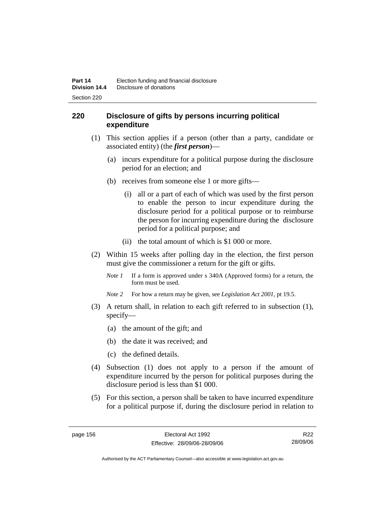## **220 Disclosure of gifts by persons incurring political expenditure**

- (1) This section applies if a person (other than a party, candidate or associated entity) (the *first person*)—
	- (a) incurs expenditure for a political purpose during the disclosure period for an election; and
	- (b) receives from someone else 1 or more gifts—
		- (i) all or a part of each of which was used by the first person to enable the person to incur expenditure during the disclosure period for a political purpose or to reimburse the person for incurring expenditure during the disclosure period for a political purpose; and
		- (ii) the total amount of which is \$1 000 or more.
- (2) Within 15 weeks after polling day in the election, the first person must give the commissioner a return for the gift or gifts.
	- *Note 1* If a form is approved under s 340A (Approved forms) for a return, the form must be used.
	- *Note 2* For how a return may be given, see *Legislation Act 2001*, pt 19.5.
- (3) A return shall, in relation to each gift referred to in subsection (1), specify—
	- (a) the amount of the gift; and
	- (b) the date it was received; and
	- (c) the defined details.
- (4) Subsection (1) does not apply to a person if the amount of expenditure incurred by the person for political purposes during the disclosure period is less than \$1 000.
- (5) For this section, a person shall be taken to have incurred expenditure for a political purpose if, during the disclosure period in relation to

R22 28/09/06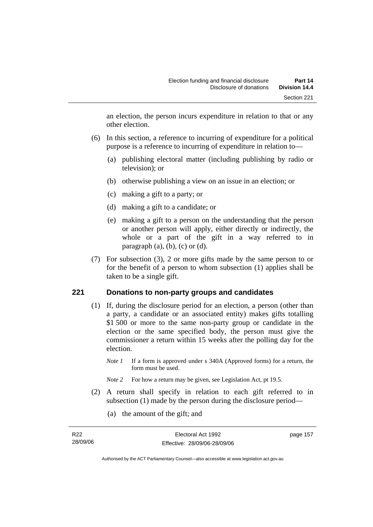an election, the person incurs expenditure in relation to that or any other election.

- (6) In this section, a reference to incurring of expenditure for a political purpose is a reference to incurring of expenditure in relation to—
	- (a) publishing electoral matter (including publishing by radio or television); or
	- (b) otherwise publishing a view on an issue in an election; or
	- (c) making a gift to a party; or
	- (d) making a gift to a candidate; or
	- (e) making a gift to a person on the understanding that the person or another person will apply, either directly or indirectly, the whole or a part of the gift in a way referred to in paragraph  $(a)$ ,  $(b)$ ,  $(c)$  or  $(d)$ .
- (7) For subsection (3), 2 or more gifts made by the same person to or for the benefit of a person to whom subsection (1) applies shall be taken to be a single gift.

#### **221 Donations to non-party groups and candidates**

- (1) If, during the disclosure period for an election, a person (other than a party, a candidate or an associated entity) makes gifts totalling \$1 500 or more to the same non-party group or candidate in the election or the same specified body, the person must give the commissioner a return within 15 weeks after the polling day for the election.
	- *Note 1* If a form is approved under s 340A (Approved forms) for a return, the form must be used.
	- *Note* 2 For how a return may be given, see Legislation Act, pt 19.5.
- (2) A return shall specify in relation to each gift referred to in subsection (1) made by the person during the disclosure period—
	- (a) the amount of the gift; and

| R22      | Electoral Act 1992           | page 157 |
|----------|------------------------------|----------|
| 28/09/06 | Effective: 28/09/06-28/09/06 |          |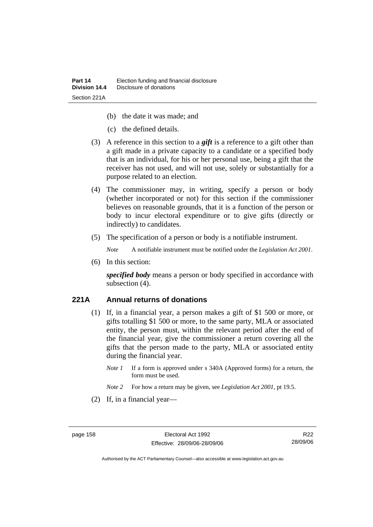- (b) the date it was made; and
- (c) the defined details.
- (3) A reference in this section to a *gift* is a reference to a gift other than a gift made in a private capacity to a candidate or a specified body that is an individual, for his or her personal use, being a gift that the receiver has not used, and will not use, solely or substantially for a purpose related to an election.
- (4) The commissioner may, in writing, specify a person or body (whether incorporated or not) for this section if the commissioner believes on reasonable grounds, that it is a function of the person or body to incur electoral expenditure or to give gifts (directly or indirectly) to candidates.
- (5) The specification of a person or body is a notifiable instrument.

*Note* A notifiable instrument must be notified under the *Legislation Act 2001*.

(6) In this section:

*specified body* means a person or body specified in accordance with subsection  $(4)$ .

#### **221A Annual returns of donations**

- (1) If, in a financial year, a person makes a gift of \$1 500 or more, or gifts totalling \$1 500 or more, to the same party, MLA or associated entity, the person must, within the relevant period after the end of the financial year, give the commissioner a return covering all the gifts that the person made to the party, MLA or associated entity during the financial year.
	- *Note 1* If a form is approved under s 340A (Approved forms) for a return, the form must be used.
	- *Note 2* For how a return may be given, see *Legislation Act 2001*, pt 19.5.
- (2) If, in a financial year—

R22 28/09/06

Authorised by the ACT Parliamentary Counsel—also accessible at www.legislation.act.gov.au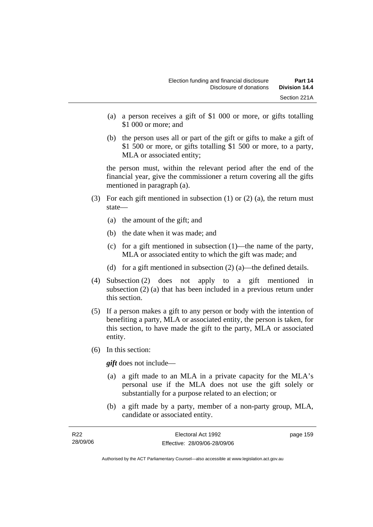- (a) a person receives a gift of \$1 000 or more, or gifts totalling \$1 000 or more; and
- (b) the person uses all or part of the gift or gifts to make a gift of \$1 500 or more, or gifts totalling \$1 500 or more, to a party, MLA or associated entity;

the person must, within the relevant period after the end of the financial year, give the commissioner a return covering all the gifts mentioned in paragraph (a).

- (3) For each gift mentioned in subsection (1) or (2) (a), the return must state—
	- (a) the amount of the gift; and
	- (b) the date when it was made; and
	- (c) for a gift mentioned in subsection (1)—the name of the party, MLA or associated entity to which the gift was made; and
	- (d) for a gift mentioned in subsection  $(2)$  (a)—the defined details.
- (4) Subsection (2) does not apply to a gift mentioned in subsection (2) (a) that has been included in a previous return under this section.
- (5) If a person makes a gift to any person or body with the intention of benefiting a party, MLA or associated entity, the person is taken, for this section, to have made the gift to the party, MLA or associated entity.
- (6) In this section:

*gift* does not include—

- (a) a gift made to an MLA in a private capacity for the MLA's personal use if the MLA does not use the gift solely or substantially for a purpose related to an election; or
- (b) a gift made by a party, member of a non-party group, MLA, candidate or associated entity.

| R <sub>22</sub> | Electoral Act 1992           | page 159 |
|-----------------|------------------------------|----------|
| 28/09/06        | Effective: 28/09/06-28/09/06 |          |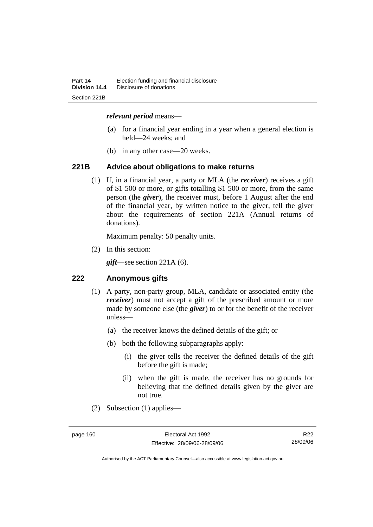#### *relevant period* means—

- (a) for a financial year ending in a year when a general election is held—24 weeks; and
- (b) in any other case—20 weeks.

#### **221B Advice about obligations to make returns**

 (1) If, in a financial year, a party or MLA (the *receiver*) receives a gift of \$1 500 or more, or gifts totalling \$1 500 or more, from the same person (the *giver*), the receiver must, before 1 August after the end of the financial year, by written notice to the giver, tell the giver about the requirements of section 221A (Annual returns of donations).

Maximum penalty: 50 penalty units.

(2) In this section:

*gift*—see section 221A (6).

#### **222 Anonymous gifts**

- (1) A party, non-party group, MLA, candidate or associated entity (the *receiver*) must not accept a gift of the prescribed amount or more made by someone else (the *giver*) to or for the benefit of the receiver unless—
	- (a) the receiver knows the defined details of the gift; or
	- (b) both the following subparagraphs apply:
		- (i) the giver tells the receiver the defined details of the gift before the gift is made;
		- (ii) when the gift is made, the receiver has no grounds for believing that the defined details given by the giver are not true.
- (2) Subsection (1) applies—

R22 28/09/06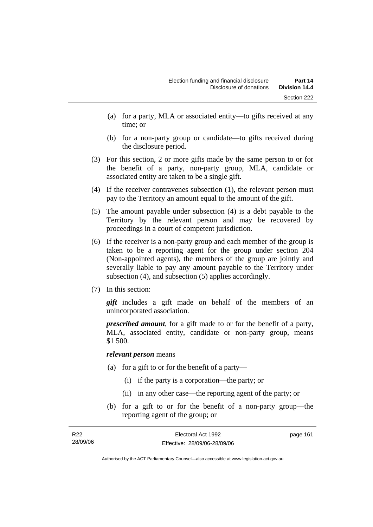- (a) for a party, MLA or associated entity—to gifts received at any time; or
- (b) for a non-party group or candidate—to gifts received during the disclosure period.
- (3) For this section, 2 or more gifts made by the same person to or for the benefit of a party, non-party group, MLA, candidate or associated entity are taken to be a single gift.
- (4) If the receiver contravenes subsection (1), the relevant person must pay to the Territory an amount equal to the amount of the gift.
- (5) The amount payable under subsection (4) is a debt payable to the Territory by the relevant person and may be recovered by proceedings in a court of competent jurisdiction.
- (6) If the receiver is a non-party group and each member of the group is taken to be a reporting agent for the group under section 204 (Non-appointed agents), the members of the group are jointly and severally liable to pay any amount payable to the Territory under subsection (4), and subsection (5) applies accordingly.
- (7) In this section:

*gift* includes a gift made on behalf of the members of an unincorporated association.

*prescribed amount*, for a gift made to or for the benefit of a party, MLA, associated entity, candidate or non-party group, means \$1 500.

#### *relevant person* means

- (a) for a gift to or for the benefit of a party—
	- (i) if the party is a corporation—the party; or
	- (ii) in any other case—the reporting agent of the party; or
- (b) for a gift to or for the benefit of a non-party group—the reporting agent of the group; or

| R22      | Electoral Act 1992           | page 161 |
|----------|------------------------------|----------|
| 28/09/06 | Effective: 28/09/06-28/09/06 |          |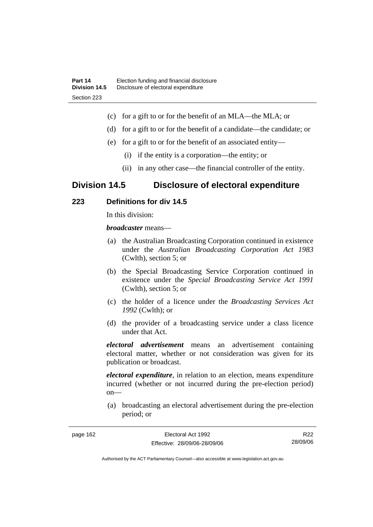- (c) for a gift to or for the benefit of an MLA—the MLA; or
- (d) for a gift to or for the benefit of a candidate—the candidate; or
- (e) for a gift to or for the benefit of an associated entity—
	- (i) if the entity is a corporation—the entity; or
	- (ii) in any other case—the financial controller of the entity.

# **Division 14.5 Disclosure of electoral expenditure**

## **223 Definitions for div 14.5**

In this division:

page 162

*broadcaster* means—

- (a) the Australian Broadcasting Corporation continued in existence under the *Australian Broadcasting Corporation Act 1983* (Cwlth), section 5; or
- (b) the Special Broadcasting Service Corporation continued in existence under the *Special Broadcasting Service Act 1991*  (Cwlth), section 5; or
- (c) the holder of a licence under the *Broadcasting Services Act 1992* (Cwlth); or
- (d) the provider of a broadcasting service under a class licence under that Act.

*electoral advertisement* means an advertisement containing electoral matter, whether or not consideration was given for its publication or broadcast.

*electoral expenditure*, in relation to an election, means expenditure incurred (whether or not incurred during the pre-election period) on—

 (a) broadcasting an electoral advertisement during the pre-election period; or

| R <sub>22</sub> | Electoral Act 1992           |
|-----------------|------------------------------|
| 28/09/06        | Effective: 28/09/06-28/09/06 |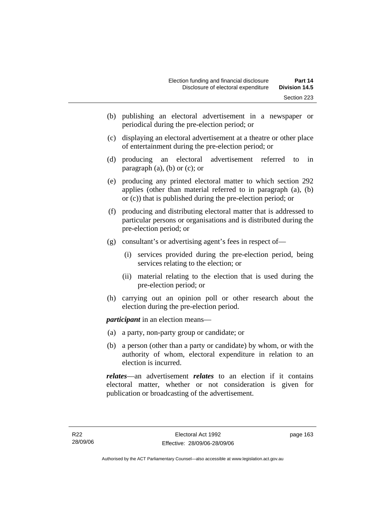- (b) publishing an electoral advertisement in a newspaper or periodical during the pre-election period; or
- (c) displaying an electoral advertisement at a theatre or other place of entertainment during the pre-election period; or
- (d) producing an electoral advertisement referred to in paragraph  $(a)$ ,  $(b)$  or  $(c)$ ; or
- (e) producing any printed electoral matter to which section 292 applies (other than material referred to in paragraph (a), (b) or (c)) that is published during the pre-election period; or
- (f) producing and distributing electoral matter that is addressed to particular persons or organisations and is distributed during the pre-election period; or
- (g) consultant's or advertising agent's fees in respect of—
	- (i) services provided during the pre-election period, being services relating to the election; or
	- (ii) material relating to the election that is used during the pre-election period; or
- (h) carrying out an opinion poll or other research about the election during the pre-election period.

*participant* in an election means—

- (a) a party, non-party group or candidate; or
- (b) a person (other than a party or candidate) by whom, or with the authority of whom, electoral expenditure in relation to an election is incurred.

*relates*—an advertisement *relates* to an election if it contains electoral matter, whether or not consideration is given for publication or broadcasting of the advertisement.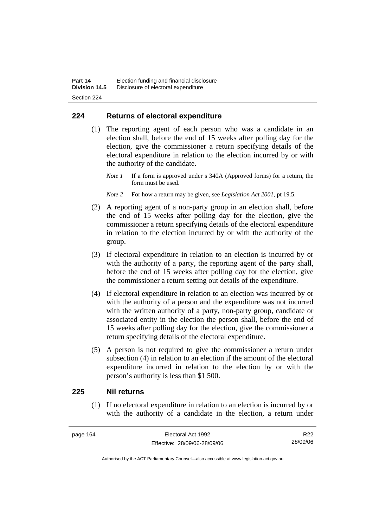# **224 Returns of electoral expenditure**

 (1) The reporting agent of each person who was a candidate in an election shall, before the end of 15 weeks after polling day for the election, give the commissioner a return specifying details of the electoral expenditure in relation to the election incurred by or with the authority of the candidate.

*Note 1* If a form is approved under s 340A (Approved forms) for a return, the form must be used.

- *Note 2* For how a return may be given, see *Legislation Act 2001*, pt 19.5.
- (2) A reporting agent of a non-party group in an election shall, before the end of 15 weeks after polling day for the election, give the commissioner a return specifying details of the electoral expenditure in relation to the election incurred by or with the authority of the group.
- (3) If electoral expenditure in relation to an election is incurred by or with the authority of a party, the reporting agent of the party shall, before the end of 15 weeks after polling day for the election, give the commissioner a return setting out details of the expenditure.
- (4) If electoral expenditure in relation to an election was incurred by or with the authority of a person and the expenditure was not incurred with the written authority of a party, non-party group, candidate or associated entity in the election the person shall, before the end of 15 weeks after polling day for the election, give the commissioner a return specifying details of the electoral expenditure.
- (5) A person is not required to give the commissioner a return under subsection (4) in relation to an election if the amount of the electoral expenditure incurred in relation to the election by or with the person's authority is less than \$1 500.

### **225 Nil returns**

 (1) If no electoral expenditure in relation to an election is incurred by or with the authority of a candidate in the election, a return under

R22 28/09/06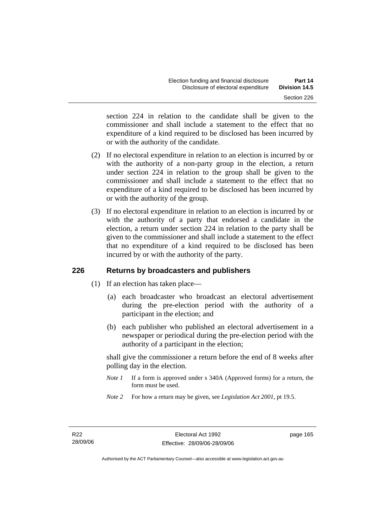section 224 in relation to the candidate shall be given to the commissioner and shall include a statement to the effect that no expenditure of a kind required to be disclosed has been incurred by or with the authority of the candidate.

- (2) If no electoral expenditure in relation to an election is incurred by or with the authority of a non-party group in the election, a return under section 224 in relation to the group shall be given to the commissioner and shall include a statement to the effect that no expenditure of a kind required to be disclosed has been incurred by or with the authority of the group.
- (3) If no electoral expenditure in relation to an election is incurred by or with the authority of a party that endorsed a candidate in the election, a return under section 224 in relation to the party shall be given to the commissioner and shall include a statement to the effect that no expenditure of a kind required to be disclosed has been incurred by or with the authority of the party.

# **226 Returns by broadcasters and publishers**

- (1) If an election has taken place—
	- (a) each broadcaster who broadcast an electoral advertisement during the pre-election period with the authority of a participant in the election; and
	- (b) each publisher who published an electoral advertisement in a newspaper or periodical during the pre-election period with the authority of a participant in the election;

shall give the commissioner a return before the end of 8 weeks after polling day in the election.

- *Note 1* If a form is approved under s 340A (Approved forms) for a return, the form must be used.
- *Note 2* For how a return may be given, see *Legislation Act 2001*, pt 19.5.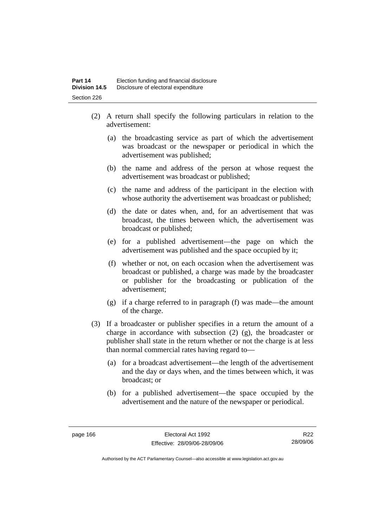- (2) A return shall specify the following particulars in relation to the advertisement:
	- (a) the broadcasting service as part of which the advertisement was broadcast or the newspaper or periodical in which the advertisement was published;
	- (b) the name and address of the person at whose request the advertisement was broadcast or published;
	- (c) the name and address of the participant in the election with whose authority the advertisement was broadcast or published;
	- (d) the date or dates when, and, for an advertisement that was broadcast, the times between which, the advertisement was broadcast or published;
	- (e) for a published advertisement—the page on which the advertisement was published and the space occupied by it;
	- (f) whether or not, on each occasion when the advertisement was broadcast or published, a charge was made by the broadcaster or publisher for the broadcasting or publication of the advertisement;
	- (g) if a charge referred to in paragraph (f) was made—the amount of the charge.
- (3) If a broadcaster or publisher specifies in a return the amount of a charge in accordance with subsection (2) (g), the broadcaster or publisher shall state in the return whether or not the charge is at less than normal commercial rates having regard to—
	- (a) for a broadcast advertisement—the length of the advertisement and the day or days when, and the times between which, it was broadcast; or
	- (b) for a published advertisement—the space occupied by the advertisement and the nature of the newspaper or periodical.

R22 28/09/06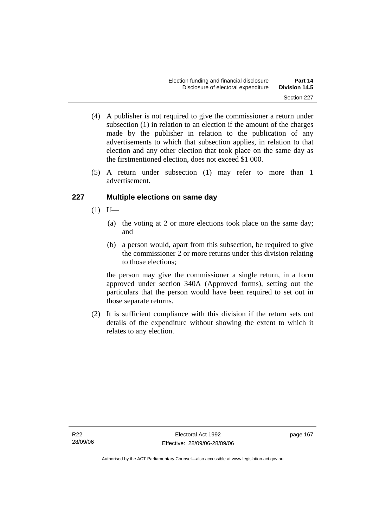- (4) A publisher is not required to give the commissioner a return under subsection (1) in relation to an election if the amount of the charges made by the publisher in relation to the publication of any advertisements to which that subsection applies, in relation to that election and any other election that took place on the same day as the firstmentioned election, does not exceed \$1 000.
- (5) A return under subsection (1) may refer to more than 1 advertisement.

# **227 Multiple elections on same day**

- $(1)$  If—
	- (a) the voting at 2 or more elections took place on the same day; and
	- (b) a person would, apart from this subsection, be required to give the commissioner 2 or more returns under this division relating to those elections;

the person may give the commissioner a single return, in a form approved under section 340A (Approved forms), setting out the particulars that the person would have been required to set out in those separate returns.

 (2) It is sufficient compliance with this division if the return sets out details of the expenditure without showing the extent to which it relates to any election.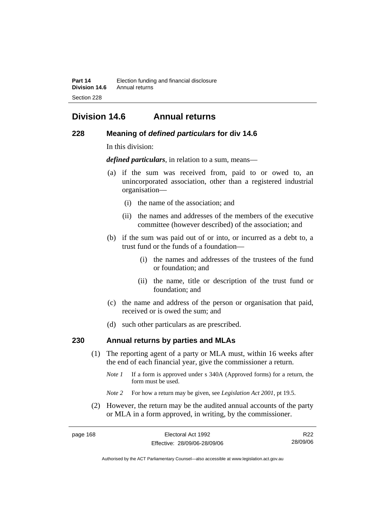# **Division 14.6 Annual returns**

### **228 Meaning of** *defined particulars* **for div 14.6**

In this division:

*defined particulars*, in relation to a sum, means—

- (a) if the sum was received from, paid to or owed to, an unincorporated association, other than a registered industrial organisation—
	- (i) the name of the association; and
	- (ii) the names and addresses of the members of the executive committee (however described) of the association; and
- (b) if the sum was paid out of or into, or incurred as a debt to, a trust fund or the funds of a foundation—
	- (i) the names and addresses of the trustees of the fund or foundation; and
	- (ii) the name, title or description of the trust fund or foundation; and
- (c) the name and address of the person or organisation that paid, received or is owed the sum; and
- (d) such other particulars as are prescribed.

# **230 Annual returns by parties and MLAs**

- (1) The reporting agent of a party or MLA must, within 16 weeks after the end of each financial year, give the commissioner a return.
	- *Note 1* If a form is approved under s 340A (Approved forms) for a return, the form must be used.
	- *Note 2* For how a return may be given, see *Legislation Act 2001*, pt 19.5.
- (2) However, the return may be the audited annual accounts of the party or MLA in a form approved, in writing, by the commissioner.

| page 168 | Electoral Act 1992           | R <sub>22</sub> |
|----------|------------------------------|-----------------|
|          | Effective: 28/09/06-28/09/06 | 28/09/06        |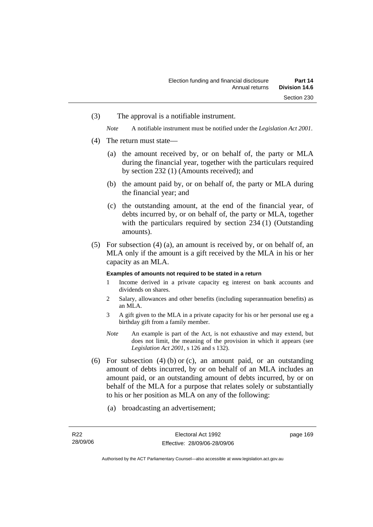(3) The approval is a notifiable instrument.

*Note* A notifiable instrument must be notified under the *Legislation Act 2001*.

- (4) The return must state—
	- (a) the amount received by, or on behalf of, the party or MLA during the financial year, together with the particulars required by section 232 (1) (Amounts received); and
	- (b) the amount paid by, or on behalf of, the party or MLA during the financial year; and
	- (c) the outstanding amount, at the end of the financial year, of debts incurred by, or on behalf of, the party or MLA, together with the particulars required by section 234 (1) (Outstanding amounts).
- (5) For subsection (4) (a), an amount is received by, or on behalf of, an MLA only if the amount is a gift received by the MLA in his or her capacity as an MLA.

#### **Examples of amounts not required to be stated in a return**

- 1 Income derived in a private capacity eg interest on bank accounts and dividends on shares.
- 2 Salary, allowances and other benefits (including superannuation benefits) as an MLA.
- 3 A gift given to the MLA in a private capacity for his or her personal use eg a birthday gift from a family member.
- *Note* An example is part of the Act, is not exhaustive and may extend, but does not limit, the meaning of the provision in which it appears (see *Legislation Act 2001*, s 126 and s 132).
- (6) For subsection  $(4)$  (b) or (c), an amount paid, or an outstanding amount of debts incurred, by or on behalf of an MLA includes an amount paid, or an outstanding amount of debts incurred, by or on behalf of the MLA for a purpose that relates solely or substantially to his or her position as MLA on any of the following:
	- (a) broadcasting an advertisement;

Authorised by the ACT Parliamentary Counsel—also accessible at www.legislation.act.gov.au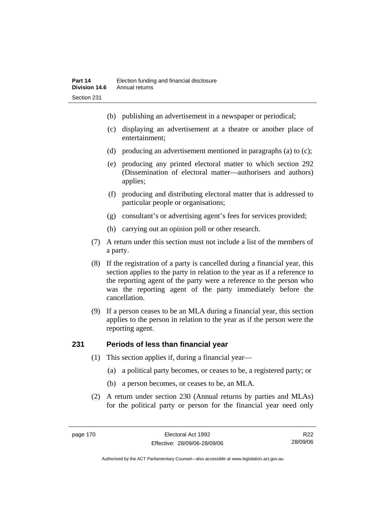- (b) publishing an advertisement in a newspaper or periodical;
- (c) displaying an advertisement at a theatre or another place of entertainment;
- (d) producing an advertisement mentioned in paragraphs (a) to (c);
- (e) producing any printed electoral matter to which section 292 (Dissemination of electoral matter—authorisers and authors) applies;
- (f) producing and distributing electoral matter that is addressed to particular people or organisations;
- (g) consultant's or advertising agent's fees for services provided;
- (h) carrying out an opinion poll or other research.
- (7) A return under this section must not include a list of the members of a party.
- (8) If the registration of a party is cancelled during a financial year, this section applies to the party in relation to the year as if a reference to the reporting agent of the party were a reference to the person who was the reporting agent of the party immediately before the cancellation.
- (9) If a person ceases to be an MLA during a financial year, this section applies to the person in relation to the year as if the person were the reporting agent.

# **231 Periods of less than financial year**

- (1) This section applies if, during a financial year—
	- (a) a political party becomes, or ceases to be, a registered party; or
	- (b) a person becomes, or ceases to be, an MLA.
- (2) A return under section 230 (Annual returns by parties and MLAs) for the political party or person for the financial year need only

R22 28/09/06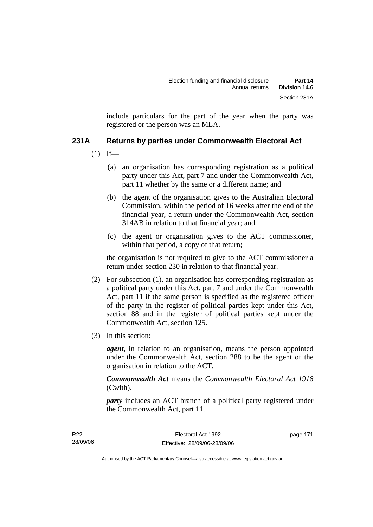include particulars for the part of the year when the party was registered or the person was an MLA.

# **231A Returns by parties under Commonwealth Electoral Act**

- $(1)$  If—
	- (a) an organisation has corresponding registration as a political party under this Act, part 7 and under the Commonwealth Act, part 11 whether by the same or a different name; and
	- (b) the agent of the organisation gives to the Australian Electoral Commission, within the period of 16 weeks after the end of the financial year, a return under the Commonwealth Act, section 314AB in relation to that financial year; and
	- (c) the agent or organisation gives to the ACT commissioner, within that period, a copy of that return;

the organisation is not required to give to the ACT commissioner a return under section 230 in relation to that financial year.

- (2) For subsection (1), an organisation has corresponding registration as a political party under this Act, part 7 and under the Commonwealth Act, part 11 if the same person is specified as the registered officer of the party in the register of political parties kept under this Act, section 88 and in the register of political parties kept under the Commonwealth Act, section 125.
- (3) In this section:

*agent*, in relation to an organisation, means the person appointed under the Commonwealth Act, section 288 to be the agent of the organisation in relation to the ACT.

*Commonwealth Act* means the *Commonwealth Electoral Act 1918* (Cwlth).

*party* includes an ACT branch of a political party registered under the Commonwealth Act, part 11.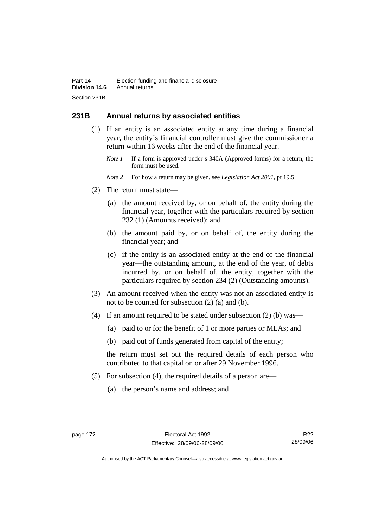# **231B Annual returns by associated entities**

- (1) If an entity is an associated entity at any time during a financial year, the entity's financial controller must give the commissioner a return within 16 weeks after the end of the financial year.
	- *Note 1* If a form is approved under s 340A (Approved forms) for a return, the form must be used.
	- *Note 2* For how a return may be given, see *Legislation Act 2001*, pt 19.5.
- (2) The return must state—
	- (a) the amount received by, or on behalf of, the entity during the financial year, together with the particulars required by section 232 (1) (Amounts received); and
	- (b) the amount paid by, or on behalf of, the entity during the financial year; and
	- (c) if the entity is an associated entity at the end of the financial year—the outstanding amount, at the end of the year, of debts incurred by, or on behalf of, the entity, together with the particulars required by section 234 (2) (Outstanding amounts).
- (3) An amount received when the entity was not an associated entity is not to be counted for subsection (2) (a) and (b).
- (4) If an amount required to be stated under subsection (2) (b) was—
	- (a) paid to or for the benefit of 1 or more parties or MLAs; and
	- (b) paid out of funds generated from capital of the entity;

the return must set out the required details of each person who contributed to that capital on or after 29 November 1996.

- (5) For subsection (4), the required details of a person are—
	- (a) the person's name and address; and

R22 28/09/06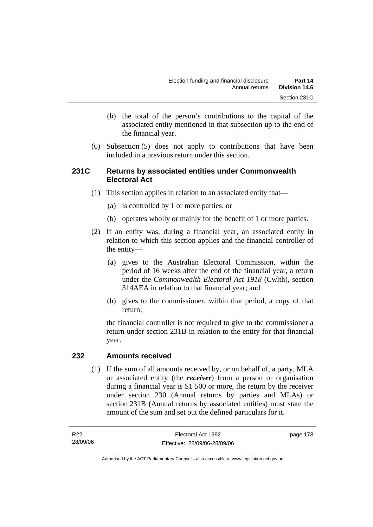- (b) the total of the person's contributions to the capital of the associated entity mentioned in that subsection up to the end of the financial year.
- (6) Subsection (5) does not apply to contributions that have been included in a previous return under this section.

# **231C Returns by associated entities under Commonwealth Electoral Act**

- (1) This section applies in relation to an associated entity that—
	- (a) is controlled by 1 or more parties; or
	- (b) operates wholly or mainly for the benefit of 1 or more parties.
- (2) If an entity was, during a financial year, an associated entity in relation to which this section applies and the financial controller of the entity—
	- (a) gives to the Australian Electoral Commission, within the period of 16 weeks after the end of the financial year, a return under the *Commonwealth Electoral Act 1918* (Cwlth), section 314AEA in relation to that financial year; and
	- (b) gives to the commissioner, within that period, a copy of that return;

the financial controller is not required to give to the commissioner a return under section 231B in relation to the entity for that financial year.

### **232 Amounts received**

 (1) If the sum of all amounts received by, or on behalf of, a party, MLA or associated entity (the *receiver*) from a person or organisation during a financial year is \$1 500 or more, the return by the receiver under section 230 (Annual returns by parties and MLAs) or section 231B (Annual returns by associated entities) must state the amount of the sum and set out the defined particulars for it.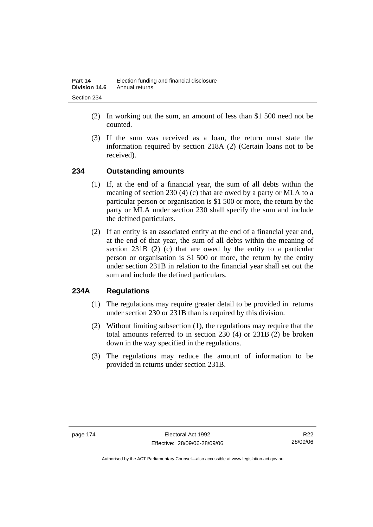- (2) In working out the sum, an amount of less than \$1 500 need not be counted.
- (3) If the sum was received as a loan, the return must state the information required by section 218A (2) (Certain loans not to be received).

# **234 Outstanding amounts**

- (1) If, at the end of a financial year, the sum of all debts within the meaning of section 230 (4) (c) that are owed by a party or MLA to a particular person or organisation is \$1 500 or more, the return by the party or MLA under section 230 shall specify the sum and include the defined particulars.
- (2) If an entity is an associated entity at the end of a financial year and, at the end of that year, the sum of all debts within the meaning of section 231B (2) (c) that are owed by the entity to a particular person or organisation is \$1 500 or more, the return by the entity under section 231B in relation to the financial year shall set out the sum and include the defined particulars.

# **234A Regulations**

- (1) The regulations may require greater detail to be provided in returns under section 230 or 231B than is required by this division.
- (2) Without limiting subsection (1), the regulations may require that the total amounts referred to in section 230 (4) or 231B (2) be broken down in the way specified in the regulations.
- (3) The regulations may reduce the amount of information to be provided in returns under section 231B.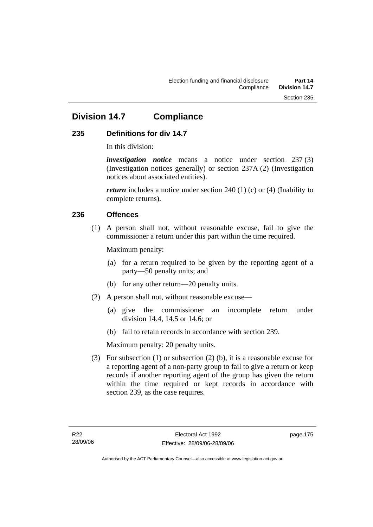# **Division 14.7 Compliance**

# **235 Definitions for div 14.7**

In this division:

*investigation notice* means a notice under section 237 (3) (Investigation notices generally) or section 237A (2) (Investigation notices about associated entities).

*return* includes a notice under section 240 (1) (c) or (4) (Inability to complete returns).

# **236 Offences**

 (1) A person shall not, without reasonable excuse, fail to give the commissioner a return under this part within the time required.

Maximum penalty:

- (a) for a return required to be given by the reporting agent of a party—50 penalty units; and
- (b) for any other return—20 penalty units.
- (2) A person shall not, without reasonable excuse—
	- (a) give the commissioner an incomplete return under division 14.4, 14.5 or 14.6; or
	- (b) fail to retain records in accordance with section 239.

Maximum penalty: 20 penalty units.

 (3) For subsection (1) or subsection (2) (b), it is a reasonable excuse for a reporting agent of a non-party group to fail to give a return or keep records if another reporting agent of the group has given the return within the time required or kept records in accordance with section 239, as the case requires.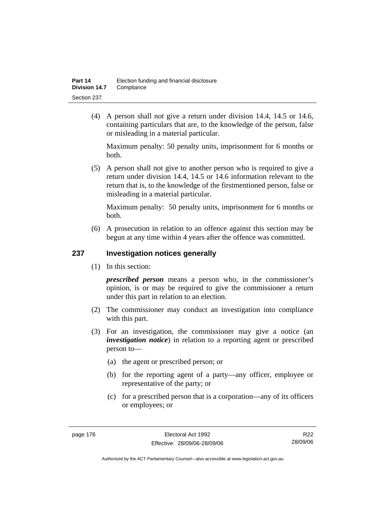(4) A person shall not give a return under division 14.4, 14.5 or 14.6, containing particulars that are, to the knowledge of the person, false or misleading in a material particular.

Maximum penalty: 50 penalty units, imprisonment for 6 months or both.

 (5) A person shall not give to another person who is required to give a return under division 14.4, 14.5 or 14.6 information relevant to the return that is, to the knowledge of the firstmentioned person, false or misleading in a material particular.

Maximum penalty: 50 penalty units, imprisonment for 6 months or both.

 (6) A prosecution in relation to an offence against this section may be begun at any time within 4 years after the offence was committed.

# **237 Investigation notices generally**

(1) In this section:

*prescribed person* means a person who, in the commissioner's opinion, is or may be required to give the commissioner a return under this part in relation to an election.

- (2) The commissioner may conduct an investigation into compliance with this part.
- (3) For an investigation, the commissioner may give a notice (an *investigation notice*) in relation to a reporting agent or prescribed person to—
	- (a) the agent or prescribed person; or
	- (b) for the reporting agent of a party—any officer, employee or representative of the party; or
	- (c) for a prescribed person that is a corporation—any of its officers or employees; or

R22 28/09/06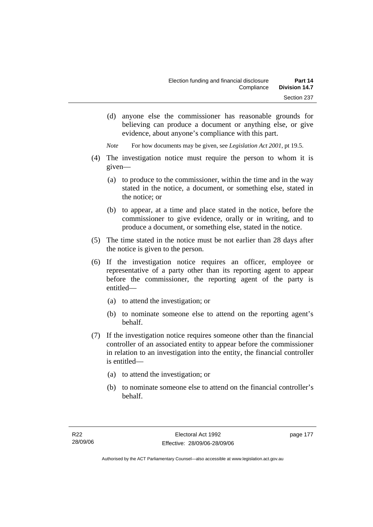(d) anyone else the commissioner has reasonable grounds for believing can produce a document or anything else, or give evidence, about anyone's compliance with this part.

*Note* For how documents may be given, see *Legislation Act 2001*, pt 19.5.

- (4) The investigation notice must require the person to whom it is given—
	- (a) to produce to the commissioner, within the time and in the way stated in the notice, a document, or something else, stated in the notice; or
	- (b) to appear, at a time and place stated in the notice, before the commissioner to give evidence, orally or in writing, and to produce a document, or something else, stated in the notice.
- (5) The time stated in the notice must be not earlier than 28 days after the notice is given to the person.
- (6) If the investigation notice requires an officer, employee or representative of a party other than its reporting agent to appear before the commissioner, the reporting agent of the party is entitled—
	- (a) to attend the investigation; or
	- (b) to nominate someone else to attend on the reporting agent's behalf.
- (7) If the investigation notice requires someone other than the financial controller of an associated entity to appear before the commissioner in relation to an investigation into the entity, the financial controller is entitled—
	- (a) to attend the investigation; or
	- (b) to nominate someone else to attend on the financial controller's behalf.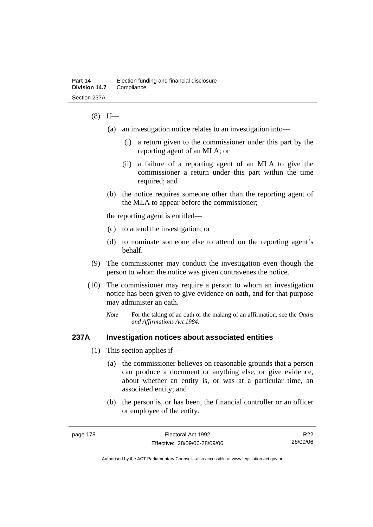### $(8)$  If—

- (a) an investigation notice relates to an investigation into—
	- (i) a return given to the commissioner under this part by the reporting agent of an MLA; or
	- (ii) a failure of a reporting agent of an MLA to give the commissioner a return under this part within the time required; and
- (b) the notice requires someone other than the reporting agent of the MLA to appear before the commissioner;

the reporting agent is entitled—

- (c) to attend the investigation; or
- (d) to nominate someone else to attend on the reporting agent's behalf.
- (9) The commissioner may conduct the investigation even though the person to whom the notice was given contravenes the notice.
- (10) The commissioner may require a person to whom an investigation notice has been given to give evidence on oath, and for that purpose may administer an oath.
	- *Note* For the taking of an oath or the making of an affirmation, see the *Oaths and Affirmations Act 1984.*

### **237A Investigation notices about associated entities**

- (1) This section applies if—
	- (a) the commissioner believes on reasonable grounds that a person can produce a document or anything else, or give evidence, about whether an entity is, or was at a particular time, an associated entity; and
	- (b) the person is, or has been, the financial controller or an officer or employee of the entity.

R22 28/09/06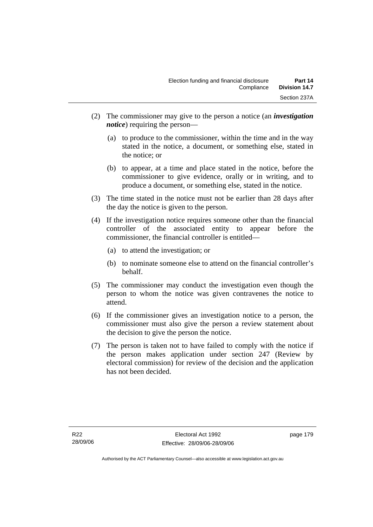- (2) The commissioner may give to the person a notice (an *investigation notice*) requiring the person—
	- (a) to produce to the commissioner, within the time and in the way stated in the notice, a document, or something else, stated in the notice; or
	- (b) to appear, at a time and place stated in the notice, before the commissioner to give evidence, orally or in writing, and to produce a document, or something else, stated in the notice.
- (3) The time stated in the notice must not be earlier than 28 days after the day the notice is given to the person.
- (4) If the investigation notice requires someone other than the financial controller of the associated entity to appear before the commissioner, the financial controller is entitled—
	- (a) to attend the investigation; or
	- (b) to nominate someone else to attend on the financial controller's behalf.
- (5) The commissioner may conduct the investigation even though the person to whom the notice was given contravenes the notice to attend.
- (6) If the commissioner gives an investigation notice to a person, the commissioner must also give the person a review statement about the decision to give the person the notice.
- (7) The person is taken not to have failed to comply with the notice if the person makes application under section 247 (Review by electoral commission) for review of the decision and the application has not been decided.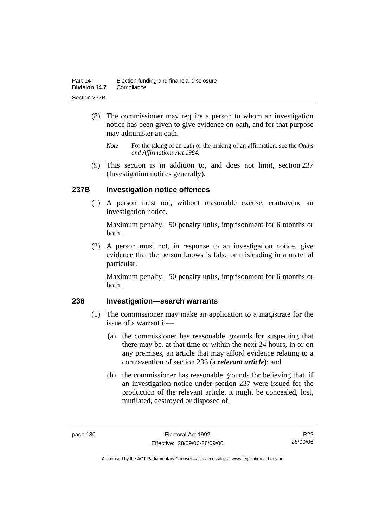- (8) The commissioner may require a person to whom an investigation notice has been given to give evidence on oath, and for that purpose may administer an oath.
	- *Note* For the taking of an oath or the making of an affirmation, see the *Oaths and Affirmations Act 1984.*
- (9) This section is in addition to, and does not limit, section 237 (Investigation notices generally).

# **237B Investigation notice offences**

 (1) A person must not, without reasonable excuse, contravene an investigation notice.

Maximum penalty: 50 penalty units, imprisonment for 6 months or both.

 (2) A person must not, in response to an investigation notice, give evidence that the person knows is false or misleading in a material particular.

Maximum penalty: 50 penalty units, imprisonment for 6 months or both.

## **238 Investigation—search warrants**

- (1) The commissioner may make an application to a magistrate for the issue of a warrant if—
	- (a) the commissioner has reasonable grounds for suspecting that there may be, at that time or within the next 24 hours, in or on any premises, an article that may afford evidence relating to a contravention of section 236 (a *relevant article*); and
	- (b) the commissioner has reasonable grounds for believing that, if an investigation notice under section 237 were issued for the production of the relevant article, it might be concealed, lost, mutilated, destroyed or disposed of.

R22 28/09/06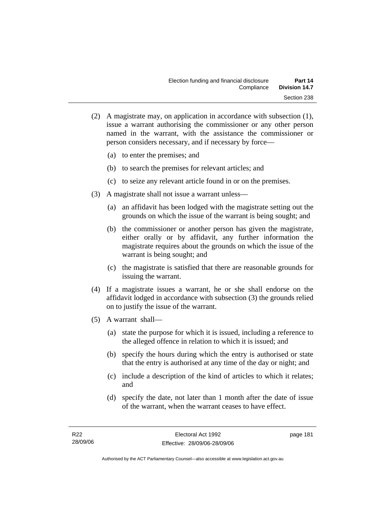- (2) A magistrate may, on application in accordance with subsection (1), issue a warrant authorising the commissioner or any other person named in the warrant, with the assistance the commissioner or person considers necessary, and if necessary by force—
	- (a) to enter the premises; and
	- (b) to search the premises for relevant articles; and
	- (c) to seize any relevant article found in or on the premises.
- (3) A magistrate shall not issue a warrant unless—
	- (a) an affidavit has been lodged with the magistrate setting out the grounds on which the issue of the warrant is being sought; and
	- (b) the commissioner or another person has given the magistrate, either orally or by affidavit, any further information the magistrate requires about the grounds on which the issue of the warrant is being sought; and
	- (c) the magistrate is satisfied that there are reasonable grounds for issuing the warrant.
- (4) If a magistrate issues a warrant, he or she shall endorse on the affidavit lodged in accordance with subsection (3) the grounds relied on to justify the issue of the warrant.
- (5) A warrant shall—
	- (a) state the purpose for which it is issued, including a reference to the alleged offence in relation to which it is issued; and
	- (b) specify the hours during which the entry is authorised or state that the entry is authorised at any time of the day or night; and
	- (c) include a description of the kind of articles to which it relates; and
	- (d) specify the date, not later than 1 month after the date of issue of the warrant, when the warrant ceases to have effect.

page 181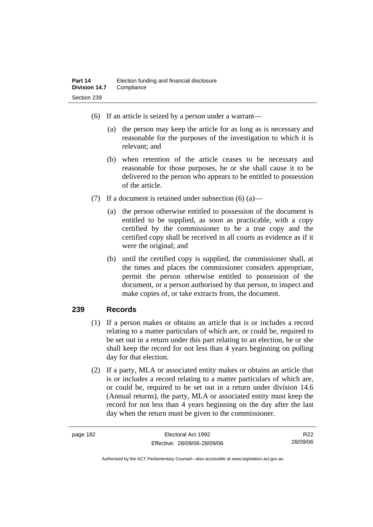- (6) If an article is seized by a person under a warrant—
	- (a) the person may keep the article for as long as is necessary and reasonable for the purposes of the investigation to which it is relevant; and
	- (b) when retention of the article ceases to be necessary and reasonable for those purposes, he or she shall cause it to be delivered to the person who appears to be entitled to possession of the article.
- (7) If a document is retained under subsection  $(6)$  (a)—
	- (a) the person otherwise entitled to possession of the document is entitled to be supplied, as soon as practicable, with a copy certified by the commissioner to be a true copy and the certified copy shall be received in all courts as evidence as if it were the original; and
	- (b) until the certified copy is supplied, the commissioner shall, at the times and places the commissioner considers appropriate, permit the person otherwise entitled to possession of the document, or a person authorised by that person, to inspect and make copies of, or take extracts from, the document.

### **239 Records**

- (1) If a person makes or obtains an article that is or includes a record relating to a matter particulars of which are, or could be, required to be set out in a return under this part relating to an election, he or she shall keep the record for not less than 4 years beginning on polling day for that election.
- (2) If a party, MLA or associated entity makes or obtains an article that is or includes a record relating to a matter particulars of which are, or could be, required to be set out in a return under division 14.6 (Annual returns), the party, MLA or associated entity must keep the record for not less than 4 years beginning on the day after the last day when the return must be given to the commissioner.

R22 28/09/06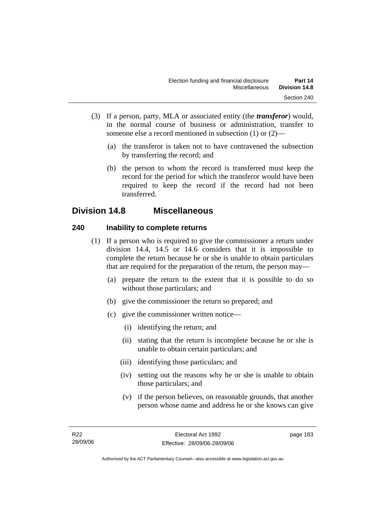- (3) If a person, party, MLA or associated entity (the *transferor*) would, in the normal course of business or administration, transfer to someone else a record mentioned in subsection (1) or (2)—
	- (a) the transferor is taken not to have contravened the subsection by transferring the record; and
	- (b) the person to whom the record is transferred must keep the record for the period for which the transferor would have been required to keep the record if the record had not been transferred.

# **Division 14.8 Miscellaneous**

# **240 Inability to complete returns**

- (1) If a person who is required to give the commissioner a return under division 14.4, 14.5 or 14.6 considers that it is impossible to complete the return because he or she is unable to obtain particulars that are required for the preparation of the return, the person may—
	- (a) prepare the return to the extent that it is possible to do so without those particulars; and
	- (b) give the commissioner the return so prepared; and
	- (c) give the commissioner written notice—
		- (i) identifying the return; and
		- (ii) stating that the return is incomplete because he or she is unable to obtain certain particulars; and
		- (iii) identifying those particulars; and
		- (iv) setting out the reasons why he or she is unable to obtain those particulars; and
		- (v) if the person believes, on reasonable grounds, that another person whose name and address he or she knows can give

page 183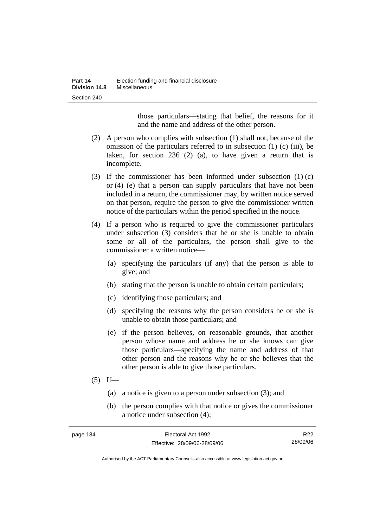those particulars—stating that belief, the reasons for it and the name and address of the other person.

- (2) A person who complies with subsection (1) shall not, because of the omission of the particulars referred to in subsection (1) (c) (iii), be taken, for section 236 (2) (a), to have given a return that is incomplete.
- (3) If the commissioner has been informed under subsection (1) (c) or (4) (e) that a person can supply particulars that have not been included in a return, the commissioner may, by written notice served on that person, require the person to give the commissioner written notice of the particulars within the period specified in the notice.
- (4) If a person who is required to give the commissioner particulars under subsection (3) considers that he or she is unable to obtain some or all of the particulars, the person shall give to the commissioner a written notice—
	- (a) specifying the particulars (if any) that the person is able to give; and
	- (b) stating that the person is unable to obtain certain particulars;
	- (c) identifying those particulars; and
	- (d) specifying the reasons why the person considers he or she is unable to obtain those particulars; and
	- (e) if the person believes, on reasonable grounds, that another person whose name and address he or she knows can give those particulars—specifying the name and address of that other person and the reasons why he or she believes that the other person is able to give those particulars.
- $(5)$  If—
	- (a) a notice is given to a person under subsection (3); and
	- (b) the person complies with that notice or gives the commissioner a notice under subsection (4);

| page 184 | Electoral Act 1992           | R <sub>22</sub> |
|----------|------------------------------|-----------------|
|          | Effective: 28/09/06-28/09/06 | 28/09/06        |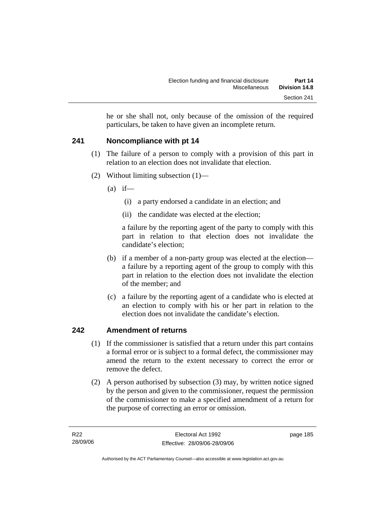he or she shall not, only because of the omission of the required particulars, be taken to have given an incomplete return.

# **241 Noncompliance with pt 14**

- (1) The failure of a person to comply with a provision of this part in relation to an election does not invalidate that election.
- (2) Without limiting subsection (1)—
	- $(a)$  if—
		- (i) a party endorsed a candidate in an election; and
		- (ii) the candidate was elected at the election;

a failure by the reporting agent of the party to comply with this part in relation to that election does not invalidate the candidate's election;

- (b) if a member of a non-party group was elected at the election a failure by a reporting agent of the group to comply with this part in relation to the election does not invalidate the election of the member; and
- (c) a failure by the reporting agent of a candidate who is elected at an election to comply with his or her part in relation to the election does not invalidate the candidate's election.

# **242 Amendment of returns**

- (1) If the commissioner is satisfied that a return under this part contains a formal error or is subject to a formal defect, the commissioner may amend the return to the extent necessary to correct the error or remove the defect.
- (2) A person authorised by subsection (3) may, by written notice signed by the person and given to the commissioner, request the permission of the commissioner to make a specified amendment of a return for the purpose of correcting an error or omission.

page 185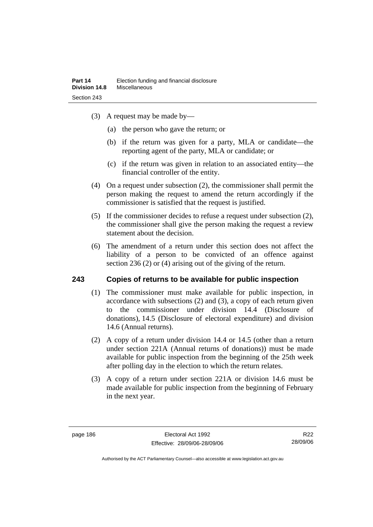- (3) A request may be made by—
	- (a) the person who gave the return; or
	- (b) if the return was given for a party, MLA or candidate—the reporting agent of the party, MLA or candidate; or
	- (c) if the return was given in relation to an associated entity—the financial controller of the entity.
- (4) On a request under subsection (2), the commissioner shall permit the person making the request to amend the return accordingly if the commissioner is satisfied that the request is justified.
- (5) If the commissioner decides to refuse a request under subsection (2), the commissioner shall give the person making the request a review statement about the decision.
- (6) The amendment of a return under this section does not affect the liability of a person to be convicted of an offence against section 236 (2) or (4) arising out of the giving of the return.

# **243 Copies of returns to be available for public inspection**

- (1) The commissioner must make available for public inspection, in accordance with subsections (2) and (3), a copy of each return given to the commissioner under division 14.4 (Disclosure of donations), 14.5 (Disclosure of electoral expenditure) and division 14.6 (Annual returns).
- (2) A copy of a return under division 14.4 or 14.5 (other than a return under section 221A (Annual returns of donations)) must be made available for public inspection from the beginning of the 25th week after polling day in the election to which the return relates.
- (3) A copy of a return under section 221A or division 14.6 must be made available for public inspection from the beginning of February in the next year.

R22 28/09/06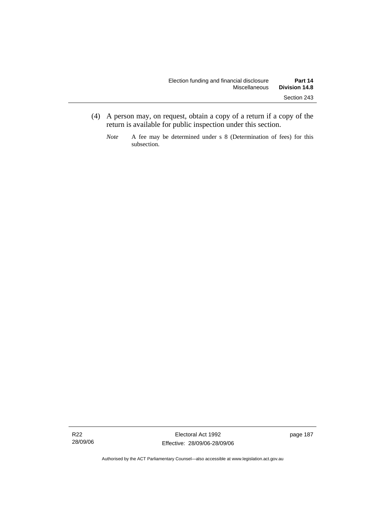- (4) A person may, on request, obtain a copy of a return if a copy of the return is available for public inspection under this section.
	- *Note* A fee may be determined under s 8 (Determination of fees) for this subsection.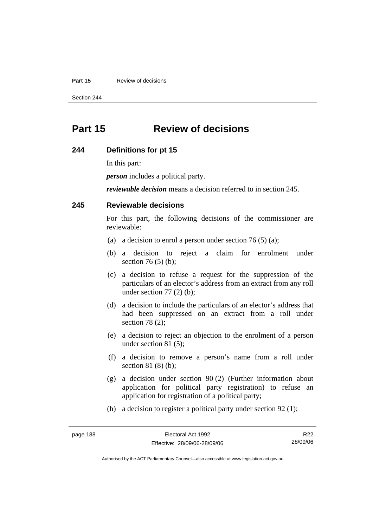#### **Part 15 Review of decisions**

Section 244

# **Part 15 Review of decisions**

#### **244 Definitions for pt 15**

In this part:

*person* includes a political party.

*reviewable decision* means a decision referred to in section 245.

### **245 Reviewable decisions**

For this part, the following decisions of the commissioner are reviewable:

- (a) a decision to enrol a person under section 76 (5) (a);
- (b) a decision to reject a claim for enrolment under section 76 (5) (b);
- (c) a decision to refuse a request for the suppression of the particulars of an elector's address from an extract from any roll under section  $77(2)$  (b);
- (d) a decision to include the particulars of an elector's address that had been suppressed on an extract from a roll under section 78 (2);
- (e) a decision to reject an objection to the enrolment of a person under section 81 (5);
- (f) a decision to remove a person's name from a roll under section 81 (8) (b);
- (g) a decision under section 90 (2) (Further information about application for political party registration) to refuse an application for registration of a political party;
- (h) a decision to register a political party under section 92 (1);

| page 188 |  |
|----------|--|
|----------|--|

R22 28/09/06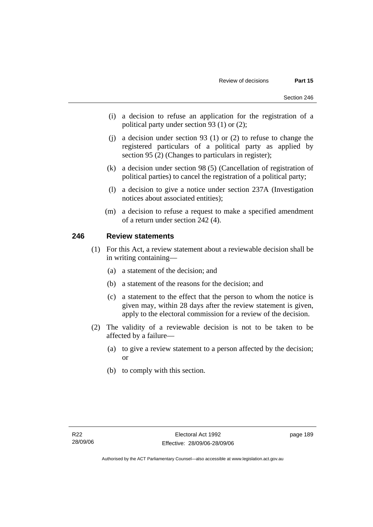- (i) a decision to refuse an application for the registration of a political party under section 93 (1) or (2);
- (j) a decision under section 93 (1) or (2) to refuse to change the registered particulars of a political party as applied by section 95 (2) (Changes to particulars in register);
- (k) a decision under section 98 (5) (Cancellation of registration of political parties) to cancel the registration of a political party;
- (l) a decision to give a notice under section 237A (Investigation notices about associated entities);
- (m) a decision to refuse a request to make a specified amendment of a return under section 242 (4).

### **246 Review statements**

- (1) For this Act, a review statement about a reviewable decision shall be in writing containing—
	- (a) a statement of the decision; and
	- (b) a statement of the reasons for the decision; and
	- (c) a statement to the effect that the person to whom the notice is given may, within 28 days after the review statement is given, apply to the electoral commission for a review of the decision.
- (2) The validity of a reviewable decision is not to be taken to be affected by a failure—
	- (a) to give a review statement to a person affected by the decision; or
	- (b) to comply with this section.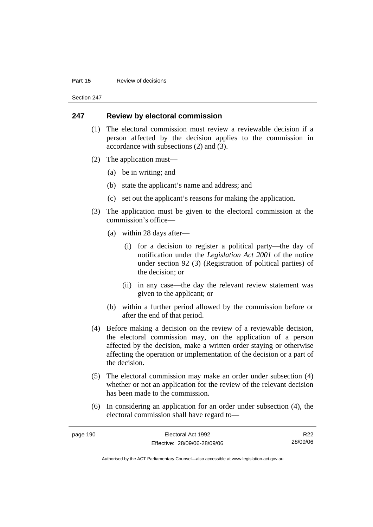#### **Part 15 Review of decisions**

Section 247

### **247 Review by electoral commission**

- (1) The electoral commission must review a reviewable decision if a person affected by the decision applies to the commission in accordance with subsections (2) and (3).
- (2) The application must—
	- (a) be in writing; and
	- (b) state the applicant's name and address; and
	- (c) set out the applicant's reasons for making the application.
- (3) The application must be given to the electoral commission at the commission's office—
	- (a) within 28 days after—
		- (i) for a decision to register a political party—the day of notification under the *Legislation Act 2001* of the notice under section 92 (3) (Registration of political parties) of the decision; or
		- (ii) in any case—the day the relevant review statement was given to the applicant; or
	- (b) within a further period allowed by the commission before or after the end of that period.
- (4) Before making a decision on the review of a reviewable decision, the electoral commission may, on the application of a person affected by the decision, make a written order staying or otherwise affecting the operation or implementation of the decision or a part of the decision.
- (5) The electoral commission may make an order under subsection (4) whether or not an application for the review of the relevant decision has been made to the commission.
- (6) In considering an application for an order under subsection (4), the electoral commission shall have regard to—

| page 190 | Electoral Act 1992           | R <sub>22</sub> |
|----------|------------------------------|-----------------|
|          | Effective: 28/09/06-28/09/06 | 28/09/06        |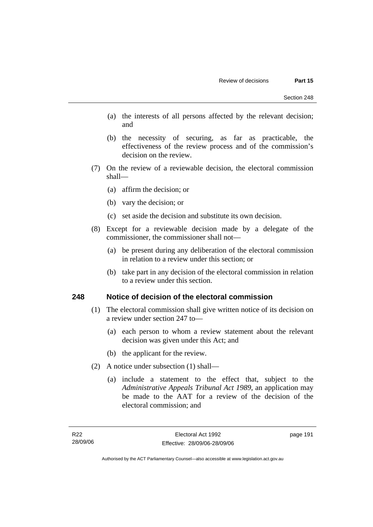- (a) the interests of all persons affected by the relevant decision; and
- (b) the necessity of securing, as far as practicable, the effectiveness of the review process and of the commission's decision on the review.
- (7) On the review of a reviewable decision, the electoral commission shall—
	- (a) affirm the decision; or
	- (b) vary the decision; or
	- (c) set aside the decision and substitute its own decision.
- (8) Except for a reviewable decision made by a delegate of the commissioner, the commissioner shall not—
	- (a) be present during any deliberation of the electoral commission in relation to a review under this section; or
	- (b) take part in any decision of the electoral commission in relation to a review under this section.

### **248 Notice of decision of the electoral commission**

- (1) The electoral commission shall give written notice of its decision on a review under section 247 to—
	- (a) each person to whom a review statement about the relevant decision was given under this Act; and
	- (b) the applicant for the review.
- (2) A notice under subsection (1) shall—
	- (a) include a statement to the effect that, subject to the *Administrative Appeals Tribunal Act 1989*, an application may be made to the AAT for a review of the decision of the electoral commission; and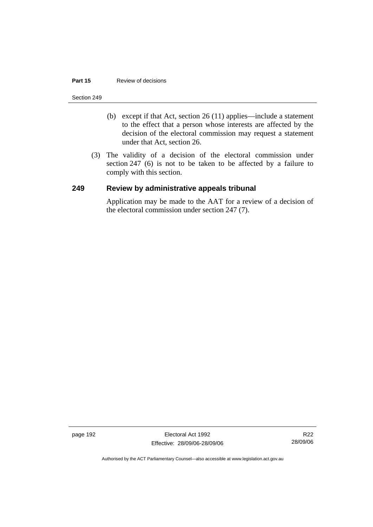#### **Part 15 Review of decisions**

#### Section 249

- (b) except if that Act, section 26 (11) applies—include a statement to the effect that a person whose interests are affected by the decision of the electoral commission may request a statement under that Act, section 26.
- (3) The validity of a decision of the electoral commission under section 247 (6) is not to be taken to be affected by a failure to comply with this section.

## **249 Review by administrative appeals tribunal**

Application may be made to the AAT for a review of a decision of the electoral commission under section 247 (7).

page 192 Electoral Act 1992 Effective: 28/09/06-28/09/06

R22 28/09/06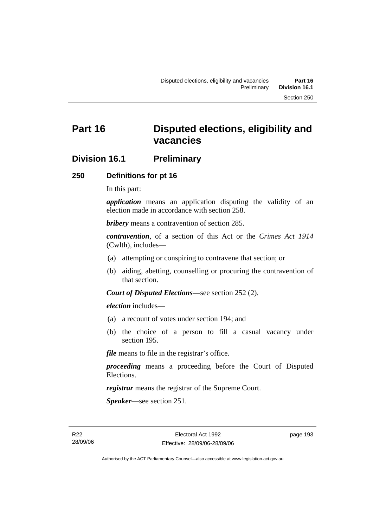# **Division 16.1 Preliminary**

### **250 Definitions for pt 16**

In this part:

*application* means an application disputing the validity of an election made in accordance with section 258.

*bribery* means a contravention of section 285.

*contravention*, of a section of this Act or the *Crimes Act 1914* (Cwlth), includes—

- (a) attempting or conspiring to contravene that section; or
- (b) aiding, abetting, counselling or procuring the contravention of that section.

*Court of Disputed Elections*—see section 252 (2).

*election* includes—

- (a) a recount of votes under section 194; and
- (b) the choice of a person to fill a casual vacancy under section 195.

*file* means to file in the registrar's office.

*proceeding* means a proceeding before the Court of Disputed Elections.

*registrar* means the registrar of the Supreme Court.

*Speaker*—see section 251.

R22 28/09/06 page 193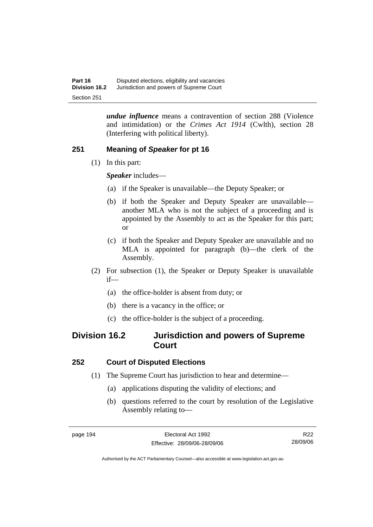*undue influence* means a contravention of section 288 (Violence and intimidation) or the *Crimes Act 1914* (Cwlth), section 28 (Interfering with political liberty).

# **251 Meaning of** *Speaker* **for pt 16**

(1) In this part:

*Speaker* includes—

- (a) if the Speaker is unavailable—the Deputy Speaker; or
- (b) if both the Speaker and Deputy Speaker are unavailable another MLA who is not the subject of a proceeding and is appointed by the Assembly to act as the Speaker for this part; or
- (c) if both the Speaker and Deputy Speaker are unavailable and no MLA is appointed for paragraph (b)—the clerk of the Assembly.
- (2) For subsection (1), the Speaker or Deputy Speaker is unavailable if—
	- (a) the office-holder is absent from duty; or
	- (b) there is a vacancy in the office; or
	- (c) the office-holder is the subject of a proceeding.

# **Division 16.2 Jurisdiction and powers of Supreme Court**

# **252 Court of Disputed Elections**

- (1) The Supreme Court has jurisdiction to hear and determine—
	- (a) applications disputing the validity of elections; and
	- (b) questions referred to the court by resolution of the Legislative Assembly relating to—

R22 28/09/06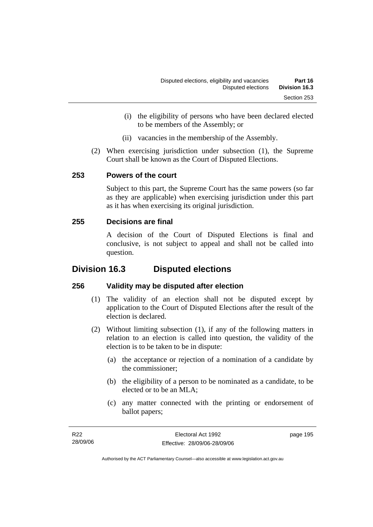- (i) the eligibility of persons who have been declared elected to be members of the Assembly; or
- (ii) vacancies in the membership of the Assembly.
- (2) When exercising jurisdiction under subsection (1), the Supreme Court shall be known as the Court of Disputed Elections.

# **253 Powers of the court**

Subject to this part, the Supreme Court has the same powers (so far as they are applicable) when exercising jurisdiction under this part as it has when exercising its original jurisdiction.

# **255 Decisions are final**

A decision of the Court of Disputed Elections is final and conclusive, is not subject to appeal and shall not be called into question.

# **Division 16.3 Disputed elections**

# **256 Validity may be disputed after election**

- (1) The validity of an election shall not be disputed except by application to the Court of Disputed Elections after the result of the election is declared.
- (2) Without limiting subsection (1), if any of the following matters in relation to an election is called into question, the validity of the election is to be taken to be in dispute:
	- (a) the acceptance or rejection of a nomination of a candidate by the commissioner;
	- (b) the eligibility of a person to be nominated as a candidate, to be elected or to be an MLA;
	- (c) any matter connected with the printing or endorsement of ballot papers;

| R22      | Electoral Act 1992           | page 195 |
|----------|------------------------------|----------|
| 28/09/06 | Effective: 28/09/06-28/09/06 |          |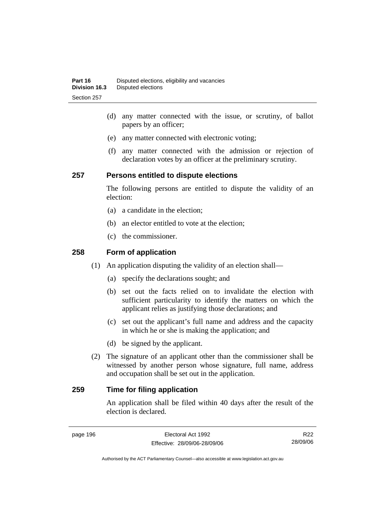- (d) any matter connected with the issue, or scrutiny, of ballot papers by an officer;
- (e) any matter connected with electronic voting;
- (f) any matter connected with the admission or rejection of declaration votes by an officer at the preliminary scrutiny.

### **257 Persons entitled to dispute elections**

The following persons are entitled to dispute the validity of an election:

- (a) a candidate in the election;
- (b) an elector entitled to vote at the election;
- (c) the commissioner.

### **258 Form of application**

- (1) An application disputing the validity of an election shall—
	- (a) specify the declarations sought; and
	- (b) set out the facts relied on to invalidate the election with sufficient particularity to identify the matters on which the applicant relies as justifying those declarations; and
	- (c) set out the applicant's full name and address and the capacity in which he or she is making the application; and
	- (d) be signed by the applicant.
- (2) The signature of an applicant other than the commissioner shall be witnessed by another person whose signature, full name, address and occupation shall be set out in the application.

# **259 Time for filing application**

An application shall be filed within 40 days after the result of the election is declared.

R22 28/09/06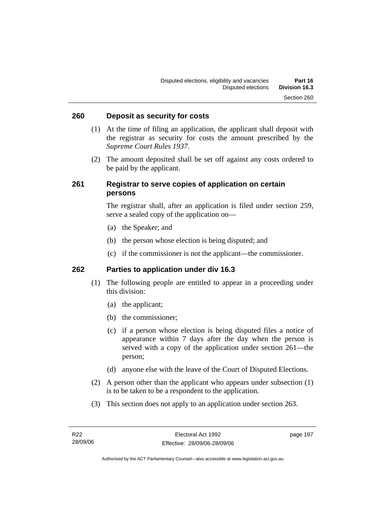### **260 Deposit as security for costs**

- (1) At the time of filing an application, the applicant shall deposit with the registrar as security for costs the amount prescribed by the *Supreme Court Rules 1937*.
- (2) The amount deposited shall be set off against any costs ordered to be paid by the applicant.

### **261 Registrar to serve copies of application on certain persons**

The registrar shall, after an application is filed under section 259, serve a sealed copy of the application on—

- (a) the Speaker; and
- (b) the person whose election is being disputed; and
- (c) if the commissioner is not the applicant—the commissioner.

### **262 Parties to application under div 16.3**

- (1) The following people are entitled to appear in a proceeding under this division:
	- (a) the applicant;
	- (b) the commissioner;
	- (c) if a person whose election is being disputed files a notice of appearance within 7 days after the day when the person is served with a copy of the application under section 261—the person;
	- (d) anyone else with the leave of the Court of Disputed Elections.
- (2) A person other than the applicant who appears under subsection (1) is to be taken to be a respondent to the application.
- (3) This section does not apply to an application under section 263.

page 197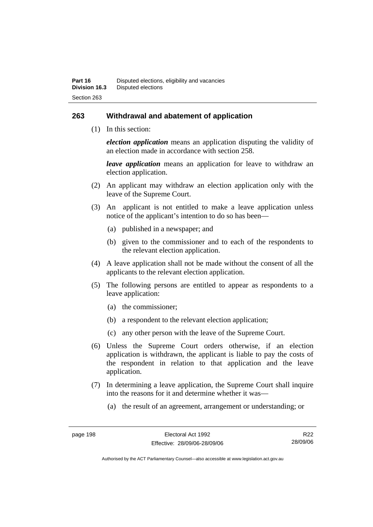### **263 Withdrawal and abatement of application**

(1) In this section:

*election application* means an application disputing the validity of an election made in accordance with section 258.

*leave application* means an application for leave to withdraw an election application.

- (2) An applicant may withdraw an election application only with the leave of the Supreme Court.
- (3) An applicant is not entitled to make a leave application unless notice of the applicant's intention to do so has been—
	- (a) published in a newspaper; and
	- (b) given to the commissioner and to each of the respondents to the relevant election application.
- (4) A leave application shall not be made without the consent of all the applicants to the relevant election application.
- (5) The following persons are entitled to appear as respondents to a leave application:
	- (a) the commissioner;
	- (b) a respondent to the relevant election application;
	- (c) any other person with the leave of the Supreme Court.
- (6) Unless the Supreme Court orders otherwise, if an election application is withdrawn, the applicant is liable to pay the costs of the respondent in relation to that application and the leave application.
- (7) In determining a leave application, the Supreme Court shall inquire into the reasons for it and determine whether it was—
	- (a) the result of an agreement, arrangement or understanding; or

R22 28/09/06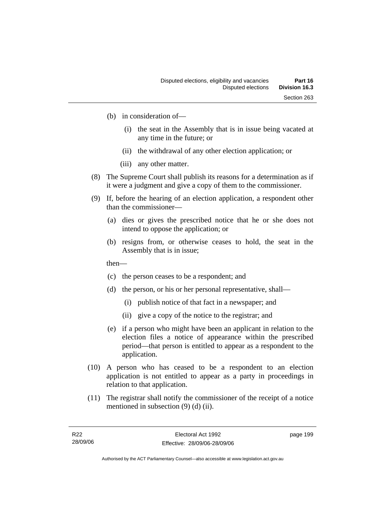- (b) in consideration of—
	- (i) the seat in the Assembly that is in issue being vacated at any time in the future; or
	- (ii) the withdrawal of any other election application; or
	- (iii) any other matter.
- (8) The Supreme Court shall publish its reasons for a determination as if it were a judgment and give a copy of them to the commissioner.
- (9) If, before the hearing of an election application, a respondent other than the commissioner—
	- (a) dies or gives the prescribed notice that he or she does not intend to oppose the application; or
	- (b) resigns from, or otherwise ceases to hold, the seat in the Assembly that is in issue;
	- then—
	- (c) the person ceases to be a respondent; and
	- (d) the person, or his or her personal representative, shall—
		- (i) publish notice of that fact in a newspaper; and
		- (ii) give a copy of the notice to the registrar; and
	- (e) if a person who might have been an applicant in relation to the election files a notice of appearance within the prescribed period—that person is entitled to appear as a respondent to the application.
- (10) A person who has ceased to be a respondent to an election application is not entitled to appear as a party in proceedings in relation to that application.
- (11) The registrar shall notify the commissioner of the receipt of a notice mentioned in subsection (9) (d) (ii).

page 199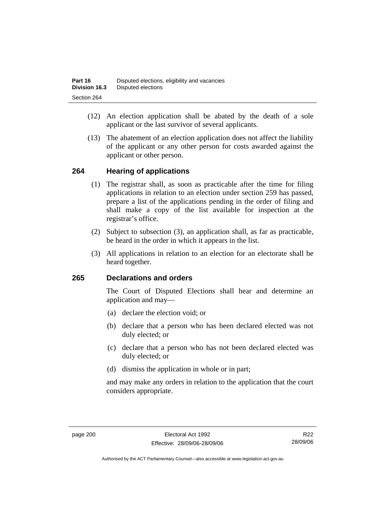- (12) An election application shall be abated by the death of a sole applicant or the last survivor of several applicants.
- (13) The abatement of an election application does not affect the liability of the applicant or any other person for costs awarded against the applicant or other person.

#### **264 Hearing of applications**

- (1) The registrar shall, as soon as practicable after the time for filing applications in relation to an election under section 259 has passed, prepare a list of the applications pending in the order of filing and shall make a copy of the list available for inspection at the registrar's office.
- (2) Subject to subsection (3), an application shall, as far as practicable, be heard in the order in which it appears in the list.
- (3) All applications in relation to an election for an electorate shall be heard together.

#### **265 Declarations and orders**

The Court of Disputed Elections shall hear and determine an application and may—

- (a) declare the election void; or
- (b) declare that a person who has been declared elected was not duly elected; or
- (c) declare that a person who has not been declared elected was duly elected; or
- (d) dismiss the application in whole or in part;

and may make any orders in relation to the application that the court considers appropriate.

R22 28/09/06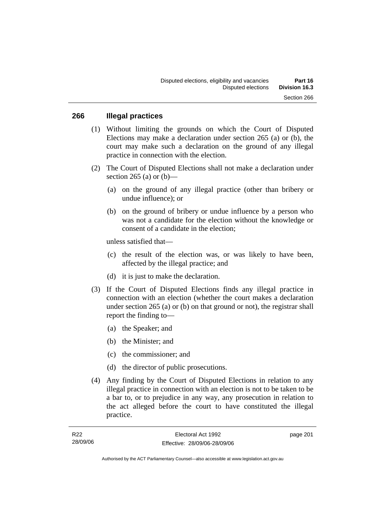#### **266 Illegal practices**

- (1) Without limiting the grounds on which the Court of Disputed Elections may make a declaration under section 265 (a) or (b), the court may make such a declaration on the ground of any illegal practice in connection with the election.
- (2) The Court of Disputed Elections shall not make a declaration under section 265 (a) or  $(b)$ —
	- (a) on the ground of any illegal practice (other than bribery or undue influence); or
	- (b) on the ground of bribery or undue influence by a person who was not a candidate for the election without the knowledge or consent of a candidate in the election;

unless satisfied that—

- (c) the result of the election was, or was likely to have been, affected by the illegal practice; and
- (d) it is just to make the declaration.
- (3) If the Court of Disputed Elections finds any illegal practice in connection with an election (whether the court makes a declaration under section 265 (a) or (b) on that ground or not), the registrar shall report the finding to—
	- (a) the Speaker; and
	- (b) the Minister; and
	- (c) the commissioner; and
	- (d) the director of public prosecutions.
- (4) Any finding by the Court of Disputed Elections in relation to any illegal practice in connection with an election is not to be taken to be a bar to, or to prejudice in any way, any prosecution in relation to the act alleged before the court to have constituted the illegal practice.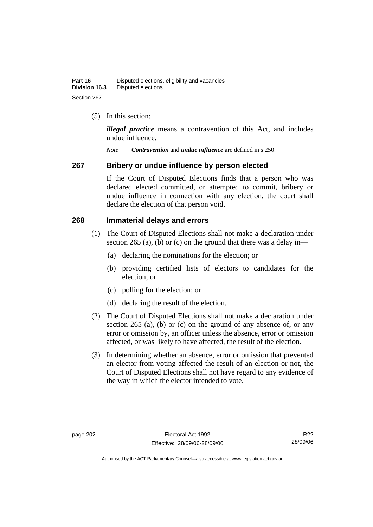(5) In this section:

*illegal practice* means a contravention of this Act, and includes undue influence.

*Note Contravention* and *undue influence* are defined in s 250.

#### **267 Bribery or undue influence by person elected**

If the Court of Disputed Elections finds that a person who was declared elected committed, or attempted to commit, bribery or undue influence in connection with any election, the court shall declare the election of that person void.

#### **268 Immaterial delays and errors**

- (1) The Court of Disputed Elections shall not make a declaration under section 265 (a), (b) or (c) on the ground that there was a delay in—
	- (a) declaring the nominations for the election; or
	- (b) providing certified lists of electors to candidates for the election; or
	- (c) polling for the election; or
	- (d) declaring the result of the election.
- (2) The Court of Disputed Elections shall not make a declaration under section 265 (a), (b) or (c) on the ground of any absence of, or any error or omission by, an officer unless the absence, error or omission affected, or was likely to have affected, the result of the election.
- (3) In determining whether an absence, error or omission that prevented an elector from voting affected the result of an election or not, the Court of Disputed Elections shall not have regard to any evidence of the way in which the elector intended to vote.

R22 28/09/06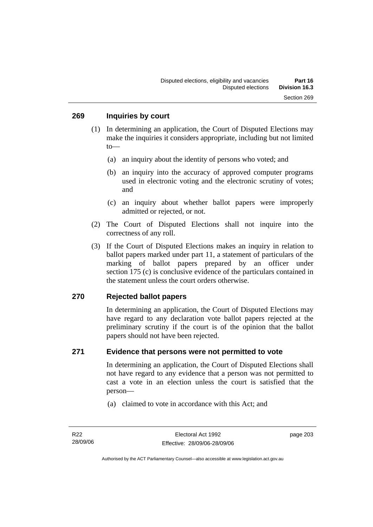- (1) In determining an application, the Court of Disputed Elections may make the inquiries it considers appropriate, including but not limited to—
	- (a) an inquiry about the identity of persons who voted; and
	- (b) an inquiry into the accuracy of approved computer programs used in electronic voting and the electronic scrutiny of votes; and
	- (c) an inquiry about whether ballot papers were improperly admitted or rejected, or not.
- (2) The Court of Disputed Elections shall not inquire into the correctness of any roll.
- (3) If the Court of Disputed Elections makes an inquiry in relation to ballot papers marked under part 11, a statement of particulars of the marking of ballot papers prepared by an officer under section 175 (c) is conclusive evidence of the particulars contained in the statement unless the court orders otherwise.

#### **270 Rejected ballot papers**

In determining an application, the Court of Disputed Elections may have regard to any declaration vote ballot papers rejected at the preliminary scrutiny if the court is of the opinion that the ballot papers should not have been rejected.

#### **271 Evidence that persons were not permitted to vote**

In determining an application, the Court of Disputed Elections shall not have regard to any evidence that a person was not permitted to cast a vote in an election unless the court is satisfied that the person—

(a) claimed to vote in accordance with this Act; and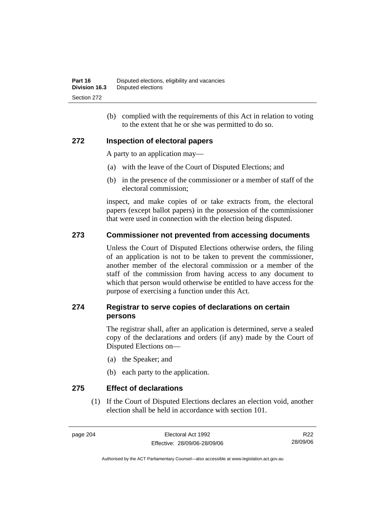(b) complied with the requirements of this Act in relation to voting to the extent that he or she was permitted to do so.

#### **272 Inspection of electoral papers**

A party to an application may—

- (a) with the leave of the Court of Disputed Elections; and
- (b) in the presence of the commissioner or a member of staff of the electoral commission;

inspect, and make copies of or take extracts from, the electoral papers (except ballot papers) in the possession of the commissioner that were used in connection with the election being disputed.

#### **273 Commissioner not prevented from accessing documents**

Unless the Court of Disputed Elections otherwise orders, the filing of an application is not to be taken to prevent the commissioner, another member of the electoral commission or a member of the staff of the commission from having access to any document to which that person would otherwise be entitled to have access for the purpose of exercising a function under this Act.

#### **274 Registrar to serve copies of declarations on certain persons**

The registrar shall, after an application is determined, serve a sealed copy of the declarations and orders (if any) made by the Court of Disputed Elections on—

- (a) the Speaker; and
- (b) each party to the application.

**275 Effect of declarations** 

 (1) If the Court of Disputed Elections declares an election void, another election shall be held in accordance with section 101.

page 204 Electoral Act 1992 Effective: 28/09/06-28/09/06

R22 28/09/06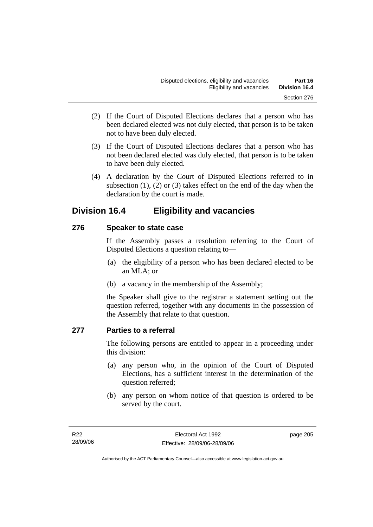- (2) If the Court of Disputed Elections declares that a person who has been declared elected was not duly elected, that person is to be taken not to have been duly elected.
- (3) If the Court of Disputed Elections declares that a person who has not been declared elected was duly elected, that person is to be taken to have been duly elected.
- (4) A declaration by the Court of Disputed Elections referred to in subsection  $(1)$ ,  $(2)$  or  $(3)$  takes effect on the end of the day when the declaration by the court is made.

## **Division 16.4 Eligibility and vacancies**

#### **276 Speaker to state case**

If the Assembly passes a resolution referring to the Court of Disputed Elections a question relating to—

- (a) the eligibility of a person who has been declared elected to be an MLA; or
- (b) a vacancy in the membership of the Assembly;

the Speaker shall give to the registrar a statement setting out the question referred, together with any documents in the possession of the Assembly that relate to that question.

#### **277 Parties to a referral**

The following persons are entitled to appear in a proceeding under this division:

- (a) any person who, in the opinion of the Court of Disputed Elections, has a sufficient interest in the determination of the question referred;
- (b) any person on whom notice of that question is ordered to be served by the court.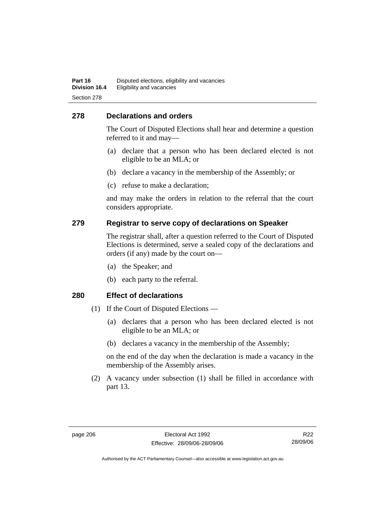#### **278 Declarations and orders**

The Court of Disputed Elections shall hear and determine a question referred to it and may—

- (a) declare that a person who has been declared elected is not eligible to be an MLA; or
- (b) declare a vacancy in the membership of the Assembly; or
- (c) refuse to make a declaration;

and may make the orders in relation to the referral that the court considers appropriate.

#### **279 Registrar to serve copy of declarations on Speaker**

The registrar shall, after a question referred to the Court of Disputed Elections is determined, serve a sealed copy of the declarations and orders (if any) made by the court on—

- (a) the Speaker; and
- (b) each party to the referral.

#### **280 Effect of declarations**

- (1) If the Court of Disputed Elections
	- (a) declares that a person who has been declared elected is not eligible to be an MLA; or
	- (b) declares a vacancy in the membership of the Assembly;

on the end of the day when the declaration is made a vacancy in the membership of the Assembly arises.

 (2) A vacancy under subsection (1) shall be filled in accordance with part 13.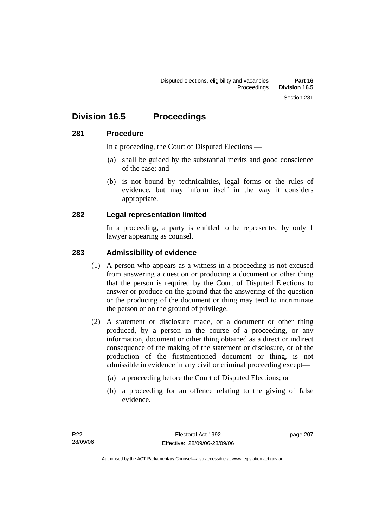## **Division 16.5 Proceedings**

#### **281 Procedure**

In a proceeding, the Court of Disputed Elections —

- (a) shall be guided by the substantial merits and good conscience of the case; and
- (b) is not bound by technicalities, legal forms or the rules of evidence, but may inform itself in the way it considers appropriate.

#### **282 Legal representation limited**

In a proceeding, a party is entitled to be represented by only 1 lawyer appearing as counsel.

#### **283 Admissibility of evidence**

- (1) A person who appears as a witness in a proceeding is not excused from answering a question or producing a document or other thing that the person is required by the Court of Disputed Elections to answer or produce on the ground that the answering of the question or the producing of the document or thing may tend to incriminate the person or on the ground of privilege.
- (2) A statement or disclosure made, or a document or other thing produced, by a person in the course of a proceeding, or any information, document or other thing obtained as a direct or indirect consequence of the making of the statement or disclosure, or of the production of the firstmentioned document or thing, is not admissible in evidence in any civil or criminal proceeding except—
	- (a) a proceeding before the Court of Disputed Elections; or
	- (b) a proceeding for an offence relating to the giving of false evidence.

page 207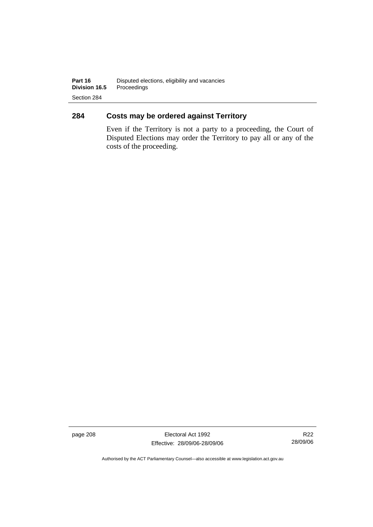### **284 Costs may be ordered against Territory**

Even if the Territory is not a party to a proceeding, the Court of Disputed Elections may order the Territory to pay all or any of the costs of the proceeding.

page 208 Electoral Act 1992 Effective: 28/09/06-28/09/06

R22 28/09/06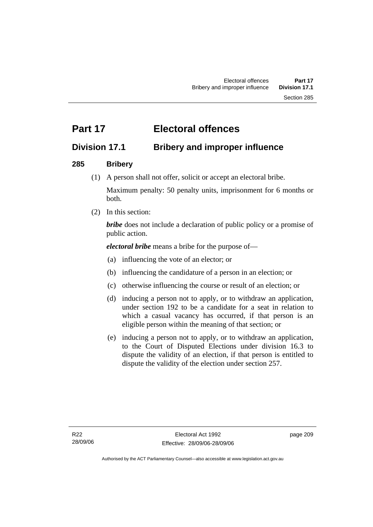# **Part 17 Electoral offences**

## **Division 17.1 Bribery and improper influence**

### **285 Bribery**

(1) A person shall not offer, solicit or accept an electoral bribe.

Maximum penalty: 50 penalty units, imprisonment for 6 months or both.

(2) In this section:

*bribe* does not include a declaration of public policy or a promise of public action.

*electoral bribe* means a bribe for the purpose of—

- (a) influencing the vote of an elector; or
- (b) influencing the candidature of a person in an election; or
- (c) otherwise influencing the course or result of an election; or
- (d) inducing a person not to apply, or to withdraw an application, under section 192 to be a candidate for a seat in relation to which a casual vacancy has occurred, if that person is an eligible person within the meaning of that section; or
- (e) inducing a person not to apply, or to withdraw an application, to the Court of Disputed Elections under division 16.3 to dispute the validity of an election, if that person is entitled to dispute the validity of the election under section 257.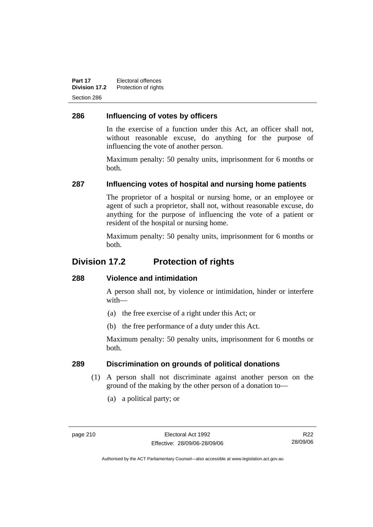**Part 17** Electoral offences **Division 17.2** Protection of rights Section 286

### **286 Influencing of votes by officers**

In the exercise of a function under this Act, an officer shall not, without reasonable excuse, do anything for the purpose of influencing the vote of another person.

Maximum penalty: 50 penalty units, imprisonment for 6 months or both.

#### **287 Influencing votes of hospital and nursing home patients**

The proprietor of a hospital or nursing home, or an employee or agent of such a proprietor, shall not, without reasonable excuse, do anything for the purpose of influencing the vote of a patient or resident of the hospital or nursing home.

Maximum penalty: 50 penalty units, imprisonment for 6 months or both.

## **Division 17.2 Protection of rights**

#### **288 Violence and intimidation**

A person shall not, by violence or intimidation, hinder or interfere with—

- (a) the free exercise of a right under this Act; or
- (b) the free performance of a duty under this Act.

Maximum penalty: 50 penalty units, imprisonment for 6 months or both.

#### **289 Discrimination on grounds of political donations**

- (1) A person shall not discriminate against another person on the ground of the making by the other person of a donation to—
	- (a) a political party; or

R22 28/09/06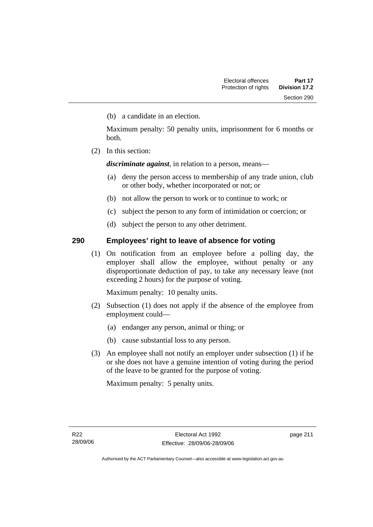(b) a candidate in an election.

Maximum penalty: 50 penalty units, imprisonment for 6 months or both.

(2) In this section:

*discriminate against*, in relation to a person, means—

- (a) deny the person access to membership of any trade union, club or other body, whether incorporated or not; or
- (b) not allow the person to work or to continue to work; or
- (c) subject the person to any form of intimidation or coercion; or
- (d) subject the person to any other detriment.

#### **290 Employees' right to leave of absence for voting**

 (1) On notification from an employee before a polling day, the employer shall allow the employee, without penalty or any disproportionate deduction of pay, to take any necessary leave (not exceeding 2 hours) for the purpose of voting.

Maximum penalty: 10 penalty units.

- (2) Subsection (1) does not apply if the absence of the employee from employment could—
	- (a) endanger any person, animal or thing; or
	- (b) cause substantial loss to any person.
- (3) An employee shall not notify an employer under subsection (1) if he or she does not have a genuine intention of voting during the period of the leave to be granted for the purpose of voting.

Maximum penalty: 5 penalty units.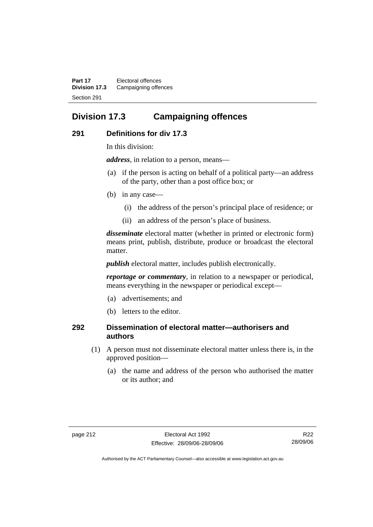**Part 17** Electoral offences **Division 17.3** Campaigning offences Section 291

## **Division 17.3 Campaigning offences**

#### **291 Definitions for div 17.3**

In this division:

*address*, in relation to a person, means—

- (a) if the person is acting on behalf of a political party—an address of the party, other than a post office box; or
- (b) in any case—
	- (i) the address of the person's principal place of residence; or
	- (ii) an address of the person's place of business.

*disseminate* electoral matter (whether in printed or electronic form) means print, publish, distribute, produce or broadcast the electoral matter.

*publish* electoral matter, includes publish electronically.

*reportage or commentary*, in relation to a newspaper or periodical, means everything in the newspaper or periodical except—

- (a) advertisements; and
- (b) letters to the editor.

#### **292 Dissemination of electoral matter—authorisers and authors**

- (1) A person must not disseminate electoral matter unless there is, in the approved position—
	- (a) the name and address of the person who authorised the matter or its author; and

R22 28/09/06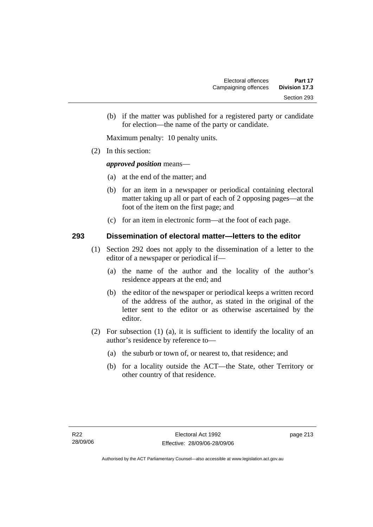(b) if the matter was published for a registered party or candidate for election—the name of the party or candidate.

Maximum penalty: 10 penalty units.

(2) In this section:

#### *approved position* means—

- (a) at the end of the matter; and
- (b) for an item in a newspaper or periodical containing electoral matter taking up all or part of each of 2 opposing pages—at the foot of the item on the first page; and
- (c) for an item in electronic form—at the foot of each page.

#### **293 Dissemination of electoral matter—letters to the editor**

- (1) Section 292 does not apply to the dissemination of a letter to the editor of a newspaper or periodical if—
	- (a) the name of the author and the locality of the author's residence appears at the end; and
	- (b) the editor of the newspaper or periodical keeps a written record of the address of the author, as stated in the original of the letter sent to the editor or as otherwise ascertained by the editor.
- (2) For subsection (1) (a), it is sufficient to identify the locality of an author's residence by reference to—
	- (a) the suburb or town of, or nearest to, that residence; and
	- (b) for a locality outside the ACT—the State, other Territory or other country of that residence.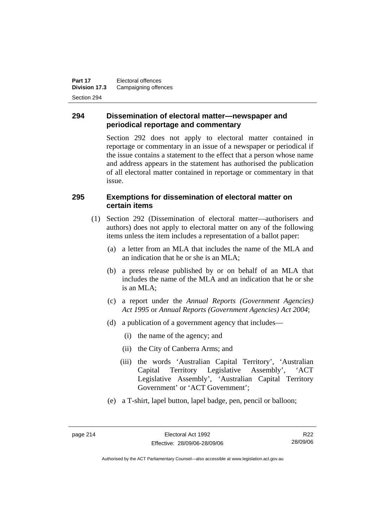**Part 17** Electoral offences **Division 17.3** Campaigning offences Section 294

#### **294 Dissemination of electoral matter—newspaper and periodical reportage and commentary**

Section 292 does not apply to electoral matter contained in reportage or commentary in an issue of a newspaper or periodical if the issue contains a statement to the effect that a person whose name and address appears in the statement has authorised the publication of all electoral matter contained in reportage or commentary in that issue.

#### **295 Exemptions for dissemination of electoral matter on certain items**

- (1) Section 292 (Dissemination of electoral matter—authorisers and authors) does not apply to electoral matter on any of the following items unless the item includes a representation of a ballot paper:
	- (a) a letter from an MLA that includes the name of the MLA and an indication that he or she is an MLA;
	- (b) a press release published by or on behalf of an MLA that includes the name of the MLA and an indication that he or she is an MLA;
	- (c) a report under the *Annual Reports (Government Agencies) Act 1995* or *Annual Reports (Government Agencies) Act 2004*;
	- (d) a publication of a government agency that includes—
		- (i) the name of the agency; and
		- (ii) the City of Canberra Arms; and
		- (iii) the words 'Australian Capital Territory', 'Australian Capital Territory Legislative Assembly', 'ACT Legislative Assembly', 'Australian Capital Territory Government' or 'ACT Government';
	- (e) a T-shirt, lapel button, lapel badge, pen, pencil or balloon;

R22 28/09/06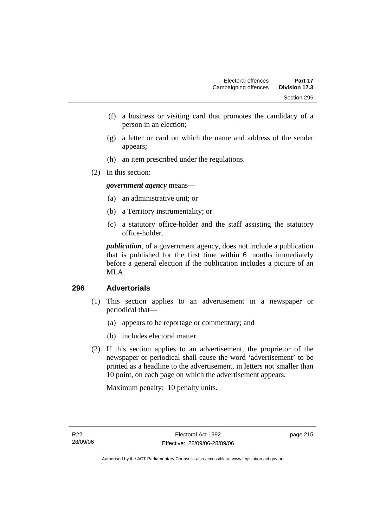- (f) a business or visiting card that promotes the candidacy of a person in an election;
- (g) a letter or card on which the name and address of the sender appears;
- (h) an item prescribed under the regulations.
- (2) In this section:

*government agency* means—

- (a) an administrative unit; or
- (b) a Territory instrumentality; or
- (c) a statutory office-holder and the staff assisting the statutory office-holder.

*publication*, of a government agency, does not include a publication that is published for the first time within 6 months immediately before a general election if the publication includes a picture of an MLA.

#### **296 Advertorials**

- (1) This section applies to an advertisement in a newspaper or periodical that—
	- (a) appears to be reportage or commentary; and
	- (b) includes electoral matter.
- (2) If this section applies to an advertisement, the proprietor of the newspaper or periodical shall cause the word 'advertisement' to be printed as a headline to the advertisement, in letters not smaller than 10 point, on each page on which the advertisement appears.

Maximum penalty: 10 penalty units.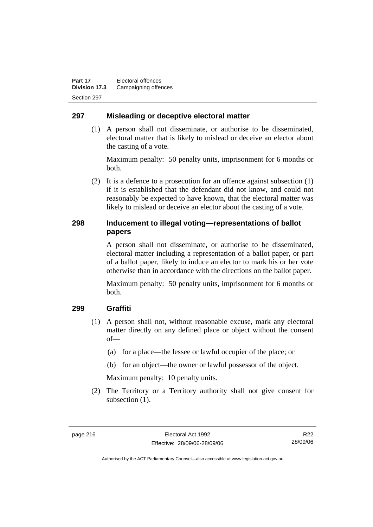#### **297 Misleading or deceptive electoral matter**

 (1) A person shall not disseminate, or authorise to be disseminated, electoral matter that is likely to mislead or deceive an elector about the casting of a vote.

Maximum penalty: 50 penalty units, imprisonment for 6 months or both.

 (2) It is a defence to a prosecution for an offence against subsection (1) if it is established that the defendant did not know, and could not reasonably be expected to have known, that the electoral matter was likely to mislead or deceive an elector about the casting of a vote.

#### **298 Inducement to illegal voting—representations of ballot papers**

A person shall not disseminate, or authorise to be disseminated, electoral matter including a representation of a ballot paper, or part of a ballot paper, likely to induce an elector to mark his or her vote otherwise than in accordance with the directions on the ballot paper.

Maximum penalty: 50 penalty units, imprisonment for 6 months or both.

#### **299 Graffiti**

- (1) A person shall not, without reasonable excuse, mark any electoral matter directly on any defined place or object without the consent of—
	- (a) for a place—the lessee or lawful occupier of the place; or
	- (b) for an object—the owner or lawful possessor of the object.

Maximum penalty: 10 penalty units.

 (2) The Territory or a Territory authority shall not give consent for subsection  $(1)$ .

R22 28/09/06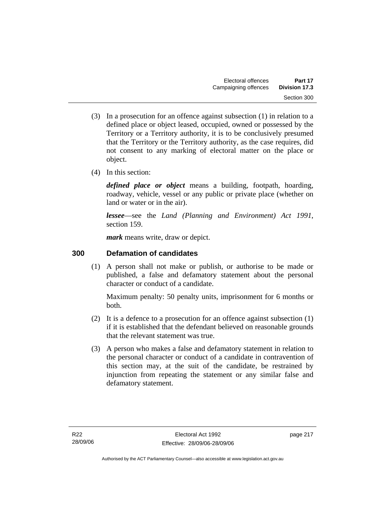- (3) In a prosecution for an offence against subsection (1) in relation to a defined place or object leased, occupied, owned or possessed by the Territory or a Territory authority, it is to be conclusively presumed that the Territory or the Territory authority, as the case requires, did not consent to any marking of electoral matter on the place or object.
- (4) In this section:

*defined place or object* means a building, footpath, hoarding, roadway, vehicle, vessel or any public or private place (whether on land or water or in the air).

*lessee*—see the *Land (Planning and Environment) Act 1991*, section 159.

*mark* means write, draw or depict.

## **300 Defamation of candidates**

 (1) A person shall not make or publish, or authorise to be made or published, a false and defamatory statement about the personal character or conduct of a candidate.

Maximum penalty: 50 penalty units, imprisonment for 6 months or both.

- (2) It is a defence to a prosecution for an offence against subsection (1) if it is established that the defendant believed on reasonable grounds that the relevant statement was true.
- (3) A person who makes a false and defamatory statement in relation to the personal character or conduct of a candidate in contravention of this section may, at the suit of the candidate, be restrained by injunction from repeating the statement or any similar false and defamatory statement.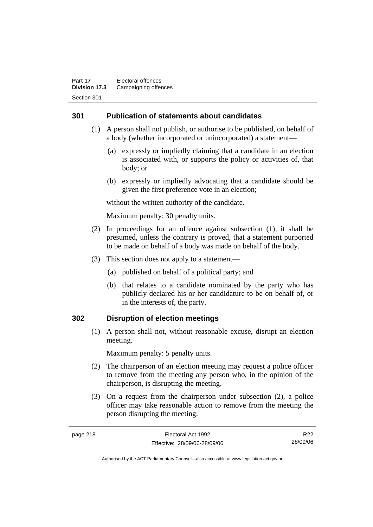#### **301 Publication of statements about candidates**

- (1) A person shall not publish, or authorise to be published, on behalf of a body (whether incorporated or unincorporated) a statement—
	- (a) expressly or impliedly claiming that a candidate in an election is associated with, or supports the policy or activities of, that body; or
	- (b) expressly or impliedly advocating that a candidate should be given the first preference vote in an election;

without the written authority of the candidate.

Maximum penalty: 30 penalty units.

- (2) In proceedings for an offence against subsection (1), it shall be presumed, unless the contrary is proved, that a statement purported to be made on behalf of a body was made on behalf of the body.
- (3) This section does not apply to a statement—
	- (a) published on behalf of a political party; and
	- (b) that relates to a candidate nominated by the party who has publicly declared his or her candidature to be on behalf of, or in the interests of, the party.

#### **302 Disruption of election meetings**

 (1) A person shall not, without reasonable excuse, disrupt an election meeting.

Maximum penalty: 5 penalty units.

- (2) The chairperson of an election meeting may request a police officer to remove from the meeting any person who, in the opinion of the chairperson, is disrupting the meeting.
- (3) On a request from the chairperson under subsection (2), a police officer may take reasonable action to remove from the meeting the person disrupting the meeting.

R22 28/09/06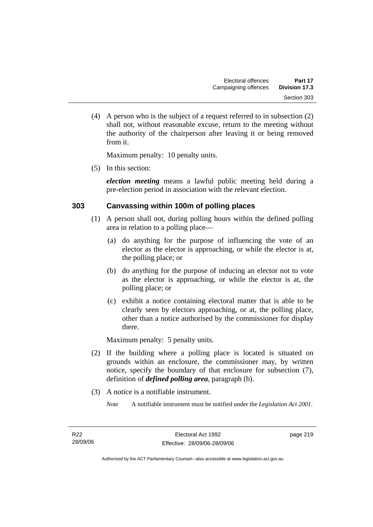(4) A person who is the subject of a request referred to in subsection (2) shall not, without reasonable excuse, return to the meeting without the authority of the chairperson after leaving it or being removed from it.

Maximum penalty: 10 penalty units.

(5) In this section:

*election meeting* means a lawful public meeting held during a pre-election period in association with the relevant election.

#### **303 Canvassing within 100m of polling places**

- (1) A person shall not, during polling hours within the defined polling area in relation to a polling place—
	- (a) do anything for the purpose of influencing the vote of an elector as the elector is approaching, or while the elector is at, the polling place; or
	- (b) do anything for the purpose of inducing an elector not to vote as the elector is approaching, or while the elector is at, the polling place; or
	- (c) exhibit a notice containing electoral matter that is able to be clearly seen by electors approaching, or at, the polling place, other than a notice authorised by the commissioner for display there.

Maximum penalty: 5 penalty units.

- (2) If the building where a polling place is located is situated on grounds within an enclosure, the commissioner may, by written notice, specify the boundary of that enclosure for subsection (7), definition of *defined polling area*, paragraph (b).
- (3) A notice is a notifiable instrument.
	- *Note* A notifiable instrument must be notified under the *Legislation Act 2001*.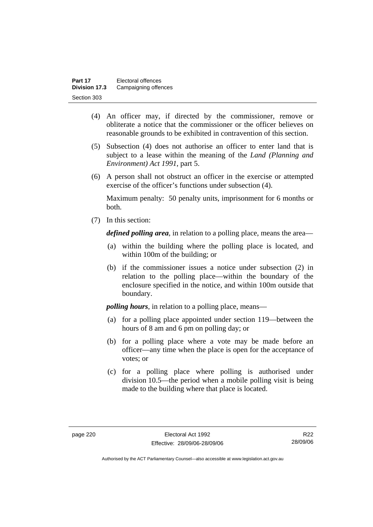| Part 17       | Electoral offences   |
|---------------|----------------------|
| Division 17.3 | Campaigning offences |
| Section 303   |                      |

- (4) An officer may, if directed by the commissioner, remove or obliterate a notice that the commissioner or the officer believes on reasonable grounds to be exhibited in contravention of this section.
- (5) Subsection (4) does not authorise an officer to enter land that is subject to a lease within the meaning of the *Land (Planning and Environment) Act 1991*, part 5.
- (6) A person shall not obstruct an officer in the exercise or attempted exercise of the officer's functions under subsection (4).

Maximum penalty: 50 penalty units, imprisonment for 6 months or both.

(7) In this section:

*defined polling area*, in relation to a polling place, means the area—

- (a) within the building where the polling place is located, and within 100m of the building; or
- (b) if the commissioner issues a notice under subsection (2) in relation to the polling place—within the boundary of the enclosure specified in the notice, and within 100m outside that boundary.

*polling hours*, in relation to a polling place, means—

- (a) for a polling place appointed under section 119—between the hours of 8 am and 6 pm on polling day; or
- (b) for a polling place where a vote may be made before an officer—any time when the place is open for the acceptance of votes; or
- (c) for a polling place where polling is authorised under division 10.5—the period when a mobile polling visit is being made to the building where that place is located.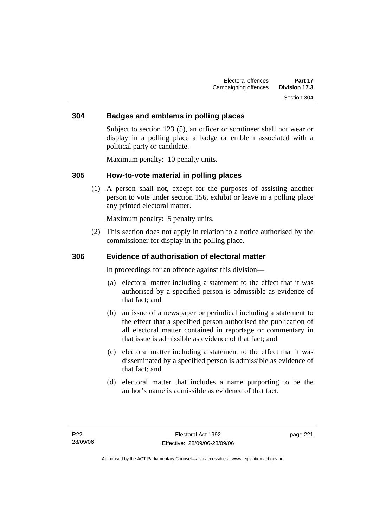#### **304 Badges and emblems in polling places**

Subject to section 123 (5), an officer or scrutineer shall not wear or display in a polling place a badge or emblem associated with a political party or candidate.

Maximum penalty: 10 penalty units.

#### **305 How-to-vote material in polling places**

 (1) A person shall not, except for the purposes of assisting another person to vote under section 156, exhibit or leave in a polling place any printed electoral matter.

Maximum penalty: 5 penalty units.

 (2) This section does not apply in relation to a notice authorised by the commissioner for display in the polling place.

#### **306 Evidence of authorisation of electoral matter**

In proceedings for an offence against this division—

- (a) electoral matter including a statement to the effect that it was authorised by a specified person is admissible as evidence of that fact; and
- (b) an issue of a newspaper or periodical including a statement to the effect that a specified person authorised the publication of all electoral matter contained in reportage or commentary in that issue is admissible as evidence of that fact; and
- (c) electoral matter including a statement to the effect that it was disseminated by a specified person is admissible as evidence of that fact; and
- (d) electoral matter that includes a name purporting to be the author's name is admissible as evidence of that fact.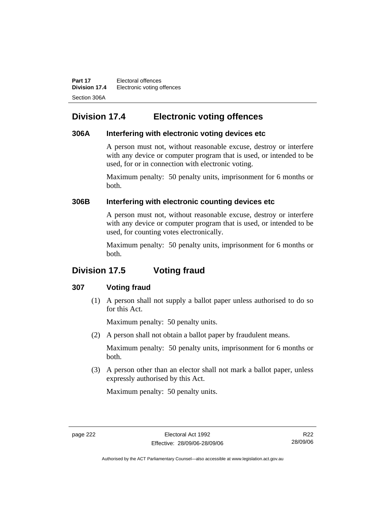**Part 17** Electoral offences **Division 17.4** Electronic voting offences Section 306A

## **Division 17.4 Electronic voting offences**

#### **306A Interfering with electronic voting devices etc**

A person must not, without reasonable excuse, destroy or interfere with any device or computer program that is used, or intended to be used, for or in connection with electronic voting.

Maximum penalty: 50 penalty units, imprisonment for 6 months or both.

#### **306B Interfering with electronic counting devices etc**

A person must not, without reasonable excuse, destroy or interfere with any device or computer program that is used, or intended to be used, for counting votes electronically.

Maximum penalty: 50 penalty units, imprisonment for 6 months or both.

## **Division 17.5 Voting fraud**

#### **307 Voting fraud**

 (1) A person shall not supply a ballot paper unless authorised to do so for this Act.

Maximum penalty: 50 penalty units.

(2) A person shall not obtain a ballot paper by fraudulent means.

Maximum penalty: 50 penalty units, imprisonment for 6 months or both.

 (3) A person other than an elector shall not mark a ballot paper, unless expressly authorised by this Act.

Maximum penalty: 50 penalty units.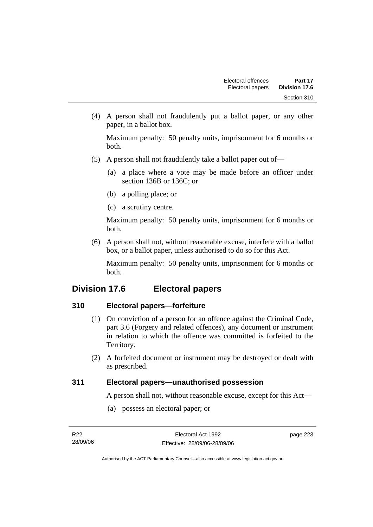(4) A person shall not fraudulently put a ballot paper, or any other paper, in a ballot box.

Maximum penalty: 50 penalty units, imprisonment for 6 months or both.

- (5) A person shall not fraudulently take a ballot paper out of—
	- (a) a place where a vote may be made before an officer under section 136B or 136C; or
	- (b) a polling place; or
	- (c) a scrutiny centre.

Maximum penalty: 50 penalty units, imprisonment for 6 months or both.

 (6) A person shall not, without reasonable excuse, interfere with a ballot box, or a ballot paper, unless authorised to do so for this Act.

Maximum penalty: 50 penalty units, imprisonment for 6 months or both.

## **Division 17.6 Electoral papers**

#### **310 Electoral papers—forfeiture**

- (1) On conviction of a person for an offence against the Criminal Code, part 3.6 (Forgery and related offences), any document or instrument in relation to which the offence was committed is forfeited to the Territory.
- (2) A forfeited document or instrument may be destroyed or dealt with as prescribed.

#### **311 Electoral papers—unauthorised possession**

A person shall not, without reasonable excuse, except for this Act—

(a) possess an electoral paper; or

| R22      | Electoral Act 1992           | page 223 |
|----------|------------------------------|----------|
| 28/09/06 | Effective: 28/09/06-28/09/06 |          |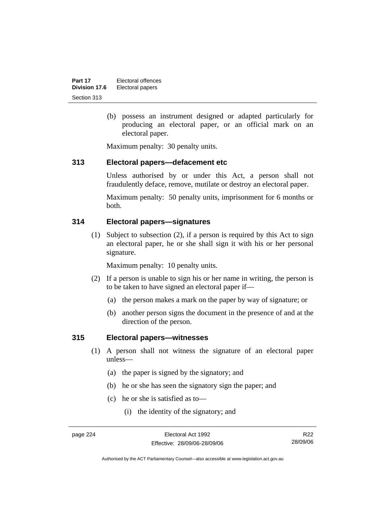| Part 17       | Electoral offences |
|---------------|--------------------|
| Division 17.6 | Electoral papers   |
| Section 313   |                    |

 (b) possess an instrument designed or adapted particularly for producing an electoral paper, or an official mark on an electoral paper.

Maximum penalty: 30 penalty units.

#### **313 Electoral papers—defacement etc**

Unless authorised by or under this Act, a person shall not fraudulently deface, remove, mutilate or destroy an electoral paper.

Maximum penalty: 50 penalty units, imprisonment for 6 months or both.

#### **314 Electoral papers—signatures**

 (1) Subject to subsection (2), if a person is required by this Act to sign an electoral paper, he or she shall sign it with his or her personal signature.

Maximum penalty: 10 penalty units.

- (2) If a person is unable to sign his or her name in writing, the person is to be taken to have signed an electoral paper if—
	- (a) the person makes a mark on the paper by way of signature; or
	- (b) another person signs the document in the presence of and at the direction of the person.

#### **315 Electoral papers—witnesses**

- (1) A person shall not witness the signature of an electoral paper unless—
	- (a) the paper is signed by the signatory; and
	- (b) he or she has seen the signatory sign the paper; and
	- (c) he or she is satisfied as to—
		- (i) the identity of the signatory; and

R22 28/09/06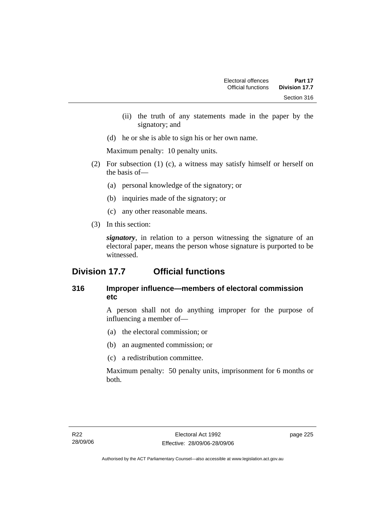- (ii) the truth of any statements made in the paper by the signatory; and
- (d) he or she is able to sign his or her own name.

Maximum penalty: 10 penalty units.

- (2) For subsection (1) (c), a witness may satisfy himself or herself on the basis of—
	- (a) personal knowledge of the signatory; or
	- (b) inquiries made of the signatory; or
	- (c) any other reasonable means.
- (3) In this section:

*signatory*, in relation to a person witnessing the signature of an electoral paper, means the person whose signature is purported to be witnessed.

## **Division 17.7 Official functions**

### **316 Improper influence—members of electoral commission etc**

A person shall not do anything improper for the purpose of influencing a member of—

- (a) the electoral commission; or
- (b) an augmented commission; or
- (c) a redistribution committee.

Maximum penalty: 50 penalty units, imprisonment for 6 months or both.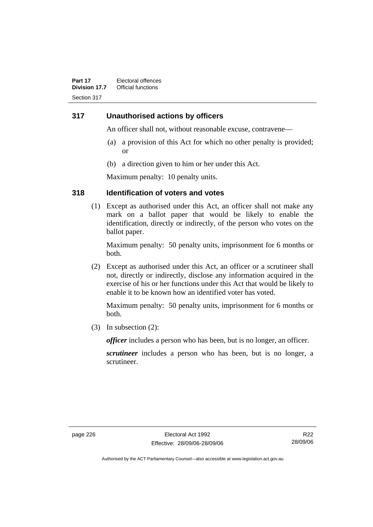#### **317 Unauthorised actions by officers**

An officer shall not, without reasonable excuse, contravene—

- (a) a provision of this Act for which no other penalty is provided; or
- (b) a direction given to him or her under this Act.

Maximum penalty: 10 penalty units.

#### **318 Identification of voters and votes**

 (1) Except as authorised under this Act, an officer shall not make any mark on a ballot paper that would be likely to enable the identification, directly or indirectly, of the person who votes on the ballot paper.

Maximum penalty: 50 penalty units, imprisonment for 6 months or both.

 (2) Except as authorised under this Act, an officer or a scrutineer shall not, directly or indirectly, disclose any information acquired in the exercise of his or her functions under this Act that would be likely to enable it to be known how an identified voter has voted.

Maximum penalty: 50 penalty units, imprisonment for 6 months or both.

(3) In subsection (2):

*officer* includes a person who has been, but is no longer, an officer.

*scrutineer* includes a person who has been, but is no longer, a scrutineer.

R22 28/09/06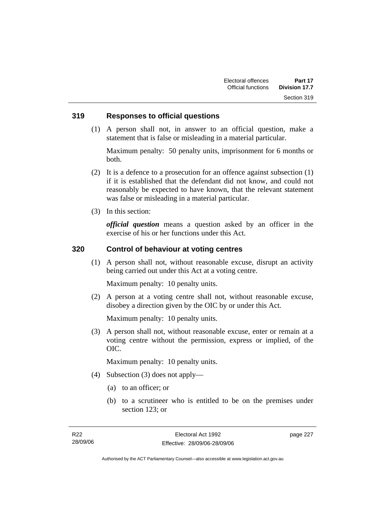#### **319 Responses to official questions**

 (1) A person shall not, in answer to an official question, make a statement that is false or misleading in a material particular.

Maximum penalty: 50 penalty units, imprisonment for 6 months or both.

- (2) It is a defence to a prosecution for an offence against subsection (1) if it is established that the defendant did not know, and could not reasonably be expected to have known, that the relevant statement was false or misleading in a material particular.
- (3) In this section:

*official question* means a question asked by an officer in the exercise of his or her functions under this Act.

#### **320 Control of behaviour at voting centres**

 (1) A person shall not, without reasonable excuse, disrupt an activity being carried out under this Act at a voting centre.

Maximum penalty: 10 penalty units.

 (2) A person at a voting centre shall not, without reasonable excuse, disobey a direction given by the OIC by or under this Act.

Maximum penalty: 10 penalty units.

 (3) A person shall not, without reasonable excuse, enter or remain at a voting centre without the permission, express or implied, of the OIC.

Maximum penalty: 10 penalty units.

- (4) Subsection (3) does not apply—
	- (a) to an officer; or
	- (b) to a scrutineer who is entitled to be on the premises under section 123; or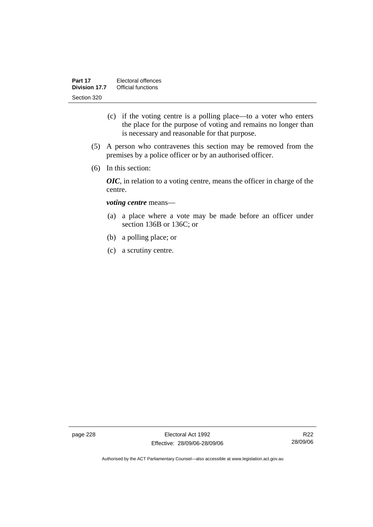- (c) if the voting centre is a polling place—to a voter who enters the place for the purpose of voting and remains no longer than is necessary and reasonable for that purpose.
- (5) A person who contravenes this section may be removed from the premises by a police officer or by an authorised officer.
- (6) In this section:

*OIC*, in relation to a voting centre, means the officer in charge of the centre.

#### *voting centre* means—

- (a) a place where a vote may be made before an officer under section 136B or 136C; or
- (b) a polling place; or
- (c) a scrutiny centre.

page 228 Electoral Act 1992 Effective: 28/09/06-28/09/06

R22 28/09/06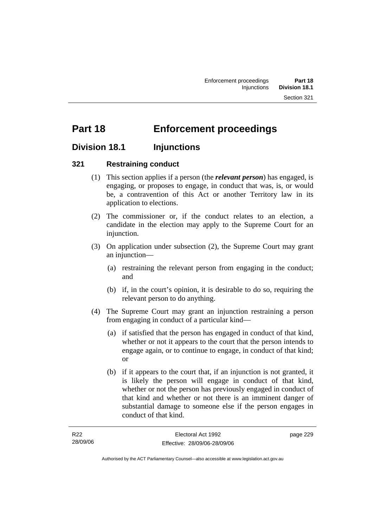# **Part 18 Enforcement proceedings**

## **Division 18.1 Injunctions**

#### **321 Restraining conduct**

- (1) This section applies if a person (the *relevant person*) has engaged, is engaging, or proposes to engage, in conduct that was, is, or would be, a contravention of this Act or another Territory law in its application to elections.
- (2) The commissioner or, if the conduct relates to an election, a candidate in the election may apply to the Supreme Court for an injunction.
- (3) On application under subsection (2), the Supreme Court may grant an injunction—
	- (a) restraining the relevant person from engaging in the conduct; and
	- (b) if, in the court's opinion, it is desirable to do so, requiring the relevant person to do anything.
- (4) The Supreme Court may grant an injunction restraining a person from engaging in conduct of a particular kind—
	- (a) if satisfied that the person has engaged in conduct of that kind, whether or not it appears to the court that the person intends to engage again, or to continue to engage, in conduct of that kind; or
	- (b) if it appears to the court that, if an injunction is not granted, it is likely the person will engage in conduct of that kind, whether or not the person has previously engaged in conduct of that kind and whether or not there is an imminent danger of substantial damage to someone else if the person engages in conduct of that kind.

| R22      | Electoral Act 1992           | page 229 |
|----------|------------------------------|----------|
| 28/09/06 | Effective: 28/09/06-28/09/06 |          |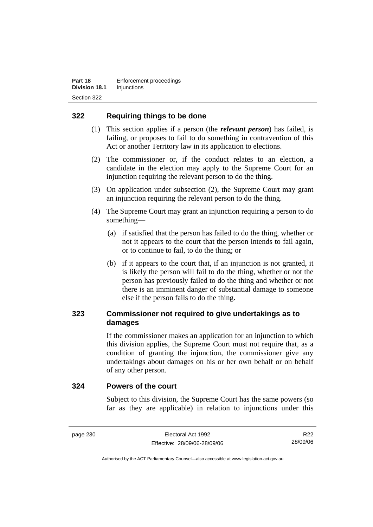#### **322 Requiring things to be done**

- (1) This section applies if a person (the *relevant person*) has failed, is failing, or proposes to fail to do something in contravention of this Act or another Territory law in its application to elections.
- (2) The commissioner or, if the conduct relates to an election, a candidate in the election may apply to the Supreme Court for an injunction requiring the relevant person to do the thing.
- (3) On application under subsection (2), the Supreme Court may grant an injunction requiring the relevant person to do the thing.
- (4) The Supreme Court may grant an injunction requiring a person to do something—
	- (a) if satisfied that the person has failed to do the thing, whether or not it appears to the court that the person intends to fail again, or to continue to fail, to do the thing; or
	- (b) if it appears to the court that, if an injunction is not granted, it is likely the person will fail to do the thing, whether or not the person has previously failed to do the thing and whether or not there is an imminent danger of substantial damage to someone else if the person fails to do the thing.

### **323 Commissioner not required to give undertakings as to damages**

If the commissioner makes an application for an injunction to which this division applies, the Supreme Court must not require that, as a condition of granting the injunction, the commissioner give any undertakings about damages on his or her own behalf or on behalf of any other person.

#### **324 Powers of the court**

Subject to this division, the Supreme Court has the same powers (so far as they are applicable) in relation to injunctions under this

R22 28/09/06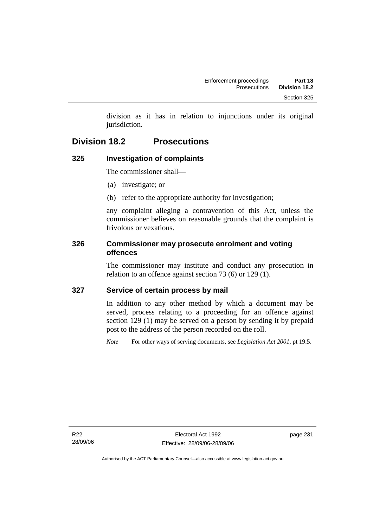division as it has in relation to injunctions under its original jurisdiction.

## **Division 18.2 Prosecutions**

## **325 Investigation of complaints**

The commissioner shall—

- (a) investigate; or
- (b) refer to the appropriate authority for investigation;

any complaint alleging a contravention of this Act, unless the commissioner believes on reasonable grounds that the complaint is frivolous or vexatious.

#### **326 Commissioner may prosecute enrolment and voting offences**

The commissioner may institute and conduct any prosecution in relation to an offence against section 73 (6) or 129 (1).

#### **327 Service of certain process by mail**

In addition to any other method by which a document may be served, process relating to a proceeding for an offence against section 129 (1) may be served on a person by sending it by prepaid post to the address of the person recorded on the roll.

*Note* For other ways of serving documents, see *Legislation Act 2001*, pt 19.5.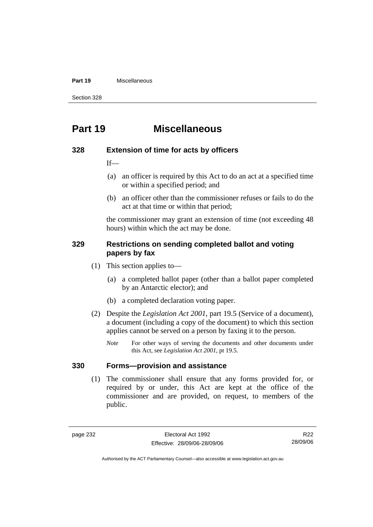#### **Part 19** Miscellaneous

Section 328

## **Part 19 Miscellaneous**

#### **328 Extension of time for acts by officers**

 $If$ —

- (a) an officer is required by this Act to do an act at a specified time or within a specified period; and
- (b) an officer other than the commissioner refuses or fails to do the act at that time or within that period;

the commissioner may grant an extension of time (not exceeding 48 hours) within which the act may be done.

#### **329 Restrictions on sending completed ballot and voting papers by fax**

- (1) This section applies to—
	- (a) a completed ballot paper (other than a ballot paper completed by an Antarctic elector); and
	- (b) a completed declaration voting paper.
- (2) Despite the *Legislation Act 2001*, part 19.5 (Service of a document), a document (including a copy of the document) to which this section applies cannot be served on a person by faxing it to the person.
	- *Note* For other ways of serving the documents and other documents under this Act, see *Legislation Act 2001*, pt 19.5.

#### **330 Forms—provision and assistance**

 (1) The commissioner shall ensure that any forms provided for, or required by or under, this Act are kept at the office of the commissioner and are provided, on request, to members of the public.

R22 28/09/06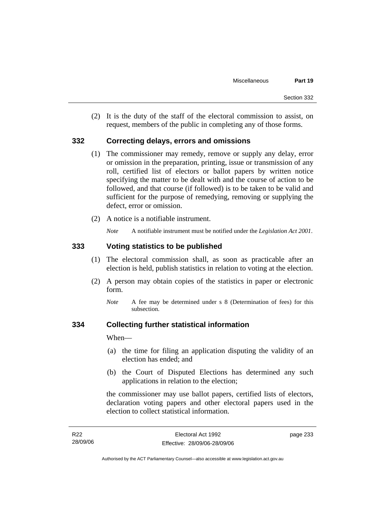(2) It is the duty of the staff of the electoral commission to assist, on request, members of the public in completing any of those forms.

#### **332 Correcting delays, errors and omissions**

- (1) The commissioner may remedy, remove or supply any delay, error or omission in the preparation, printing, issue or transmission of any roll, certified list of electors or ballot papers by written notice specifying the matter to be dealt with and the course of action to be followed, and that course (if followed) is to be taken to be valid and sufficient for the purpose of remedying, removing or supplying the defect, error or omission.
- (2) A notice is a notifiable instrument.

*Note* A notifiable instrument must be notified under the *Legislation Act 2001*.

#### **333 Voting statistics to be published**

- (1) The electoral commission shall, as soon as practicable after an election is held, publish statistics in relation to voting at the election.
- (2) A person may obtain copies of the statistics in paper or electronic form.
	- *Note* A fee may be determined under s 8 (Determination of fees) for this subsection.

#### **334 Collecting further statistical information**

When—

- (a) the time for filing an application disputing the validity of an election has ended; and
- (b) the Court of Disputed Elections has determined any such applications in relation to the election;

the commissioner may use ballot papers, certified lists of electors, declaration voting papers and other electoral papers used in the election to collect statistical information.

| R <sub>22</sub> | Electoral Act 1992           | page 233 |
|-----------------|------------------------------|----------|
| 28/09/06        | Effective: 28/09/06-28/09/06 |          |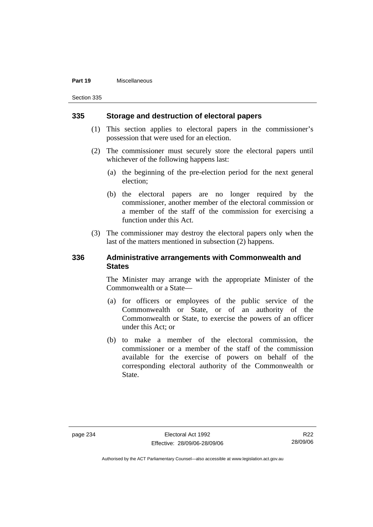#### **Part 19** Miscellaneous

Section 335

#### **335 Storage and destruction of electoral papers**

- (1) This section applies to electoral papers in the commissioner's possession that were used for an election.
- (2) The commissioner must securely store the electoral papers until whichever of the following happens last:
	- (a) the beginning of the pre-election period for the next general election;
	- (b) the electoral papers are no longer required by the commissioner, another member of the electoral commission or a member of the staff of the commission for exercising a function under this Act.
- (3) The commissioner may destroy the electoral papers only when the last of the matters mentioned in subsection (2) happens.

#### **336 Administrative arrangements with Commonwealth and States**

The Minister may arrange with the appropriate Minister of the Commonwealth or a State—

- (a) for officers or employees of the public service of the Commonwealth or State, or of an authority of the Commonwealth or State, to exercise the powers of an officer under this Act; or
- (b) to make a member of the electoral commission, the commissioner or a member of the staff of the commission available for the exercise of powers on behalf of the corresponding electoral authority of the Commonwealth or State.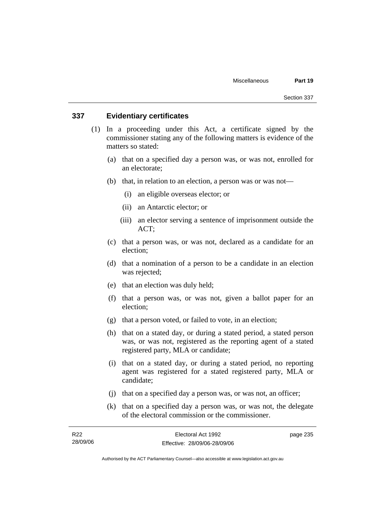### **337 Evidentiary certificates**

- (1) In a proceeding under this Act, a certificate signed by the commissioner stating any of the following matters is evidence of the matters so stated:
	- (a) that on a specified day a person was, or was not, enrolled for an electorate;
	- (b) that, in relation to an election, a person was or was not—
		- (i) an eligible overseas elector; or
		- (ii) an Antarctic elector; or
		- (iii) an elector serving a sentence of imprisonment outside the ACT;
	- (c) that a person was, or was not, declared as a candidate for an election;
	- (d) that a nomination of a person to be a candidate in an election was rejected;
	- (e) that an election was duly held;
	- (f) that a person was, or was not, given a ballot paper for an election;
	- (g) that a person voted, or failed to vote, in an election;
	- (h) that on a stated day, or during a stated period, a stated person was, or was not, registered as the reporting agent of a stated registered party, MLA or candidate;
	- (i) that on a stated day, or during a stated period, no reporting agent was registered for a stated registered party, MLA or candidate;
	- (j) that on a specified day a person was, or was not, an officer;
	- (k) that on a specified day a person was, or was not, the delegate of the electoral commission or the commissioner.

| R22      | Electoral Act 1992           | page 235 |
|----------|------------------------------|----------|
| 28/09/06 | Effective: 28/09/06-28/09/06 |          |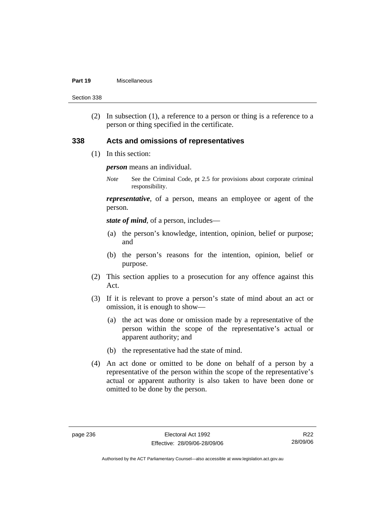#### **Part 19** Miscellaneous

Section 338

 (2) In subsection (1), a reference to a person or thing is a reference to a person or thing specified in the certificate.

#### **338 Acts and omissions of representatives**

(1) In this section:

*person* means an individual.

*Note* See the Criminal Code, pt 2.5 for provisions about corporate criminal responsibility.

*representative*, of a person, means an employee or agent of the person.

*state of mind*, of a person, includes—

- (a) the person's knowledge, intention, opinion, belief or purpose; and
- (b) the person's reasons for the intention, opinion, belief or purpose.
- (2) This section applies to a prosecution for any offence against this Act.
- (3) If it is relevant to prove a person's state of mind about an act or omission, it is enough to show—
	- (a) the act was done or omission made by a representative of the person within the scope of the representative's actual or apparent authority; and
	- (b) the representative had the state of mind.
- (4) An act done or omitted to be done on behalf of a person by a representative of the person within the scope of the representative's actual or apparent authority is also taken to have been done or omitted to be done by the person.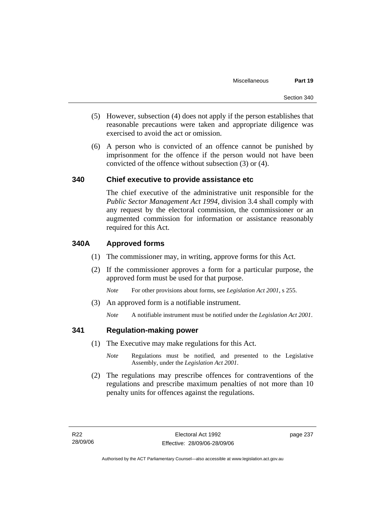- (5) However, subsection (4) does not apply if the person establishes that reasonable precautions were taken and appropriate diligence was exercised to avoid the act or omission.
- (6) A person who is convicted of an offence cannot be punished by imprisonment for the offence if the person would not have been convicted of the offence without subsection (3) or (4).

### **340 Chief executive to provide assistance etc**

The chief executive of the administrative unit responsible for the *Public Sector Management Act 1994*, division 3.4 shall comply with any request by the electoral commission, the commissioner or an augmented commission for information or assistance reasonably required for this Act.

### **340A Approved forms**

- (1) The commissioner may, in writing, approve forms for this Act.
- (2) If the commissioner approves a form for a particular purpose, the approved form must be used for that purpose.

*Note* For other provisions about forms, see *Legislation Act 2001*, s 255.

(3) An approved form is a notifiable instrument.

*Note* A notifiable instrument must be notified under the *Legislation Act 2001*.

### **341 Regulation-making power**

- (1) The Executive may make regulations for this Act.
	- *Note* Regulations must be notified, and presented to the Legislative Assembly, under the *Legislation Act 2001*.
- (2) The regulations may prescribe offences for contraventions of the regulations and prescribe maximum penalties of not more than 10 penalty units for offences against the regulations.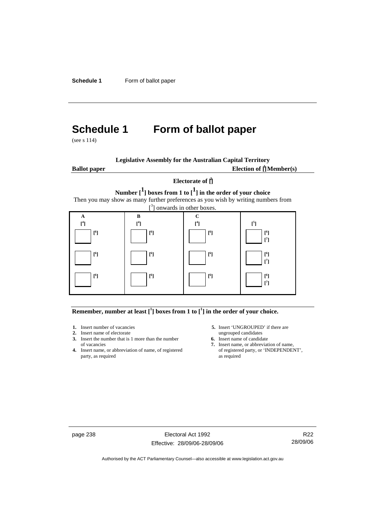**Schedule 1** Form of ballot paper

# **Schedule 1 Form of ballot paper**

(see s 114)

| <b>Legislative Assembly for the Australian Capital Territory</b> |  |  |
|------------------------------------------------------------------|--|--|
|------------------------------------------------------------------|--|--|

**Ballot paper** 

Election of  $\mathbf{\hat{\mathsf{\Gamma}}}$  Member(s)

### **Electorate of [ 2 ] Number [1] boxes from 1 to [1] in the order of your choice**  Then you may show as many further preferences as you wish by writing numbers from



#### **Remember, number at least**  $\begin{bmatrix} 1 \end{bmatrix}$  boxes from 1 to  $\begin{bmatrix} 1 \end{bmatrix}$  in the order of your choice.

- 
- **2.** Insert name of electorate ungrouped candidates<br> **3.** Insert the number that is 1 more than the number<br> **6.** Insert name of candidate **3.** Insert the number that is 1 more than the number
- **4.** Insert name, or abbreviation of name, of registered party, as required as required
- **1.** Insert number of vacancies **5.** Insert 'UNGROUPED' if there are **2.** Insert name of electorate ungrouped candidates
	-
	- of vacancies **7.** Insert name, or abbreviation of name,  $\frac{1}{2}$  Insert name, or abbreviation of name, of registered party, or 'INDEPENDENT',

page 238 Electoral Act 1992 Effective: 28/09/06-28/09/06

R22 28/09/06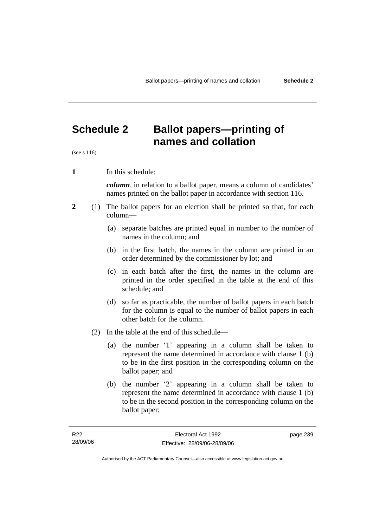# **Schedule 2 Ballot papers—printing of names and collation**

(see s 116)

**1** In this schedule:

*column*, in relation to a ballot paper, means a column of candidates' names printed on the ballot paper in accordance with section 116.

- **2** (1) The ballot papers for an election shall be printed so that, for each column—
	- (a) separate batches are printed equal in number to the number of names in the column; and
	- (b) in the first batch, the names in the column are printed in an order determined by the commissioner by lot; and
	- (c) in each batch after the first, the names in the column are printed in the order specified in the table at the end of this schedule; and
	- (d) so far as practicable, the number of ballot papers in each batch for the column is equal to the number of ballot papers in each other batch for the column.
	- (2) In the table at the end of this schedule—
		- (a) the number '1' appearing in a column shall be taken to represent the name determined in accordance with clause 1 (b) to be in the first position in the corresponding column on the ballot paper; and
		- (b) the number '2' appearing in a column shall be taken to represent the name determined in accordance with clause 1 (b) to be in the second position in the corresponding column on the ballot paper;

page 239

Authorised by the ACT Parliamentary Counsel—also accessible at www.legislation.act.gov.au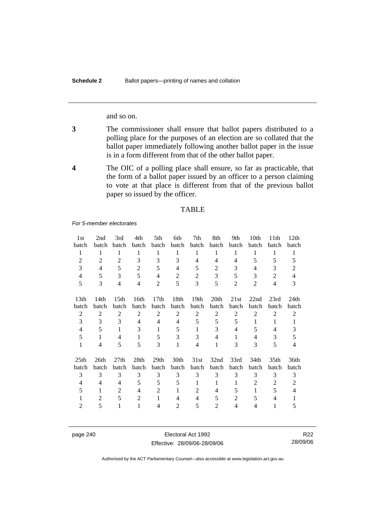and so on.

- **3** The commissioner shall ensure that ballot papers distributed to a polling place for the purposes of an election are so collated that the ballot paper immediately following another ballot paper in the issue is in a form different from that of the other ballot paper.
- **4** The OIC of a polling place shall ensure, so far as practicable, that the form of a ballot paper issued by an officer to a person claiming to vote at that place is different from that of the previous ballot paper so issued by the officer.

#### TABLE

*For 5-member electorates*

| 1st              | 2nd            | 3rd              | 4th            | 5th              | 6th            | 7th              | 8th            | 9th            | 10th           | 11th             | 12 <sub>th</sub>         |
|------------------|----------------|------------------|----------------|------------------|----------------|------------------|----------------|----------------|----------------|------------------|--------------------------|
| batch            | batch          | batch            | batch          | batch            | batch          | batch            | batch          | batch          | batch          | batch            | batch                    |
| 1                | 1              | 1                | 1              | 1                | 1              | 1                | 1              | 1              | 1              | 1                | $\mathbf{1}$             |
| $\overline{2}$   | $\overline{2}$ | $\overline{2}$   | 3              | 3                | 3              | $\overline{4}$   | 4              | $\overline{4}$ | 5              | 5                | 5                        |
| 3                | $\overline{4}$ | 5                | $\overline{2}$ | 5                | 4              | 5                | $\overline{2}$ | 3              | 4              | 3                | $\overline{2}$           |
| 4                | 5              | 3                | 5              | $\overline{4}$   | $\overline{2}$ | 2                | 3              | 5              | 3              | 2                | $\overline{\mathcal{L}}$ |
| 5                | 3              | $\overline{4}$   | 4              | $\overline{2}$   | 5              | 3                | 5              | $\overline{2}$ | $\overline{2}$ | 4                | 3                        |
|                  |                |                  |                |                  |                |                  |                |                |                |                  |                          |
| 13 <sub>th</sub> | 14th           | 15 <sup>th</sup> | 16th           | 17 <sub>th</sub> | 18th           | 19 <sub>th</sub> | 20th           | 21st           | 22nd           | 23rd             | 24th                     |
| batch            | batch          | batch            | batch          | batch            | batch          | batch            | batch          | batch          | batch          | batch            | batch                    |
| $\overline{2}$   | 2              | $\overline{2}$   | $\overline{2}$ | 2                | $\overline{2}$ | $\overline{2}$   | $\overline{2}$ | 2              | 2              | $\overline{2}$   | $\overline{2}$           |
| 3                | 3              | 3                | 4              | 4                | 4              | 5                | 5              | 5              | 1              | 1                | 1                        |
| $\overline{4}$   | 5              | 1                | 3              | 1                | 5              | 1                | 3              | 4              | 5              | 4                | 3                        |
| 5                | 1              | $\overline{4}$   | 1              | 5                | 3              | 3                | 4              | 1              | 4              | 3                | 5                        |
| 1                | 4              | 5                | 5              | 3                | 1              | 4                | 1              | 3              | 3              | 5                | 4                        |
|                  |                |                  |                |                  |                |                  |                |                |                |                  |                          |
| 25 <sub>th</sub> | 26th           | 27th             | 28th           | 29 <sub>th</sub> | 30th           | 31st             | 32nd           | 33rd           | 34th           | 35 <sub>th</sub> | 36th                     |
| batch            | batch          | batch            | batch          | batch            | batch          | batch            | batch          | batch          | batch          | batch            | batch                    |
| 3                | 3              | 3                | 3              | 3                | 3              | 3                | 3              | 3              | 3              | 3                | 3                        |
| 4                | 4              | $\overline{4}$   | 5              | 5                | 5              | $\mathbf{1}$     | 1              | 1              | 2              | $\overline{2}$   | 2                        |
| 5                | 1              | 2                | 4              | 2                | 1              | $\overline{2}$   | 4              | 5              | 1              | 5                | 4                        |
| 1                | $\overline{2}$ | 5                | $\overline{2}$ | 1                | $\overline{4}$ | $\overline{4}$   | 5              | $\overline{2}$ | 5              | 4                | 1                        |
| 2                | 5              | 1                | 1              | 4                | 2              | 5                | 2              | $\overline{4}$ | 4              | 1                | 5                        |
|                  |                |                  |                |                  |                |                  |                |                |                |                  |                          |

page 240 Electoral Act 1992 Effective: 28/09/06-28/09/06

R22 28/09/06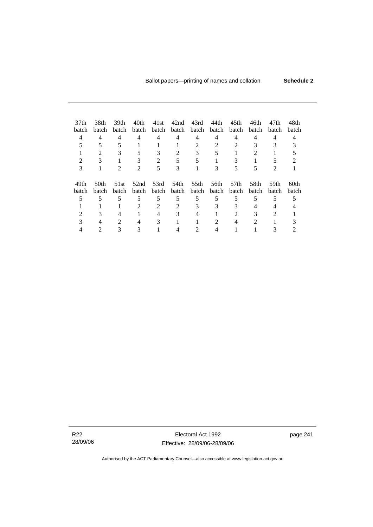| 37 <sub>th</sub> | 38th  | 39th           | 40th                  | 41st           | 42nd                        | 43rd           | 44th         | 45th             | 46th           | 47th           | 48th  |  |
|------------------|-------|----------------|-----------------------|----------------|-----------------------------|----------------|--------------|------------------|----------------|----------------|-------|--|
| batch            | batch | batch          |                       | batch batch    | batch                       | batch          | batch        | batch            | batch          | batch          | batch |  |
| 4                | 4     | $\overline{4}$ | 4                     | 4              | 4                           | 4              | 4            | 4                | 4              | 4              |       |  |
| 5                | 5     | 5              |                       |                |                             | $\mathfrak{D}$ | 2            | $\mathfrak{D}$   | 3              |                |       |  |
|                  |       |                |                       | 3              | $\mathcal{D}_{\mathcal{L}}$ | 3              | 5            |                  |                |                |       |  |
| 2                | 3     |                | 3                     | $\mathfrak{D}$ | 5                           | 5              |              | 3                |                |                |       |  |
| 3                |       | 2              | $\mathcal{D}_{\cdot}$ | 5              | 3                           |                | 3            |                  | 5              | 2              |       |  |
| 49th             | 50th  | 51st           | 52nd                  | 53rd           | 54th                        | 55th           | 56th         | 57 <sub>th</sub> | 58th           | 59th           | 60th  |  |
| batch            | batch | batch          | batch                 | batch          | <b>batch</b>                | batch          | <b>batch</b> | batch            | batch          | batch          | batch |  |
| 5                | 5     | 5              | 5                     | 5              | 5                           | 5              | 5            | 5                | 5              | 5              |       |  |
|                  |       |                | 2                     | 2              | $\mathfrak{D}$              | 3              | 3            | 3                | 4              | 4              |       |  |
|                  | 3     | 4              |                       | 4              | 3                           | 4              |              | 2                | 3              | $\mathfrak{D}$ |       |  |
| 3                | 4     | $\mathfrak{D}$ | 4                     | 3              |                             |                | 2            | 4                | $\mathfrak{D}$ |                |       |  |
|                  |       |                |                       |                |                             |                |              |                  |                |                |       |  |

R22 28/09/06

Electoral Act 1992 Effective: 28/09/06-28/09/06 page 241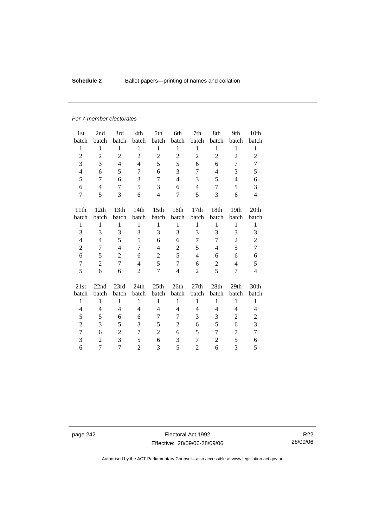### **Schedule 2 Ballot papers—printing of names and collation**

#### *For 7-member electorates*

| 1st                      | 2nd            | 3rd              | 4th            | 5th              | 6th            | 7th              | 8th            | 9th            | 10th             |
|--------------------------|----------------|------------------|----------------|------------------|----------------|------------------|----------------|----------------|------------------|
| batch                    | batch          | batch            | batch          | batch            | batch          | batch            | batch          | batch          | batch            |
| 1                        | $\mathbf{1}$   | $\mathbf{1}$     | $\mathbf{1}$   | $\mathbf{1}$     | $\mathbf{1}$   | $\mathbf{1}$     | $\mathbf{1}$   | $\mathbf{1}$   | 1                |
| $\overline{2}$           | $\overline{2}$ | $\overline{2}$   | $\overline{2}$ | $\overline{c}$   | $\overline{2}$ | $\overline{2}$   | $\overline{2}$ | $\overline{2}$ | $\overline{2}$   |
| 3                        | 3              | $\overline{4}$   | $\overline{4}$ | 5                | 5              | 6                | 6              | 7              | 7                |
| $\overline{\mathcal{L}}$ | 6              | 5                | 7              | 6                | 3              | 7                | $\overline{4}$ | 3              | 5                |
| 5                        | 7              | 6                | 3              | 7                | $\overline{4}$ | 3                | 5              | $\overline{4}$ | 6                |
| 6                        | 4              | 7                | 5              | 3                | 6              | $\overline{4}$   | 7              | 5              | 3                |
| $\overline{7}$           | 5              | 3                | 6              | $\overline{4}$   | 7              | 5                | 3              | 6              | $\overline{4}$   |
|                          |                |                  |                |                  |                |                  |                |                |                  |
| 11 <sup>th</sup>         | 12th           | 13 <sub>th</sub> | 14th           | 15 <sub>th</sub> | 16th           | 17 <sub>th</sub> | 18th           | 19th           | 20 <sup>th</sup> |
| batch                    | batch          | batch            | batch          | batch            | batch          | batch            | batch          | batch          | batch            |
| $\mathbf{1}$             | $\mathbf{1}$   | $\mathbf{1}$     | $\mathbf{1}$   | $\mathbf{1}$     | $\mathbf{1}$   | $\mathbf{1}$     | $\mathbf{1}$   | $\mathbf{1}$   | $\mathbf{1}$     |
| 3                        | 3              | 3                | 3              | 3                | 3              | 3                | 3              | 3              | 3                |
| $\overline{4}$           | $\overline{4}$ | 5                | 5              | 6                | 6              | 7                | 7              | $\overline{2}$ | $\overline{c}$   |
| $\overline{2}$           | 7              | $\overline{4}$   | 7              | $\overline{4}$   | $\overline{c}$ | 5                | 4              | 5              | 7                |
| 6                        | 5              | $\overline{2}$   | 6              | $\overline{2}$   | 5              | $\overline{4}$   | 6              | 6              | 6                |
| $\tau$                   | $\overline{2}$ | 7                | $\overline{4}$ | 5                | $\tau$         | 6                | $\mathfrak 2$  | $\overline{4}$ | 5                |
| 5                        | 6              | 6                | $\overline{2}$ | 7                | $\overline{4}$ | 2                | 5              | 7              | $\overline{4}$   |
| 21st                     | 22nd           | 23rd             | 24th           | 25th             | 26th           | 27th             | 28th           | 29th           | 30th             |
| batch                    | batch          | batch            | batch          | batch            | batch          | batch            | batch          | batch          | batch            |
| $\mathbf{1}$             | $\mathbf{1}$   | $\mathbf{1}$     | $\mathbf{1}$   | $\mathbf{1}$     | $\mathbf{1}$   | $\mathbf{1}$     | $\mathbf{1}$   | $\mathbf{1}$   | $\mathbf{1}$     |
| 4                        | 4              | $\overline{4}$   | 4              | 4                | 4              | 4                | $\overline{4}$ | 4              | 4                |
| 5                        | 5              | 6                | 6              | 7                | 7              | 3                | 3              | $\overline{2}$ | $\overline{c}$   |
| $\overline{c}$           | 3              |                  | 3              | 5                | $\overline{2}$ |                  |                |                | 3                |
|                          |                | 5                |                |                  |                | 6                | 5              | 6              | $\overline{7}$   |
| 7                        | 6              | $\overline{2}$   | 7              | $\overline{c}$   | 6              | 5                | 7              | 7              |                  |
| 3                        | $\overline{2}$ | 3                | 5              | 6                | 3              | 7                | $\overline{2}$ | 5              | 6                |
| 6                        | 7              | 7                | $\overline{2}$ | 3                | 5              | $\overline{2}$   | 6              | 3              | 5                |

page 242 Electoral Act 1992 Effective: 28/09/06-28/09/06

R22 28/09/06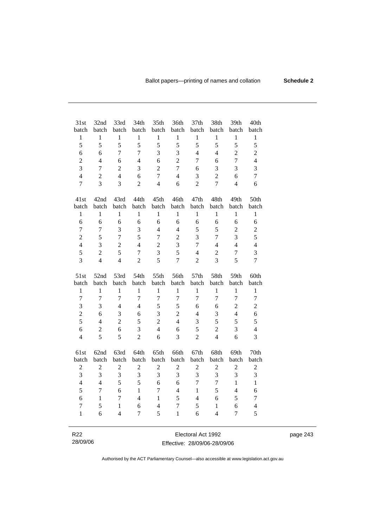| 31st             | 32nd           | 33rd           | 34th           | 35th                    | 36th           | 37 <sub>th</sub> | 38th                     | 39th           | 40th             |
|------------------|----------------|----------------|----------------|-------------------------|----------------|------------------|--------------------------|----------------|------------------|
| batch            | batch          | batch          | batch          | batch                   | batch          | batch            | batch                    | batch          | batch            |
| $\mathbf{1}$     | $\,1$          | $\mathbf{1}$   | $\mathbf{1}$   | $\,1$                   | $\,1$          | $\,1$            | $\mathbf{1}$             | $\,1$          | $\,1$            |
| 5                | 5              | 5              | 5              | 5                       | 5              | 5                | 5                        | 5              | 5                |
| 6                | 6              | 7              | $\overline{7}$ | 3                       | 3              | $\overline{4}$   | $\overline{\mathcal{L}}$ | $\overline{2}$ | $\overline{c}$   |
| $\overline{c}$   | $\overline{4}$ | 6              | $\overline{4}$ | 6                       | $\overline{c}$ | $\boldsymbol{7}$ | 6                        | $\overline{7}$ | $\overline{4}$   |
| 3                | $\overline{7}$ | $\overline{2}$ | 3              | $\overline{c}$          | $\overline{7}$ | 6                | 3                        | 3              | 3                |
| $\overline{4}$   | $\overline{2}$ | $\overline{4}$ | 6              | $\overline{7}$          | $\overline{4}$ | 3                | $\overline{2}$           | 6              | $\overline{7}$   |
| $\overline{7}$   | $\overline{3}$ | 3              | $\overline{2}$ | $\overline{4}$          | 6              | $\overline{2}$   | $\overline{7}$           | $\overline{4}$ | 6                |
| 41st             | 42nd           | 43rd           | 44th           | 45th                    | 46th           | 47th             | 48th                     | 49th           | 50th             |
| batch            | batch          | batch          | batch          | batch                   | batch          | batch            | batch                    | batch          | batch            |
| $\mathbf{1}$     | $\,1$          | $\mathbf{1}$   | $\mathbf{1}$   | $\mathbf{1}$            | $\,1$          | $\mathbf{1}$     | $\mathbf{1}$             | $\,1$          | $\mathbf{1}$     |
| 6                | 6              | 6              | 6              | 6                       | 6              | 6                | 6                        | 6              | 6                |
| $\overline{7}$   | $\overline{7}$ | 3              | 3              | $\overline{4}$          | $\overline{4}$ | 5                | 5                        | $\overline{c}$ | $\overline{c}$   |
| $\overline{2}$   | 5              | $\tau$         | 5              | $\overline{7}$          | $\overline{c}$ | 3                | $\overline{7}$           | $\overline{3}$ | 5                |
| $\overline{4}$   | 3              | $\overline{2}$ | $\overline{4}$ | $\overline{c}$          | 3              | $\overline{7}$   | $\overline{4}$           | $\overline{4}$ | $\overline{4}$   |
| 5                | $\overline{2}$ | 5              | $\overline{7}$ | 3                       | 5              | $\overline{4}$   | $\overline{2}$           | $\overline{7}$ | 3                |
| 3                | $\overline{4}$ | $\overline{4}$ | $\overline{2}$ | 5                       | $\overline{7}$ | $\overline{2}$   | 3                        | 5              | $\overline{7}$   |
|                  |                |                |                |                         |                |                  |                          |                |                  |
| 51st             | 52nd           | 53rd           | 54th           | 55th                    | 56th           | 57th             | 58th                     | 59th           | 60th             |
| batch            | batch          | batch          | batch          | batch                   | batch          | batch            | batch                    | batch          | batch            |
| $\mathbf{1}$     | $\mathbf{1}$   | $\mathbf{1}$   | $\mathbf{1}$   | $\mathbf{1}$            | $\mathbf{1}$   | $\mathbf{1}$     | $\mathbf{1}$             | $\mathbf{1}$   | $\mathbf{1}$     |
| $\overline{7}$   | $\overline{7}$ | $\overline{7}$ | $\overline{7}$ | $\overline{7}$          | $\overline{7}$ | $\overline{7}$   | $\overline{7}$           | $\overline{7}$ | $\tau$           |
| $\overline{3}$   | 3              | $\overline{4}$ | $\overline{4}$ | 5                       | 5              | 6                | 6                        | $\sqrt{2}$     | $\mathbf{2}$     |
| $\overline{2}$   | 6              | 3              | 6              | 3                       | $\overline{c}$ | $\overline{4}$   | 3                        | $\overline{4}$ | 6                |
| 5                | $\overline{4}$ | $\overline{2}$ | 5              | $\overline{2}$          | $\overline{4}$ | 3                | 5                        | 5              | 5                |
| 6                | $\sqrt{2}$     | 6              | 3              | $\overline{4}$          | 6              | 5                | $\overline{c}$           | 3              | $\overline{4}$   |
| $\overline{4}$   | 5              | 5              | $\overline{2}$ | 6                       | 3              | $\overline{2}$   | $\overline{4}$           | 6              | 3                |
|                  | 62nd           |                | 64th           |                         | 66th           |                  | 68th                     | 69th           | 70th             |
| 61st<br>batch    | batch          | 63rd<br>batch  | batch          | 65th<br>batch           | batch          | 67th<br>batch    | batch                    | batch          | batch            |
| $\boldsymbol{2}$ | $\mathbf{2}$   | $\sqrt{2}$     | $\sqrt{2}$     | $\overline{c}$          | $\sqrt{2}$     | $\overline{c}$   | $\boldsymbol{2}$         | $\mathbf{2}$   | $\boldsymbol{2}$ |
| 3                | 3              | 3              | $\mathfrak{Z}$ | 3                       | 3              | 3                | $\mathfrak{Z}$           | 3              | 3                |
| $\overline{4}$   | $\overline{4}$ | 5              | 5              | 6                       | 6              | $\overline{7}$   | $\overline{7}$           | $\mathbf{1}$   | $\mathbf{1}$     |
| 5                | $\overline{7}$ | 6              | $\mathbf{1}$   | $\overline{7}$          | $\overline{4}$ | $\mathbf{1}$     | 5                        | $\overline{4}$ | 6                |
| 6                | $\mathbf{1}$   | 7              | $\overline{4}$ | $\mathbf{1}$            | 5              | $\overline{4}$   | 6                        | 5              | $\overline{7}$   |
| $\overline{7}$   | 5              | $\mathbf{1}$   | 6              | $\overline{\mathbf{4}}$ | $\overline{7}$ | 5                | $\mathbf{1}$             | 6              | $\overline{4}$   |
| $\mathbf{1}$     | 6              | $\overline{4}$ | $\overline{7}$ | 5                       | $\mathbf{1}$   | 6                | $\overline{4}$           | $\overline{7}$ | 5                |
|                  |                |                |                |                         |                |                  |                          |                |                  |
|                  |                |                |                |                         |                |                  |                          |                |                  |

28/09/06 Electoral Act 1992 Effective: 28/09/06-28/09/06 page 243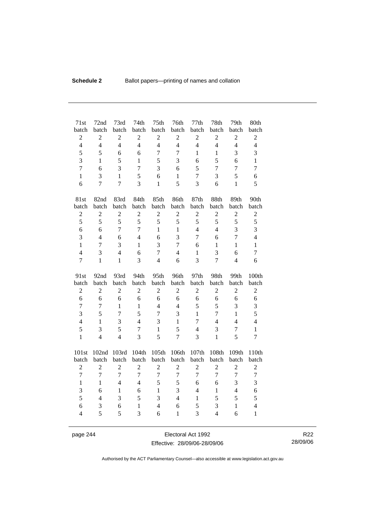| 71st<br>batch  | 72nd<br>batch    | 73rd<br>batch  | 74th<br>batch  | 75th<br>batch    | 76th<br>batch    | 77th<br>batch  | 78th<br>batch  | 79th<br>batch            | 80th<br>batch    |
|----------------|------------------|----------------|----------------|------------------|------------------|----------------|----------------|--------------------------|------------------|
| $\overline{c}$ | $\overline{2}$   | $\overline{2}$ | $\overline{2}$ | $\overline{2}$   | $\mathbf{2}$     | $\overline{2}$ | $\overline{2}$ | $\overline{2}$           | $\overline{c}$   |
| $\overline{4}$ | $\overline{4}$   | $\overline{4}$ | $\overline{4}$ | $\overline{4}$   | $\overline{4}$   | $\overline{4}$ | $\overline{4}$ | $\overline{4}$           | $\overline{4}$   |
| 5              | 5                | 6              | 6              | $\overline{7}$   | $\overline{7}$   | $\mathbf{1}$   | $\mathbf{1}$   | 3                        | 3                |
| 3              | $\mathbf{1}$     | 5              | $\mathbf{1}$   | 5                | 3                | 6              | 5              | 6                        | $\mathbf{1}$     |
| $\overline{7}$ | 6                | 3              | $\overline{7}$ | 3                | 6                | 5              | $\overline{7}$ | $\overline{7}$           | 7                |
| $\mathbf{1}$   | 3                | $\mathbf{1}$   | 5              | 6                | $\mathbf{1}$     | 7              | 3              | 5                        | 6                |
| 6              | $\overline{7}$   | $\overline{7}$ | $\overline{3}$ | $\mathbf{1}$     | 5                | 3              | 6              | $\mathbf{1}$             | 5                |
| 81st           | 82nd             | 83rd           | 84th           | 85th             | 86th             | 87th           | 88th           | 89th                     | 90th             |
| batch          | batch            | batch          | batch          | batch            | batch            | batch          | batch          | batch                    | batch            |
| $\sqrt{2}$     | $\boldsymbol{2}$ | $\overline{c}$ | $\overline{c}$ | $\overline{2}$   | $\mathbf{2}$     | $\overline{c}$ | $\overline{2}$ | $\overline{2}$           | $\overline{c}$   |
| 5              | 5                | 5              | 5              | 5                | 5                | 5              | 5              | 5                        | 5                |
| 6              | 6                | $\overline{7}$ | $\overline{7}$ | $\mathbf{1}$     | $\mathbf{1}$     | $\overline{4}$ | $\overline{4}$ | 3                        | 3                |
| 3              | $\overline{4}$   | 6              | $\overline{4}$ | 6                | 3                | $\overline{7}$ | 6              | $\overline{7}$           | $\overline{4}$   |
| $\mathbf{1}$   | $\overline{7}$   | 3              | 1              | 3                | $\overline{7}$   | 6              | 1              | $\mathbf{1}$             | 1                |
| $\overline{4}$ | 3                | $\overline{4}$ | 6              | $\overline{7}$   | $\overline{4}$   | $\mathbf{1}$   | 3              | 6                        | $\overline{7}$   |
| $\overline{7}$ | $\mathbf{1}$     | $\mathbf{1}$   | $\overline{3}$ | $\overline{4}$   | 6                | $\overline{3}$ | $\overline{7}$ | $\overline{\mathcal{L}}$ | 6                |
|                |                  |                |                |                  |                  |                |                |                          |                  |
| 91st           | 92nd             | 93rd           | 94th           | 95th             | 96th             | 97th           | 98th           | 99th                     | 100th            |
| batch          | batch            | batch          | batch          | batch            | batch            | batch          | batch          | batch                    | batch            |
| $\overline{2}$ | $\overline{2}$   | $\overline{2}$ | $\overline{2}$ | $\overline{2}$   | $\overline{2}$   | $\overline{2}$ | $\overline{2}$ | $\overline{2}$           | $\overline{2}$   |
| 6              | 6                | 6              | 6              | 6                | 6                | 6              | 6              | 6                        | 6                |
| $\overline{7}$ | $\overline{7}$   | $\mathbf{1}$   | $\mathbf{1}$   | $\overline{4}$   | $\overline{4}$   | 5              | 5              | 3                        | 3                |
| 3              | 5                | $\overline{7}$ | 5              | $\overline{7}$   | 3                | $\mathbf{1}$   | $\tau$         | $\mathbf{1}$             | 5                |
| $\overline{4}$ | $\mathbf{1}$     | 3              | $\overline{4}$ | 3                | $\mathbf{1}$     | 7              | $\overline{4}$ | $\overline{4}$           | $\overline{4}$   |
| 5              | 3                | 5              | $\overline{7}$ | $\mathbf{1}$     | 5                | $\overline{4}$ | 3              | $\overline{7}$           | $\mathbf{1}$     |
| $\mathbf{1}$   | $\overline{4}$   | $\overline{4}$ | $\overline{3}$ | 5                | $\overline{7}$   | 3              | $\mathbf{1}$   | 5                        | $\overline{7}$   |
| 101st          | 102nd            | 103rd          | 104th          | 105th            | 106th            | 107th          | 108th          | 109th                    | 110th            |
| batch          | batch            | batch          | batch          | batch            | batch            | batch          | batch          | batch                    | batch            |
| $\sqrt{2}$     | $\boldsymbol{2}$ | $\overline{c}$ | $\overline{c}$ | $\boldsymbol{2}$ | $\boldsymbol{2}$ | $\overline{c}$ | $\sqrt{2}$     | $\boldsymbol{2}$         | $\boldsymbol{2}$ |
| $\overline{7}$ | $\overline{7}$   | $\overline{7}$ | $\overline{7}$ | $\overline{7}$   | $\overline{7}$   | $\overline{7}$ | $\overline{7}$ | $\overline{7}$           | $\overline{7}$   |
| $\mathbf{1}$   | $\mathbf{1}$     | $\overline{4}$ | $\overline{4}$ | 5                | 5                | 6              | 6              | 3                        | 3                |
| 3              | 6                | $\mathbf{1}$   | 6              | $\mathbf{1}$     | 3                | $\overline{4}$ | $\mathbf{1}$   | $\overline{4}$           | 6                |
| 5              | $\overline{4}$   | 3              | 5              | $\overline{3}$   | $\overline{4}$   | $\mathbf{1}$   | 5              | 5                        | 5                |
| 6              | 3                | 6              | $\mathbf{1}$   | $\overline{4}$   | 6                | 5              | 3              | $\mathbf{1}$             | $\overline{4}$   |

page 244 Electoral Act 1992 Effective: 28/09/06-28/09/06

R22 28/09/06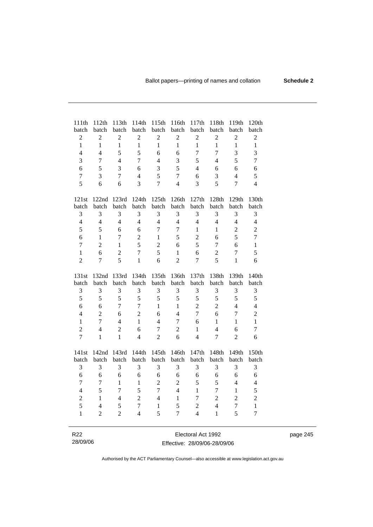| 111th<br>batch  | 112th<br>batch | 113th<br>batch | 114th<br>batch | 115th<br>batch | 116th<br>batch | 117th<br>batch     | 118th<br>batch | 119th<br>batch | 120th<br>batch   |
|-----------------|----------------|----------------|----------------|----------------|----------------|--------------------|----------------|----------------|------------------|
| $\overline{c}$  | $\overline{c}$ | $\overline{2}$ | $\overline{c}$ | $\sqrt{2}$     | $\overline{c}$ | $\overline{2}$     | $\overline{2}$ | $\sqrt{2}$     | $\overline{2}$   |
| $\mathbf{1}$    | $\mathbf{1}$   | $\mathbf{1}$   | $\mathbf{1}$   | $\mathbf{1}$   | $\mathbf{1}$   | $\mathbf{1}$       | $\mathbf{1}$   | $\mathbf{1}$   | $\mathbf{1}$     |
| $\overline{4}$  | $\overline{4}$ | 5              | 5              | 6              | 6              | $\boldsymbol{7}$   | $\overline{7}$ | 3              | 3                |
| 3               | $\overline{7}$ | $\overline{4}$ | $\overline{7}$ | $\overline{4}$ | 3              | 5                  | $\overline{4}$ | 5              | $\boldsymbol{7}$ |
| 6               | 5              | 3              | 6              | 3              | 5              | $\overline{4}$     | 6              | 6              | 6                |
| $\overline{7}$  | 3              | $\overline{7}$ | $\overline{4}$ | 5              | $\overline{7}$ | 6                  | 3              | $\overline{4}$ | 5                |
| 5               | 6              | 6              | 3              | $\overline{7}$ | $\overline{4}$ | $\overline{3}$     | 5              | $\overline{7}$ | $\overline{4}$   |
|                 |                |                |                |                |                |                    |                |                |                  |
| 121st           | 122nd          | 123rd          | 124th          | 125th          | 126th          | 127th              | 128th          | 129th          | 130th            |
| batch           | batch          | batch          | batch          | batch          | batch          | batch              | batch          | batch          | batch            |
| 3               | 3              | 3              | 3              | 3              | 3              | 3                  | 3              | 3              | 3                |
| $\overline{4}$  | $\overline{4}$ | $\overline{4}$ | $\overline{4}$ | $\overline{4}$ | $\overline{4}$ | $\overline{4}$     | $\overline{4}$ | $\overline{4}$ | $\overline{4}$   |
| 5               | 5              | 6              | 6              | $\overline{7}$ | $\overline{7}$ | $\mathbf{1}$       | 1              | $\sqrt{2}$     | $\overline{2}$   |
| 6               | $\mathbf{1}$   | 7              | $\overline{2}$ | $\mathbf{1}$   | 5              | $\overline{2}$     | 6              | 5              | $\overline{7}$   |
| $\overline{7}$  | $\overline{2}$ | $\mathbf{1}$   | 5              | $\overline{2}$ | 6              | 5                  | $\overline{7}$ | 6              | $\mathbf{1}$     |
| $\mathbf{1}$    | 6              | $\overline{2}$ | $\overline{7}$ | 5              | $\mathbf{1}$   | 6                  | $\overline{2}$ | $\overline{7}$ | 5                |
| $\overline{2}$  | $\overline{7}$ | 5              | $\mathbf{1}$   | 6              | $\overline{2}$ | $\overline{7}$     | 5              | $\mathbf{1}$   | 6                |
| 131st           | 132nd          | 133rd          | 134th          | 135th          | 136th          | 137th              | 138th          | 139th          | 140th            |
| batch           | batch          | batch          | batch          | batch          | batch          | batch              | batch          | batch          | batch            |
| 3               | 3              | 3              | 3              | 3              | 3              | 3                  | 3              | 3              | 3                |
| 5               | 5              | 5              | 5              | 5              | 5              | 5                  | 5              | 5              | 5                |
| 6               | 6              | 7              | $\overline{7}$ | $\mathbf{1}$   | $\mathbf{1}$   | $\overline{c}$     | $\overline{2}$ | $\overline{4}$ | $\overline{4}$   |
| $\overline{4}$  | $\overline{2}$ | 6              | $\overline{2}$ | 6              | $\overline{4}$ | $\overline{7}$     | 6              | $\overline{7}$ | $\overline{2}$   |
| $\mathbf{1}$    | $\overline{7}$ | $\overline{4}$ | $\mathbf{1}$   | $\overline{4}$ | $\overline{7}$ | 6                  | $\mathbf{1}$   | $\mathbf{1}$   | $\mathbf{1}$     |
| $\overline{2}$  | $\overline{4}$ | $\overline{2}$ | 6              | $\overline{7}$ | $\overline{2}$ | $\mathbf{1}$       | $\overline{4}$ | 6              | $\boldsymbol{7}$ |
| $\overline{7}$  | $\mathbf{1}$   | $\mathbf{1}$   | $\overline{4}$ | $\overline{2}$ | 6              | $\overline{4}$     | $\overline{7}$ | $\overline{2}$ | 6                |
| 141st           | 142nd          | 143rd          | 144th          | 145th          | 146th          | 147th              | 148th          | 149th          | 150th            |
| batch           | batch          | batch          | batch          | batch          | batch          | batch              | batch          | batch          | batch            |
| 3               | 3              | 3              | 3              | 3              | 3              | 3                  | 3              | 3              | 3                |
| 6               | 6              | 6              | 6              | 6              | 6              | 6                  | 6              | 6              | 6                |
| $\overline{7}$  | $\overline{7}$ | $\mathbf{1}$   | $\mathbf{1}$   | $\overline{2}$ | $\overline{2}$ | 5                  | 5              | $\overline{4}$ | $\overline{4}$   |
| $\overline{4}$  | 5              | $\overline{7}$ | 5              | $\overline{7}$ | $\overline{4}$ | $\mathbf{1}$       | $\overline{7}$ | $\mathbf{1}$   | 5                |
| $\overline{c}$  | $\mathbf{1}$   | $\overline{4}$ | $\overline{2}$ | $\overline{4}$ | $\mathbf{1}$   | 7                  | $\overline{2}$ | $\overline{2}$ | $\overline{c}$   |
| 5               | $\overline{4}$ | 5              | $\overline{7}$ | $\mathbf{1}$   | 5              | $\overline{2}$     | $\overline{4}$ | $\overline{7}$ | $\mathbf{1}$     |
| $\mathbf{1}$    | $\overline{2}$ | $\overline{2}$ | $\overline{4}$ | 5              | $\overline{7}$ | $\overline{4}$     | $\mathbf{1}$   | 5              | $\overline{7}$   |
|                 |                |                |                |                |                |                    |                |                |                  |
| R <sub>22</sub> |                |                |                |                |                | Electoral Act 1992 |                |                |                  |

| R <sub>22</sub> | Electoral Act 1992           |
|-----------------|------------------------------|
| 28/09/06        | Effective: 28/09/06-28/09/06 |

 $\overline{\phantom{0}}$ 

page 245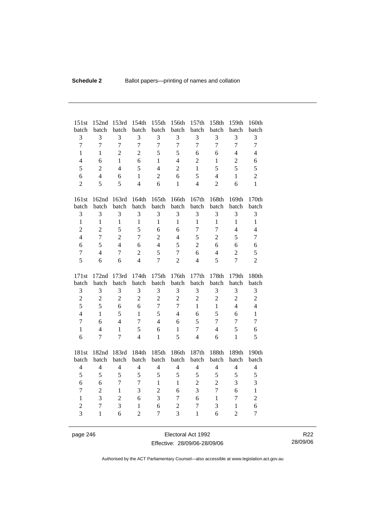| 151st          | 152nd                    | 153rd          | 154th               | 155th          | 156th          | 157th            | 158th          | 159th          | 160th                    |
|----------------|--------------------------|----------------|---------------------|----------------|----------------|------------------|----------------|----------------|--------------------------|
| batch          | batch                    | batch          | batch               | batch          | batch          | batch            | batch          | batch          | batch                    |
| 3              | 3                        | 3              | 3<br>$\overline{7}$ | 3              | 3              | 3                | 3              | 3              | 3                        |
| $\overline{7}$ | $\overline{7}$           | $\overline{7}$ |                     | $\overline{7}$ | $\overline{7}$ | $\overline{7}$   | $\overline{7}$ | $\overline{7}$ | $\overline{7}$           |
| $\mathbf{1}$   | $\mathbf{1}$             | $\overline{2}$ | $\overline{2}$      | 5              | 5              | 6                | 6              | $\overline{4}$ | $\overline{4}$           |
| $\overline{4}$ | 6                        | $\mathbf{1}$   | 6                   | $\mathbf{1}$   | $\overline{4}$ | $\overline{2}$   | $\mathbf{1}$   | $\overline{2}$ | 6                        |
| 5              | $\overline{2}$           | $\overline{4}$ | 5                   | $\overline{4}$ | $\overline{2}$ | $\mathbf{1}$     | 5              | 5              | 5                        |
| 6              | $\overline{4}$           | 6              | $\mathbf{1}$        | $\overline{2}$ | 6              | 5                | $\overline{4}$ | $\mathbf{1}$   | $\overline{2}$           |
| $\overline{2}$ | 5                        | 5              | $\overline{4}$      | 6              | $\mathbf{1}$   | $\overline{4}$   | $\overline{2}$ | 6              | $\mathbf{1}$             |
| 161st          | 162nd                    | 163rd          | 164th               | 165th          | 166th          | 167th            | 168th          | 169th          | 170th                    |
| batch          | batch                    | batch          | batch               | batch          | batch          | batch            | batch          | batch          | batch                    |
| 3              | 3                        | 3              | 3                   | 3              | 3              | 3                | 3              | 3              | 3                        |
| $\mathbf{1}$   | $\mathbf{1}$             | $\mathbf{1}$   | $\mathbf{1}$        | $\mathbf{1}$   | $\mathbf{1}$   | $\mathbf{1}$     | $\mathbf{1}$   | $\mathbf{1}$   | $\mathbf{1}$             |
| $\overline{2}$ | $\overline{2}$           | 5              | 5                   | 6              | 6              | $\overline{7}$   | $\overline{7}$ | $\overline{4}$ | $\overline{4}$           |
| $\overline{4}$ | $\overline{7}$           | $\overline{c}$ | $\overline{7}$      | $\overline{2}$ | $\overline{4}$ | 5                | $\overline{2}$ | 5              | $\tau$                   |
| 6              | 5                        | $\overline{4}$ | 6                   | $\overline{4}$ | 5              | $\overline{2}$   | 6              | 6              | 6                        |
| $\overline{7}$ | $\overline{4}$           | $\overline{7}$ | $\overline{2}$      | 5              | $\tau$         | 6                | $\overline{4}$ | $\overline{2}$ | 5                        |
| 5              | 6                        | 6              | $\overline{4}$      | $\overline{7}$ | $\overline{2}$ | $\overline{4}$   | 5              | $\overline{7}$ | $\overline{2}$           |
|                |                          |                |                     |                |                |                  |                |                |                          |
| 171st          | 172nd                    | 173rd          | 174th               | 175th          | 176th          | 177th            | 178th          | 179th          | 180th                    |
| batch          | batch                    | batch          | batch               | batch          | batch          | batch            | batch          | batch          | batch                    |
| 3              | 3                        | 3              | 3                   | 3              | 3              | 3                | 3              | 3              | 3                        |
| $\overline{2}$ | $\boldsymbol{2}$         | $\overline{2}$ | $\overline{2}$      | $\overline{2}$ | $\overline{2}$ | $\overline{2}$   | $\overline{2}$ | $\overline{2}$ | $\overline{c}$           |
| 5              | 5                        | 6              | 6                   | $\tau$         | 7              | $\mathbf{1}$     | $\mathbf{1}$   | $\overline{4}$ | $\overline{4}$           |
| $\overline{4}$ | $\mathbf{1}$             | 5              | $\mathbf{1}$        | 5              | $\overline{4}$ | 6                | 5              | 6              | $\mathbf{1}$             |
| $\overline{7}$ | 6                        | $\overline{4}$ | $\overline{7}$      | $\overline{4}$ | 6              | 5                | $\overline{7}$ | $\overline{7}$ | $\overline{7}$           |
| $\mathbf{1}$   | $\overline{\mathcal{L}}$ | $\mathbf{1}$   | 5                   | 6              | $\mathbf{1}$   | $\overline{7}$   | $\overline{4}$ | 5              | 6                        |
| 6              | $\overline{7}$           | $\overline{7}$ | $\overline{4}$      | $\mathbf{1}$   | $\overline{5}$ | $\overline{4}$   | 6              | $\mathbf{1}$   | 5                        |
| 181st          | 182nd                    |                | 184th               | 185th          | 186th          | 187th            |                | 189th          | 190th                    |
| batch          | batch                    | 183rd<br>batch | batch               | batch          | batch          | batch            | 188th<br>batch | batch          | batch                    |
| $\overline{4}$ | $\overline{4}$           | $\overline{4}$ | $\overline{4}$      | $\overline{4}$ | $\overline{4}$ | $\overline{4}$   | $\overline{4}$ | $\overline{4}$ | $\overline{\mathcal{L}}$ |
| 5              | 5                        | 5              | 5                   | 5              | 5              | 5                | 5              | 5              | 5                        |
| 6              | 6                        | $\overline{7}$ | $\overline{7}$      | $\mathbf{1}$   | $\mathbf{1}$   | $\overline{2}$   | $\overline{2}$ | 3              | 3                        |
| 7              | $\overline{2}$           | $\mathbf{1}$   | 3                   | $\overline{2}$ | 6              | 3                | $\overline{7}$ | 6              | $\mathbf{1}$             |
| $\mathbf{1}$   | 3                        | $\overline{2}$ | 6                   | 3              | 7              | 6                | $\mathbf{1}$   | $\overline{7}$ | $\overline{c}$           |
| $\overline{2}$ | $\overline{7}$           | 3              | $\mathbf{1}$        | 6              | $\overline{c}$ | $\boldsymbol{7}$ | 3              | $\mathbf{1}$   | 6                        |
| $\overline{3}$ | $\mathbf{1}$             | 6              | $\overline{2}$      | 7              | 3              | $\mathbf{1}$     | 6              | $\overline{2}$ | 7                        |

page 246 Electoral Act 1992 Effective: 28/09/06-28/09/06

R22 28/09/06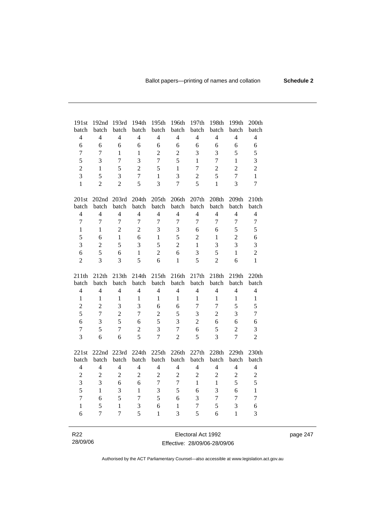| 191st                    | 192nd                   | 193rd                   | 194th                   | 195th                   | 196th                   | 197th                   | 198th                   | 199th                   | 200th                   |
|--------------------------|-------------------------|-------------------------|-------------------------|-------------------------|-------------------------|-------------------------|-------------------------|-------------------------|-------------------------|
| batch<br>$\overline{4}$  | batch<br>$\overline{4}$ | batch<br>$\overline{4}$ | batch<br>$\overline{4}$ | batch<br>$\overline{4}$ | batch<br>$\overline{4}$ | batch<br>$\overline{4}$ | batch<br>$\overline{4}$ | batch<br>$\overline{4}$ | batch<br>$\overline{4}$ |
|                          |                         |                         |                         |                         |                         |                         |                         |                         |                         |
| 6                        | 6                       | 6                       | 6                       | 6                       | 6                       | 6                       | 6                       | 6                       | 6                       |
| 7                        | 7                       | 1                       | 1                       | $\overline{2}$          | $\overline{2}$          | 3                       | 3                       | 5                       | 5                       |
| 5                        | 3                       | 7                       | 3                       | $\overline{7}$          | 5                       | $\mathbf{1}$            | $\overline{7}$          | $\mathbf{1}$            | 3                       |
| $\overline{2}$           | 1                       | 5                       | $\overline{2}$          | 5                       | $\mathbf{1}$            | $\overline{7}$          | $\overline{2}$          | $\overline{2}$          | $\overline{2}$          |
| 3                        | 5                       | $\overline{\mathbf{3}}$ | $\overline{7}$          | $\mathbf{1}$            | $\overline{\mathbf{3}}$ | $\overline{2}$          | 5                       | $\overline{7}$          | $\mathbf{1}$            |
| $\mathbf{1}$             | $\overline{2}$          | $\overline{2}$          | 5                       | 3                       | $\overline{7}$          | 5                       | $\mathbf{1}$            | 3                       | $\overline{7}$          |
| 201st                    | 202 <sub>nd</sub>       | 203rd                   | 204th                   | 205th                   | 206th                   | 207th                   | 208th                   | 209th                   | 210th                   |
| batch                    | batch                   | batch                   | batch                   | batch                   | batch                   | batch                   | batch                   | batch                   | batch                   |
| $\overline{4}$           | $\overline{4}$          | $\overline{4}$          | $\overline{4}$          | 4                       | $\overline{4}$          | $\overline{4}$          | $\overline{4}$          | $\overline{4}$          | $\overline{4}$          |
| $\overline{7}$           | $\overline{7}$          | $\overline{7}$          | $\overline{7}$          | $\overline{7}$          | $\tau$                  | $\overline{7}$          | $\overline{7}$          | $\overline{7}$          | $\tau$                  |
| $\mathbf{1}$             | 1                       | $\overline{2}$          | $\overline{2}$          | 3                       | 3                       | 6                       | 6                       | 5                       | 5                       |
| 5                        | 6                       | $\mathbf{1}$            | 6                       | $\mathbf{1}$            | 5                       | $\overline{2}$          | $\mathbf{1}$            | $\overline{2}$          | 6                       |
| 3                        | $\overline{2}$          | 5                       | 3                       | 5                       | $\overline{2}$          | $\mathbf{1}$            | 3                       | 3                       | 3                       |
| 6                        | 5                       | 6                       | $\mathbf{1}$            | $\overline{2}$          | 6                       | 3                       | 5                       | $\mathbf{1}$            | $\overline{2}$          |
| $\overline{2}$           | $\overline{3}$          | 3                       | 5                       | 6                       | $\mathbf{1}$            | 5                       | $\overline{2}$          | 6                       | $\mathbf{1}$            |
|                          |                         |                         |                         |                         |                         |                         |                         |                         |                         |
| 211th                    | 212th                   | 213th                   | 214th                   | 215th                   | 216th                   | 217th                   | 218th                   | 219th                   | 220th                   |
| batch                    | batch                   | batch                   | batch                   | batch                   | batch                   | batch                   | batch                   | batch                   | batch                   |
| $\overline{4}$           | $\overline{4}$          | $\overline{4}$          | $\overline{4}$          | $\overline{4}$          | $\overline{4}$          | $\overline{4}$          | $\overline{4}$          | $\overline{4}$          | $\overline{4}$          |
| 1                        | 1                       | $\mathbf{1}$            | 1                       | 1                       | 1                       | 1                       | $\mathbf{1}$            | 1                       | $\mathbf{1}$            |
| $\overline{2}$           | $\overline{2}$          | 3                       | $\overline{3}$          | 6                       | 6                       | $\overline{7}$          | $\overline{7}$          | 5                       | 5                       |
| 5                        | $\overline{7}$          | $\overline{2}$          | $\overline{7}$          | $\overline{2}$          | 5                       | 3                       | $\overline{c}$          | 3                       | $\overline{7}$          |
| 6                        | 3                       | 5                       | 6                       | 5                       | 3                       | $\overline{2}$          | 6                       | 6                       | 6                       |
| $\overline{7}$           | 5                       | 7                       | $\overline{2}$          | 3                       | $\overline{7}$          | 6                       | 5                       | $\overline{2}$          | 3                       |
| 3                        | 6                       | 6                       | 5                       | $\overline{7}$          | $\overline{2}$          | 5                       | $\overline{3}$          | $\overline{7}$          | $\overline{2}$          |
| 221st                    | 222nd                   | 223rd                   | 224th                   | 225th                   | 226th                   | 227th                   | 228th                   | 229th                   | 230th                   |
| batch                    | batch                   | batch                   | batch                   | batch                   | batch                   | batch                   | batch                   | batch                   | batch                   |
| $\overline{\mathcal{L}}$ | $\overline{4}$          | 4                       | 4                       | $\overline{4}$          | 4                       | $\overline{4}$          | 4                       | $\overline{4}$          | $\overline{4}$          |
| $\overline{2}$           | $\overline{2}$          | $\overline{2}$          | $\overline{2}$          | $\overline{2}$          | $\overline{2}$          | $\overline{2}$          | $\overline{2}$          | $\overline{2}$          | $\boldsymbol{2}$        |
| $\overline{3}$           | 3                       | 6                       | 6                       | $\overline{7}$          | $\overline{7}$          | $\mathbf{1}$            | 1                       | 5                       | 5                       |
| 5                        | $\mathbf{1}$            | 3                       | $\mathbf{1}$            | 3                       | 5                       | 6                       | $\overline{3}$          | 6                       | $\mathbf{1}$            |
| $\overline{7}$           | 6                       | 5                       | $\overline{7}$          | 5                       | 6                       | 3                       | $\overline{7}$          | $\overline{7}$          | $\overline{7}$          |
| $\mathbf{1}$             | 5                       | $\mathbf{1}$            | 3                       | 6                       | 1                       | 7                       | 5                       | $\overline{3}$          | 6                       |
| 6                        | $\overline{7}$          | $\overline{7}$          | 5                       | $\mathbf{1}$            | $\overline{3}$          | 5                       | 6                       | 1                       | 3                       |
|                          |                         |                         |                         |                         |                         |                         |                         |                         |                         |
| R <sub>22</sub>          |                         |                         |                         |                         |                         | Electoral Act 1992      |                         |                         |                         |

page 247

Authorised by the ACT Parliamentary Counsel—also accessible at www.legislation.act.gov.au

Effective: 28/09/06-28/09/06

28/09/06

 $\overline{\phantom{0}}$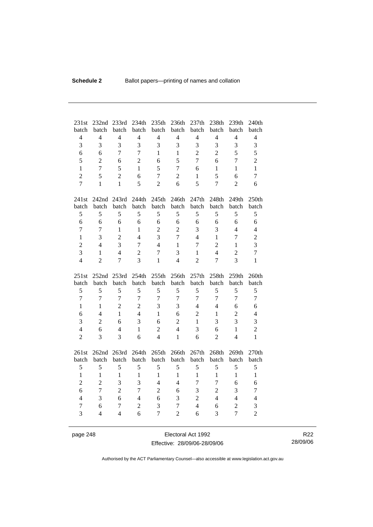| 231st                          | 232nd                          | 233rd                | 234th                    | 235th                          | 236th                          | 237th                  | 238th                            | 239th                            | 240th               |
|--------------------------------|--------------------------------|----------------------|--------------------------|--------------------------------|--------------------------------|------------------------|----------------------------------|----------------------------------|---------------------|
| batch                          | batch                          | batch                | batch                    | batch                          | batch                          | batch                  | batch                            | batch                            | batch               |
| $\overline{4}$                 | $\overline{4}$                 | $\overline{4}$       | $\overline{4}$           | $\overline{4}$                 | $\overline{4}$                 | $\overline{4}$         | $\overline{4}$                   | $\overline{4}$                   | $\overline{4}$      |
| 3                              | 3                              | 3                    | $\overline{3}$           | 3                              | 3                              | 3                      | 3                                | 3                                | 3                   |
| 6                              | 6                              | $\overline{7}$       | $\overline{7}$           | $\mathbf{1}$                   | $\mathbf{1}$                   | $\overline{2}$         | $\overline{2}$                   | 5                                | 5                   |
| 5                              | $\overline{2}$                 | 6                    | $\overline{2}$           | 6                              | 5                              | $\overline{7}$         | 6                                | $\overline{7}$                   | $\overline{2}$      |
| $\mathbf{1}$                   | $\overline{7}$                 | 5                    | $\mathbf{1}$             | 5                              | 7                              | 6                      | $\mathbf{1}$                     | $\mathbf{1}$                     | $\mathbf{1}$        |
| $\overline{2}$                 | 5                              | $\overline{2}$       | 6                        | $\overline{7}$                 | $\overline{2}$                 | $\mathbf{1}$           | 5                                | 6                                | 7                   |
| $\overline{7}$                 | $\mathbf{1}$                   | $\mathbf{1}$         | 5                        | $\overline{2}$                 | 6                              | 5                      | $\overline{7}$                   | $\overline{2}$                   | 6                   |
| 241st                          |                                | 242nd 243rd          | 244th                    | 245th                          | 246th                          | 247th                  | 248th                            | 249th                            | 250th               |
| batch                          | batch                          | batch                | batch                    | batch                          | batch                          | batch                  | batch                            | batch                            | batch               |
| 5                              | 5                              | 5                    | 5                        | 5                              | 5                              | 5                      | 5                                | 5                                | 5                   |
| 6                              | 6                              | 6                    | 6                        | 6                              | 6                              | 6                      | 6                                | 6                                | 6                   |
| $\overline{7}$                 | 7                              | $\mathbf{1}$         | $\mathbf{1}$             | $\overline{2}$                 | $\overline{2}$                 | 3                      | 3                                | $\overline{4}$                   | $\overline{4}$      |
| $\mathbf{1}$                   | 3                              | $\overline{2}$       | $\overline{\mathcal{L}}$ | 3                              | $\overline{7}$                 | $\overline{4}$         | $\mathbf{1}$                     | $\overline{7}$                   | $\mathbf{2}$        |
| $\overline{c}$                 | $\overline{4}$                 | 3                    | $\overline{7}$           | $\overline{4}$                 | 1                              | $\overline{7}$         | $\overline{2}$                   | $\mathbf{1}$                     | 3                   |
| 3                              | $\mathbf{1}$                   | $\overline{4}$       | $\overline{2}$           | $\overline{7}$                 | 3                              | $\mathbf{1}$           | $\overline{4}$                   | $\overline{2}$                   | $\overline{7}$      |
| $\overline{4}$                 | $\overline{2}$                 | $\overline{7}$       | 3                        | 1                              | $\overline{4}$                 | $\overline{2}$         | 7                                | 3                                | 1                   |
|                                |                                |                      |                          |                                |                                |                        |                                  |                                  |                     |
|                                |                                |                      |                          |                                | 256th                          |                        |                                  |                                  | 260th               |
| 251st<br>batch                 | 252nd<br>batch                 | 253rd<br>batch       | 254th<br>batch           | 255th<br>batch                 | batch                          | 257th<br>batch         | 258th<br>batch                   | 259th<br>batch                   | batch               |
| 5                              | 5                              | 5                    | 5                        | 5                              | 5                              | 5                      | 5                                | 5                                | 5                   |
| $\overline{7}$                 | $\overline{7}$                 | $\overline{7}$       | $\overline{7}$           | $\overline{7}$                 | $\overline{7}$                 | 7                      | $\overline{7}$                   | $\overline{7}$                   | $\overline{7}$      |
| $\mathbf{1}$                   | $\mathbf{1}$                   | $\overline{2}$       | $\overline{2}$           | 3                              | 3                              | $\overline{4}$         | $\overline{4}$                   | 6                                | 6                   |
| 6                              | $\overline{4}$                 | $\mathbf{1}$         | $\overline{4}$           | $\mathbf{1}$                   | 6                              | $\overline{2}$         | $\mathbf{1}$                     | $\overline{2}$                   | $\overline{4}$      |
| 3                              | $\overline{2}$                 | 6                    | 3                        | 6                              | $\overline{2}$                 | $\mathbf{1}$           | 3                                | 3                                | 3                   |
| $\overline{4}$                 | 6                              | $\overline{4}$       | $\mathbf{1}$             | $\overline{2}$                 | $\overline{4}$                 | 3                      | 6                                | $\mathbf{1}$                     | $\overline{2}$      |
| $\overline{c}$                 | 3                              | 3                    | 6                        | $\overline{4}$                 | $\mathbf{1}$                   | 6                      | $\overline{2}$                   | $\overline{4}$                   | $\mathbf{1}$        |
|                                |                                |                      |                          |                                |                                |                        |                                  |                                  |                     |
| 261st                          | batch                          | 262nd 263rd<br>batch | 264th<br>batch           | 265th<br>batch                 | 266th<br>batch                 | 267th<br>batch         | 268th<br>batch                   | 269th<br>batch                   | 270th<br>batch      |
| batch                          |                                |                      | 5                        |                                |                                |                        | 5                                |                                  |                     |
| 5                              | 5                              | 5                    |                          | 5                              | 5                              | 5                      |                                  | 5                                | 5                   |
| $\mathbf{1}$<br>$\overline{2}$ | $\mathbf{1}$<br>$\overline{2}$ | $\mathbf{1}$<br>3    | $\mathbf{1}$<br>3        | $\mathbf{1}$<br>$\overline{4}$ | $\mathbf{1}$<br>$\overline{4}$ | $\mathbf{1}$<br>$\tau$ | $\mathbf{1}$<br>$\overline{7}$   | $\mathbf{1}$<br>6                | $\mathbf{1}$<br>6   |
|                                |                                |                      |                          |                                |                                |                        |                                  |                                  |                     |
| 6                              | $\overline{7}$                 | $\overline{2}$       | $\overline{7}$           | $\overline{2}$                 | 6                              | 3                      | $\overline{2}$<br>$\overline{4}$ | 3                                | 7                   |
| $\overline{4}$                 | 3                              | 6                    | $\overline{4}$           | 6                              | 3                              | $\overline{c}$         |                                  | $\overline{4}$                   | $\overline{4}$      |
| $\tau$<br>3                    | 6<br>$\overline{4}$            | 7<br>$\overline{4}$  | $\overline{2}$<br>6      | 3<br>$\overline{7}$            | 7<br>$\overline{c}$            | $\overline{4}$<br>6    | 6<br>3                           | $\overline{2}$<br>$\overline{7}$ | 3<br>$\overline{2}$ |

page 248 Electoral Act 1992 Effective: 28/09/06-28/09/06

R22 28/09/06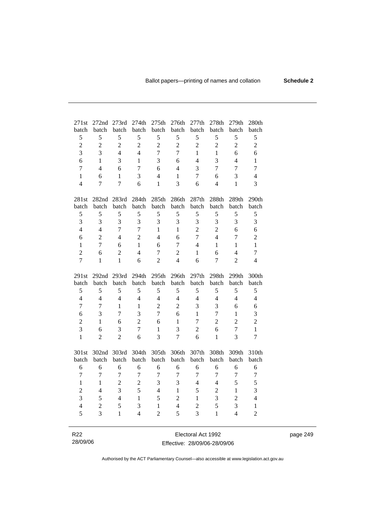| 271st          | 272nd            | 273rd          | 274th          | 275th             | 276th          | 277th          | 278th            | 279th          | 280th          |
|----------------|------------------|----------------|----------------|-------------------|----------------|----------------|------------------|----------------|----------------|
| batch          | batch            | batch          | batch          | batch             | batch          | batch          | batch            | batch          | batch          |
| 5              | 5                | 5              | 5              | 5                 | 5              | 5              | 5                | 5              | 5              |
| $\overline{c}$ | $\overline{2}$   | $\overline{c}$ | $\overline{2}$ | $\overline{c}$    | $\overline{2}$ | $\overline{c}$ | $\overline{2}$   | $\overline{2}$ | $\overline{2}$ |
| $\overline{3}$ | 3                | $\overline{4}$ | $\overline{4}$ | $\overline{7}$    | $\overline{7}$ | $\mathbf{1}$   | $\mathbf{1}$     | 6              | 6              |
| 6              | 1                | 3              | $\mathbf{1}$   | 3                 | 6              | $\overline{4}$ | 3                | $\overline{4}$ | $\mathbf{1}$   |
| $\tau$         | $\overline{4}$   | 6              | $\overline{7}$ | 6                 | $\overline{4}$ | 3              | $\tau$           | $\overline{7}$ | $\tau$         |
| $\mathbf{1}$   | 6                | $\mathbf{1}$   | 3              | $\overline{4}$    | $\mathbf{1}$   | $\overline{7}$ | 6                | 3              | $\overline{4}$ |
| $\overline{4}$ | $\boldsymbol{7}$ | $\overline{7}$ | 6              | $\mathbf{1}$      | $\overline{3}$ | 6              | $\overline{4}$   | $\mathbf{1}$   | 3              |
|                |                  |                |                |                   |                |                |                  |                |                |
| 281st          |                  | 282nd 283rd    | 284th          | 285th             | 286th          | 287th          | 288th            | 289th          | 290th          |
| batch          | batch            | batch          | batch          | batch             | batch          | batch          | batch            | batch          | batch          |
| 5              | 5                | 5              | 5              | 5                 | 5              | 5              | 5                | 5              | 5              |
| 3              | $\overline{3}$   | $\overline{3}$ | 3              | 3                 | 3              | 3              | 3                | $\overline{3}$ | 3              |
| $\overline{4}$ | $\overline{4}$   | $\overline{7}$ | $\overline{7}$ | $\mathbf{1}$      | $\mathbf{1}$   | $\overline{2}$ | $\overline{2}$   | 6              | 6              |
| 6              | $\overline{2}$   | $\overline{4}$ | $\overline{2}$ | $\overline{4}$    | 6              | $\overline{7}$ | $\overline{4}$   | 7              | $\overline{c}$ |
| $\mathbf{1}$   | $\overline{7}$   | 6              | $\mathbf{1}$   | 6                 | $\overline{7}$ | $\overline{4}$ | $\mathbf{1}$     | $\mathbf{1}$   | $\mathbf{1}$   |
| $\overline{2}$ | 6                | $\overline{2}$ | $\overline{4}$ | $\tau$            | $\overline{2}$ | $\mathbf{1}$   | 6                | $\overline{4}$ | $\tau$         |
| $\overline{7}$ | $\mathbf{1}$     | $\mathbf{1}$   | 6              | $\overline{2}$    | $\overline{4}$ | 6              | $\overline{7}$   | $\overline{2}$ | $\overline{4}$ |
|                |                  |                |                |                   |                |                |                  |                |                |
| 291st          | 292nd 293rd      |                | 294th          | 295 <sub>th</sub> | 296th          | 297th          | 298th            | 299th          | 300th          |
| batch          | batch            | batch          | batch          | batch             | batch          | batch          | batch            | batch          | batch          |
| $\mathfrak s$  | $\mathfrak s$    | 5              | 5              | 5                 | 5              | 5              | 5                | 5              | 5              |
| $\overline{4}$ | $\overline{4}$   | $\overline{4}$ | $\overline{4}$ | $\overline{4}$    | $\overline{4}$ | $\overline{4}$ | $\overline{4}$   | $\overline{4}$ | $\overline{4}$ |
| $\overline{7}$ | $\overline{7}$   | $\mathbf{1}$   | $\mathbf{1}$   | $\overline{2}$    | $\overline{2}$ | $\overline{3}$ | 3                | 6              | 6              |
| 6              | 3                | $\overline{7}$ | 3              | $\overline{7}$    | 6              | $\mathbf{1}$   | $\boldsymbol{7}$ | $\mathbf{1}$   | 3              |
| $\overline{2}$ | $\mathbf{1}$     | 6              | $\overline{2}$ | 6                 | $\mathbf{1}$   | $\overline{7}$ | $\overline{2}$   | $\overline{2}$ | $\overline{2}$ |
| $\overline{3}$ | 6                | 3              | 7              | $\mathbf{1}$      | $\overline{3}$ | $\overline{c}$ | 6                | $\overline{7}$ | $\mathbf{1}$   |
| $\mathbf{1}$   | $\overline{2}$   | $\overline{2}$ | 6              | 3                 | $\overline{7}$ | 6              | $\mathbf{1}$     | $\overline{3}$ | $\tau$         |
|                |                  |                |                |                   |                |                |                  |                |                |
| 301st          | 302nd            | 303rd          | 304th          | 305th             | 306th          | 307th          | 308th            | 309th          | 310th          |
| batch          | batch            | batch          | batch          | batch             | batch          | batch          | batch            | batch          | batch          |
| 6              | 6                | 6              | 6              | 6                 | 6              | 6              | 6                | 6              | 6              |
| $\overline{7}$ | $\overline{7}$   | $\overline{7}$ | $\overline{7}$ | $\overline{7}$    | $\overline{7}$ | $\overline{7}$ | $\overline{7}$   | $\overline{7}$ | $\tau$         |
| $\mathbf{1}$   | 1                | $\overline{2}$ | $\overline{c}$ | 3                 | 3              | $\overline{4}$ | $\overline{4}$   | 5              | 5              |
| $\overline{2}$ | $\overline{4}$   | 3              | 5              | $\overline{4}$    | $\mathbf{1}$   | 5              | $\overline{2}$   | $\mathbf{1}$   | 3              |
| 3              | 5                | $\overline{4}$ | $\mathbf{1}$   | 5                 | $\overline{c}$ | $\mathbf{1}$   | 3                | $\overline{2}$ | $\overline{4}$ |
| $\overline{4}$ | $\overline{2}$   | 5              | 3              | $\mathbf{1}$      | $\overline{4}$ | $\overline{2}$ | 5                | 3              | $\mathbf{1}$   |
| 5              | 3                | $\mathbf{1}$   | $\overline{4}$ | $\overline{2}$    | 5              | 3              | $\mathbf{1}$     | $\overline{4}$ | $\overline{c}$ |
|                |                  |                |                |                   |                |                |                  |                |                |
|                |                  |                |                |                   |                |                |                  |                |                |

| R <sub>22</sub> | Electoral Act 1992           | page 249 |
|-----------------|------------------------------|----------|
| 28/09/06        | Effective: 28/09/06-28/09/06 |          |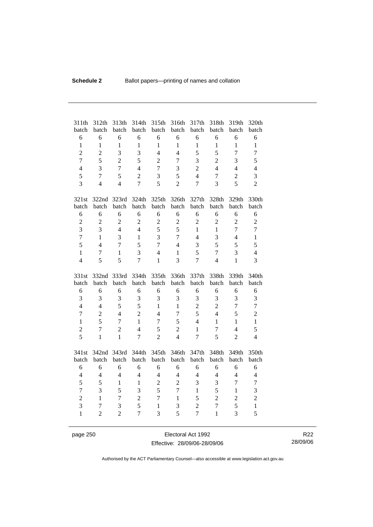| 311th<br>batch | 312th<br>batch | 313th<br>batch | 314th<br>batch           | 315th<br>batch | 316th<br>batch | 317th<br>batch | 318th<br>batch | 319th<br>batch | 320th<br>batch |
|----------------|----------------|----------------|--------------------------|----------------|----------------|----------------|----------------|----------------|----------------|
| 6              | 6              | 6              | 6                        | 6              | 6              | 6              | 6              | 6              | 6              |
| $\mathbf{1}$   | $\mathbf{1}$   | $\mathbf{1}$   | $\mathbf{1}$             | $\mathbf{1}$   | $\mathbf{1}$   | $\mathbf{1}$   | $\mathbf{1}$   | $\mathbf{1}$   | $\mathbf{1}$   |
| $\overline{2}$ | $\overline{2}$ | 3              | $\overline{3}$           | $\overline{4}$ | $\overline{4}$ | 5              | 5              | $\overline{7}$ | $\overline{7}$ |
| $\overline{7}$ | 5              | $\overline{2}$ | 5                        | $\overline{2}$ | $\tau$         | 3              | $\overline{2}$ | 3              | 5              |
| $\overline{4}$ | 3              | $\overline{7}$ | $\overline{4}$           | $\overline{7}$ | 3              | $\overline{2}$ | $\overline{4}$ | $\overline{4}$ | $\overline{4}$ |
| 5              | $\overline{7}$ | 5              | $\overline{2}$           | 3              | 5              | $\overline{4}$ | $\overline{7}$ | $\overline{2}$ | 3              |
| $\overline{3}$ | $\overline{4}$ | $\overline{4}$ | $\overline{7}$           | 5              | $\overline{2}$ | $\overline{7}$ | 3              | 5              | $\overline{c}$ |
|                |                |                |                          |                |                |                |                |                |                |
| 321st          | 322nd 323rd    |                | 324th                    | 325th          | 326th          | 327th          | 328th          | 329th          | 330th          |
| batch          | batch          | batch          | batch                    | batch          | batch          | batch          | batch          | batch          | batch          |
| 6              | 6              | 6              | 6                        | 6              | 6              | 6              | 6              | 6              | 6              |
| $\overline{c}$ | $\overline{2}$ | $\overline{2}$ | $\overline{2}$           | $\sqrt{2}$     | $\overline{c}$ | $\overline{2}$ | $\overline{2}$ | $\overline{2}$ | $\overline{c}$ |
| $\overline{3}$ | 3              | $\overline{4}$ | $\overline{4}$           | 5              | 5              | $\mathbf{1}$   | $\mathbf{1}$   | $\overline{7}$ | $\overline{7}$ |
| $\overline{7}$ | $\mathbf{1}$   | 3              | $\mathbf{1}$             | 3              | $\overline{7}$ | $\overline{4}$ | 3              | $\overline{4}$ | $\mathbf{1}$   |
| 5              | $\overline{4}$ | $\overline{7}$ | 5                        | $\overline{7}$ | $\overline{4}$ | 3              | 5              | 5              | 5              |
| $\mathbf{1}$   | $\tau$         | $\mathbf{1}$   | 3                        | $\overline{4}$ | $\mathbf{1}$   | 5              | $\overline{7}$ | 3              | $\overline{4}$ |
| $\overline{4}$ | 5              | 5              | $\overline{7}$           | 1              | 3              | $\overline{7}$ | $\overline{4}$ | 1              | 3              |
|                |                |                |                          |                |                |                |                |                |                |
|                |                |                |                          |                |                |                |                |                |                |
| 331st          | 332nd          | 333rd          | 334th                    | 335th          | 336th          | 337th          | 338th          | 339th          | 340th          |
| batch          | batch          | batch          | batch                    | batch          | batch          | batch          | batch          | batch          | batch          |
| 6              | 6              | 6              | 6                        | 6              | 6              | 6              | 6              | 6              | 6              |
| 3              | 3              | 3              | 3                        | 3              | 3              | 3              | 3              | 3              | 3              |
| $\overline{4}$ | $\overline{4}$ | 5              | 5                        | $\mathbf{1}$   | $\mathbf{1}$   | $\overline{2}$ | $\overline{2}$ | $\overline{7}$ | $\overline{7}$ |
| $\overline{7}$ | $\overline{2}$ | $\overline{4}$ | $\overline{2}$           | $\overline{4}$ | $\tau$         | 5              | $\overline{4}$ | 5              | $\overline{2}$ |
| $\mathbf{1}$   | 5              | $\overline{7}$ | $\mathbf{1}$             | $\overline{7}$ | 5              | $\overline{4}$ | $\mathbf{1}$   | $\mathbf{1}$   | $\mathbf{1}$   |
| $\overline{c}$ | $\overline{7}$ | $\overline{2}$ | $\overline{4}$           | 5              | $\overline{2}$ | $\mathbf{1}$   | $\overline{7}$ | $\overline{4}$ | 5              |
| 5              | $\mathbf{1}$   | $\mathbf{1}$   | $\overline{7}$           | $\overline{2}$ | $\overline{4}$ | $\overline{7}$ | 5              | $\overline{2}$ | $\overline{4}$ |
|                |                |                |                          |                |                |                |                |                |                |
| 341st          | 342nd 343rd    |                | 344th                    | 345th          | 346th          | 347th          | 348th          | 349th          | 350th          |
| batch          | batch          | batch          | batch                    | batch          | batch          | batch          | batch          | batch          | batch          |
| 6              | 6              | 6              | 6                        | 6              | 6              | 6              | 6              | 6              | 6              |
| $\overline{4}$ | $\overline{4}$ | $\overline{4}$ | $\overline{\mathcal{L}}$ | $\overline{4}$ | $\overline{4}$ | $\overline{4}$ | $\overline{4}$ | $\overline{4}$ | $\overline{4}$ |
| 5              | 5              | $\mathbf{1}$   | $\mathbf{1}$             | $\overline{2}$ | $\overline{2}$ | 3              | 3              | $\overline{7}$ | $\tau$         |
| $\overline{7}$ | 3              | 5              | 3                        | 5              | $\overline{7}$ | $\mathbf{1}$   | 5              | $\mathbf{1}$   | 3              |
| $\overline{2}$ | $\mathbf{1}$   | $\overline{7}$ | $\overline{2}$           | $\overline{7}$ | $\mathbf{1}$   | 5              | $\overline{2}$ | $\overline{2}$ | $\overline{c}$ |
| $\overline{3}$ | $\overline{7}$ | 3              | 5                        | $\mathbf{1}$   | 3              | $\overline{2}$ | $\overline{7}$ | 5              | $\mathbf{1}$   |
| $\mathbf{1}$   | $\overline{2}$ | $\overline{2}$ | $\overline{7}$           | 3              | 5              | $\overline{7}$ | $\mathbf{1}$   | 3              | 5              |

page 250 Electoral Act 1992 Effective: 28/09/06-28/09/06

R22 28/09/06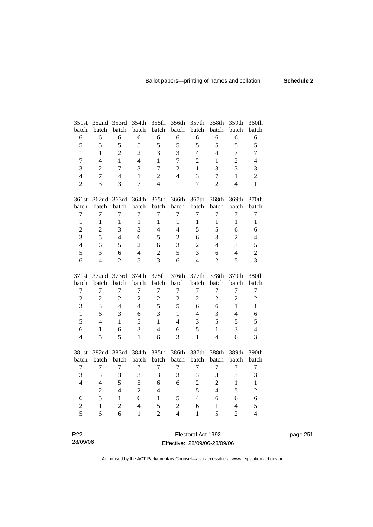| 351st            | 352nd            | 353rd          | 354th            | 355th            | 356th            | 357th            | 358th          | 359th            | 360th            |
|------------------|------------------|----------------|------------------|------------------|------------------|------------------|----------------|------------------|------------------|
| batch<br>6       | batch<br>6       | batch<br>6     | batch<br>6       | batch<br>6       | batch<br>6       | batch<br>6       | batch<br>6     | batch<br>6       | batch<br>6       |
| 5                | 5                | 5              | 5                | 5                | 5                | 5                | 5              | 5                | 5                |
| $\mathbf{1}$     | $\mathbf{1}$     | $\overline{2}$ | $\overline{2}$   | 3                | 3                | $\overline{4}$   | $\overline{4}$ | $\overline{7}$   | $\overline{7}$   |
|                  | $\overline{4}$   |                | $\overline{4}$   |                  |                  |                  |                |                  |                  |
| $\overline{7}$   |                  | $\mathbf{1}$   |                  | $\mathbf{1}$     | $\overline{7}$   | $\overline{2}$   | $\mathbf{1}$   | $\overline{2}$   | $\overline{4}$   |
| 3                | $\overline{2}$   | $\overline{7}$ | 3                | $\overline{7}$   | $\overline{c}$   | $\mathbf{1}$     | 3              | 3                | 3                |
| $\overline{4}$   | $\overline{7}$   | $\overline{4}$ | 1                | $\overline{c}$   | $\overline{4}$   | 3                | $\overline{7}$ | $\mathbf{1}$     | $\overline{2}$   |
| $\overline{2}$   | $\overline{3}$   | 3              | $\overline{7}$   | $\overline{4}$   | $\mathbf{1}$     | $\overline{7}$   | $\overline{2}$ | $\overline{4}$   | $\mathbf{1}$     |
| 361st            | 362nd            | 363rd          | 364th            | 365th            | 366th            | 367th            | 368th          | 369th            | 370th            |
| batch            | batch            | batch          | batch            | batch            | batch            | batch            | batch          | batch            | batch            |
| $\overline{7}$   | 7                | 7              | 7                | $\overline{7}$   | 7                | $\overline{7}$   | 7              | $\overline{7}$   | $\overline{7}$   |
| $\mathbf{1}$     | $\mathbf{1}$     | $\mathbf{1}$   | $\mathbf{1}$     | $\mathbf{1}$     | $\mathbf{1}$     | $\mathbf{1}$     | $\mathbf{1}$   | $\mathbf{1}$     | $\mathbf{1}$     |
| $\overline{2}$   | $\overline{c}$   | $\overline{3}$ | 3                | $\overline{4}$   | $\overline{4}$   | 5                | 5              | 6                | 6                |
| $\overline{3}$   | 5                | $\overline{4}$ | 6                | 5                | $\overline{2}$   | 6                | 3              | $\overline{c}$   | 4                |
| $\overline{4}$   | 6                | 5              | $\overline{2}$   | 6                | 3                | $\overline{2}$   | $\overline{4}$ | $\overline{3}$   | 5                |
| 5                | 3                | 6              | $\overline{4}$   | $\overline{2}$   | 5                | 3                | 6              | $\overline{4}$   | $\overline{c}$   |
| 6                | $\overline{4}$   | $\overline{2}$ | 5                | 3                | 6                | $\overline{4}$   | $\overline{2}$ | 5                | 3                |
| 371st            | 372nd            | 373rd          | 374th            | 375th            | 376th            | 377th            | 378th          | 379th            | 380th            |
| batch            | batch            | batch          | batch            | batch            | batch            | batch            | batch          | batch            | batch            |
| $\overline{7}$   | $\overline{7}$   | 7              | $\tau$           | $\tau$           | 7                | $\overline{7}$   | $\tau$         | $\overline{7}$   | $\overline{7}$   |
| $\overline{2}$   | $\overline{2}$   | $\overline{c}$ | $\overline{2}$   | $\overline{2}$   | $\overline{2}$   | $\overline{c}$   | $\overline{2}$ | $\sqrt{2}$       | $\overline{c}$   |
| 3                | $\overline{3}$   | $\overline{4}$ | $\overline{4}$   | 5                | 5                | 6                | 6              | $\mathbf{1}$     | $\mathbf{1}$     |
| $\mathbf{1}$     | 6                | $\overline{3}$ | 6                | $\overline{3}$   | $\mathbf{1}$     | $\overline{4}$   | $\overline{3}$ | $\overline{4}$   | 6                |
| 5                | $\overline{4}$   | $\mathbf{1}$   | 5                | $\mathbf{1}$     | $\overline{4}$   | 3                | 5              | 5                | 5                |
| 6                | $\mathbf{1}$     | 6              | 3                | $\overline{4}$   | 6                | 5                | $\mathbf{1}$   | $\overline{3}$   | $\overline{4}$   |
| $\overline{4}$   | 5                | 5              | $\mathbf{1}$     | 6                | $\overline{3}$   | $\mathbf{1}$     | $\overline{4}$ | 6                | 3                |
| 381st            | 382nd            | 383rd          | 384th            | 385th            | 386th            | 387th            | 388th          | 389th            | 390th            |
| batch            | batch            | batch          | batch            | batch            | batch            | batch            | batch          | batch            | batch            |
| $\boldsymbol{7}$ | $\boldsymbol{7}$ | $\overline{7}$ | $\boldsymbol{7}$ | $\boldsymbol{7}$ | $\boldsymbol{7}$ | $\boldsymbol{7}$ | 7              | $\boldsymbol{7}$ | $\boldsymbol{7}$ |
| 3                | 3                | 3              | 3                | 3                | 3                | 3                | 3              | 3                | 3                |
| $\overline{4}$   | $\overline{4}$   | 5              | 5                | 6                | 6                | $\overline{c}$   | $\overline{c}$ | $\mathbf{1}$     | $\mathbf{1}$     |
| $\mathbf{1}$     | $\overline{2}$   | $\overline{4}$ | $\overline{2}$   | $\overline{4}$   | $\mathbf{1}$     | 5                | $\overline{4}$ | 5                | $\overline{2}$   |
| 6                | 5                | $\mathbf{1}$   | 6                | $\mathbf{1}$     | 5                | $\overline{4}$   | 6              | 6                | 6                |
| $\overline{c}$   | $\mathbf{1}$     | $\overline{2}$ | $\overline{4}$   | 5                | $\overline{2}$   | 6                | $\mathbf{1}$   | $\overline{4}$   | 5                |
| 5                | 6                | 6              | $\mathbf{1}$     | $\overline{2}$   | $\overline{4}$   | 1                | 5              | $\overline{2}$   | 4                |
|                  |                  |                |                  |                  |                  |                  |                |                  |                  |

| R <sub>22</sub> | Electoral Act 1992           | page 251 |
|-----------------|------------------------------|----------|
| 28/09/06        | Effective: 28/09/06-28/09/06 |          |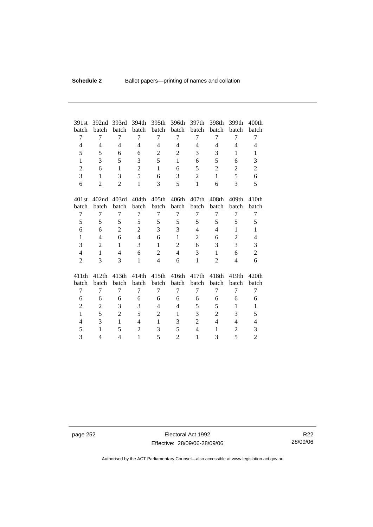| 391st          | 392nd             | 393rd             | 394th          | 395th             | 396th          | 397th          | 398th             | 399th          | 400 <sub>th</sub> |
|----------------|-------------------|-------------------|----------------|-------------------|----------------|----------------|-------------------|----------------|-------------------|
| batch          | batch             | batch             | batch          | batch             | batch          | batch          | batch             | batch          | batch             |
| 7              | 7                 | 7                 | 7              | 7                 | 7              | 7              | 7                 | 7              | 7                 |
| $\overline{4}$ | $\overline{4}$    | $\overline{4}$    | 4              | $\overline{4}$    | $\overline{4}$ | $\overline{4}$ | 4                 | $\overline{4}$ | 4                 |
| 5              | 5                 | 6                 | 6              | $\overline{2}$    | $\overline{2}$ | 3              | 3                 | 1              | $\mathbf{1}$      |
| $\mathbf{1}$   | 3                 | 5                 | 3              | 5                 | $\mathbf{1}$   | 6              | 5                 | 6              | 3                 |
| $\overline{2}$ | 6                 | $\mathbf{1}$      | $\overline{2}$ | $\mathbf{1}$      | 6              | 5              | $\overline{2}$    | $\overline{2}$ | $\overline{c}$    |
| 3              | $\mathbf{1}$      | 3                 | 5              | 6                 | 3              | $\overline{2}$ | 1                 | 5              | 6                 |
| 6              | $\overline{2}$    | $\overline{2}$    | $\mathbf{1}$   | 3                 | 5              | $\mathbf{1}$   | 6                 | 3              | 5                 |
|                |                   |                   |                |                   |                |                |                   |                |                   |
| 401st          | 402 <sub>nd</sub> | 403rd             | 404th          | 405 <sub>th</sub> | 406th          | 407th          | 408th             | 409th          | 410 <sub>th</sub> |
| batch          | batch             | batch             | batch          | batch             | batch          | batch          | batch             | batch          | batch             |
| 7              | 7                 | 7                 | 7              | 7                 | 7              | 7              | 7                 | 7              | 7                 |
| 5              | 5                 | 5                 | 5              | 5                 | 5              | 5              | 5                 | 5              | 5                 |
| 6              | 6                 | $\overline{2}$    | $\overline{2}$ | 3                 | 3              | 4              | 4                 | 1              | $\mathbf{1}$      |
| $\mathbf{1}$   | $\overline{4}$    | 6                 | $\overline{4}$ | 6                 | $\mathbf{1}$   | $\overline{2}$ | 6                 | $\overline{2}$ | $\overline{4}$    |
| 3              | $\overline{2}$    | $\mathbf{1}$      | 3              | $\mathbf{1}$      | $\mathbf{2}$   | 6              | 3                 | 3              | 3                 |
| $\overline{4}$ | $\mathbf{1}$      | $\overline{4}$    | 6              | $\overline{2}$    | $\overline{4}$ | 3              | 1                 | 6              | $\overline{c}$    |
| $\overline{2}$ | 3                 | 3                 | $\mathbf{1}$   | $\overline{4}$    | 6              | $\mathbf{1}$   | 2                 | $\overline{4}$ | 6                 |
|                |                   |                   |                |                   |                |                |                   |                |                   |
| 411th          | 412th             | 413 <sub>th</sub> | 414th          | 415 <sub>th</sub> | 416th          | 417th          | 418 <sub>th</sub> | 419th          | 420th             |
| batch          | batch             | batch             | batch          | batch             | batch          | batch          | batch             | batch          | batch             |
| 7              | 7                 | 7                 | 7              | 7                 | 7              | 7              | 7                 | 7              | 7                 |
| 6              | 6                 | 6                 | 6              | 6                 | 6              | 6              | 6                 | 6              | 6                 |
| 2              | 2                 | 3                 | 3              | $\overline{4}$    | $\overline{4}$ | 5              | 5                 | 1              | $\mathbf{1}$      |
| $\mathbf{1}$   | 5                 | $\overline{c}$    | 5              | $\overline{2}$    | $\mathbf{1}$   | 3              | $\overline{c}$    | 3              | 5                 |
| $\overline{4}$ | 3                 | 1                 | $\overline{4}$ | 1                 | 3              | $\overline{2}$ | $\overline{4}$    | $\overline{4}$ | 4                 |
| 5              | $\mathbf{1}$      | 5                 | $\overline{2}$ | 3                 | 5              | $\overline{4}$ | 1                 | 2              | 3                 |
| 3              | 4                 | 4                 | $\mathbf{1}$   | 5                 | $\overline{2}$ | $\mathbf{1}$   | 3                 | 5              | $\overline{2}$    |

page 252 Electoral Act 1992 Effective: 28/09/06-28/09/06

R22 28/09/06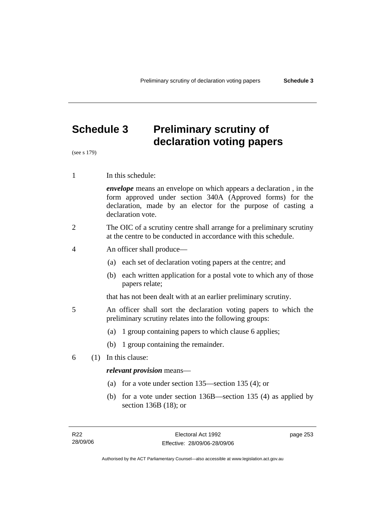# **Schedule 3 Preliminary scrutiny of declaration voting papers**

(see s 179)

1 In this schedule:

*envelope* means an envelope on which appears a declaration , in the form approved under section 340A (Approved forms) for the declaration, made by an elector for the purpose of casting a declaration vote.

- 2 The OIC of a scrutiny centre shall arrange for a preliminary scrutiny at the centre to be conducted in accordance with this schedule.
- 4 An officer shall produce—
	- (a) each set of declaration voting papers at the centre; and
	- (b) each written application for a postal vote to which any of those papers relate;

that has not been dealt with at an earlier preliminary scrutiny.

- 5 An officer shall sort the declaration voting papers to which the preliminary scrutiny relates into the following groups:
	- (a) 1 group containing papers to which clause 6 applies;
	- (b) 1 group containing the remainder.
- 6 (1) In this clause:

#### *relevant provision* means—

- (a) for a vote under section 135—section 135 (4); or
- (b) for a vote under section 136B—section 135 (4) as applied by section 136B (18); or

page 253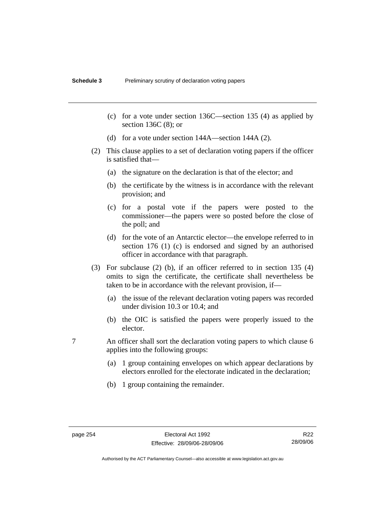- (c) for a vote under section 136C—section 135 (4) as applied by section 136C (8); or
- (d) for a vote under section 144A—section 144A (2).
- (2) This clause applies to a set of declaration voting papers if the officer is satisfied that—
	- (a) the signature on the declaration is that of the elector; and
	- (b) the certificate by the witness is in accordance with the relevant provision; and
	- (c) for a postal vote if the papers were posted to the commissioner—the papers were so posted before the close of the poll; and
	- (d) for the vote of an Antarctic elector—the envelope referred to in section 176 (1) (c) is endorsed and signed by an authorised officer in accordance with that paragraph.
- (3) For subclause (2) (b), if an officer referred to in section 135 (4) omits to sign the certificate, the certificate shall nevertheless be taken to be in accordance with the relevant provision, if—
	- (a) the issue of the relevant declaration voting papers was recorded under division 10.3 or 10.4; and
	- (b) the OIC is satisfied the papers were properly issued to the elector.
- 7 An officer shall sort the declaration voting papers to which clause 6 applies into the following groups:
	- (a) 1 group containing envelopes on which appear declarations by electors enrolled for the electorate indicated in the declaration;
	- (b) 1 group containing the remainder.

R22 28/09/06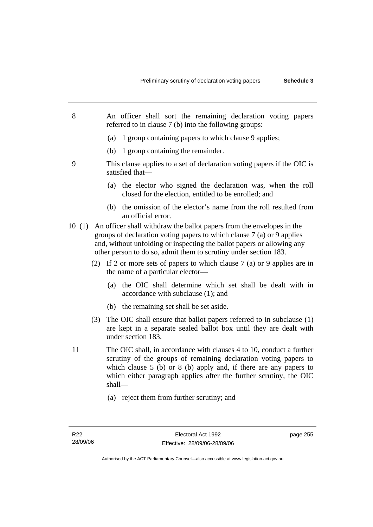- 8 An officer shall sort the remaining declaration voting papers referred to in clause 7 (b) into the following groups:
	- (a) 1 group containing papers to which clause 9 applies;
	- (b) 1 group containing the remainder.
- 9 This clause applies to a set of declaration voting papers if the OIC is satisfied that—
	- (a) the elector who signed the declaration was, when the roll closed for the election, entitled to be enrolled; and
	- (b) the omission of the elector's name from the roll resulted from an official error.
- 10 (1) An officer shall withdraw the ballot papers from the envelopes in the groups of declaration voting papers to which clause 7 (a) or 9 applies and, without unfolding or inspecting the ballot papers or allowing any other person to do so, admit them to scrutiny under section 183.
	- (2) If 2 or more sets of papers to which clause 7 (a) or 9 applies are in the name of a particular elector—
		- (a) the OIC shall determine which set shall be dealt with in accordance with subclause (1); and
		- (b) the remaining set shall be set aside.
	- (3) The OIC shall ensure that ballot papers referred to in subclause (1) are kept in a separate sealed ballot box until they are dealt with under section 183.
- 11 The OIC shall, in accordance with clauses 4 to 10, conduct a further scrutiny of the groups of remaining declaration voting papers to which clause 5 (b) or 8 (b) apply and, if there are any papers to which either paragraph applies after the further scrutiny, the OIC shall—
	- (a) reject them from further scrutiny; and

page 255

Authorised by the ACT Parliamentary Counsel—also accessible at www.legislation.act.gov.au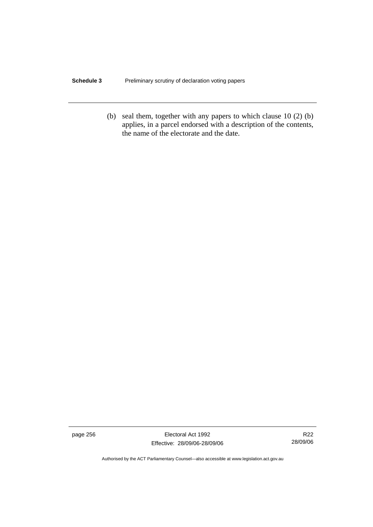### **Schedule 3** Preliminary scrutiny of declaration voting papers

 (b) seal them, together with any papers to which clause 10 (2) (b) applies, in a parcel endorsed with a description of the contents, the name of the electorate and the date.

page 256 Electoral Act 1992 Effective: 28/09/06-28/09/06

R22 28/09/06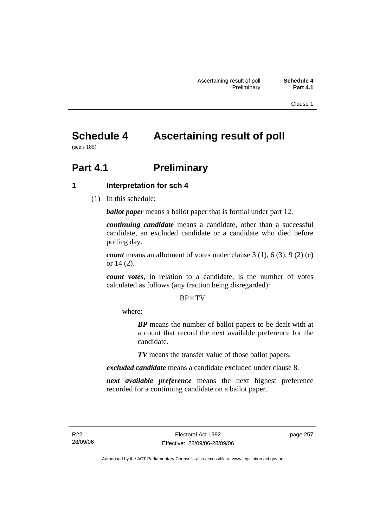Clause 1

# **Schedule 4 Ascertaining result of poll**

(see s 185)

# **Part 4.1** Preliminary

### **1 Interpretation for sch 4**

(1) In this schedule:

*ballot paper* means a ballot paper that is formal under part 12.

*continuing candidate* means a candidate, other than a successful candidate, an excluded candidate or a candidate who died before polling day.

*count* means an allotment of votes under clause 3 (1), 6 (3), 9 (2) (c) or 14 (2).

*count votes*, in relation to a candidate, is the number of votes calculated as follows (any fraction being disregarded):

### BP× TV

where:

*BP* means the number of ballot papers to be dealt with at a count that record the next available preference for the candidate.

*TV* means the transfer value of those ballot papers.

*excluded candidate* means a candidate excluded under clause 8.

*next available preference* means the next highest preference recorded for a continuing candidate on a ballot paper.

page 257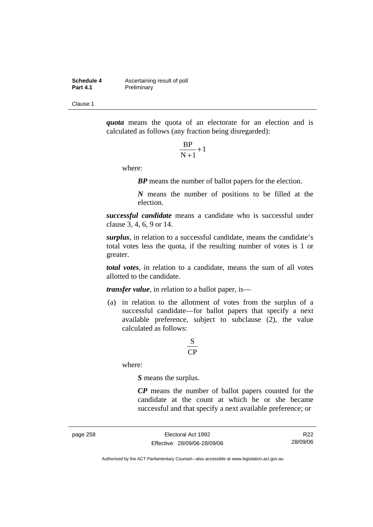**Schedule 4 Ascertaining result of poll**<br>**Part 4.1 Preliminary Preliminary** 

Clause 1

*quota* means the quota of an electorate for an election and is calculated as follows (any fraction being disregarded):

$$
\frac{\text{BP}}{\text{N}+1}+1
$$

where:

*BP* means the number of ballot papers for the election.

*N* means the number of positions to be filled at the election.

*successful candidate* means a candidate who is successful under clause 3, 4, 6, 9 or 14.

*surplus*, in relation to a successful candidate, means the candidate's total votes less the quota, if the resulting number of votes is 1 or greater.

*total votes*, in relation to a candidate, means the sum of all votes allotted to the candidate.

*transfer value*, in relation to a ballot paper, is—

 (a) in relation to the allotment of votes from the surplus of a successful candidate—for ballot papers that specify a next available preference, subject to subclause (2), the value calculated as follows:

### CP S

where:

*S* means the surplus.

*CP* means the number of ballot papers counted for the candidate at the count at which he or she became successful and that specify a next available preference; or

page 258 Electoral Act 1992 Effective: 28/09/06-28/09/06

R22 28/09/06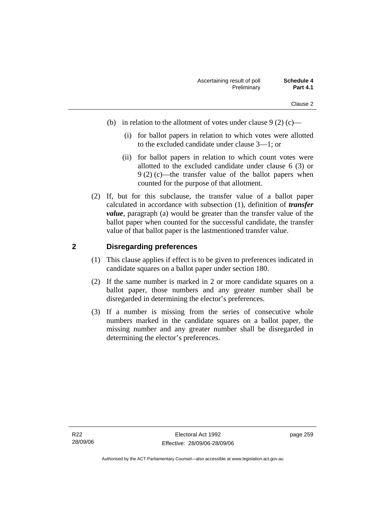- (b) in relation to the allotment of votes under clause  $9(2)(c)$ 
	- (i) for ballot papers in relation to which votes were allotted to the excluded candidate under clause 3—1; or
	- (ii) for ballot papers in relation to which count votes were allotted to the excluded candidate under clause 6 (3) or 9 (2) (c)—the transfer value of the ballot papers when counted for the purpose of that allotment.
- (2) If, but for this subclause, the transfer value of a ballot paper calculated in accordance with subsection (1), definition of *transfer value*, paragraph (a) would be greater than the transfer value of the ballot paper when counted for the successful candidate, the transfer value of that ballot paper is the lastmentioned transfer value.

### **2 Disregarding preferences**

- (1) This clause applies if effect is to be given to preferences indicated in candidate squares on a ballot paper under section 180.
- (2) If the same number is marked in 2 or more candidate squares on a ballot paper, those numbers and any greater number shall be disregarded in determining the elector's preferences.
- (3) If a number is missing from the series of consecutive whole numbers marked in the candidate squares on a ballot paper, the missing number and any greater number shall be disregarded in determining the elector's preferences.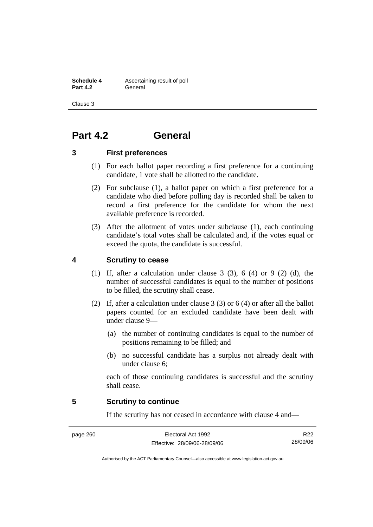**Schedule 4 Ascertaining result of poll Part 4.2** General

Clause 3

# **Part 4.2 General**

### **3 First preferences**

- (1) For each ballot paper recording a first preference for a continuing candidate, 1 vote shall be allotted to the candidate.
- (2) For subclause (1), a ballot paper on which a first preference for a candidate who died before polling day is recorded shall be taken to record a first preference for the candidate for whom the next available preference is recorded.
- (3) After the allotment of votes under subclause (1), each continuing candidate's total votes shall be calculated and, if the votes equal or exceed the quota, the candidate is successful.

### **4 Scrutiny to cease**

- (1) If, after a calculation under clause 3 (3), 6 (4) or 9 (2) (d), the number of successful candidates is equal to the number of positions to be filled, the scrutiny shall cease.
- (2) If, after a calculation under clause 3 (3) or 6 (4) or after all the ballot papers counted for an excluded candidate have been dealt with under clause 9—
	- (a) the number of continuing candidates is equal to the number of positions remaining to be filled; and
	- (b) no successful candidate has a surplus not already dealt with under clause 6;

each of those continuing candidates is successful and the scrutiny shall cease.

### **5 Scrutiny to continue**

If the scrutiny has not ceased in accordance with clause 4 and—

page 260 Electoral Act 1992 Effective: 28/09/06-28/09/06

R22 28/09/06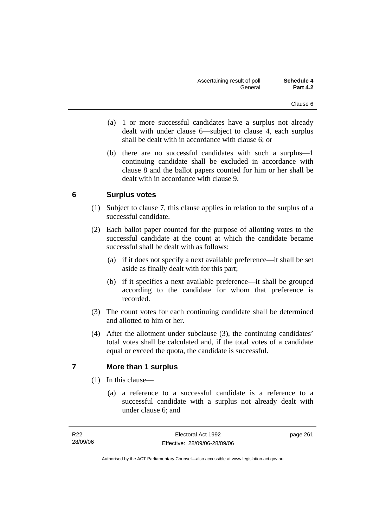- (a) 1 or more successful candidates have a surplus not already dealt with under clause 6—subject to clause 4, each surplus shall be dealt with in accordance with clause 6; or
- (b) there are no successful candidates with such a surplus—1 continuing candidate shall be excluded in accordance with clause 8 and the ballot papers counted for him or her shall be dealt with in accordance with clause 9.

### **6 Surplus votes**

- (1) Subject to clause 7, this clause applies in relation to the surplus of a successful candidate.
- (2) Each ballot paper counted for the purpose of allotting votes to the successful candidate at the count at which the candidate became successful shall be dealt with as follows:
	- (a) if it does not specify a next available preference—it shall be set aside as finally dealt with for this part;
	- (b) if it specifies a next available preference—it shall be grouped according to the candidate for whom that preference is recorded.
- (3) The count votes for each continuing candidate shall be determined and allotted to him or her.
- (4) After the allotment under subclause (3), the continuing candidates' total votes shall be calculated and, if the total votes of a candidate equal or exceed the quota, the candidate is successful.

### **7 More than 1 surplus**

- (1) In this clause—
	- (a) a reference to a successful candidate is a reference to a successful candidate with a surplus not already dealt with under clause 6; and

page 261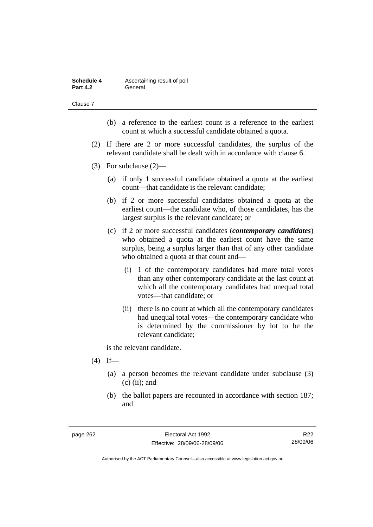| Schedule 4      | Ascertaining result of poll |
|-----------------|-----------------------------|
| <b>Part 4.2</b> | General                     |

Clause 7

- (b) a reference to the earliest count is a reference to the earliest count at which a successful candidate obtained a quota.
- (2) If there are 2 or more successful candidates, the surplus of the relevant candidate shall be dealt with in accordance with clause 6.
- (3) For subclause (2)—
	- (a) if only 1 successful candidate obtained a quota at the earliest count—that candidate is the relevant candidate;
	- (b) if 2 or more successful candidates obtained a quota at the earliest count—the candidate who, of those candidates, has the largest surplus is the relevant candidate; or
	- (c) if 2 or more successful candidates (*contemporary candidates*) who obtained a quota at the earliest count have the same surplus, being a surplus larger than that of any other candidate who obtained a quota at that count and—
		- (i) 1 of the contemporary candidates had more total votes than any other contemporary candidate at the last count at which all the contemporary candidates had unequal total votes—that candidate; or
		- (ii) there is no count at which all the contemporary candidates had unequal total votes—the contemporary candidate who is determined by the commissioner by lot to be the relevant candidate;

is the relevant candidate.

- $(4)$  If—
	- (a) a person becomes the relevant candidate under subclause (3)  $(c)$  (ii); and
	- (b) the ballot papers are recounted in accordance with section 187; and

R22 28/09/06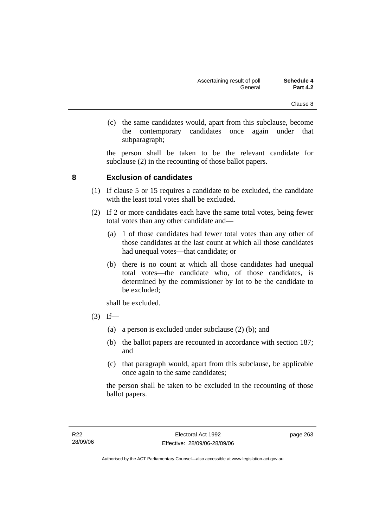(c) the same candidates would, apart from this subclause, become the contemporary candidates once again under that subparagraph;

the person shall be taken to be the relevant candidate for subclause (2) in the recounting of those ballot papers.

### **8 Exclusion of candidates**

- (1) If clause 5 or 15 requires a candidate to be excluded, the candidate with the least total votes shall be excluded.
- (2) If 2 or more candidates each have the same total votes, being fewer total votes than any other candidate and—
	- (a) 1 of those candidates had fewer total votes than any other of those candidates at the last count at which all those candidates had unequal votes—that candidate; or
	- (b) there is no count at which all those candidates had unequal total votes—the candidate who, of those candidates, is determined by the commissioner by lot to be the candidate to be excluded;

shall be excluded.

- $(3)$  If—
	- (a) a person is excluded under subclause (2) (b); and
	- (b) the ballot papers are recounted in accordance with section 187; and
	- (c) that paragraph would, apart from this subclause, be applicable once again to the same candidates;

the person shall be taken to be excluded in the recounting of those ballot papers.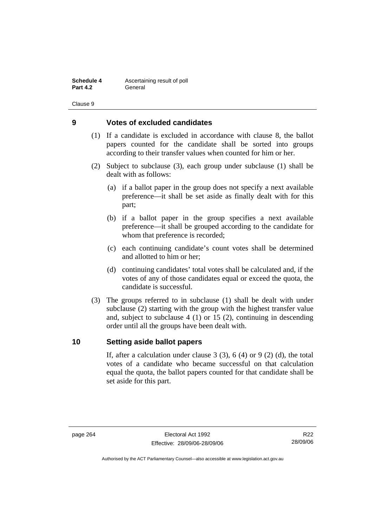**Schedule 4 Ascertaining result of poll Part 4.2** General

Clause 9

### **9 Votes of excluded candidates**

- (1) If a candidate is excluded in accordance with clause 8, the ballot papers counted for the candidate shall be sorted into groups according to their transfer values when counted for him or her.
- (2) Subject to subclause (3), each group under subclause (1) shall be dealt with as follows:
	- (a) if a ballot paper in the group does not specify a next available preference—it shall be set aside as finally dealt with for this part;
	- (b) if a ballot paper in the group specifies a next available preference—it shall be grouped according to the candidate for whom that preference is recorded;
	- (c) each continuing candidate's count votes shall be determined and allotted to him or her;
	- (d) continuing candidates' total votes shall be calculated and, if the votes of any of those candidates equal or exceed the quota, the candidate is successful.
- (3) The groups referred to in subclause (1) shall be dealt with under subclause (2) starting with the group with the highest transfer value and, subject to subclause 4 (1) or 15 (2), continuing in descending order until all the groups have been dealt with.

### **10 Setting aside ballot papers**

If, after a calculation under clause  $3(3)$ ,  $6(4)$  or  $9(2)(d)$ , the total votes of a candidate who became successful on that calculation equal the quota, the ballot papers counted for that candidate shall be set aside for this part.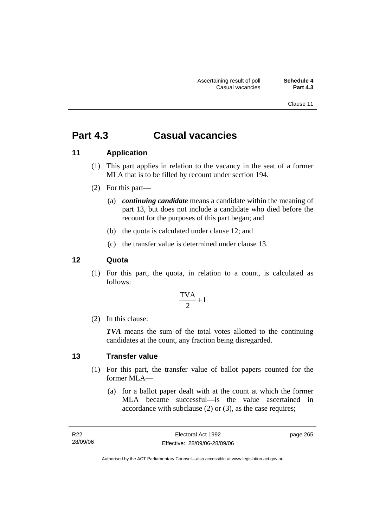Clause 11

# **Part 4.3 Casual vacancies**

### **11 Application**

- (1) This part applies in relation to the vacancy in the seat of a former MLA that is to be filled by recount under section 194.
- (2) For this part—
	- (a) *continuing candidate* means a candidate within the meaning of part 13, but does not include a candidate who died before the recount for the purposes of this part began; and
	- (b) the quota is calculated under clause 12; and
	- (c) the transfer value is determined under clause 13.

### **12 Quota**

 (1) For this part, the quota, in relation to a count, is calculated as follows:

$$
\frac{\text{TVA}}{2} + 1
$$

(2) In this clause:

*TVA* means the sum of the total votes allotted to the continuing candidates at the count, any fraction being disregarded.

#### **13 Transfer value**

- (1) For this part, the transfer value of ballot papers counted for the former MLA—
	- (a) for a ballot paper dealt with at the count at which the former MLA became successful—is the value ascertained in accordance with subclause (2) or (3), as the case requires;

page 265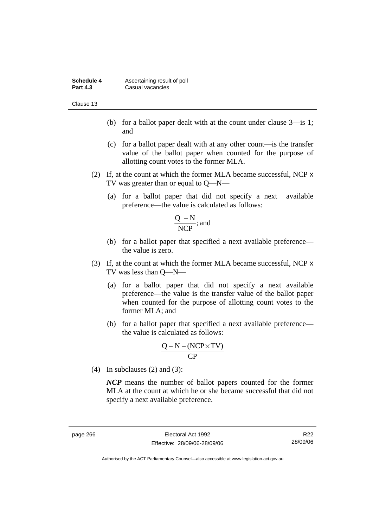| <b>Schedule 4</b> | Ascertaining result of poll |
|-------------------|-----------------------------|
| <b>Part 4.3</b>   | Casual vacancies            |

Clause 13

- (b) for a ballot paper dealt with at the count under clause 3—is 1; and
- (c) for a ballot paper dealt with at any other count—is the transfer value of the ballot paper when counted for the purpose of allotting count votes to the former MLA.
- (2) If, at the count at which the former MLA became successful, NCP x TV was greater than or equal to Q—N—
	- (a) for a ballot paper that did not specify a next available preference—the value is calculated as follows:

$$
\frac{Q - N}{NCP}
$$
; and

- (b) for a ballot paper that specified a next available preference the value is zero.
- (3) If, at the count at which the former MLA became successful, NCP x TV was less than Q—N—
	- (a) for a ballot paper that did not specify a next available preference—the value is the transfer value of the ballot paper when counted for the purpose of allotting count votes to the former MLA; and
	- (b) for a ballot paper that specified a next available preference the value is calculated as follows:

$$
\frac{Q-N-(NCP \times TV)}{CP}
$$

(4) In subclauses (2) and (3):

*NCP* means the number of ballot papers counted for the former MLA at the count at which he or she became successful that did not specify a next available preference.

R22 28/09/06

Authorised by the ACT Parliamentary Counsel—also accessible at www.legislation.act.gov.au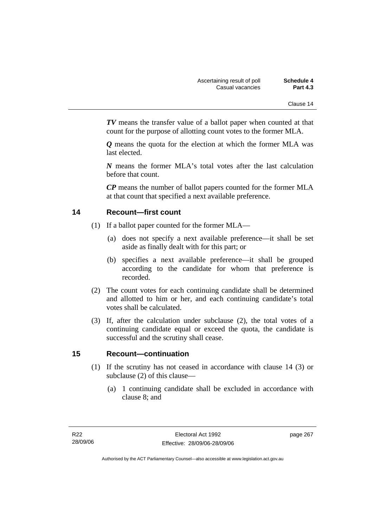*TV* means the transfer value of a ballot paper when counted at that count for the purpose of allotting count votes to the former MLA.

*Q* means the quota for the election at which the former MLA was last elected.

*N* means the former MLA's total votes after the last calculation before that count.

*CP* means the number of ballot papers counted for the former MLA at that count that specified a next available preference.

### **14 Recount—first count**

- (1) If a ballot paper counted for the former MLA—
	- (a) does not specify a next available preference—it shall be set aside as finally dealt with for this part; or
	- (b) specifies a next available preference—it shall be grouped according to the candidate for whom that preference is recorded.
- (2) The count votes for each continuing candidate shall be determined and allotted to him or her, and each continuing candidate's total votes shall be calculated.
- (3) If, after the calculation under subclause (2), the total votes of a continuing candidate equal or exceed the quota, the candidate is successful and the scrutiny shall cease.

### **15 Recount—continuation**

- (1) If the scrutiny has not ceased in accordance with clause 14 (3) or subclause (2) of this clause—
	- (a) 1 continuing candidate shall be excluded in accordance with clause 8; and

page 267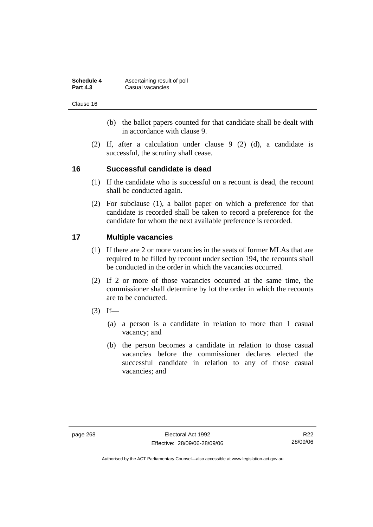| <b>Schedule 4</b> | Ascertaining result of poll |
|-------------------|-----------------------------|
| <b>Part 4.3</b>   | Casual vacancies            |

Clause 16

- (b) the ballot papers counted for that candidate shall be dealt with in accordance with clause 9.
- (2) If, after a calculation under clause 9 (2) (d), a candidate is successful, the scrutiny shall cease.

### **16 Successful candidate is dead**

- (1) If the candidate who is successful on a recount is dead, the recount shall be conducted again.
- (2) For subclause (1), a ballot paper on which a preference for that candidate is recorded shall be taken to record a preference for the candidate for whom the next available preference is recorded.

### **17 Multiple vacancies**

- (1) If there are 2 or more vacancies in the seats of former MLAs that are required to be filled by recount under section 194, the recounts shall be conducted in the order in which the vacancies occurred.
- (2) If 2 or more of those vacancies occurred at the same time, the commissioner shall determine by lot the order in which the recounts are to be conducted.
- $(3)$  If—
	- (a) a person is a candidate in relation to more than 1 casual vacancy; and
	- (b) the person becomes a candidate in relation to those casual vacancies before the commissioner declares elected the successful candidate in relation to any of those casual vacancies; and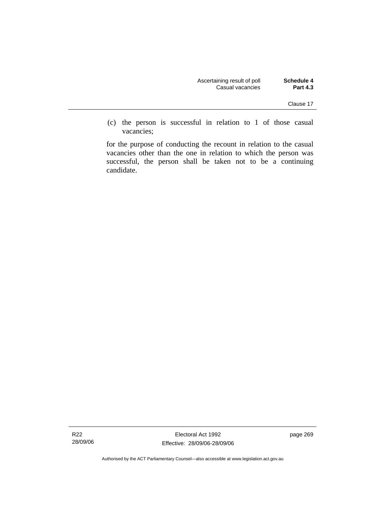| <b>Schedule 4</b> | Ascertaining result of poll |
|-------------------|-----------------------------|
| <b>Part 4.3</b>   | Casual vacancies            |

 (c) the person is successful in relation to 1 of those casual vacancies;

for the purpose of conducting the recount in relation to the casual vacancies other than the one in relation to which the person was successful, the person shall be taken not to be a continuing candidate.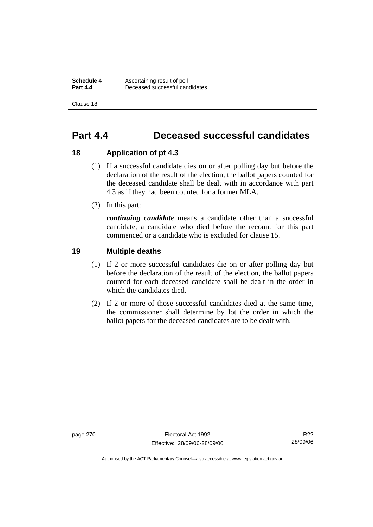**Schedule 4 Ascertaining result of poll**<br>**Part 4.4 Deceased successful can Part 4.4** Deceased successful candidates

Clause 18

## **Part 4.4 Deceased successful candidates**

### **18 Application of pt 4.3**

- (1) If a successful candidate dies on or after polling day but before the declaration of the result of the election, the ballot papers counted for the deceased candidate shall be dealt with in accordance with part 4.3 as if they had been counted for a former MLA.
- (2) In this part:

*continuing candidate* means a candidate other than a successful candidate, a candidate who died before the recount for this part commenced or a candidate who is excluded for clause 15.

### **19 Multiple deaths**

- (1) If 2 or more successful candidates die on or after polling day but before the declaration of the result of the election, the ballot papers counted for each deceased candidate shall be dealt in the order in which the candidates died.
- (2) If 2 or more of those successful candidates died at the same time, the commissioner shall determine by lot the order in which the ballot papers for the deceased candidates are to be dealt with.

page 270 Electoral Act 1992 Effective: 28/09/06-28/09/06

R22 28/09/06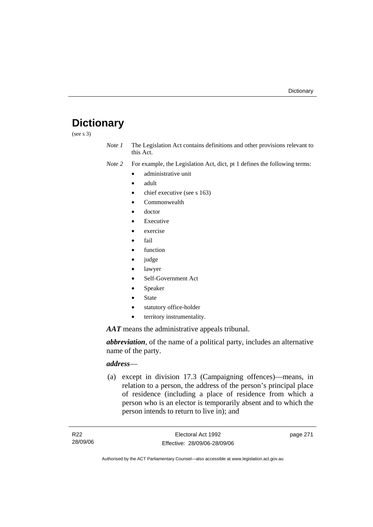# **Dictionary**

(see s 3)

*Note 1* The Legislation Act contains definitions and other provisions relevant to this Act.

*Note 2* For example, the Legislation Act, dict, pt 1 defines the following terms:

- administrative unit
	- adult
	- chief executive (see s 163)
	- Commonwealth
	- doctor
	- **Executive**
	- exercise
	- fail
	- function
	- judge
	- lawyer
	- Self-Government Act
	- **Speaker**
	- **State**
	- statutory office-holder
	- territory instrumentality.

*AAT* means the administrative appeals tribunal.

*abbreviation*, of the name of a political party, includes an alternative name of the party.

# *address*—

 (a) except in division 17.3 (Campaigning offences)—means, in relation to a person, the address of the person's principal place of residence (including a place of residence from which a person who is an elector is temporarily absent and to which the person intends to return to live in); and

page 271

Authorised by the ACT Parliamentary Counsel—also accessible at www.legislation.act.gov.au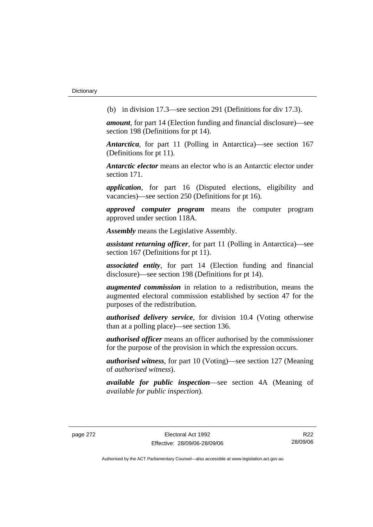(b) in division 17.3—see section 291 (Definitions for div 17.3).

*amount*, for part 14 (Election funding and financial disclosure)—see section 198 (Definitions for pt 14).

*Antarctica*, for part 11 (Polling in Antarctica)—see section 167 (Definitions for pt 11).

*Antarctic elector* means an elector who is an Antarctic elector under section 171.

*application*, for part 16 (Disputed elections, eligibility and vacancies)—see section 250 (Definitions for pt 16).

*approved computer program* means the computer program approved under section 118A.

*Assembly* means the Legislative Assembly.

*assistant returning officer*, for part 11 (Polling in Antarctica)—see section 167 (Definitions for pt 11).

*associated entity*, for part 14 (Election funding and financial disclosure)—see section 198 (Definitions for pt 14).

*augmented commission* in relation to a redistribution, means the augmented electoral commission established by section 47 for the purposes of the redistribution.

*authorised delivery service*, for division 10.4 (Voting otherwise than at a polling place)—see section 136.

*authorised officer* means an officer authorised by the commissioner for the purpose of the provision in which the expression occurs.

*authorised witness*, for part 10 (Voting)—see section 127 (Meaning of *authorised witness*).

*available for public inspection*—see section 4A (Meaning of *available for public inspection*).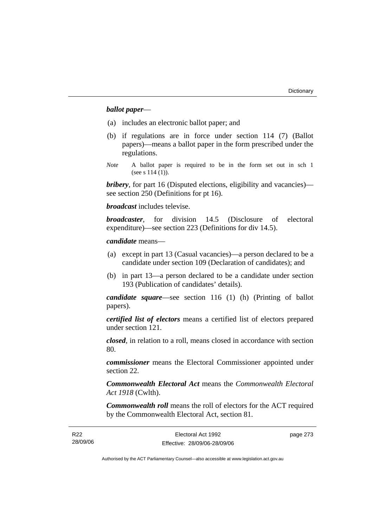# *ballot paper*—

- (a) includes an electronic ballot paper; and
- (b) if regulations are in force under section 114 (7) (Ballot papers)—means a ballot paper in the form prescribed under the regulations.
- *Note* A ballot paper is required to be in the form set out in sch 1 (see s 114 (1)).

*bribery*, for part 16 (Disputed elections, eligibility and vacancies) see section 250 (Definitions for pt 16).

*broadcast* includes televise.

*broadcaster*, for division 14.5 (Disclosure of electoral expenditure)—see section 223 (Definitions for div 14.5).

#### *candidate* means—

- (a) except in part 13 (Casual vacancies)—a person declared to be a candidate under section 109 (Declaration of candidates); and
- (b) in part 13—a person declared to be a candidate under section 193 (Publication of candidates' details).

*candidate square*—see section 116 (1) (h) (Printing of ballot papers).

*certified list of electors* means a certified list of electors prepared under section 121.

*closed*, in relation to a roll, means closed in accordance with section 80.

*commissioner* means the Electoral Commissioner appointed under section 22.

*Commonwealth Electoral Act* means the *Commonwealth Electoral Act 1918* (Cwlth).

*Commonwealth roll* means the roll of electors for the ACT required by the Commonwealth Electoral Act, section 81.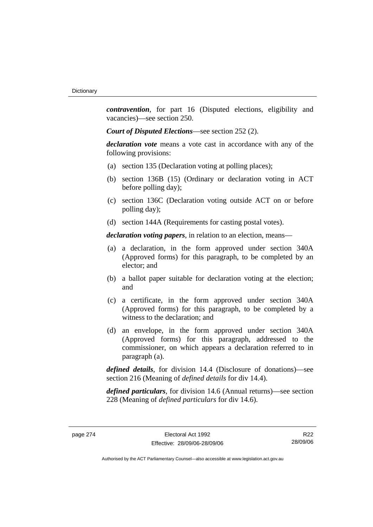*contravention*, for part 16 (Disputed elections, eligibility and vacancies)—see section 250.

*Court of Disputed Elections*—see section 252 (2).

*declaration vote* means a vote cast in accordance with any of the following provisions:

- (a) section 135 (Declaration voting at polling places);
- (b) section 136B (15) (Ordinary or declaration voting in ACT before polling day);
- (c) section 136C (Declaration voting outside ACT on or before polling day);
- (d) section 144A (Requirements for casting postal votes).

*declaration voting papers*, in relation to an election, means—

- (a) a declaration, in the form approved under section 340A (Approved forms) for this paragraph, to be completed by an elector; and
- (b) a ballot paper suitable for declaration voting at the election; and
- (c) a certificate, in the form approved under section 340A (Approved forms) for this paragraph, to be completed by a witness to the declaration; and
- (d) an envelope, in the form approved under section 340A (Approved forms) for this paragraph, addressed to the commissioner, on which appears a declaration referred to in paragraph (a).

*defined details*, for division 14.4 (Disclosure of donations)—see section 216 (Meaning of *defined details* for div 14.4).

*defined particulars*, for division 14.6 (Annual returns)—see section 228 (Meaning of *defined particulars* for div 14.6).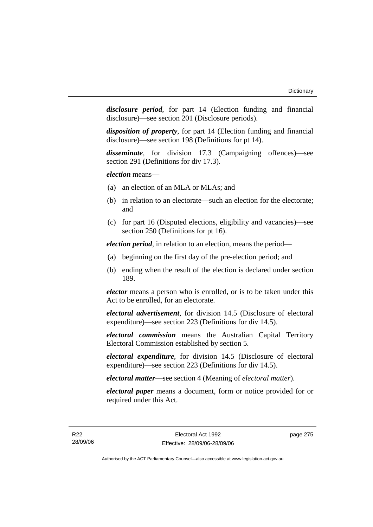*disclosure period*, for part 14 (Election funding and financial disclosure)—see section 201 (Disclosure periods).

*disposition of property*, for part 14 (Election funding and financial disclosure)—see section 198 (Definitions for pt 14).

*disseminate*, for division 17.3 (Campaigning offences)—see section 291 (Definitions for div 17.3).

*election* means—

- (a) an election of an MLA or MLAs; and
- (b) in relation to an electorate—such an election for the electorate; and
- (c) for part 16 (Disputed elections, eligibility and vacancies)—see section 250 (Definitions for pt 16).

*election period*, in relation to an election, means the period—

- (a) beginning on the first day of the pre-election period; and
- (b) ending when the result of the election is declared under section 189.

*elector* means a person who is enrolled, or is to be taken under this Act to be enrolled, for an electorate.

*electoral advertisement*, for division 14.5 (Disclosure of electoral expenditure)—see section 223 (Definitions for div 14.5).

*electoral commission* means the Australian Capital Territory Electoral Commission established by section 5.

*electoral expenditure*, for division 14.5 (Disclosure of electoral expenditure)—see section 223 (Definitions for div 14.5).

*electoral matter*—see section 4 (Meaning of *electoral matter*).

*electoral paper* means a document, form or notice provided for or required under this Act.

page 275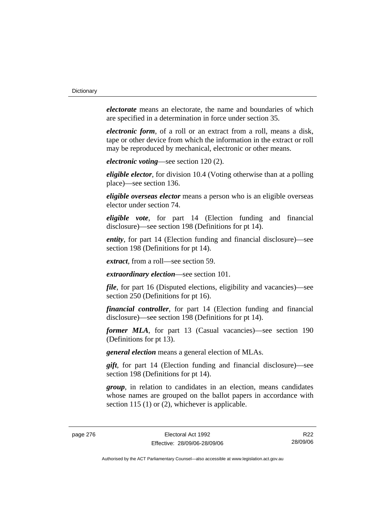*electorate* means an electorate, the name and boundaries of which are specified in a determination in force under section 35.

*electronic form*, of a roll or an extract from a roll, means a disk, tape or other device from which the information in the extract or roll may be reproduced by mechanical, electronic or other means.

*electronic voting*—see section 120 (2).

*eligible elector*, for division 10.4 (Voting otherwise than at a polling place)—see section 136.

*eligible overseas elector* means a person who is an eligible overseas elector under section 74.

*eligible vote*, for part 14 (Election funding and financial disclosure)—see section 198 (Definitions for pt 14).

*entity*, for part 14 (Election funding and financial disclosure)—see section 198 (Definitions for pt 14).

*extract*, from a roll—see section 59.

*extraordinary election*—see section 101.

*file*, for part 16 (Disputed elections, eligibility and vacancies)—see section 250 (Definitions for pt 16).

*financial controller*, for part 14 (Election funding and financial disclosure)—see section 198 (Definitions for pt 14).

*former MLA*, for part 13 (Casual vacancies)—see section 190 (Definitions for pt 13).

*general election* means a general election of MLAs.

*gift*, for part 14 (Election funding and financial disclosure)—see section 198 (Definitions for pt 14).

*group*, in relation to candidates in an election, means candidates whose names are grouped on the ballot papers in accordance with section 115 (1) or (2), whichever is applicable.

page 276 Electoral Act 1992 Effective: 28/09/06-28/09/06

R22 28/09/06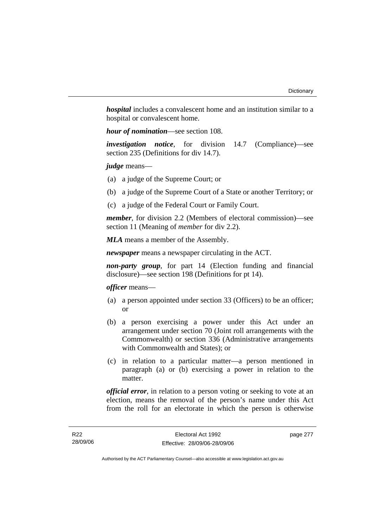*hospital* includes a convalescent home and an institution similar to a hospital or convalescent home.

*hour of nomination*—see section 108.

*investigation notice*, for division 14.7 (Compliance)—see section 235 (Definitions for div 14.7).

*judge* means—

- (a) a judge of the Supreme Court; or
- (b) a judge of the Supreme Court of a State or another Territory; or
- (c) a judge of the Federal Court or Family Court.

*member*, for division 2.2 (Members of electoral commission)—see section 11 (Meaning of *member* for div 2.2).

*MLA* means a member of the Assembly.

*newspaper* means a newspaper circulating in the ACT.

*non-party group*, for part 14 (Election funding and financial disclosure)—see section 198 (Definitions for pt 14).

*officer* means—

- (a) a person appointed under section 33 (Officers) to be an officer; or
- (b) a person exercising a power under this Act under an arrangement under section 70 (Joint roll arrangements with the Commonwealth) or section 336 (Administrative arrangements with Commonwealth and States); or
- (c) in relation to a particular matter—a person mentioned in paragraph (a) or (b) exercising a power in relation to the matter.

*official error*, in relation to a person voting or seeking to vote at an election, means the removal of the person's name under this Act from the roll for an electorate in which the person is otherwise

page 277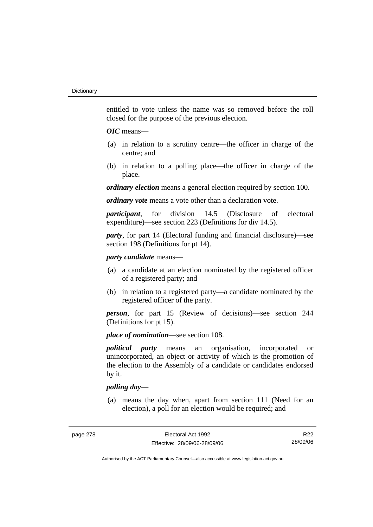entitled to vote unless the name was so removed before the roll closed for the purpose of the previous election.

# *OIC* means—

- (a) in relation to a scrutiny centre—the officer in charge of the centre; and
- (b) in relation to a polling place—the officer in charge of the place.

*ordinary election* means a general election required by section 100.

*ordinary vote* means a vote other than a declaration vote.

*participant*, for division 14.5 (Disclosure of electoral expenditure)—see section 223 (Definitions for div 14.5).

*party*, for part 14 (Electoral funding and financial disclosure)—see section 198 (Definitions for pt 14).

# *party candidate* means—

- (a) a candidate at an election nominated by the registered officer of a registered party; and
- (b) in relation to a registered party—a candidate nominated by the registered officer of the party.

*person*, for part 15 (Review of decisions)—see section 244 (Definitions for pt 15).

*place of nomination*—see section 108.

*political party* means an organisation, incorporated or unincorporated, an object or activity of which is the promotion of the election to the Assembly of a candidate or candidates endorsed by it.

# *polling day*—

 (a) means the day when, apart from section 111 (Need for an election), a poll for an election would be required; and

R22 28/09/06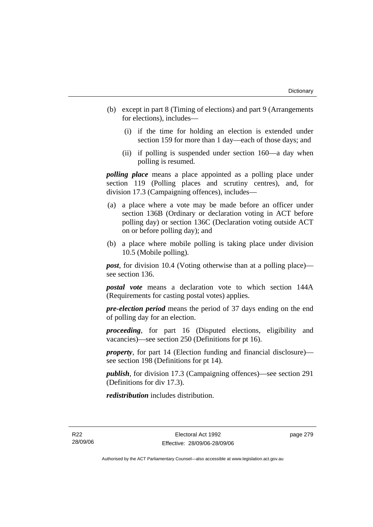- (b) except in part 8 (Timing of elections) and part 9 (Arrangements for elections), includes—
	- (i) if the time for holding an election is extended under section 159 for more than 1 day—each of those days; and
	- (ii) if polling is suspended under section 160—a day when polling is resumed.

*polling place* means a place appointed as a polling place under section 119 (Polling places and scrutiny centres), and, for division 17.3 (Campaigning offences), includes—

- (a) a place where a vote may be made before an officer under section 136B (Ordinary or declaration voting in ACT before polling day) or section 136C (Declaration voting outside ACT on or before polling day); and
- (b) a place where mobile polling is taking place under division 10.5 (Mobile polling).

*post*, for division 10.4 (Voting otherwise than at a polling place) see section 136.

*postal vote* means a declaration vote to which section 144A (Requirements for casting postal votes) applies.

*pre-election period* means the period of 37 days ending on the end of polling day for an election.

*proceeding*, for part 16 (Disputed elections, eligibility and vacancies)—see section 250 (Definitions for pt 16).

*property*, for part 14 (Election funding and financial disclosure) see section 198 (Definitions for pt 14).

*publish*, for division 17.3 (Campaigning offences)—see section 291 (Definitions for div 17.3).

*redistribution* includes distribution.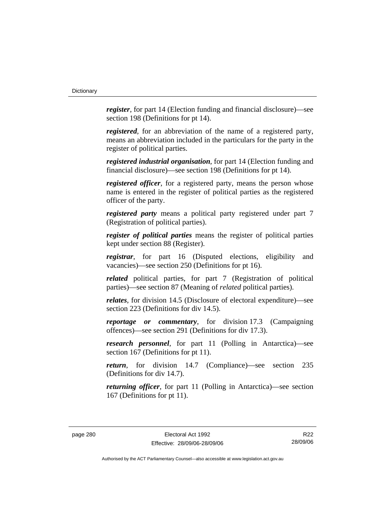*register*, for part 14 (Election funding and financial disclosure)—see section 198 (Definitions for pt 14).

*registered*, for an abbreviation of the name of a registered party, means an abbreviation included in the particulars for the party in the register of political parties.

*registered industrial organisation*, for part 14 (Election funding and financial disclosure)—see section 198 (Definitions for pt 14).

*registered officer*, for a registered party, means the person whose name is entered in the register of political parties as the registered officer of the party.

*registered party* means a political party registered under part 7 (Registration of political parties).

*register of political parties* means the register of political parties kept under section 88 (Register).

*registrar*, for part 16 (Disputed elections, eligibility and vacancies)—see section 250 (Definitions for pt 16).

*related* political parties, for part 7 (Registration of political parties)—see section 87 (Meaning of *related* political parties).

*relates*, for division 14.5 (Disclosure of electoral expenditure)—see section 223 (Definitions for div 14.5).

*reportage or commentary*, for division 17.3 (Campaigning offences)—see section 291 (Definitions for div 17.3).

*research personnel*, for part 11 (Polling in Antarctica)—see section 167 (Definitions for pt 11).

*return*, for division 14.7 (Compliance)—see section 235 (Definitions for div 14.7).

*returning officer*, for part 11 (Polling in Antarctica)—see section 167 (Definitions for pt 11).

R22 28/09/06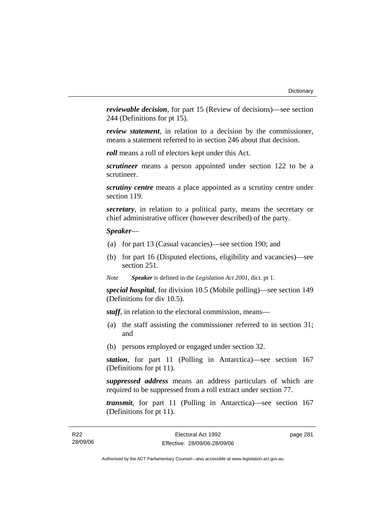*reviewable decision*, for part 15 (Review of decisions)—see section 244 (Definitions for pt 15).

*review statement*, in relation to a decision by the commissioner, means a statement referred to in section 246 about that decision.

*roll* means a roll of electors kept under this Act.

*scrutineer* means a person appointed under section 122 to be a scrutineer.

*scrutiny centre* means a place appointed as a scrutiny centre under section 119.

*secretary*, in relation to a political party, means the secretary or chief administrative officer (however described) of the party.

# *Speaker*—

- (a) for part 13 (Casual vacancies)—see section 190; and
- (b) for part 16 (Disputed elections, eligibility and vacancies)—see section 251.

*Note Speaker* is defined in the *Legislation Act 2001*, dict. pt 1.

*special hospital*, for division 10.5 (Mobile polling)—see section 149 (Definitions for div 10.5).

*staff*, in relation to the electoral commission, means—

- (a) the staff assisting the commissioner referred to in section 31; and
- (b) persons employed or engaged under section 32.

*station*, for part 11 (Polling in Antarctica)—see section 167 (Definitions for pt 11).

*suppressed address* means an address particulars of which are required to be suppressed from a roll extract under section 77.

*transmit*, for part 11 (Polling in Antarctica)—see section 167 (Definitions for pt 11).

page 281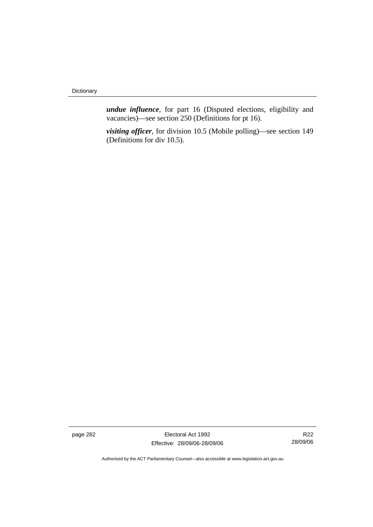*undue influence*, for part 16 (Disputed elections, eligibility and vacancies)—see section 250 (Definitions for pt 16).

*visiting officer*, for division 10.5 (Mobile polling)—see section 149 (Definitions for div 10.5).

page 282 Electoral Act 1992 Effective: 28/09/06-28/09/06

R22 28/09/06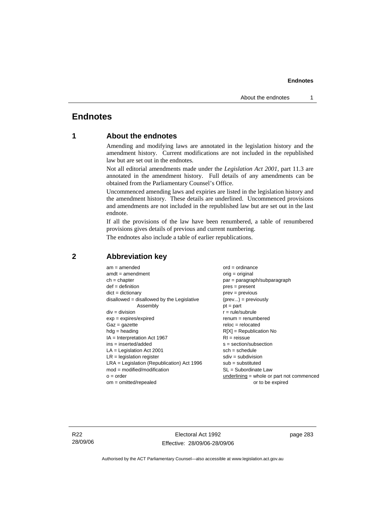# **Endnotes**

# **1 About the endnotes**

Amending and modifying laws are annotated in the legislation history and the amendment history. Current modifications are not included in the republished law but are set out in the endnotes.

Not all editorial amendments made under the *Legislation Act 2001*, part 11.3 are annotated in the amendment history. Full details of any amendments can be obtained from the Parliamentary Counsel's Office.

Uncommenced amending laws and expiries are listed in the legislation history and the amendment history. These details are underlined. Uncommenced provisions and amendments are not included in the republished law but are set out in the last endnote.

If all the provisions of the law have been renumbered, a table of renumbered provisions gives details of previous and current numbering.

The endnotes also include a table of earlier republications.

| $am = amended$                               | $ord = ordinance$                         |
|----------------------------------------------|-------------------------------------------|
| $amdt = amendment$                           | $orig = original$                         |
| $ch = chapter$                               | $par = paragraph/subparagraph$            |
| $def = definition$                           | $pres = present$                          |
| $dict = dictionary$                          | $prev = previous$                         |
| disallowed = disallowed by the Legislative   | $(\text{prev}) = \text{previously}$       |
| Assembly                                     | $pt = part$                               |
| $div = division$                             | $r = rule/subrule$                        |
| $exp = expires/expired$                      | $renum = renumbered$                      |
| $Gaz = gazette$                              | $reloc = relocated$                       |
| $hdg =$ heading                              | $R[X]$ = Republication No                 |
| $IA = Interpretation Act 1967$               | $RI = reissue$                            |
| $ins = inserted/added$                       | $s = section/subsection$                  |
| $LA =$ Legislation Act 2001                  | $sch = schedule$                          |
| $LR =$ legislation register                  | $sdiv = subdivision$                      |
| $LRA =$ Legislation (Republication) Act 1996 | $sub = substituted$                       |
| $mod = modified/modification$                | SL = Subordinate Law                      |
| $o = order$                                  | underlining = whole or part not commenced |
| $om = omitted/repealed$                      | or to be expired                          |
|                                              |                                           |

# **2 Abbreviation key**

R22 28/09/06

Electoral Act 1992 Effective: 28/09/06-28/09/06 page 283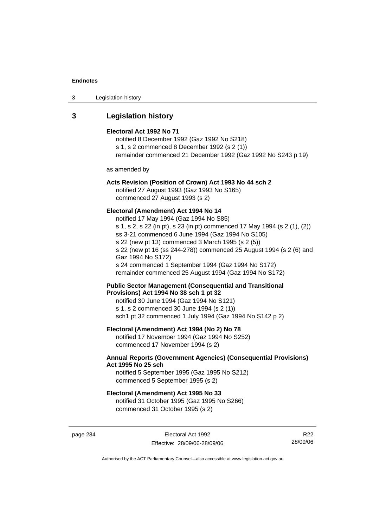| Legislation history<br>3 |  |
|--------------------------|--|
|--------------------------|--|

# **3 Legislation history**

#### **Electoral Act 1992 No 71**

notified 8 December 1992 (Gaz 1992 No S218) s 1, s 2 commenced 8 December 1992 (s 2 (1)) remainder commenced 21 December 1992 (Gaz 1992 No S243 p 19)

as amended by

# **Acts Revision (Position of Crown) Act 1993 No 44 sch 2**

notified 27 August 1993 (Gaz 1993 No S165) commenced 27 August 1993 (s 2)

#### **Electoral (Amendment) Act 1994 No 14**

notified 17 May 1994 (Gaz 1994 No S85) s 1, s 2, s 22 (in pt), s 23 (in pt) commenced 17 May 1994 (s 2 (1), (2)) ss 3-21 commenced 6 June 1994 (Gaz 1994 No S105) s 22 (new pt 13) commenced 3 March 1995 (s 2 (5)) s 22 (new pt 16 (ss 244-278)) commenced 25 August 1994 (s 2 (6) and Gaz 1994 No S172) s 24 commenced 1 September 1994 (Gaz 1994 No S172) remainder commenced 25 August 1994 (Gaz 1994 No S172)

**Public Sector Management (Consequential and Transitional Provisions) Act 1994 No 38 sch 1 pt 32** 

notified 30 June 1994 (Gaz 1994 No S121) s 1, s 2 commenced 30 June 1994 (s 2 (1)) sch1 pt 32 commenced 1 July 1994 (Gaz 1994 No S142 p 2)

# **Electoral (Amendment) Act 1994 (No 2) No 78**

notified 17 November 1994 (Gaz 1994 No S252) commenced 17 November 1994 (s 2)

# **Annual Reports (Government Agencies) (Consequential Provisions) Act 1995 No 25 sch**

notified 5 September 1995 (Gaz 1995 No S212) commenced 5 September 1995 (s 2)

#### **Electoral (Amendment) Act 1995 No 33**

notified 31 October 1995 (Gaz 1995 No S266) commenced 31 October 1995 (s 2)

page 284 **Electoral Act 1992** Effective: 28/09/06-28/09/06

R22 28/09/06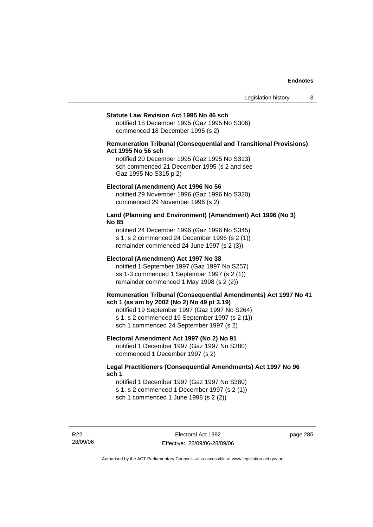#### **Statute Law Revision Act 1995 No 46 sch**

notified 18 December 1995 (Gaz 1995 No S306) commenced 18 December 1995 (s 2)

# **Remuneration Tribunal (Consequential and Transitional Provisions) Act 1995 No 56 sch**

notified 20 December 1995 (Gaz 1995 No S313) sch commenced 21 December 1995 (s 2 and see Gaz 1995 No S315 p 2)

#### **Electoral (Amendment) Act 1996 No 56**

notified 29 November 1996 (Gaz 1996 No S320) commenced 29 November 1996 (s 2)

### **Land (Planning and Environment) (Amendment) Act 1996 (No 3) No 85**

notified 24 December 1996 (Gaz 1996 No S345) s 1, s 2 commenced 24 December 1996 (s 2 (1)) remainder commenced 24 June 1997 (s 2 (3))

#### **Electoral (Amendment) Act 1997 No 38**

notified 1 September 1997 (Gaz 1997 No S257) ss 1-3 commenced 1 September 1997 (s 2 (1)) remainder commenced 1 May 1998 (s 2 (2))

### **Remuneration Tribunal (Consequential Amendments) Act 1997 No 41 sch 1 (as am by 2002 (No 2) No 49 pt 3.19)**

notified 19 September 1997 (Gaz 1997 No S264) s 1, s 2 commenced 19 September 1997 (s 2 (1)) sch 1 commenced 24 September 1997 (s 2)

## **Electoral Amendment Act 1997 (No 2) No 91**

notified 1 December 1997 (Gaz 1997 No S380) commenced 1 December 1997 (s 2)

# **Legal Practitioners (Consequential Amendments) Act 1997 No 96 sch 1**

notified 1 December 1997 (Gaz 1997 No S380) s 1, s 2 commenced 1 December 1997 (s 2 (1)) sch 1 commenced 1 June 1998 (s 2 (2))

R22 28/09/06 page 285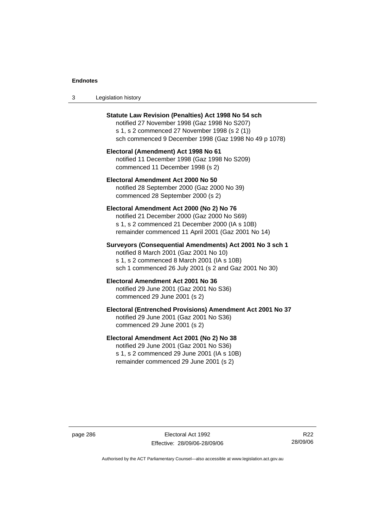| Legislation history<br>-3 |  |
|---------------------------|--|
|---------------------------|--|

| <b>Statute Law Revision (Penalties) Act 1998 No 54 sch</b><br>notified 27 November 1998 (Gaz 1998 No S207)<br>s 1, s 2 commenced 27 November 1998 (s 2 (1))<br>sch commenced 9 December 1998 (Gaz 1998 No 49 p 1078) |
|----------------------------------------------------------------------------------------------------------------------------------------------------------------------------------------------------------------------|
| Electoral (Amendment) Act 1998 No 61<br>notified 11 December 1998 (Gaz 1998 No S209)<br>commenced 11 December 1998 (s 2)                                                                                             |
| Electoral Amendment Act 2000 No 50<br>notified 28 September 2000 (Gaz 2000 No 39)<br>commenced 28 September 2000 (s 2)                                                                                               |
| Electoral Amendment Act 2000 (No 2) No 76<br>notified 21 December 2000 (Gaz 2000 No S69)<br>s 1, s 2 commenced 21 December 2000 (IA s 10B)<br>remainder commenced 11 April 2001 (Gaz 2001 No 14)                     |
| Surveyors (Consequential Amendments) Act 2001 No 3 sch 1<br>notified 8 March 2001 (Gaz 2001 No 10)<br>s 1, s 2 commenced 8 March 2001 (IA s 10B)<br>sch 1 commenced 26 July 2001 (s 2 and Gaz 2001 No 30)            |
|                                                                                                                                                                                                                      |
| Electoral Amendment Act 2001 No 36<br>notified 29 June 2001 (Gaz 2001 No S36)<br>commenced 29 June 2001 (s 2)                                                                                                        |
| Electoral (Entrenched Provisions) Amendment Act 2001 No 37<br>notified 29 June 2001 (Gaz 2001 No S36)<br>commenced 29 June 2001 (s 2)                                                                                |

page 286 Electoral Act 1992 Effective: 28/09/06-28/09/06

R22 28/09/06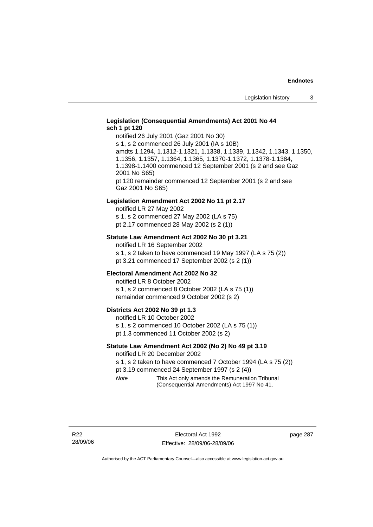# **Legislation (Consequential Amendments) Act 2001 No 44 sch 1 pt 120**

notified 26 July 2001 (Gaz 2001 No 30) s 1, s 2 commenced 26 July 2001 (IA s 10B) amdts 1.1294, 1.1312-1.1321, 1.1338, 1.1339, 1.1342, 1.1343, 1.1350, 1.1356, 1.1357, 1.1364, 1.1365, 1.1370-1.1372, 1.1378-1.1384, 1.1398-1.1400 commenced 12 September 2001 (s 2 and see Gaz 2001 No S65) pt 120 remainder commenced 12 September 2001 (s 2 and see Gaz 2001 No S65)

#### **Legislation Amendment Act 2002 No 11 pt 2.17**

notified LR 27 May 2002 s 1, s 2 commenced 27 May 2002 (LA s 75) pt 2.17 commenced 28 May 2002 (s 2 (1))

#### **Statute Law Amendment Act 2002 No 30 pt 3.21**

notified LR 16 September 2002 s 1, s 2 taken to have commenced 19 May 1997 (LA s 75 (2)) pt 3.21 commenced 17 September 2002 (s 2 (1))

#### **Electoral Amendment Act 2002 No 32**

notified LR 8 October 2002 s 1, s 2 commenced 8 October 2002 (LA s 75 (1)) remainder commenced 9 October 2002 (s 2)

#### **Districts Act 2002 No 39 pt 1.3**

notified LR 10 October 2002 s 1, s 2 commenced 10 October 2002 (LA s 75 (1)) pt 1.3 commenced 11 October 2002 (s 2)

### **Statute Law Amendment Act 2002 (No 2) No 49 pt 3.19**

notified LR 20 December 2002

s 1, s 2 taken to have commenced 7 October 1994 (LA s 75 (2)) pt 3.19 commenced 24 September 1997 (s 2 (4))

*Note* This Act only amends the Remuneration Tribunal (Consequential Amendments) Act 1997 No 41.

page 287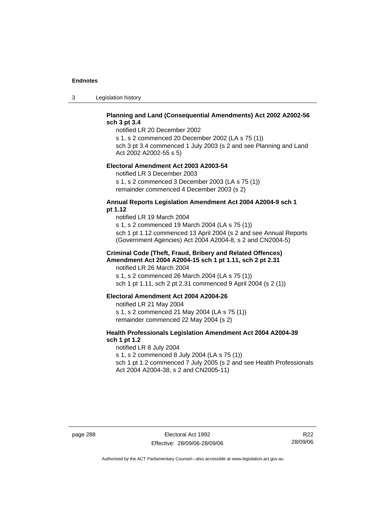3 Legislation history

# **Planning and Land (Consequential Amendments) Act 2002 A2002-56 sch 3 pt 3.4**

notified LR 20 December 2002

s 1, s 2 commenced 20 December 2002 (LA s 75 (1)) sch 3 pt 3.4 commenced 1 July 2003 (s 2 and see Planning and Land

Act 2002 A2002-55 s 5)

# **Electoral Amendment Act 2003 A2003-54**

notified LR 3 December 2003 s 1, s 2 commenced 3 December 2003 (LA s 75 (1)) remainder commenced 4 December 2003 (s 2)

## **Annual Reports Legislation Amendment Act 2004 A2004-9 sch 1 pt 1.12**

notified LR 19 March 2004 s 1, s 2 commenced 19 March 2004 (LA s 75 (1)) sch 1 pt 1.12 commenced 13 April 2004 (s 2 and see Annual Reports (Government Agencies) Act 2004 A2004-8, s 2 and CN2004-5)

# **Criminal Code (Theft, Fraud, Bribery and Related Offences) Amendment Act 2004 A2004-15 sch 1 pt 1.11, sch 2 pt 2.31**

notified LR 26 March 2004 s 1, s 2 commenced 26 March 2004 (LA s 75 (1)) sch 1 pt 1.11, sch 2 pt 2.31 commenced 9 April 2004 (s 2 (1))

#### **Electoral Amendment Act 2004 A2004-26**

notified LR 21 May 2004 s 1, s 2 commenced 21 May 2004 (LA s 75 (1)) remainder commenced 22 May 2004 (s 2)

# **Health Professionals Legislation Amendment Act 2004 A2004-39 sch 1 pt 1.2**

notified LR 8 July 2004 s 1, s 2 commenced 8 July 2004 (LA s 75 (1)) sch 1 pt 1.2 commenced 7 July 2005 (s 2 and see Health Professionals Act 2004 A2004-38, s 2 and CN2005-11)

R22 28/09/06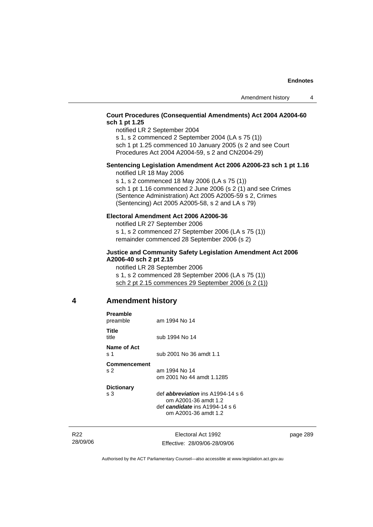# **Court Procedures (Consequential Amendments) Act 2004 A2004-60 sch 1 pt 1.25**

notified LR 2 September 2004

s 1, s 2 commenced 2 September 2004 (LA s 75 (1)) sch 1 pt 1.25 commenced 10 January 2005 (s 2 and see Court

Procedures Act 2004 A2004-59, s 2 and CN2004-29)

# **Sentencing Legislation Amendment Act 2006 A2006-23 sch 1 pt 1.16**  notified LR 18 May 2006

s 1, s 2 commenced 18 May 2006 (LA s 75 (1)) sch 1 pt 1.16 commenced 2 June 2006 (s 2 (1) and see Crimes (Sentence Administration) Act 2005 A2005-59 s 2, Crimes (Sentencing) Act 2005 A2005-58, s 2 and LA s 79)

## **Electoral Amendment Act 2006 A2006-36**

notified LR 27 September 2006 s 1, s 2 commenced 27 September 2006 (LA s 75 (1)) remainder commenced 28 September 2006 (s 2)

### **Justice and Community Safety Legislation Amendment Act 2006 A2006-40 sch 2 pt 2.15**

notified LR 28 September 2006 s 1, s 2 commenced 28 September 2006 (LA s 75 (1)) sch 2 pt 2.15 commences 29 September 2006 (s 2 (1))

# **4 Amendment history**

| Preamble<br>preamble           | am 1994 No 14                                                                                                               |
|--------------------------------|-----------------------------------------------------------------------------------------------------------------------------|
| Title<br>title                 | sub 1994 No 14                                                                                                              |
| Name of Act<br>s 1             | sub 2001 No 36 amdt 1.1                                                                                                     |
| Commencement<br>S <sub>2</sub> | am 1994 No 14<br>om 2001 No 44 amdt 1.1285                                                                                  |
| <b>Dictionary</b><br>s $3$     | def <i>abbreviation</i> ins A1994-14 s 6<br>om A2001-36 amdt 1.2<br>def candidate ins $A1994-14 s6$<br>om A2001-36 amdt 1.2 |
|                                |                                                                                                                             |

R22 28/09/06

Electoral Act 1992 Effective: 28/09/06-28/09/06 page 289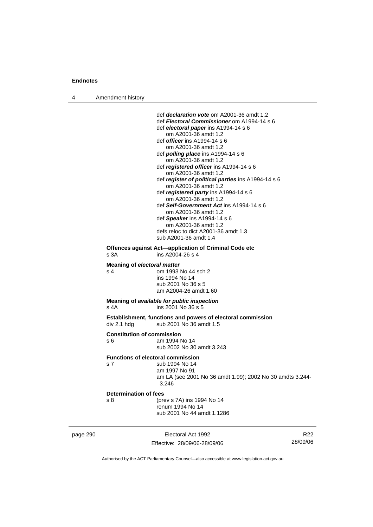4 Amendment history

Effective: 28/09/06-28/09/06

R22 28/09/06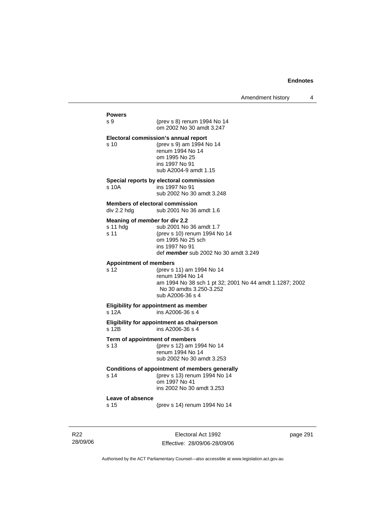| Amendment history |  |
|-------------------|--|
|-------------------|--|

# **Powers**  s 9 (prev s 8) renum 1994 No 14 om 2002 No 30 amdt 3.247 **Electoral commission's annual report**  s 10 (prev s 9) am 1994 No 14 renum 1994 No 14 om 1995 No 25 ins 1997 No 91 sub A2004-9 amdt 1.15 **Special reports by electoral commission**  s 10A ins 1997 No 91 sub 2002 No 30 amdt 3.248 **Members of electoral commission**  div 2.2 hdg sub 2001 No 36 amdt 1.6 **Meaning of** *member* **for div 2.2**  s 11 hdg sub 2001 No 36 amdt 1.7 s 11 (prev s 10) renum 1994 No 14 om 1995 No 25 sch ins 1997 No 91 def *member* sub 2002 No 30 amdt 3.249 **Appointment of members**  s 12 (prev s 11) am 1994 No 14 renum 1994 No 14 am 1994 No 38 sch 1 pt 32; 2001 No 44 amdt 1.1287; 2002 No 30 amdts 3.250-3.252 sub A2006-36 s 4 **Eligibility for appointment as member**  s 12A ins A2006-36 s 4 **Eligibility for appointment as chairperson**   $\overline{s}$  12B ins A2006-36 s 4 **Term of appointment of members**  s 13 (prev s 12) am 1994 No 14 renum 1994 No 14 sub 2002 No 30 amdt 3.253 **Conditions of appointment of members generally**  s 14 (prev s 13) renum 1994 No 14 om 1997 No 41 ins 2002 No 30 amdt 3.253 **Leave of absence**  s 15 (prev s 14) renum 1994 No 14

R22 28/09/06

Electoral Act 1992 Effective: 28/09/06-28/09/06 page 291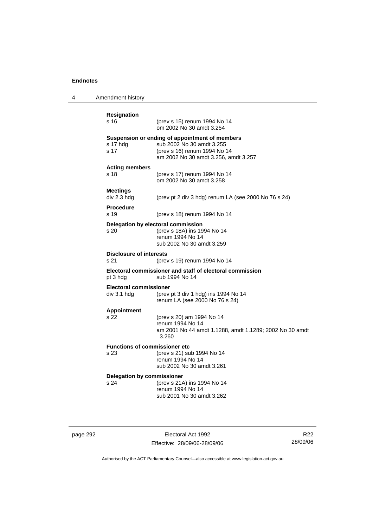4 Amendment history

| <b>Resignation</b><br>s 16                   | (prev s 15) renum 1994 No 14<br>om 2002 No 30 amdt 3.254                                                                                            |
|----------------------------------------------|-----------------------------------------------------------------------------------------------------------------------------------------------------|
| s 17 hdg<br>s 17                             | Suspension or ending of appointment of members<br>sub 2002 No 30 amdt 3.255<br>(prev s 16) renum 1994 No 14<br>am 2002 No 30 amdt 3.256, amdt 3.257 |
| <b>Acting members</b><br>s <sub>18</sub>     | (prev s 17) renum 1994 No 14<br>om 2002 No 30 amdt 3.258                                                                                            |
| <b>Meetings</b><br>div 2.3 hdg               | (prev pt 2 div 3 hdg) renum LA (see 2000 No 76 s 24)                                                                                                |
| <b>Procedure</b><br>s 19                     | (prev s 18) renum 1994 No 14                                                                                                                        |
| Delegation by electoral commission<br>s 20   | (prev s 18A) ins 1994 No 14<br>renum 1994 No 14<br>sub 2002 No 30 amdt 3.259                                                                        |
| <b>Disclosure of interests</b><br>s 21       | (prev s 19) renum 1994 No 14                                                                                                                        |
| pt 3 hdg                                     | Electoral commissioner and staff of electoral commission<br>sub 1994 No 14                                                                          |
| <b>Electoral commissioner</b><br>div 3.1 hdg | (prev pt 3 div 1 hdg) ins 1994 No 14<br>renum LA (see 2000 No 76 s 24)                                                                              |
| <b>Appointment</b><br>s 22                   | (prev s 20) am 1994 No 14<br>renum 1994 No 14<br>am 2001 No 44 amdt 1.1288, amdt 1.1289; 2002 No 30 amdt<br>3.260                                   |
| <b>Functions of commissioner etc</b><br>s 23 | (prev s 21) sub 1994 No 14<br>renum 1994 No 14<br>sub 2002 No 30 amdt 3.261                                                                         |
| <b>Delegation by commissioner</b><br>s 24    | (prev s 21A) ins 1994 No 14<br>renum 1994 No 14<br>sub 2001 No 30 amdt 3.262                                                                        |
|                                              |                                                                                                                                                     |

page 292 Electoral Act 1992 Effective: 28/09/06-28/09/06

R22 28/09/06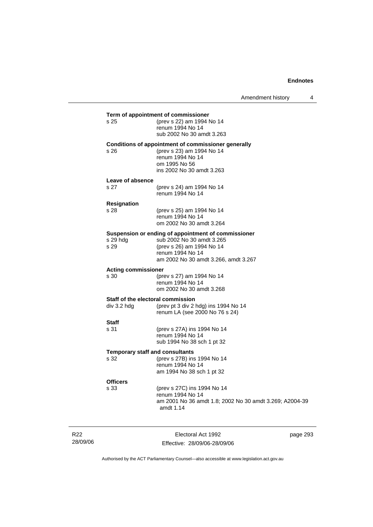| s 25                                   | Term of appointment of commissioner<br>(prev s 22) am 1994 No 14                                                      |
|----------------------------------------|-----------------------------------------------------------------------------------------------------------------------|
|                                        | renum 1994 No 14                                                                                                      |
|                                        | sub 2002 No 30 amdt 3.263                                                                                             |
| s 26                                   | Conditions of appointment of commissioner generally<br>(prev s 23) am 1994 No 14<br>renum 1994 No 14<br>om 1995 No 56 |
|                                        | ins 2002 No 30 amdt 3.263                                                                                             |
| Leave of absence<br>s 27               | (prev s 24) am 1994 No 14<br>renum 1994 No 14                                                                         |
| <b>Resignation</b>                     |                                                                                                                       |
| s 28                                   | (prev s 25) am 1994 No 14                                                                                             |
|                                        | renum 1994 No 14                                                                                                      |
|                                        | om 2002 No 30 amdt 3.264                                                                                              |
|                                        | Suspension or ending of appointment of commissioner<br>sub 2002 No 30 amdt 3.265                                      |
| s 29 hda<br>s 29                       | (prev s 26) am 1994 No 14                                                                                             |
|                                        | renum 1994 No 14                                                                                                      |
|                                        | am 2002 No 30 amdt 3.266, amdt 3.267                                                                                  |
| <b>Acting commissioner</b>             |                                                                                                                       |
| s 30                                   | (prev s 27) am 1994 No 14                                                                                             |
|                                        | renum 1994 No 14<br>om 2002 No 30 amdt 3.268                                                                          |
|                                        |                                                                                                                       |
| div 3.2 hdg                            | Staff of the electoral commission<br>(prev pt 3 div 2 hdg) ins 1994 No 14<br>renum LA (see 2000 No 76 s 24)           |
| <b>Staff</b>                           |                                                                                                                       |
| s 31                                   | (prev s 27A) ins 1994 No 14                                                                                           |
|                                        | renum 1994 No 14                                                                                                      |
|                                        | sub 1994 No 38 sch 1 pt 32                                                                                            |
|                                        |                                                                                                                       |
| <b>Temporary staff and consultants</b> |                                                                                                                       |
| s 32                                   | (prev s 27B) ins 1994 No 14                                                                                           |
|                                        | renum 1994 No 14<br>am 1994 No 38 sch 1 pt 32                                                                         |
|                                        |                                                                                                                       |
|                                        | (prev s 27C) ins 1994 No 14                                                                                           |
| <b>Officers</b><br>s 33                | renum 1994 No 14<br>am 2001 No 36 amdt 1.8; 2002 No 30 amdt 3.269; A2004-39                                           |

R22 28/09/06

Electoral Act 1992 Effective: 28/09/06-28/09/06 page 293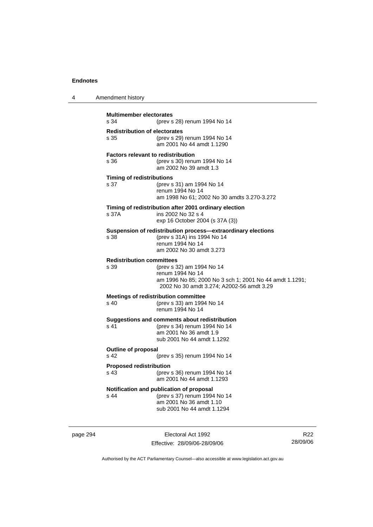| 4 | Amendment history                                 |                                                                                                                                                       |
|---|---------------------------------------------------|-------------------------------------------------------------------------------------------------------------------------------------------------------|
|   | <b>Multimember electorates</b><br>s 34            | (prev s 28) renum 1994 No 14                                                                                                                          |
|   | <b>Redistribution of electorates</b><br>s 35      | (prev s 29) renum 1994 No 14<br>am 2001 No 44 amdt 1.1290                                                                                             |
|   | <b>Factors relevant to redistribution</b><br>s 36 | (prev s 30) renum 1994 No 14<br>am 2002 No 39 amdt 1.3                                                                                                |
|   | <b>Timing of redistributions</b><br>s 37          | (prev s 31) am 1994 No 14<br>renum 1994 No 14<br>am 1998 No 61; 2002 No 30 amdts 3.270-3.272                                                          |
|   | s 37A                                             | Timing of redistribution after 2001 ordinary election<br>ins 2002 No 32 s 4<br>exp 16 October 2004 (s 37A (3))                                        |
|   | s 38                                              | Suspension of redistribution process-extraordinary elections<br>(prev s 31A) ins 1994 No 14<br>renum 1994 No 14<br>am 2002 No 30 amdt 3.273           |
|   | <b>Redistribution committees</b><br>s 39          | (prev s 32) am 1994 No 14<br>renum 1994 No 14<br>am 1996 No 85; 2000 No 3 sch 1; 2001 No 44 amdt 1.1291;<br>2002 No 30 amdt 3.274; A2002-56 amdt 3.29 |
|   | s <sub>40</sub>                                   | <b>Meetings of redistribution committee</b><br>(prev s 33) am 1994 No 14<br>renum 1994 No 14                                                          |
|   | s 41                                              | Suggestions and comments about redistribution<br>(prev s 34) renum 1994 No 14<br>am 2001 No 36 amdt 1.9<br>sub 2001 No 44 amdt 1.1292                 |
|   | <b>Outline of proposal</b><br>s 42                | (prev s 35) renum 1994 No 14                                                                                                                          |
|   | <b>Proposed redistribution</b><br>s 43            | (prev s 36) renum 1994 No 14<br>am 2001 No 44 amdt 1.1293                                                                                             |
|   | s 44                                              | Notification and publication of proposal<br>(prev s 37) renum 1994 No 14<br>am 2001 No 36 amdt 1.10<br>sub 2001 No 44 amdt 1.1294                     |

page 294 Electoral Act 1992 Effective: 28/09/06-28/09/06

R22 28/09/06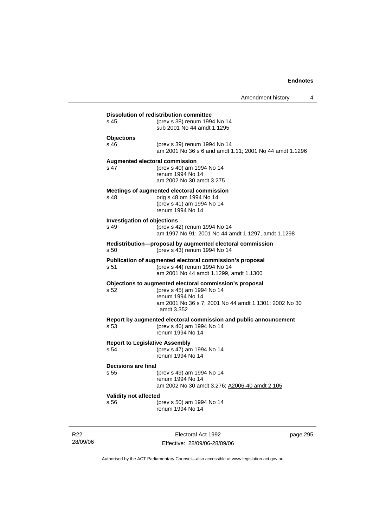|                                    | Amendment history                                                                                                                                                               |
|------------------------------------|---------------------------------------------------------------------------------------------------------------------------------------------------------------------------------|
|                                    | <b>Dissolution of redistribution committee</b>                                                                                                                                  |
| s 45                               | (prev s 38) renum 1994 No 14<br>sub 2001 No 44 amdt 1.1295                                                                                                                      |
| <b>Objections</b>                  |                                                                                                                                                                                 |
| s 46                               | (prev s 39) renum 1994 No 14<br>am 2001 No 36 s 6 and amdt 1.11; 2001 No 44 amdt 1.1296                                                                                         |
| s 47                               | <b>Augmented electoral commission</b><br>(prev s 40) am 1994 No 14<br>renum 1994 No 14<br>am 2002 No 30 amdt 3.275                                                              |
| s 48                               | Meetings of augmented electoral commission<br>orig s 48 om 1994 No 14<br>(prev s 41) am 1994 No 14<br>renum 1994 No 14                                                          |
| <b>Investigation of objections</b> |                                                                                                                                                                                 |
| s 49                               | (prev s 42) renum 1994 No 14<br>am 1997 No 91; 2001 No 44 amdt 1.1297, amdt 1.1298                                                                                              |
| s 50                               | Redistribution-proposal by augmented electoral commission<br>(prev s 43) renum 1994 No 14                                                                                       |
| s 51                               | Publication of augmented electoral commission's proposal<br>(prev s 44) renum 1994 No 14<br>am 2001 No 44 amdt 1.1299, amdt 1.1300                                              |
| s 52                               | Objections to augmented electoral commission's proposal<br>(prev s 45) am 1994 No 14<br>renum 1994 No 14<br>am 2001 No 36 s 7; 2001 No 44 amdt 1.1301; 2002 No 30<br>amdt 3.352 |
| s 53                               | Report by augmented electoral commission and public announcement<br>(prev s 46) am 1994 No 14<br>renum 1994 No 14                                                               |
| s 54                               | <b>Report to Legislative Assembly</b><br>(prev s 47) am 1994 No 14<br>renum 1994 No 14                                                                                          |
| Decisions are final                |                                                                                                                                                                                 |
| s 55                               | (prev s 49) am 1994 No 14<br>renum 1994 No 14<br>am 2002 No 30 amdt 3.276; A2006-40 amdt 2.105                                                                                  |
| <b>Validity not affected</b>       |                                                                                                                                                                                 |
| s 56                               | (prev s 50) am 1994 No 14                                                                                                                                                       |

R22 28/09/06

Electoral Act 1992 Effective: 28/09/06-28/09/06 page 295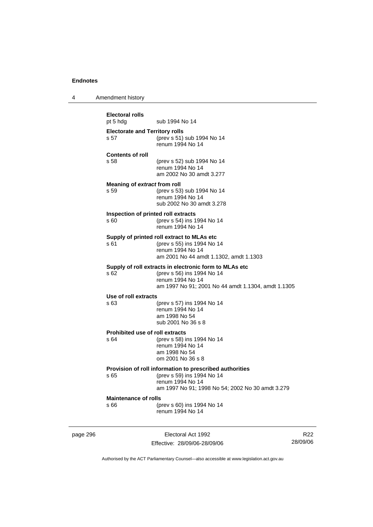4 Amendment history

page 296 **Electoral Act 1992 Electoral rolls**  pt 5 hdg sub 1994 No 14 **Electorate and Territory rolls**  s 57 (prev s 51) sub 1994 No 14 renum 1994 No 14 **Contents of roll**  s 58 (prev s 52) sub 1994 No 14 renum 1994 No 14 am 2002 No 30 amdt 3.277 **Meaning of** *extract* **from roll**  s 59 (prev s 53) sub 1994 No 14 renum 1994 No 14 sub 2002 No 30 amdt 3.278 **Inspection of printed roll extracts**  s 60 (prev s 54) ins 1994 No 14 renum 1994 No 14 **Supply of printed roll extract to MLAs etc**  s 61 (prev s 55) ins 1994 No 14 renum 1994 No 14 am 2001 No 44 amdt 1.1302, amdt 1.1303 **Supply of roll extracts in electronic form to MLAs etc**  s 62 (prev s 56) ins 1994 No 14 renum 1994 No 14 am 1997 No 91; 2001 No 44 amdt 1.1304, amdt 1.1305 **Use of roll extracts**  s 63 (prev s 57) ins 1994 No 14 renum 1994 No 14 am 1998 No 54 sub 2001 No 36 s 8 **Prohibited use of roll extracts**<br>  $\frac{64}{200}$  (prev s 58) is (prev s 58) ins 1994 No 14 renum 1994 No 14 am 1998 No 54 om 2001 No 36 s 8 **Provision of roll information to prescribed authorities**  s 65 (prev s 59) ins 1994 No 14 renum 1994 No 14 am 1997 No 91; 1998 No 54; 2002 No 30 amdt 3.279 **Maintenance of rolls**  s 66 (prev s 60) ins 1994 No 14 renum 1994 No 14

Effective: 28/09/06-28/09/06

R22 28/09/06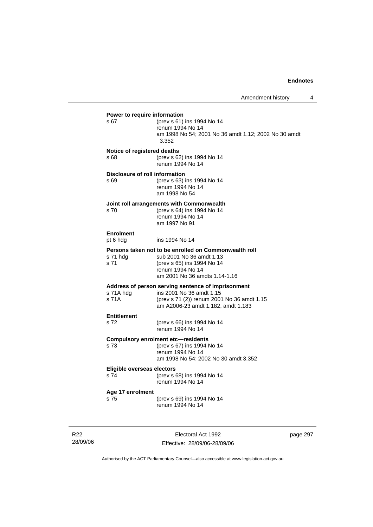| \$67                                | (prev s 61) ins 1994 No 14<br>renum 1994 No 14<br>am 1998 No 54; 2001 No 36 amdt 1.12; 2002 No 30 amdt<br>3.352                                                      |
|-------------------------------------|----------------------------------------------------------------------------------------------------------------------------------------------------------------------|
| Notice of registered deaths<br>s 68 | (prev s 62) ins 1994 No 14<br>renum 1994 No 14                                                                                                                       |
| s 69                                | Disclosure of roll information<br>(prev s 63) ins 1994 No 14<br>renum 1994 No 14<br>am 1998 No 54                                                                    |
| s 70                                | Joint roll arrangements with Commonwealth<br>(prev s 64) ins 1994 No 14<br>renum 1994 No 14<br>am 1997 No 91                                                         |
| <b>Enrolment</b><br>pt 6 hdg        | ins 1994 No 14                                                                                                                                                       |
| s 71 hdg<br>s 71                    | Persons taken not to be enrolled on Commonwealth roll<br>sub 2001 No 36 amdt 1.13<br>(prev s 65) ins 1994 No 14<br>renum 1994 No 14<br>am 2001 No 36 amdts 1.14-1.16 |
| s 71A hdg<br>s 71A                  | Address of person serving sentence of imprisonment<br>ins 2001 No 36 amdt 1.15<br>(prev s 71 (2)) renum 2001 No 36 amdt 1.15<br>am A2006-23 amdt 1.182, amdt 1.183   |
| <b>Entitlement</b><br>s 72          | (prev s 66) ins 1994 No 14<br>renum 1994 No 14                                                                                                                       |
| s 73                                | <b>Compulsory enrolment etc-residents</b><br>(prev s 67) ins 1994 No 14<br>renum 1994 No 14<br>am 1998 No 54; 2002 No 30 amdt 3.352                                  |
| Eligible overseas electors<br>s 74  | (prev s 68) ins 1994 No 14<br>renum 1994 No 14                                                                                                                       |
| Age 17 enrolment<br>s 75            | (prev s 69) ins 1994 No 14<br>renum 1994 No 14                                                                                                                       |

R22 28/09/06

Electoral Act 1992 Effective: 28/09/06-28/09/06 page 297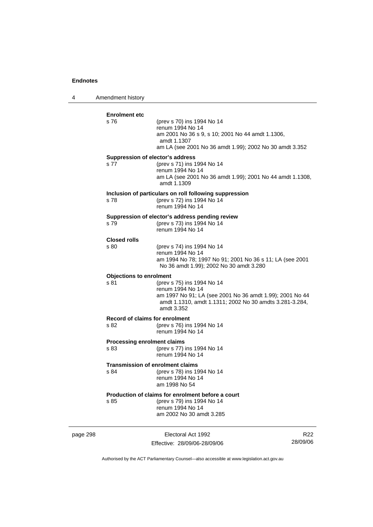4 Amendment history page 298 Electoral Act 1992 R22 **Enrolment etc**  s 76 (prev s 70) ins 1994 No 14 renum 1994 No 14 am 2001 No 36 s 9, s 10; 2001 No 44 amdt 1.1306, amdt 1.1307 am LA (see 2001 No 36 amdt 1.99); 2002 No 30 amdt 3.352 **Suppression of elector's address**  s 77 (prev s 71) ins 1994 No 14 renum 1994 No 14 am LA (see 2001 No 36 amdt 1.99); 2001 No 44 amdt 1.1308, amdt 1.1309 **Inclusion of particulars on roll following suppression**  s 78 (prev s 72) ins 1994 No 14 renum 1994 No 14 **Suppression of elector's address pending review**  s 79 (prev s 73) ins 1994 No 14 renum 1994 No 14 **Closed rolls**  s 80 (prev s 74) ins 1994 No 14 renum 1994 No 14 am 1994 No 78; 1997 No 91; 2001 No 36 s 11; LA (see 2001 No 36 amdt 1.99); 2002 No 30 amdt 3.280 **Objections to enrolment**  s 81 (prev s 75) ins 1994 No 14 renum 1994 No 14 am 1997 No 91; LA (see 2001 No 36 amdt 1.99); 2001 No 44 amdt 1.1310, amdt 1.1311; 2002 No 30 amdts 3.281-3.284, amdt 3.352 **Record of claims for enrolment**  (prev s 76) ins 1994 No 14 renum 1994 No 14 **Processing enrolment claims**  s 83 (prev s 77) ins 1994 No 14 renum 1994 No 14 **Transmission of enrolment claims**  s 84 (prev s 78) ins 1994 No 14 renum 1994 No 14 am 1998 No 54 **Production of claims for enrolment before a court**<br>s 85 (prev s 79) ins 1994 No 14 (prev s 79) ins 1994 No 14 renum 1994 No 14 am 2002 No 30 amdt 3.285

Authorised by the ACT Parliamentary Counsel—also accessible at www.legislation.act.gov.au

Effective: 28/09/06-28/09/06

28/09/06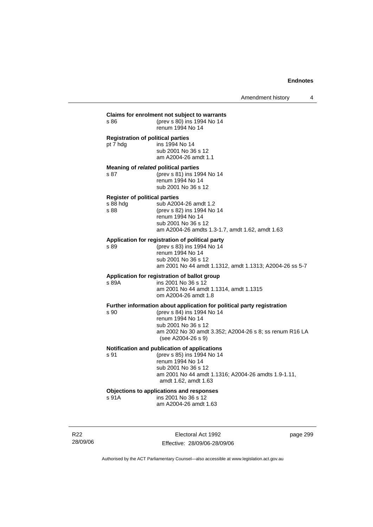| s 86                                                        | Claims for enrolment not subject to warrants<br>(prev s 80) ins 1994 No 14<br>renum 1994 No 14                                                                                                                                   |
|-------------------------------------------------------------|----------------------------------------------------------------------------------------------------------------------------------------------------------------------------------------------------------------------------------|
| pt 7 hdg                                                    | <b>Registration of political parties</b><br>ins 1994 No 14<br>sub 2001 No 36 s 12<br>am A2004-26 amdt 1.1                                                                                                                        |
| s 87                                                        | Meaning of related political parties<br>(prev s 81) ins 1994 No 14<br>renum 1994 No 14<br>sub 2001 No 36 s 12                                                                                                                    |
| <b>Register of political parties</b><br>$s\,88$ hdg<br>s 88 | sub A2004-26 amdt 1.2<br>(prev s 82) ins 1994 No 14<br>renum 1994 No 14<br>sub 2001 No 36 s 12<br>am A2004-26 amdts 1.3-1.7, amdt 1.62, amdt 1.63                                                                                |
| s 89                                                        | Application for registration of political party<br>(prev s 83) ins 1994 No 14<br>renum 1994 No 14<br>sub 2001 No 36 s 12<br>am 2001 No 44 amdt 1.1312, amdt 1.1313; A2004-26 ss 5-7                                              |
| s 89A                                                       | Application for registration of ballot group<br>ins 2001 No 36 s 12<br>am 2001 No 44 amdt 1.1314, amdt 1.1315<br>om A2004-26 amdt 1.8                                                                                            |
| s 90                                                        | Further information about application for political party registration<br>(prev s 84) ins 1994 No 14<br>renum 1994 No 14<br>sub 2001 No 36 s 12<br>am 2002 No 30 amdt 3.352; A2004-26 s 8; ss renum R16 LA<br>(see A2004-26 s 9) |
| s 91                                                        | Notification and publication of applications<br>(prev s 85) ins 1994 No 14<br>renum 1994 No 14<br>sub 2001 No 36 s 12<br>am 2001 No 44 amdt 1.1316; A2004-26 amdts 1.9-1.11,<br>amdt 1.62, amdt 1.63                             |
| s 91A                                                       | Objections to applications and responses<br>ins 2001 No 36 s 12<br>am A2004-26 amdt 1.63                                                                                                                                         |

R22 28/09/06

Electoral Act 1992 Effective: 28/09/06-28/09/06 page 299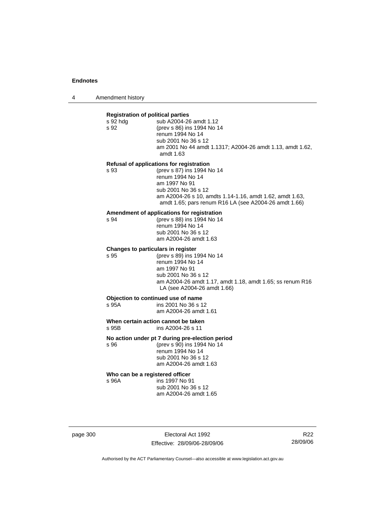4 Amendment history

|                            | <b>Registration of political parties</b><br>sub A2004-26 amdt 1.12<br>s 92 hdg |                                                                                                                   |  |  |
|----------------------------|--------------------------------------------------------------------------------|-------------------------------------------------------------------------------------------------------------------|--|--|
|                            | s 92                                                                           | (prev s 86) ins 1994 No 14                                                                                        |  |  |
|                            |                                                                                | renum 1994 No 14<br>sub 2001 No 36 s 12                                                                           |  |  |
|                            |                                                                                | am 2001 No 44 amdt 1.1317; A2004-26 amdt 1.13, amdt 1.62,<br>amdt 1.63                                            |  |  |
|                            | Refusal of applications for registration                                       |                                                                                                                   |  |  |
|                            | s 93                                                                           | (prev s 87) ins 1994 No 14<br>renum 1994 No 14                                                                    |  |  |
|                            |                                                                                | am 1997 No 91                                                                                                     |  |  |
|                            |                                                                                | sub 2001 No 36 s 12                                                                                               |  |  |
|                            |                                                                                | am A2004-26 s 10, amdts 1.14-1.16, amdt 1.62, amdt 1.63,<br>amdt 1.65; pars renum R16 LA (see A2004-26 amdt 1.66) |  |  |
|                            |                                                                                | Amendment of applications for registration                                                                        |  |  |
|                            | s 94                                                                           | (prev s 88) ins 1994 No 14<br>renum 1994 No 14                                                                    |  |  |
|                            |                                                                                | sub 2001 No 36 s 12                                                                                               |  |  |
|                            |                                                                                | am A2004-26 amdt 1.63                                                                                             |  |  |
|                            | Changes to particulars in register<br>(prev s 89) ins 1994 No 14<br>s 95       |                                                                                                                   |  |  |
|                            |                                                                                | renum 1994 No 14                                                                                                  |  |  |
|                            |                                                                                | am 1997 No 91                                                                                                     |  |  |
|                            |                                                                                | sub 2001 No 36 s 12<br>am A2004-26 amdt 1.17, amdt 1.18, amdt 1.65; ss renum R16                                  |  |  |
|                            |                                                                                | LA (see A2004-26 amdt 1.66)                                                                                       |  |  |
|                            |                                                                                | Objection to continued use of name                                                                                |  |  |
|                            | s 95A                                                                          | ins 2001 No 36 s 12<br>am A2004-26 amdt 1.61                                                                      |  |  |
|                            | When certain action cannot be taken                                            |                                                                                                                   |  |  |
| ins A2004-26 s 11<br>s 95B |                                                                                |                                                                                                                   |  |  |
|                            | No action under pt 7 during pre-election period                                |                                                                                                                   |  |  |
|                            | s 96                                                                           | (prev s 90) ins 1994 No 14<br>renum 1994 No 14                                                                    |  |  |
|                            |                                                                                | sub 2001 No 36 s 12                                                                                               |  |  |
|                            |                                                                                | am A2004-26 amdt 1.63                                                                                             |  |  |

#### **Who can be a registered officer**

s 96A ins 1997 No 91 sub 2001 No 36 s 12 am A2004-26 amdt 1.65

page 300 Electoral Act 1992 Effective: 28/09/06-28/09/06

R22 28/09/06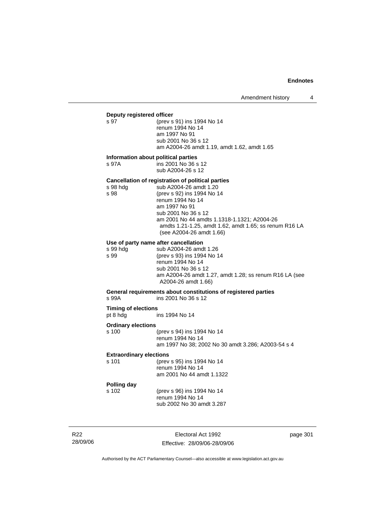# **Deputy registered officer**<br>s 97 (prev s

(prev s 91) ins 1994 No 14 renum 1994 No 14 am 1997 No 91 sub 2001 No 36 s 12 am A2004-26 amdt 1.19, amdt 1.62, amdt 1.65

#### **Information about political parties**

s 97A ins 2001 No 36 s 12 sub A2004-26 s 12

**Cancellation of registration of political parties**  s 98 hdg sub A2004-26 amdt 1.20<br>s 98 (prev s 92) ins 1994 No 1 (prev s 92) ins 1994 No 14 renum 1994 No 14 am 1997 No 91 sub 2001 No 36 s 12 am 2001 No 44 amdts 1.1318-1.1321; A2004-26 amdts 1.21-1.25, amdt 1.62, amdt 1.65; ss renum R16 LA (see A2004-26 amdt 1.66)

#### **Use of party name after cancellation**

s 99 hdg sub A2004-26 amdt 1.26<br>s 99 (prev s 93) ins 1994 No 1 (prev s 93) ins 1994 No 14 renum 1994 No 14 sub 2001 No 36 s 12 am A2004-26 amdt 1.27, amdt 1.28; ss renum R16 LA (see A2004-26 amdt 1.66)

No 30 amdt 3.286; A2003-54 s 4

**General requirements about constitutions of registered parties** 

s 99A ins 2001 No 36 s 12

**Timing of elections**  pt 8 hdg ins 1994 No 14

#### **Ordinary elections**

| s 100 | (prev s 94) ins 1994 No 14 |
|-------|----------------------------|
|       | renum 1994 No 14           |
|       | am 1997 No 38; 2002 No 3   |

#### **Extraordinary elections**

| (prev s 95) ins 1994 No 14 |
|----------------------------|
| renum 1994 No 14           |
| am 2001 No 44 amdt 1.1322  |
|                            |

# **Polling day**

s 102 (prev s 96) ins 1994 No 14 renum 1994 No 14 sub 2002 No 30 amdt 3.287

R22 28/09/06

Electoral Act 1992 Effective: 28/09/06-28/09/06 page 301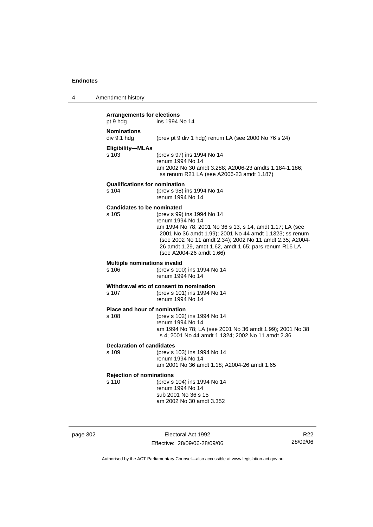4 Amendment history

| <b>Arrangements for elections</b><br>pt 9 hdg | ins 1994 No 14                                                                                                                                                                                                                                                                                                         |
|-----------------------------------------------|------------------------------------------------------------------------------------------------------------------------------------------------------------------------------------------------------------------------------------------------------------------------------------------------------------------------|
| <b>Nominations</b><br>div 9.1 hdg             | (prev pt 9 div 1 hdg) renum LA (see 2000 No 76 s 24)                                                                                                                                                                                                                                                                   |
| <b>Eligibility-MLAs</b><br>s 103              | (prev s 97) ins 1994 No 14<br>renum 1994 No 14<br>am 2002 No 30 amdt 3.288; A2006-23 amdts 1.184-1.186;<br>ss renum R21 LA (see A2006-23 amdt 1.187)                                                                                                                                                                   |
| <b>Qualifications for nomination</b><br>s 104 | (prev s 98) ins 1994 No 14<br>renum 1994 No 14                                                                                                                                                                                                                                                                         |
| <b>Candidates to be nominated</b><br>s 105    | (prev s 99) ins 1994 No 14<br>renum 1994 No 14<br>am 1994 No 78; 2001 No 36 s 13, s 14, amdt 1.17; LA (see<br>2001 No 36 amdt 1.99); 2001 No 44 amdt 1.1323; ss renum<br>(see 2002 No 11 amdt 2.34); 2002 No 11 amdt 2.35; A2004-<br>26 amdt 1.29, amdt 1.62, amdt 1.65; pars renum R16 LA<br>(see A2004-26 amdt 1.66) |
| <b>Multiple nominations invalid</b><br>s 106  | (prev s 100) ins 1994 No 14<br>renum 1994 No 14                                                                                                                                                                                                                                                                        |
| s 107                                         | Withdrawal etc of consent to nomination<br>(prev s 101) ins 1994 No 14<br>renum 1994 No 14                                                                                                                                                                                                                             |
| Place and hour of nomination<br>s 108         | (prev s 102) ins 1994 No 14<br>renum 1994 No 14<br>am 1994 No 78; LA (see 2001 No 36 amdt 1.99); 2001 No 38<br>s 4; 2001 No 44 amdt 1.1324; 2002 No 11 amdt 2.36                                                                                                                                                       |
| <b>Declaration of candidates</b><br>s 109     | (prev s 103) ins 1994 No 14<br>renum 1994 No 14<br>am 2001 No 36 amdt 1.18; A2004-26 amdt 1.65                                                                                                                                                                                                                         |
| <b>Rejection of nominations</b><br>s 110      | (prev s 104) ins 1994 No 14<br>renum 1994 No 14<br>sub 2001 No 36 s 15<br>am 2002 No 30 amdt 3.352                                                                                                                                                                                                                     |

page 302 Electoral Act 1992 Effective: 28/09/06-28/09/06

R22 28/09/06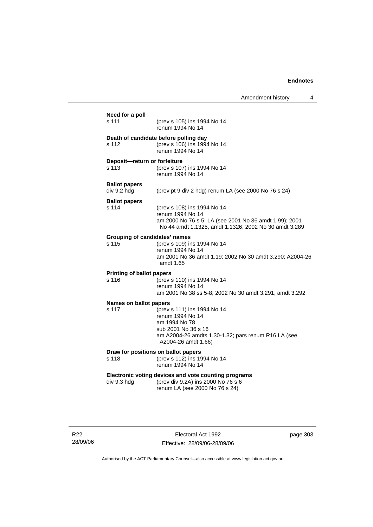| Need for a poll<br>s 111                  | (prev s 105) ins 1994 No 14<br>renum 1994 No 14                                                                                                                       |
|-------------------------------------------|-----------------------------------------------------------------------------------------------------------------------------------------------------------------------|
| s 112                                     | Death of candidate before polling day<br>(prev s 106) ins 1994 No 14<br>renum 1994 No 14                                                                              |
| Deposit-return or forfeiture<br>s 113     | (prev s 107) ins 1994 No 14<br>renum 1994 No 14                                                                                                                       |
| <b>Ballot papers</b><br>div 9.2 hdg       | (prev pt 9 div 2 hdg) renum LA (see 2000 No 76 s 24)                                                                                                                  |
| <b>Ballot papers</b><br>s 114             | (prev s 108) ins 1994 No 14<br>renum 1994 No 14<br>am 2000 No 76 s 5; LA (see 2001 No 36 amdt 1.99); 2001<br>No 44 amdt 1.1325, amdt 1.1326; 2002 No 30 amdt 3.289    |
| s 115                                     | <b>Grouping of candidates' names</b><br>(prev s 109) ins 1994 No 14<br>renum 1994 No 14<br>am 2001 No 36 amdt 1.19; 2002 No 30 amdt 3.290; A2004-26<br>amdt 1.65      |
| <b>Printing of ballot papers</b><br>s 116 | (prev s 110) ins 1994 No 14<br>renum 1994 No 14<br>am 2001 No 38 ss 5-8; 2002 No 30 amdt 3.291, amdt 3.292                                                            |
| <b>Names on ballot papers</b><br>s 117    | (prev s 111) ins 1994 No 14<br>renum 1994 No 14<br>am 1994 No 78<br>sub 2001 No 36 s 16<br>am A2004-26 amdts 1.30-1.32; pars renum R16 LA (see<br>A2004-26 amdt 1.66) |
| s 118                                     | Draw for positions on ballot papers<br>(prev s 112) ins 1994 No 14<br>renum 1994 No 14                                                                                |
| div 9.3 hdg                               | Electronic voting devices and vote counting programs<br>(prev div 9.2A) ins 2000 No 76 s 6                                                                            |

R22 28/09/06

Electoral Act 1992 Effective: 28/09/06-28/09/06 page 303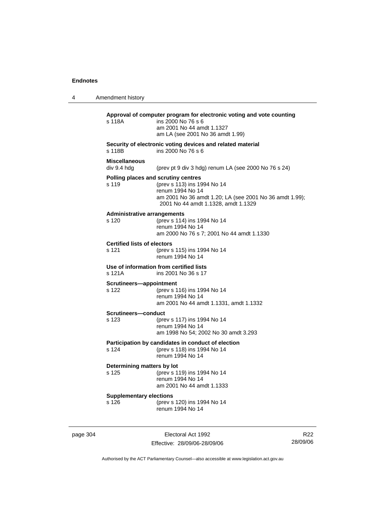| 4 | Amendment history                           |                                                                                                                                                                                          |
|---|---------------------------------------------|------------------------------------------------------------------------------------------------------------------------------------------------------------------------------------------|
|   | s 118A                                      | Approval of computer program for electronic voting and vote counting<br>ins 2000 No 76 s 6<br>am 2001 No 44 amdt 1.1327<br>am LA (see 2001 No 36 amdt 1.99)                              |
|   | s 118B                                      | Security of electronic voting devices and related material<br>ins 2000 No 76 s 6                                                                                                         |
|   | <b>Miscellaneous</b><br>div 9.4 hdg         | (prev pt 9 div 3 hdg) renum LA (see 2000 No 76 s 24)                                                                                                                                     |
|   | s 119                                       | Polling places and scrutiny centres<br>(prev s 113) ins 1994 No 14<br>renum 1994 No 14<br>am 2001 No 36 amdt 1.20; LA (see 2001 No 36 amdt 1.99);<br>2001 No 44 amdt 1.1328, amdt 1.1329 |
|   | <b>Administrative arrangements</b><br>s 120 | (prev s 114) ins 1994 No 14<br>renum 1994 No 14<br>am 2000 No 76 s 7; 2001 No 44 amdt 1.1330                                                                                             |
|   | <b>Certified lists of electors</b><br>s 121 | (prev s 115) ins 1994 No 14<br>renum 1994 No 14                                                                                                                                          |
|   | s 121A                                      | Use of information from certified lists<br>ins 2001 No 36 s 17                                                                                                                           |
|   | Scrutineers-appointment<br>s 122            | (prev s 116) ins 1994 No 14<br>renum 1994 No 14<br>am 2001 No 44 amdt 1.1331, amdt 1.1332                                                                                                |
|   | <b>Scrutineers—conduct</b><br>s 123         | (prev s 117) ins 1994 No 14<br>renum 1994 No 14<br>am 1998 No 54; 2002 No 30 amdt 3.293                                                                                                  |
|   | s 124                                       | Participation by candidates in conduct of election<br>(prev s 118) ins 1994 No 14<br>renum 1994 No 14                                                                                    |
|   | Determining matters by lot<br>s 125         | (prev s 119) ins 1994 No 14<br>renum 1994 No 14<br>am 2001 No 44 amdt 1.1333                                                                                                             |
|   | <b>Supplementary elections</b><br>s 126     | (prev s 120) ins 1994 No 14<br>renum 1994 No 14                                                                                                                                          |
|   |                                             |                                                                                                                                                                                          |

page 304 Electoral Act 1992 Effective: 28/09/06-28/09/06

R22 28/09/06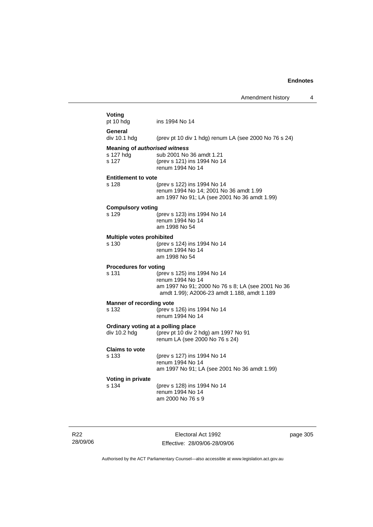| Voting<br>pt 10 hdg                                        | ins 1994 No 14                                                                                                                                      |
|------------------------------------------------------------|-----------------------------------------------------------------------------------------------------------------------------------------------------|
| General<br>div 10.1 hdg                                    | (prev pt 10 div 1 hdg) renum LA (see 2000 No 76 s 24)                                                                                               |
|                                                            |                                                                                                                                                     |
| <b>Meaning of authorised witness</b><br>s 127 hdg<br>s 127 | sub 2001 No 36 amdt 1.21<br>(prev s 121) ins 1994 No 14<br>renum 1994 No 14                                                                         |
| <b>Entitlement to vote</b>                                 |                                                                                                                                                     |
| s 128                                                      | (prev s 122) ins 1994 No 14<br>renum 1994 No 14; 2001 No 36 amdt 1.99<br>am 1997 No 91; LA (see 2001 No 36 amdt 1.99)                               |
| <b>Compulsory voting</b>                                   |                                                                                                                                                     |
| s 129                                                      | (prev s 123) ins 1994 No 14<br>renum 1994 No 14<br>am 1998 No 54                                                                                    |
| Multiple votes prohibited                                  |                                                                                                                                                     |
| s 130                                                      | (prev s 124) ins 1994 No 14<br>renum 1994 No 14<br>am 1998 No 54                                                                                    |
| <b>Procedures for voting</b>                               |                                                                                                                                                     |
| s 131                                                      | (prev s 125) ins 1994 No 14<br>renum 1994 No 14<br>am 1997 No 91; 2000 No 76 s 8; LA (see 2001 No 36<br>amdt 1.99); A2006-23 amdt 1.188, amdt 1.189 |
| Manner of recording vote                                   |                                                                                                                                                     |
| s 132                                                      | (prev s 126) ins 1994 No 14<br>renum 1994 No 14                                                                                                     |
| Ordinary voting at a polling place<br>div 10.2 hdg         | (prev pt 10 div 2 hdg) am 1997 No 91<br>renum LA (see 2000 No 76 s 24)                                                                              |
| <b>Claims to vote</b>                                      |                                                                                                                                                     |
| s 133                                                      | (prev s 127) ins 1994 No 14<br>renum 1994 No 14<br>am 1997 No 91; LA (see 2001 No 36 amdt 1.99)                                                     |
| Voting in private                                          |                                                                                                                                                     |
| s 134                                                      | (prev s 128) ins 1994 No 14<br>renum 1994 No 14<br>am 2000 No 76 s 9                                                                                |
|                                                            |                                                                                                                                                     |

R22 28/09/06

Electoral Act 1992 Effective: 28/09/06-28/09/06 page 305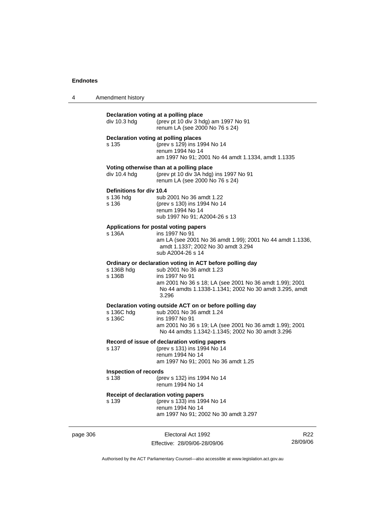| 4 | Amendment history |  |
|---|-------------------|--|
|---|-------------------|--|

|          | div 10.3 hdg                                   | Declaration voting at a polling place<br>(prev pt 10 div 3 hdg) am 1997 No 91<br>renum LA (see 2000 No 76 s 24)                                                                                                                      |                 |
|----------|------------------------------------------------|--------------------------------------------------------------------------------------------------------------------------------------------------------------------------------------------------------------------------------------|-----------------|
|          | s 135                                          | Declaration voting at polling places<br>(prev s 129) ins 1994 No 14<br>renum 1994 No 14<br>am 1997 No 91; 2001 No 44 amdt 1.1334, amdt 1.1335                                                                                        |                 |
|          | div 10.4 hdg                                   | Voting otherwise than at a polling place<br>(prev pt 10 div 3A hdg) ins 1997 No 91<br>renum LA (see 2000 No 76 s 24)                                                                                                                 |                 |
|          | Definitions for div 10.4<br>s 136 hdg<br>s 136 | sub 2001 No 36 amdt 1.22<br>(prev s 130) ins 1994 No 14<br>renum 1994 No 14<br>sub 1997 No 91; A2004-26 s 13                                                                                                                         |                 |
|          | s 136A                                         | Applications for postal voting papers<br>ins 1997 No 91<br>am LA (see 2001 No 36 amdt 1.99); 2001 No 44 amdt 1.1336,<br>amdt 1.1337; 2002 No 30 amdt 3.294<br>sub A2004-26 s 14                                                      |                 |
|          | s 136B hdg<br>s 136B                           | Ordinary or declaration voting in ACT before polling day<br>sub 2001 No 36 amdt 1.23<br>ins 1997 No 91<br>am 2001 No 36 s 18; LA (see 2001 No 36 amdt 1.99); 2001<br>No 44 amdts 1.1338-1.1341; 2002 No 30 amdt 3.295, amdt<br>3.296 |                 |
|          | s 136C hdg<br>s 136C                           | Declaration voting outside ACT on or before polling day<br>sub 2001 No 36 amdt 1.24<br>ins 1997 No 91<br>am 2001 No 36 s 19; LA (see 2001 No 36 amdt 1.99); 2001<br>No 44 amdts 1.1342-1.1345; 2002 No 30 amdt 3.296                 |                 |
|          | s 137                                          | Record of issue of declaration voting papers<br>(prev s 131) ins 1994 No 14<br>renum 1994 No 14<br>am 1997 No 91; 2001 No 36 amdt 1.25                                                                                               |                 |
|          | <b>Inspection of records</b><br>s 138          | (prev s 132) ins 1994 No 14<br>renum 1994 No 14                                                                                                                                                                                      |                 |
|          | s 139                                          | Receipt of declaration voting papers<br>(prev s 133) ins 1994 No 14<br>renum 1994 No 14<br>am 1997 No 91; 2002 No 30 amdt 3.297                                                                                                      |                 |
| page 306 |                                                | Electoral Act 1992                                                                                                                                                                                                                   | R <sub>22</sub> |

Authorised by the ACT Parliamentary Counsel—also accessible at www.legislation.act.gov.au

28/09/06

Effective: 28/09/06-28/09/06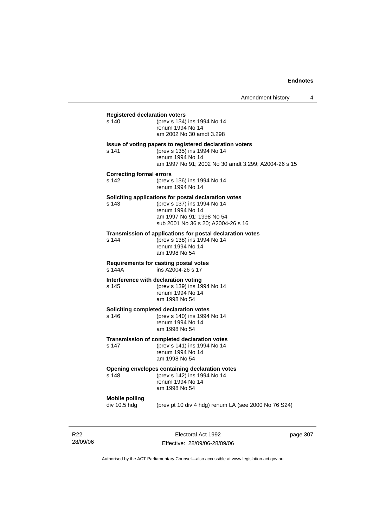| <b>Registered declaration voters</b>          |                                                                                                                                                                            |
|-----------------------------------------------|----------------------------------------------------------------------------------------------------------------------------------------------------------------------------|
| s 140                                         | (prev s 134) ins 1994 No 14<br>renum 1994 No 14<br>am 2002 No 30 amdt 3.298                                                                                                |
| s 141                                         | Issue of voting papers to registered declaration voters<br>(prev s 135) ins 1994 No 14<br>renum 1994 No 14<br>am 1997 No 91; 2002 No 30 amdt 3.299; A2004-26 s 15          |
| <b>Correcting formal errors</b><br>s 142      | (prev s 136) ins 1994 No 14<br>renum 1994 No 14                                                                                                                            |
| s 143                                         | Soliciting applications for postal declaration votes<br>(prev s 137) ins 1994 No 14<br>renum 1994 No 14<br>am 1997 No 91; 1998 No 54<br>sub 2001 No 36 s 20; A2004-26 s 16 |
| s 144                                         | Transmission of applications for postal declaration votes<br>(prev s 138) ins 1994 No 14<br>renum 1994 No 14<br>am 1998 No 54                                              |
| s 144A                                        | Requirements for casting postal votes<br>ins A2004-26 s 17                                                                                                                 |
| Interference with declaration voting<br>s 145 | (prev s 139) ins 1994 No 14<br>renum 1994 No 14<br>am 1998 No 54                                                                                                           |
| s 146                                         | Soliciting completed declaration votes<br>(prev s 140) ins 1994 No 14<br>renum 1994 No 14<br>am 1998 No 54                                                                 |
| s 147                                         | Transmission of completed declaration votes<br>(prev s 141) ins 1994 No 14<br>renum 1994 No 14<br>am 1998 No 54                                                            |
| s 148                                         | Opening envelopes containing declaration votes<br>(prev s 142) ins 1994 No 14<br>renum 1994 No 14<br>am 1998 No 54                                                         |
| <b>Mobile polling</b><br>div 10.5 hdg         | (prev pt 10 div 4 hdg) renum LA (see 2000 No 76 S24)                                                                                                                       |
|                                               |                                                                                                                                                                            |

R22 28/09/06

Electoral Act 1992 Effective: 28/09/06-28/09/06 page 307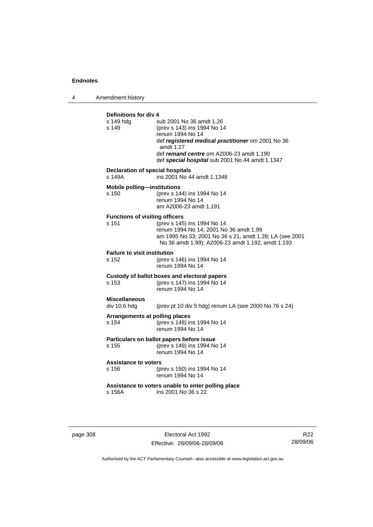4 Amendment history

| Definitions for div 4<br>s 149 hdq<br>s 149       | sub 2001 No 36 amdt 1.26<br>(prev s 143) ins 1994 No 14<br>renum 1994 No 14<br>def registered medical practitioner om 2001 No 36<br>amdt 1.27<br>def remand centre om A2006-23 amdt 1.190<br>def special hospital sub 2001 No 44 amdt 1.1347 |
|---------------------------------------------------|----------------------------------------------------------------------------------------------------------------------------------------------------------------------------------------------------------------------------------------------|
| <b>Declaration of special hospitals</b><br>s 149A | ins 2001 No 44 amdt 1.1348                                                                                                                                                                                                                   |
| <b>Mobile polling-institutions</b><br>s 150       | (prev s 144) ins 1994 No 14<br>renum 1994 No 14<br>am A2006-23 amdt 1.191                                                                                                                                                                    |
| <b>Functions of visiting officers</b><br>s 151    | (prev s 145) ins 1994 No 14<br>renum 1994 No 14; 2001 No 36 amdt 1.99<br>am 1995 No 33; 2001 No 36 s 21, amdt 1.28; LA (see 2001<br>No 36 amdt 1.99); A2006-23 amdt 1.192, amdt 1.193                                                        |
| <b>Failure to visit institution</b><br>s 152      | (prev s 146) ins 1994 No 14<br>renum 1994 No 14                                                                                                                                                                                              |
| s 153                                             | Custody of ballot boxes and electoral papers<br>(prev s 147) ins 1994 No 14<br>renum 1994 No 14                                                                                                                                              |
| <b>Miscellaneous</b><br>div 10.6 hdg              | (prev pt 10 div 5 hdg) renum LA (see 2000 No 76 s 24)                                                                                                                                                                                        |
| Arrangements at polling places<br>s 154           | (prev s 148) ins 1994 No 14<br>renum 1994 No 14                                                                                                                                                                                              |
| s 155                                             | Particulars on ballot papers before issue<br>(prev s 149) ins 1994 No 14<br>renum 1994 No 14                                                                                                                                                 |
| <b>Assistance to voters</b><br>s 156              | (prev s 150) ins 1994 No 14<br>renum 1994 No 14                                                                                                                                                                                              |
| s 156A                                            | Assistance to voters unable to enter polling place<br>ins 2001 No 36 s 22                                                                                                                                                                    |

page 308 Electoral Act 1992 Effective: 28/09/06-28/09/06

R22 28/09/06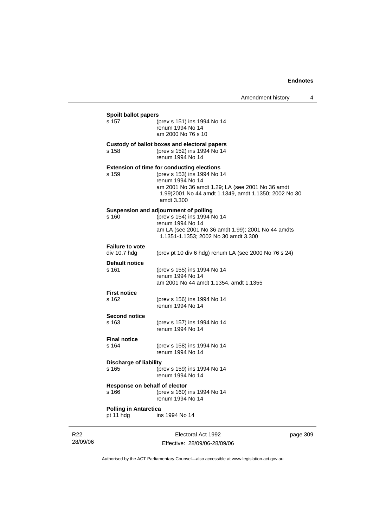| <b>Spoilt ballot papers</b>            |                                                                                                                                                                                                                                |  |
|----------------------------------------|--------------------------------------------------------------------------------------------------------------------------------------------------------------------------------------------------------------------------------|--|
| s 157                                  | (prev s 151) ins 1994 No 14<br>renum 1994 No 14<br>am 2000 No 76 s 10                                                                                                                                                          |  |
|                                        | Custody of ballot boxes and electoral papers                                                                                                                                                                                   |  |
| s 158                                  | (prev s 152) ins 1994 No 14<br>renum 1994 No 14                                                                                                                                                                                |  |
| s 159                                  | <b>Extension of time for conducting elections</b><br>(prev s 153) ins 1994 No 14<br>renum 1994 No 14<br>am 2001 No 36 amdt 1.29; LA (see 2001 No 36 amdt<br>1.99)2001 No 44 amdt 1.1349, amdt 1.1350; 2002 No 30<br>amdt 3.300 |  |
|                                        | Suspension and adjournment of polling                                                                                                                                                                                          |  |
| s 160                                  | (prev s 154) ins 1994 No 14<br>renum 1994 No 14                                                                                                                                                                                |  |
|                                        | am LA (see 2001 No 36 amdt 1.99); 2001 No 44 amdts<br>1.1351-1.1353; 2002 No 30 amdt 3.300                                                                                                                                     |  |
| <b>Failure to vote</b><br>div 10.7 hdg | (prev pt 10 div 6 hdg) renum LA (see 2000 No 76 s 24)                                                                                                                                                                          |  |
| <b>Default notice</b><br>s 161         | (prev s 155) ins 1994 No 14                                                                                                                                                                                                    |  |
|                                        | renum 1994 No 14<br>am 2001 No 44 amdt 1.1354, amdt 1.1355                                                                                                                                                                     |  |
| <b>First notice</b>                    |                                                                                                                                                                                                                                |  |
| s 162                                  | (prev s 156) ins 1994 No 14<br>renum 1994 No 14                                                                                                                                                                                |  |
| <b>Second notice</b>                   |                                                                                                                                                                                                                                |  |
| s 163                                  | (prev s 157) ins 1994 No 14<br>renum 1994 No 14                                                                                                                                                                                |  |
| <b>Final notice</b>                    |                                                                                                                                                                                                                                |  |
| s 164                                  | (prev s 158) ins 1994 No 14<br>renum 1994 No 14                                                                                                                                                                                |  |
| <b>Discharge of liability</b>          |                                                                                                                                                                                                                                |  |
| s 165                                  | (prev s 159) ins 1994 No 14<br>renum 1994 No 14                                                                                                                                                                                |  |
| Response on behalf of elector<br>s 166 | (prev s 160) ins 1994 No 14<br>renum 1994 No 14                                                                                                                                                                                |  |
| <b>Polling in Antarctica</b>           |                                                                                                                                                                                                                                |  |
| pt 11 hdg                              | ins 1994 No 14                                                                                                                                                                                                                 |  |
|                                        |                                                                                                                                                                                                                                |  |

R22 28/09/06

J.

Electoral Act 1992 Effective: 28/09/06-28/09/06 page 309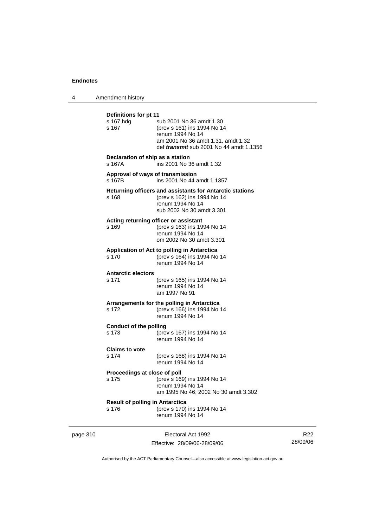4 Amendment history

| Definitions for pt 11<br>s 167 hdg<br>s 167     | sub 2001 No 36 amdt 1.30<br>(prev s 161) ins 1994 No 14<br>renum 1994 No 14<br>am 2001 No 36 amdt 1.31, amdt 1.32<br>def <i>transmit</i> sub 2001 No 44 amdt 1.1356 |
|-------------------------------------------------|---------------------------------------------------------------------------------------------------------------------------------------------------------------------|
| Declaration of ship as a station<br>s 167A      | ins 2001 No 36 amdt 1.32                                                                                                                                            |
| Approval of ways of transmission<br>s 167B      | ins 2001 No 44 amdt 1.1357                                                                                                                                          |
| s 168                                           | Returning officers and assistants for Antarctic stations<br>(prev s 162) ins 1994 No 14<br>renum 1994 No 14<br>sub 2002 No 30 amdt 3.301                            |
| s 169                                           | Acting returning officer or assistant<br>(prev s 163) ins 1994 No 14<br>renum 1994 No 14<br>om 2002 No 30 amdt 3.301                                                |
| s 170                                           | Application of Act to polling in Antarctica<br>(prev s 164) ins 1994 No 14<br>renum 1994 No 14                                                                      |
| <b>Antarctic electors</b><br>s 171              | (prev s 165) ins 1994 No 14<br>renum 1994 No 14<br>am 1997 No 91                                                                                                    |
| s 172                                           | Arrangements for the polling in Antarctica<br>(prev s 166) ins 1994 No 14<br>renum 1994 No 14                                                                       |
| <b>Conduct of the polling</b><br>s 173          | (prev s 167) ins 1994 No 14<br>renum 1994 No 14                                                                                                                     |
| <b>Claims to vote</b><br>s 174                  | (prev s 168) ins 1994 No 14<br>renum 1994 No 14                                                                                                                     |
| Proceedings at close of poll<br>s 175           | (prev s 169) ins 1994 No 14<br>renum 1994 No 14<br>am 1995 No 46; 2002 No 30 amdt 3.302                                                                             |
| <b>Result of polling in Antarctica</b><br>s 176 | (prev s 170) ins 1994 No 14<br>renum 1994 No 14                                                                                                                     |

page 310 **Electoral Act 1992** Effective: 28/09/06-28/09/06

R22 28/09/06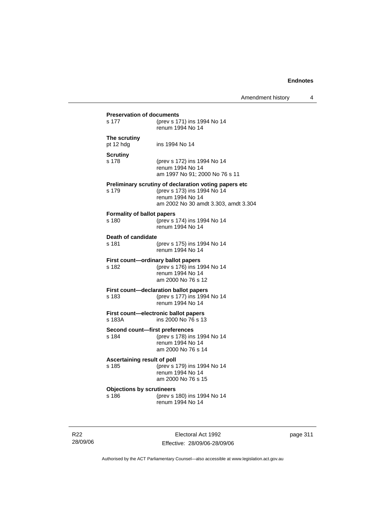| s 177                                      | (prev s 171) ins 1994 No 14                           |
|--------------------------------------------|-------------------------------------------------------|
|                                            | renum 1994 No 14                                      |
| The scrutiny                               |                                                       |
| pt 12 hdg                                  | ins 1994 No 14                                        |
| <b>Scrutiny</b>                            |                                                       |
| s 178                                      | (prev s 172) ins 1994 No 14                           |
|                                            | renum 1994 No 14                                      |
|                                            | am 1997 No 91; 2000 No 76 s 11                        |
|                                            | Preliminary scrutiny of declaration voting papers etc |
| s 179                                      | (prev s 173) ins 1994 No 14<br>renum 1994 No 14       |
|                                            | am 2002 No 30 amdt 3.303, amdt 3.304                  |
|                                            |                                                       |
| <b>Formality of ballot papers</b><br>s 180 | (prev s 174) ins 1994 No 14                           |
|                                            | renum 1994 No 14                                      |
|                                            |                                                       |
| Death of candidate<br>s 181                | (prev s 175) ins 1994 No 14                           |
|                                            | renum 1994 No 14                                      |
|                                            | First count-ordinary ballot papers                    |
| s 182                                      | (prev s 176) ins 1994 No 14                           |
|                                            | renum 1994 No 14                                      |
|                                            | am 2000 No 76 s 12                                    |
|                                            |                                                       |
|                                            | First count-declaration ballot papers                 |
| s 183                                      | (prev s 177) ins 1994 No 14                           |
|                                            | renum 1994 No 14                                      |
|                                            | First count-electronic ballot papers                  |
| s 183A                                     | ins 2000 No 76 s 13                                   |
| Second count-first preferences             |                                                       |
| s 184                                      | (prev s 178) ins 1994 No 14                           |
|                                            | renum 1994 No 14                                      |
|                                            | am 2000 No 76 s 14                                    |
| Ascertaining result of poll                |                                                       |
| s 185                                      | (prev s 179) ins 1994 No 14                           |
|                                            | renum 1994 No 14                                      |
|                                            | am 2000 No 76 s 15                                    |
| <b>Objections by scrutineers</b><br>s 186  | (prev s 180) ins 1994 No 14                           |

R22 28/09/06

Electoral Act 1992 Effective: 28/09/06-28/09/06 page 311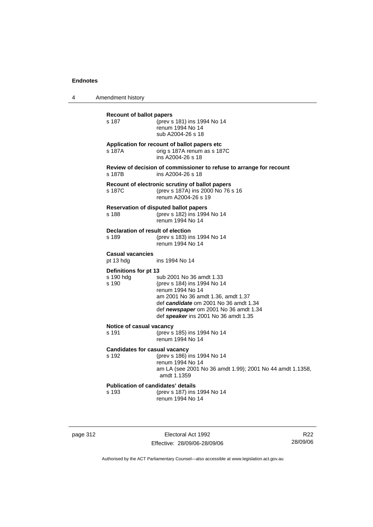4 Amendment history

| <b>Recount of ballot papers</b><br>s 187           | (prev s 181) ins 1994 No 14<br>renum 1994 No 14<br>sub A2004-26 s 18                                                                                                                                                                        |
|----------------------------------------------------|---------------------------------------------------------------------------------------------------------------------------------------------------------------------------------------------------------------------------------------------|
| s 187A                                             | Application for recount of ballot papers etc<br>orig s 187A renum as s 187C<br>ins A2004-26 s 18                                                                                                                                            |
| s 187B                                             | Review of decision of commissioner to refuse to arrange for recount<br>ins A2004-26 s 18                                                                                                                                                    |
| s 187C                                             | Recount of electronic scrutiny of ballot papers<br>(prev s 187A) ins 2000 No 76 s 16<br>renum A2004-26 s 19                                                                                                                                 |
| s 188                                              | <b>Reservation of disputed ballot papers</b><br>(prev s 182) ins 1994 No 14<br>renum 1994 No 14                                                                                                                                             |
| Declaration of result of election<br>s 189         | (prev s 183) ins 1994 No 14<br>renum 1994 No 14                                                                                                                                                                                             |
| <b>Casual vacancies</b><br>pt 13 hdg               | ins 1994 No 14                                                                                                                                                                                                                              |
| Definitions for pt 13<br>s 190 hdg<br>s 190        | sub 2001 No 36 amdt 1.33<br>(prev s 184) ins 1994 No 14<br>renum 1994 No 14<br>am 2001 No 36 amdt 1.36, amdt 1.37<br>def candidate om 2001 No 36 amdt 1.34<br>def newspaper om 2001 No 36 amdt 1.34<br>def speaker ins 2001 No 36 amdt 1.35 |
| Notice of casual vacancy<br>s 191                  | (prev s 185) ins 1994 No 14<br>renum 1994 No 14                                                                                                                                                                                             |
| <b>Candidates for casual vacancy</b><br>s 192      | (prev s 186) ins 1994 No 14<br>renum 1994 No 14<br>am LA (see 2001 No 36 amdt 1.99); 2001 No 44 amdt 1.1358,<br>amdt 1.1359                                                                                                                 |
| <b>Publication of candidates' details</b><br>s 193 | (prev s 187) ins 1994 No 14<br>renum 1994 No 14                                                                                                                                                                                             |

page 312 **Electoral Act 1992** Effective: 28/09/06-28/09/06

R22 28/09/06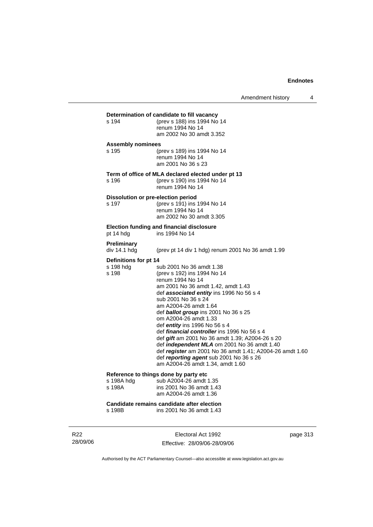| s 194                                       | Determination of candidate to fill vacancy<br>(prev s 188) ins 1994 No 14<br>renum 1994 No 14                                                                                                                                                                                                                                                                                                                                                                                                                                                                                                                                    |
|---------------------------------------------|----------------------------------------------------------------------------------------------------------------------------------------------------------------------------------------------------------------------------------------------------------------------------------------------------------------------------------------------------------------------------------------------------------------------------------------------------------------------------------------------------------------------------------------------------------------------------------------------------------------------------------|
|                                             | am 2002 No 30 amdt 3.352                                                                                                                                                                                                                                                                                                                                                                                                                                                                                                                                                                                                         |
| <b>Assembly nominees</b>                    |                                                                                                                                                                                                                                                                                                                                                                                                                                                                                                                                                                                                                                  |
| s 195                                       | (prev s 189) ins 1994 No 14<br>renum 1994 No 14<br>am 2001 No 36 s 23                                                                                                                                                                                                                                                                                                                                                                                                                                                                                                                                                            |
| s 196                                       | Term of office of MLA declared elected under pt 13<br>(prev s 190) ins 1994 No 14<br>renum 1994 No 14                                                                                                                                                                                                                                                                                                                                                                                                                                                                                                                            |
|                                             |                                                                                                                                                                                                                                                                                                                                                                                                                                                                                                                                                                                                                                  |
| Dissolution or pre-election period<br>s 197 | (prev s 191) ins 1994 No 14<br>renum 1994 No 14<br>am 2002 No 30 amdt 3.305                                                                                                                                                                                                                                                                                                                                                                                                                                                                                                                                                      |
| pt 14 hdg                                   | Election funding and financial disclosure<br>ins 1994 No 14                                                                                                                                                                                                                                                                                                                                                                                                                                                                                                                                                                      |
| Preliminary<br>div 14.1 hda                 | (prev pt 14 div 1 hdg) renum 2001 No 36 amdt 1.99                                                                                                                                                                                                                                                                                                                                                                                                                                                                                                                                                                                |
| Definitions for pt 14                       |                                                                                                                                                                                                                                                                                                                                                                                                                                                                                                                                                                                                                                  |
| s 198 hdg<br>s 198                          | sub 2001 No 36 amdt 1.38<br>(prev s 192) ins 1994 No 14<br>renum 1994 No 14<br>am 2001 No 36 amdt 1.42, amdt 1.43<br>def associated entity ins 1996 No 56 s 4<br>sub 2001 No 36 s 24<br>am A2004-26 amdt 1.64<br>def <b>ballot group</b> ins 2001 No 36 s 25<br>om A2004-26 amdt 1.33<br>def entity ins 1996 No 56 s 4<br>def <i>financial controller</i> ins 1996 No 56 s 4<br>def gift am 2001 No 36 amdt 1.39; A2004-26 s 20<br>def <i>independent MLA</i> om 2001 No 36 amdt 1.40<br>def register am 2001 No 36 amdt 1.41; A2004-26 amdt 1.60<br>def reporting agent sub 2001 No 36 s 26<br>am A2004-26 amdt 1.34, amdt 1.60 |
| Reference to things done by party etc       |                                                                                                                                                                                                                                                                                                                                                                                                                                                                                                                                                                                                                                  |
| s 198A hdg<br>s 198A                        | sub A2004-26 amdt 1.35<br>ins 2001 No 36 amdt 1.43<br>am A2004-26 amdt 1.36                                                                                                                                                                                                                                                                                                                                                                                                                                                                                                                                                      |

**Candidate remains candidate after election** s 198B ins 2001 No 36 amdt 1.43

R22 28/09/06

Electoral Act 1992 Effective: 28/09/06-28/09/06 page 313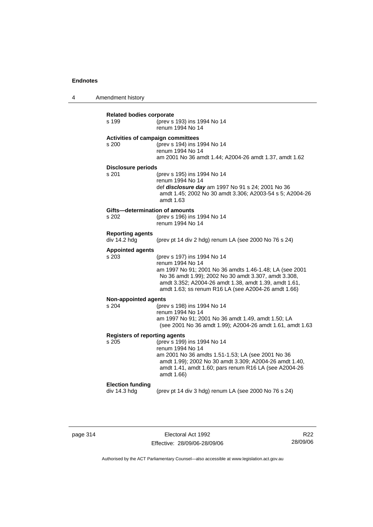4 Amendment history

| <b>Related bodies corporate</b>      |                                                                                                                               |  |  |
|--------------------------------------|-------------------------------------------------------------------------------------------------------------------------------|--|--|
| s 199                                | (prev s 193) ins 1994 No 14<br>renum 1994 No 14                                                                               |  |  |
| s 200                                | <b>Activities of campaign committees</b><br>(prev s 194) ins 1994 No 14                                                       |  |  |
|                                      | renum 1994 No 14<br>am 2001 No 36 amdt 1.44; A2004-26 amdt 1.37, amdt 1.62                                                    |  |  |
| <b>Disclosure periods</b>            |                                                                                                                               |  |  |
| s 201                                | (prev s 195) ins 1994 No 14<br>renum 1994 No 14<br>def disclosure day am 1997 No 91 s 24; 2001 No 36                          |  |  |
|                                      | amdt 1.45; 2002 No 30 amdt 3.306; A2003-54 s 5; A2004-26<br>amdt 1.63                                                         |  |  |
| Gifts-determination of amounts       |                                                                                                                               |  |  |
| s 202                                | (prev s 196) ins 1994 No 14<br>renum 1994 No 14                                                                               |  |  |
| <b>Reporting agents</b>              |                                                                                                                               |  |  |
| div 14.2 hdg                         | (prev pt 14 div 2 hdg) renum LA (see 2000 No 76 s 24)                                                                         |  |  |
| <b>Appointed agents</b>              |                                                                                                                               |  |  |
| s 203                                | (prev s 197) ins 1994 No 14                                                                                                   |  |  |
|                                      | renum 1994 No 14                                                                                                              |  |  |
|                                      | am 1997 No 91; 2001 No 36 amdts 1.46-1.48; LA (see 2001<br>No 36 amdt 1.99); 2002 No 30 amdt 3.307, amdt 3.308,               |  |  |
|                                      | amdt 3.352; A2004-26 amdt 1.38, amdt 1.39, amdt 1.61,                                                                         |  |  |
|                                      | amdt 1.63; ss renum R16 LA (see A2004-26 amdt 1.66)                                                                           |  |  |
| Non-appointed agents                 |                                                                                                                               |  |  |
| s 204                                | (prev s 198) ins 1994 No 14                                                                                                   |  |  |
|                                      | renum 1994 No 14<br>am 1997 No 91; 2001 No 36 amdt 1.49, amdt 1.50; LA                                                        |  |  |
|                                      | (see 2001 No 36 amdt 1.99); A2004-26 amdt 1.61, amdt 1.63                                                                     |  |  |
| <b>Registers of reporting agents</b> |                                                                                                                               |  |  |
| s 205                                | (prev s 199) ins 1994 No 14<br>renum 1994 No 14                                                                               |  |  |
|                                      | am 2001 No 36 amdts 1.51-1.53; LA (see 2001 No 36                                                                             |  |  |
|                                      | amdt 1.99); 2002 No 30 amdt 3.309; A2004-26 amdt 1.40,<br>amdt 1.41, amdt 1.60; pars renum R16 LA (see A2004-26<br>amdt 1.66) |  |  |
| <b>Election funding</b>              |                                                                                                                               |  |  |
| div 14.3 hdg                         | (prev pt 14 div 3 hdg) renum LA (see 2000 No 76 s 24)                                                                         |  |  |
|                                      |                                                                                                                               |  |  |

| page 314 |  |
|----------|--|
|----------|--|

page 314 Electoral Act 1992 Effective: 28/09/06-28/09/06

R22 28/09/06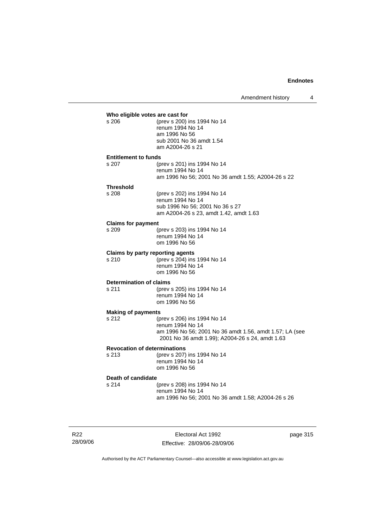|                                    | Who eligible votes are cast for                                                                                                                               |
|------------------------------------|---------------------------------------------------------------------------------------------------------------------------------------------------------------|
| s <sub>206</sub>                   | (prev s 200) ins 1994 No 14<br>renum 1994 No 14<br>am 1996 No 56<br>sub 2001 No 36 amdt 1.54<br>am A2004-26 s 21                                              |
| <b>Entitlement to funds</b>        |                                                                                                                                                               |
| s.207                              | (prev s 201) ins 1994 No 14<br>renum 1994 No 14<br>am 1996 No 56; 2001 No 36 amdt 1.55; A2004-26 s 22                                                         |
| <b>Threshold</b><br>s.208          | (prev s 202) ins 1994 No 14<br>renum 1994 No 14<br>sub 1996 No 56; 2001 No 36 s 27<br>am A2004-26 s 23, amdt 1.42, amdt 1.63                                  |
| <b>Claims for payment</b><br>s 209 | (prev s 203) ins 1994 No 14<br>renum 1994 No 14<br>om 1996 No 56                                                                                              |
| s 210                              | <b>Claims by party reporting agents</b><br>(prev s 204) ins 1994 No 14<br>renum 1994 No 14<br>om 1996 No 56                                                   |
| Determination of claims<br>s 211   | (prev s 205) ins 1994 No 14<br>renum 1994 No 14<br>om 1996 No 56                                                                                              |
| <b>Making of payments</b>          |                                                                                                                                                               |
| s 212                              | (prev s 206) ins 1994 No 14<br>renum 1994 No 14<br>am 1996 No 56; 2001 No 36 amdt 1.56, amdt 1.57; LA (see<br>2001 No 36 amdt 1.99); A2004-26 s 24, amdt 1.63 |
|                                    | <b>Revocation of determinations</b>                                                                                                                           |
| s 213                              | (prev s 207) ins 1994 No 14<br>renum 1994 No 14<br>om 1996 No 56                                                                                              |
| Death of candidate                 |                                                                                                                                                               |
| s 214                              | (prev s 208) ins 1994 No 14<br>renum 1994 No 14<br>am 1996 No 56; 2001 No 36 amdt 1.58; A2004-26 s 26                                                         |

R22 28/09/06

Electoral Act 1992 Effective: 28/09/06-28/09/06 page 315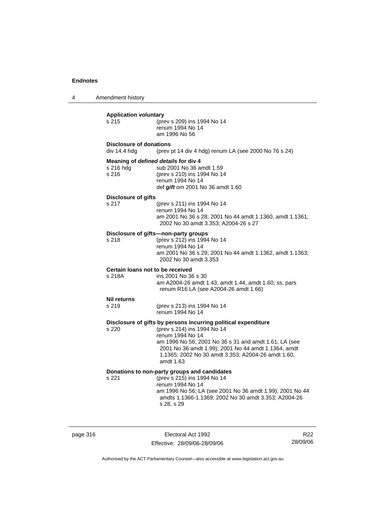4 Amendment history **Application voluntary** s 215 (prev s 209) ins 1994 No 14 renum 1994 No 14 am 1996 No 56 **Disclosure of donations**  div 14.4 hdg (prev pt 14 div 4 hdg) renum LA (see 2000 No 76 s 24) **Meaning of** *defined details* **for div 4** s 216 hdg sub 2001 No 36 amdt 1.59<br>s 216 (prev s 210) ins 1994 No 1 s 216 (prev s 210) ins 1994 No 14 renum 1994 No 14 def *gift* om 2001 No 36 amdt 1.60 **Disclosure of gifts** s 217 (prev s 211) ins 1994 No 14 renum 1994 No 14 am 2001 No 36 s 28; 2001 No 44 amdt 1.1360, amdt 1.1361; 2002 No 30 amdt 3.353; A2004-26 s 27 **Disclosure of gifts—non-party groups** s 218 (prev s 212) ins 1994 No 14 renum 1994 No 14 am 2001 No 36 s 29; 2001 No 44 amdt 1.1362, amdt 1.1363; 2002 No 30 amdt 3.353 **Certain loans not to be received** s 218A ins 2001 No 36 s 30 am A2004-26 amdt 1.43, amdt 1.44, amdt 1.60; ss, pars renum R16 LA (see A2004-26 amdt 1.66) **Nil returns** s 219 (prev s 213) ins 1994 No 14 renum 1994 No 14 **Disclosure of gifts by persons incurring political expenditure** s 220 (prev s 214) ins 1994 No 14 renum 1994 No 14 am 1996 No 56; 2001 No 36 s 31 and amdt 1.61; LA (see 2001 No 36 amdt 1.99); 2001 No 44 amdt 1.1364, amdt 1.1365; 2002 No 30 amdt 3.353; A2004-26 amdt 1.60, amdt 1.63 **Donations to non-party groups and candidates** s 221 (prev s 215) ins 1994 No 14 renum 1994 No 14 am 1996 No 56; LA (see 2001 No 36 amdt 1.99); 2001 No 44 amdts 1.1366-1.1369; 2002 No 30 amdt 3.353; A2004-26 s 28, s 29

page 316 **Electoral Act 1992** Effective: 28/09/06-28/09/06

R22 28/09/06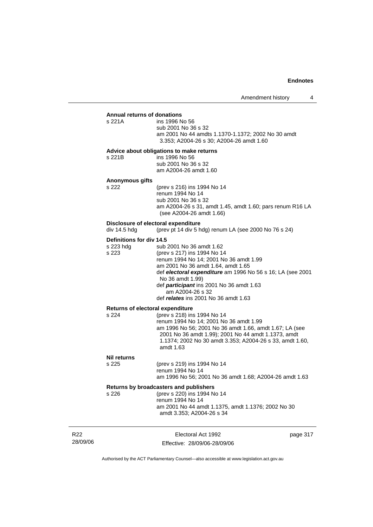#### **Annual returns of donations**

| s 221A | ins 1996 No 56                                     |
|--------|----------------------------------------------------|
|        | sub 2001 No 36 s 32                                |
|        | am 2001 No 44 amdts 1.1370-1.1372: 2002 No 30 amdt |
|        | 3.353: A2004-26 s 30: A2004-26 amdt 1.60           |

#### **Advice about obligations to make returns**

| s 221B | ins 1996 No 56        |
|--------|-----------------------|
|        | sub 2001 No 36 s 32   |
|        | am A2004-26 amdt 1.60 |

# **Anonymous gifts**

(prev s 216) ins 1994 No 14 renum 1994 No 14 sub 2001 No 36 s 32 am A2004-26 s 31, amdt 1.45, amdt 1.60; pars renum R16 LA (see A2004-26 amdt 1.66)

# **Disclosure of electoral expenditure**<br>div 14.5 hdg (prev pt 14 div 5 h

(prev pt 14 div 5 hdg) renum LA (see 2000 No 76 s 24)

#### **Definitions for div 14.5**

| s 223 hdg | sub 2001 No 36 amdt 1.62                                   |
|-----------|------------------------------------------------------------|
| s 223     | (prev s 217) ins 1994 No 14                                |
|           | renum 1994 No 14; 2001 No 36 amdt 1.99                     |
|           | am 2001 No 36 amdt 1.64, amdt 1.65                         |
|           | def electoral expenditure am 1996 No 56 s 16; LA (see 2001 |
|           | No 36 amdt 1.99)                                           |
|           | def participant ins 2001 No 36 amdt 1.63                   |
|           | am A2004-26 s 32                                           |
|           | def relates ins 2001 No 36 amdt 1.63                       |
|           |                                                            |

#### **Returns of electoral expenditure**

| s 224 | (prev s 218) ins 1994 No 14                              |
|-------|----------------------------------------------------------|
|       | renum 1994 No 14: 2001 No 36 amdt 1.99                   |
|       | am 1996 No 56; 2001 No 36 amdt 1.66, amdt 1.67; LA (see  |
|       | 2001 No 36 amdt 1.99); 2001 No 44 amdt 1.1373, amdt      |
|       | 1.1374; 2002 No 30 amdt 3.353; A2004-26 s 33, amdt 1.60, |
|       | amdt 1.63                                                |

#### **Nil returns**

| s 225 | (prev s 219) ins 1994 No 14                             |
|-------|---------------------------------------------------------|
|       | renum 1994 No 14                                        |
|       | am 1996 No 56; 2001 No 36 amdt 1.68; A2004-26 amdt 1.63 |

| Returns by broadcasters and publishers |                                                                                 |
|----------------------------------------|---------------------------------------------------------------------------------|
| s 226                                  | (prev s 220) ins 1994 No 14                                                     |
|                                        | renum 1994 No 14                                                                |
|                                        | am 2001 No 44 amdt 1.1375, amdt 1.1376; 2002 No 30<br>amdt 3.353; A2004-26 s 34 |

| R22      | Electoral Act 1992           | page 317 |
|----------|------------------------------|----------|
| 28/09/06 | Effective: 28/09/06-28/09/06 |          |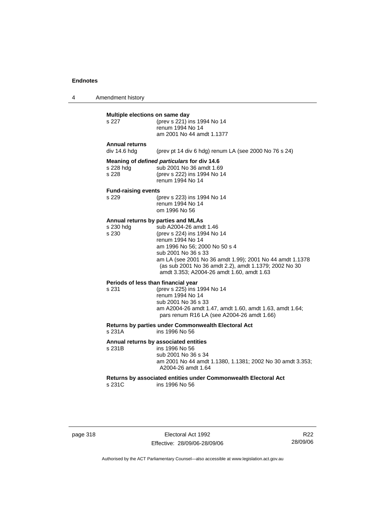4 Amendment history

### **Multiple elections on same day**

| s 227                                 | (prev s 221) ins 1994 No 14<br>renum 1994 No 14<br>am 2001 No 44 amdt 1.1377                                               |
|---------------------------------------|----------------------------------------------------------------------------------------------------------------------------|
| <b>Annual returns</b><br>div 14.6 hdg | (prev pt 14 div 6 hdg) renum LA (see 2000 No 76 s 24)                                                                      |
| s 228 hdg<br>s 228                    | Meaning of defined particulars for div 14.6<br>sub 2001 No 36 amdt 1.69<br>(prev s 222) ins 1994 No 14<br>renum 1994 No 14 |
|                                       |                                                                                                                            |

#### **Fund-raising events**

| s 229 | (prev s 223) ins 1994 No 14 |
|-------|-----------------------------|
|       | renum 1994 No 14            |
|       | om 1996 No 56               |

#### **Annual returns by parties and MLAs**

| s 230 hdg | sub A2004-26 amdt 1.46                                   |
|-----------|----------------------------------------------------------|
| s 230     | (prev s 224) ins 1994 No 14                              |
|           | renum 1994 No 14                                         |
|           | am 1996 No 56: 2000 No 50 s 4                            |
|           | sub 2001 No 36 s 33                                      |
|           | am LA (see 2001 No 36 amdt 1.99); 2001 No 44 amdt 1.1378 |
|           | (as sub 2001 No 36 amdt 2.2), amdt 1.1379; 2002 No 30    |
|           | amdt 3.353; A2004-26 amdt 1.60, amdt 1.63                |
|           |                                                          |

# **Periods of less than financial year**<br>s 231 (prev s 225) ins 1

(prev s 225) ins 1994 No 14 renum 1994 No 14 sub 2001 No 36 s 33 am A2004-26 amdt 1.47, amdt 1.60, amdt 1.63, amdt 1.64; pars renum R16 LA (see A2004-26 amdt 1.66)

# **Returns by parties under Commonwealth Electoral Act**

ins 1996 No 56

# **Annual returns by associated entities**

ins 1996 No 56 sub 2001 No 36 s 34 am 2001 No 44 amdt 1.1380, 1.1381; 2002 No 30 amdt 3.353; A2004-26 amdt 1.64

**Returns by associated entities under Commonwealth Electoral Act** s 231C ins 1996 No 56

page 318 Electoral Act 1992 Effective: 28/09/06-28/09/06

R22 28/09/06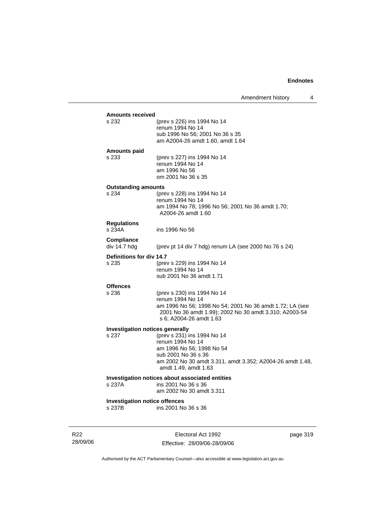Amendment history 4

| s 232                                  | (prev s 226) ins 1994 No 14                               |
|----------------------------------------|-----------------------------------------------------------|
|                                        | renum 1994 No 14                                          |
|                                        | sub 1996 No 56; 2001 No 36 s 35                           |
|                                        | am A2004-26 amdt 1.60, amdt 1.64                          |
| <b>Amounts paid</b>                    |                                                           |
| s 233                                  | (prev s 227) ins 1994 No 14                               |
|                                        | renum 1994 No 14<br>am 1996 No 56                         |
|                                        | om 2001 No 36 s 35                                        |
| <b>Outstanding amounts</b>             |                                                           |
| s 234                                  | (prev s 228) ins 1994 No 14                               |
|                                        | renum 1994 No 14                                          |
|                                        | am 1994 No 78; 1996 No 56; 2001 No 36 amdt 1.70;          |
|                                        | A2004-26 amdt 1.60                                        |
| <b>Regulations</b>                     |                                                           |
| s 234A                                 | ins 1996 No 56                                            |
| <b>Compliance</b>                      |                                                           |
| div 14.7 hdg                           | (prev pt 14 div 7 hdg) renum LA (see 2000 No 76 s 24)     |
| Definitions for div 14.7               |                                                           |
| s 235                                  | (prev s 229) ins 1994 No 14<br>renum 1994 No 14           |
|                                        | sub 2001 No 36 amdt 1.71                                  |
|                                        |                                                           |
| <b>Offences</b><br>s 236               | (prev s 230) ins 1994 No 14                               |
|                                        | renum 1994 No 14                                          |
|                                        | am 1996 No 56; 1998 No 54; 2001 No 36 amdt 1.72; LA (see  |
|                                        | 2001 No 36 amdt 1.99); 2002 No 30 amdt 3.310; A2003-54    |
|                                        | s 6: A2004-26 amdt 1.63                                   |
| <b>Investigation notices generally</b> |                                                           |
| s 237                                  | (prev s 231) ins 1994 No 14                               |
|                                        | renum 1994 No 14<br>am 1996 No 56; 1998 No 54             |
|                                        | sub 2001 No 36 s 36                                       |
|                                        | am 2002 No 30 amdt 3.311, amdt 3.352; A2004-26 amdt 1.48, |
|                                        | amdt 1.49, amdt 1.63                                      |
|                                        | Investigation notices about associated entities           |
| s 237A                                 | ins 2001 No 36 s 36                                       |
|                                        | am 2002 No 30 amdt 3.311                                  |
| <b>Investigation notice offences</b>   |                                                           |
| s 237B                                 | ins 2001 No 36 s 36                                       |

R22 28/09/06

Electoral Act 1992 Effective: 28/09/06-28/09/06 page 319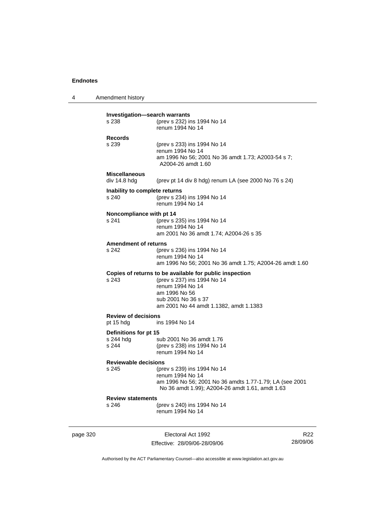4 Amendment history **Investigation—search warrants** s 238 (prev s 232) ins 1994 No 14 renum 1994 No 14 **Records** (prev s 233) ins 1994 No 14 renum 1994 No 14 am 1996 No 56; 2001 No 36 amdt 1.73; A2003-54 s 7; A2004-26 amdt 1.60 **Miscellaneous**  div 14.8 hdg (prev pt 14 div 8 hdg) renum LA (see 2000 No 76 s 24) **Inability to complete returns** s 240 (prev s 234) ins 1994 No 14 renum 1994 No 14 **Noncompliance with pt 14** s 241 (prev s 235) ins 1994 No 14 renum 1994 No 14 am 2001 No 36 amdt 1.74; A2004-26 s 35 **Amendment of returns**<br>s 242 (prev (prev s 236) ins 1994 No 14 renum 1994 No 14 am 1996 No 56; 2001 No 36 amdt 1.75; A2004-26 amdt 1.60 **Copies of returns to be available for public inspection** s 243 (prev s 237) ins 1994 No 14 renum 1994 No 14 am 1996 No 56 sub 2001 No 36 s 37 am 2001 No 44 amdt 1.1382, amdt 1.1383 **Review of decisions** pt 15 hdg ins 1994 No 14 **Definitions for pt 15**<br>s 244 hdg sub 2001 No 36 amdt 1.76 s 244 (prev s 238) ins 1994 No 14 renum 1994 No 14 **Reviewable decisions** s 245 (prev s 239) ins 1994 No 14 renum 1994 No 14 am 1996 No 56; 2001 No 36 amdts 1.77-1.79; LA (see 2001 No 36 amdt 1.99); A2004-26 amdt 1.61, amdt 1.63 **Review statements** s 246 (prev s 240) ins 1994 No 14 renum 1994 No 14

page 320 **Electoral Act 1992** Effective: 28/09/06-28/09/06

R22 28/09/06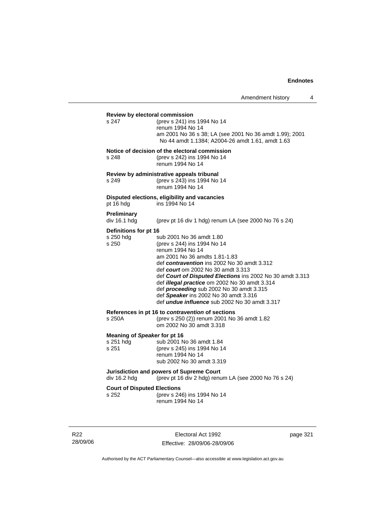# **Review by electoral commission** s 247 (prev s 241) ins 1994 No 14 renum 1994 No 14 am 2001 No 36 s 38; LA (see 2001 No 36 amdt 1.99); 2001 No 44 amdt 1.1384; A2004-26 amdt 1.61, amdt 1.63 **Notice of decision of the electoral commission** s 248 (prev s 242) ins 1994 No 14 renum 1994 No 14 **Review by administrative appeals tribunal** s 249 (prev s 243) ins 1994 No 14 renum 1994 No 14 **Disputed elections, eligibility and vacancies** pt 16 hdg ins 1994 No 14 **Preliminary**  (prev pt 16 div 1 hdg) renum LA (see 2000 No 76 s 24) **Definitions for pt 16**<br>s 250 hdg s sub 2001 No 36 amdt 1.80 s 250 (prev s 244) ins 1994 No 14 renum 1994 No 14 am 2001 No 36 amdts 1.81-1.83 def *contravention* ins 2002 No 30 amdt 3.312 def *court* om 2002 No 30 amdt 3.313 def *Court of Disputed Elections* ins 2002 No 30 amdt 3.313 def *illegal practice* om 2002 No 30 amdt 3.314 def *proceeding* sub 2002 No 30 amdt 3.315 def *Speaker* ins 2002 No 30 amdt 3.316 def *undue influence* sub 2002 No 30 amdt 3.317 **References in pt 16 to** *contravention* **of sections** s 250A (prev s 250 (2)) renum 2001 No 36 amdt 1.82 om 2002 No 30 amdt 3.318 **Meaning of** *Speaker* **for pt 16** s 251 hdg sub 2001 No 36 amdt 1.84<br>s 251 (prev s 245) ins 1994 No 1 (prev s 245) ins 1994 No 14 renum 1994 No 14 sub 2002 No 30 amdt 3.319 **Jurisdiction and powers of Supreme Court**  div 16.2 hdg (prev pt 16 div 2 hdg) renum LA (see 2000 No 76 s 24) **Court of Disputed Elections** s 252 (prev s 246) ins 1994 No 14 renum 1994 No 14

R22 28/09/06

Electoral Act 1992 Effective: 28/09/06-28/09/06 page 321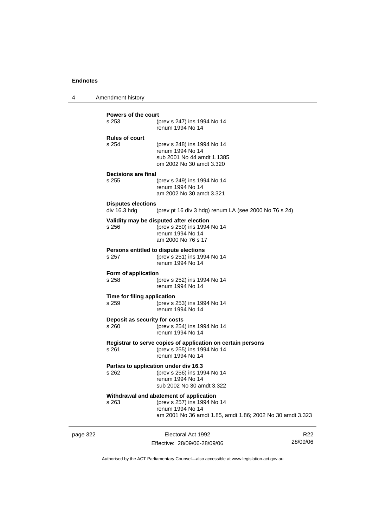4 Amendment history

| <b>Powers of the court</b>                |                                                                                                                                                         |
|-------------------------------------------|---------------------------------------------------------------------------------------------------------------------------------------------------------|
| s 253                                     | (prev s 247) ins 1994 No 14<br>renum 1994 No 14                                                                                                         |
| <b>Rules of court</b><br>s 254            | (prev s 248) ins 1994 No 14<br>renum 1994 No 14<br>sub 2001 No 44 amdt 1.1385<br>om 2002 No 30 amdt 3.320                                               |
| Decisions are final                       |                                                                                                                                                         |
| s 255                                     | (prev s 249) ins 1994 No 14<br>renum 1994 No 14<br>am 2002 No 30 amdt 3.321                                                                             |
| <b>Disputes elections</b><br>div 16.3 hdg | (prev pt 16 div 3 hdg) renum LA (see 2000 No 76 s 24)                                                                                                   |
| s 256                                     | Validity may be disputed after election<br>(prev s 250) ins 1994 No 14<br>renum 1994 No 14<br>am 2000 No 76 s 17                                        |
| s 257                                     | Persons entitled to dispute elections<br>(prev s 251) ins 1994 No 14<br>renum 1994 No 14                                                                |
| Form of application<br>$s$ 258            | (prev s 252) ins 1994 No 14<br>renum 1994 No 14                                                                                                         |
| Time for filing application<br>s 259      | (prev s 253) ins 1994 No 14<br>renum 1994 No 14                                                                                                         |
| Deposit as security for costs<br>s 260    | (prev s 254) ins 1994 No 14<br>renum 1994 No 14                                                                                                         |
| s 261                                     | Registrar to serve copies of application on certain persons<br>(prev s 255) ins 1994 No 14<br>renum 1994 No 14                                          |
| s 262                                     | Parties to application under div 16.3<br>(prev s 256) ins 1994 No 14<br>renum 1994 No 14<br>sub 2002 No 30 amdt 3.322                                   |
| s 263                                     | Withdrawal and abatement of application<br>(prev s 257) ins 1994 No 14<br>renum 1994 No 14<br>am 2001 No 36 amdt 1.85, amdt 1.86; 2002 No 30 amdt 3.323 |

page 322 Electoral Act 1992 Effective: 28/09/06-28/09/06

R22 28/09/06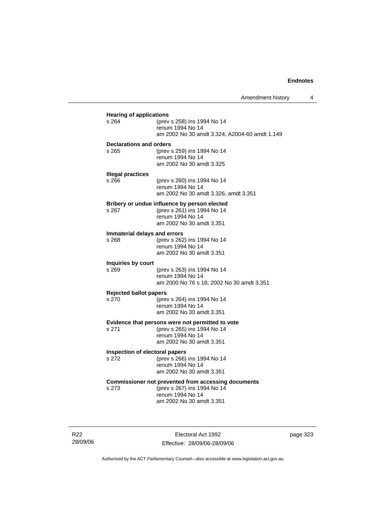| s 264                                  | (prev s 258) ins 1994 No 14<br>renum 1994 No 14<br>am 2002 No 30 amdt 3.324; A2004-60 amdt 1.149                                   |
|----------------------------------------|------------------------------------------------------------------------------------------------------------------------------------|
| Declarations and orders<br>s 265       | (prev s 259) ins 1994 No 14<br>renum 1994 No 14<br>am 2002 No 30 amdt 3.325                                                        |
| <b>Illegal practices</b><br>s 266      | (prev s 260) ins 1994 No 14<br>renum 1994 No 14<br>am 2002 No 30 amdt 3.326, amdt 3.351                                            |
| $s$ 267                                | Bribery or undue influence by person elected<br>(prev s 261) ins 1994 No 14<br>renum 1994 No 14<br>am 2002 No 30 amdt 3.351        |
| Immaterial delays and errors<br>s 268  | (prev s 262) ins 1994 No 14<br>renum 1994 No 14<br>am 2002 No 30 amdt 3.351                                                        |
| Inquiries by court<br>s 269            | (prev s 263) ins 1994 No 14<br>renum 1994 No 14<br>am 2000 No 76 s 18; 2002 No 30 amdt 3.351                                       |
| <b>Rejected ballot papers</b><br>s 270 | (prev s 264) ins 1994 No 14<br>renum 1994 No 14<br>am 2002 No 30 amdt 3.351                                                        |
| s 271                                  | Evidence that persons were not permitted to vote<br>(prev s 265) ins 1994 No 14<br>renum 1994 No 14<br>am 2002 No 30 amdt 3.351    |
| s 272                                  | Inspection of electoral papers<br>(prev s 266) ins 1994 No 14<br>renum 1994 No 14<br>am 2002 No 30 amdt 3.351                      |
| s 273                                  | Commissioner not prevented from accessing documents<br>(prev s 267) ins 1994 No 14<br>renum 1994 No 14<br>am 2002 No 30 amdt 3.351 |

R22 28/09/06

Electoral Act 1992 Effective: 28/09/06-28/09/06 page 323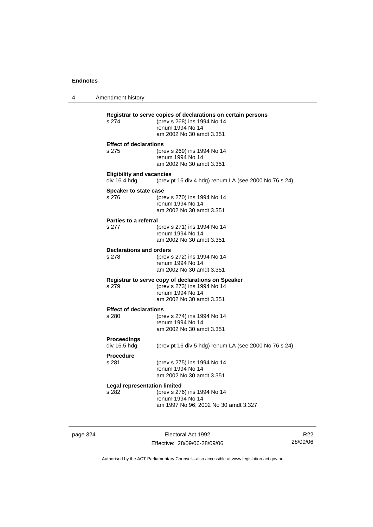4 Amendment history **Registrar to serve copies of declarations on certain persons** (prev s 268) ins 1994 No 14 renum 1994 No 14 am 2002 No 30 amdt 3.351 **Effect of declarations** s 275 (prev s 269) ins 1994 No 14 renum 1994 No 14 am 2002 No 30 amdt 3.351 **Eligibility and vacancies**  div 16.4 hdg (prev pt 16 div 4 hdg) renum LA (see 2000 No 76 s 24) **Speaker to state case** s 276 (prev s 270) ins 1994 No 14 renum 1994 No 14 am 2002 No 30 amdt 3.351 **Parties to a referral** s 277 (prev s 271) ins 1994 No 14 renum 1994 No 14 am 2002 No 30 amdt 3.351 **Declarations and orders**<br>s 278 (prev) s 278 (prev s 272) ins 1994 No 14 renum 1994 No 14 am 2002 No 30 amdt 3.351 **Registrar to serve copy of declarations on Speaker** s 279 (prev s 273) ins 1994 No 14 renum 1994 No 14 am 2002 No 30 amdt 3.351 **Effect of declarations** s 280 (prev s 274) ins 1994 No 14 renum 1994 No 14 am 2002 No 30 amdt 3.351 **Proceedings**  (prev pt 16 div 5 hdg) renum LA (see 2000 No 76 s 24) **Procedure** s 281 (prev s 275) ins 1994 No 14 renum 1994 No 14 am 2002 No 30 amdt 3.351 **Legal representation limited** s 282 (prev s 276) ins 1994 No 14 renum 1994 No 14 am 1997 No 96; 2002 No 30 amdt 3.327

page 324 Electoral Act 1992 Effective: 28/09/06-28/09/06

R22 28/09/06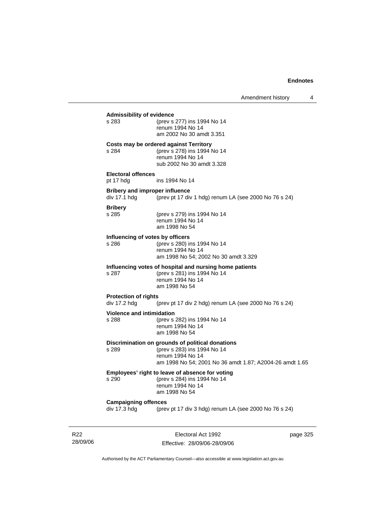# **Admissibility of evidence** s 283 (prev s 277) ins 1994 No 14 renum 1994 No 14 am 2002 No 30 amdt 3.351 **Costs may be ordered against Territory** s 284 (prev s 278) ins 1994 No 14 renum 1994 No 14 sub 2002 No 30 amdt 3.328 **Electoral offences** pt 17 hdg ins 1994 No 14 **Bribery and improper influence**<br>div 17.1 hdg (prev pt 17 div (prev pt 17 div 1 hdg) renum LA (see 2000 No 76 s 24) **Bribery** s 285 (prev s 279) ins 1994 No 14 renum 1994 No 14 am 1998 No 54 **Influencing of votes by officers** s 286 (prev s 280) ins 1994 No 14 renum 1994 No 14 am 1998 No 54; 2002 No 30 amdt 3.329 **Influencing votes of hospital and nursing home patients** s 287 (prev s 281) ins 1994 No 14 renum 1994 No 14 am 1998 No 54 **Protection of rights**  div 17.2 hdg (prev pt 17 div 2 hdg) renum LA (see 2000 No 76 s 24) **Violence and intimidation**<br>s 288 (prev s (prev s 282) ins 1994 No 14 renum 1994 No 14 am 1998 No 54 **Discrimination on grounds of political donations** s 289 (prev s 283) ins 1994 No 14 renum 1994 No 14 am 1998 No 54; 2001 No 36 amdt 1.87; A2004-26 amdt 1.65 **Employees' right to leave of absence for voting** s 290 (prev s 284) ins 1994 No 14 renum 1994 No 14 am 1998 No 54 **Campaigning offences**  div 17.3 hdg (prev pt 17 div 3 hdg) renum LA (see 2000 No 76 s 24)

R22 28/09/06

Electoral Act 1992 Effective: 28/09/06-28/09/06 page 325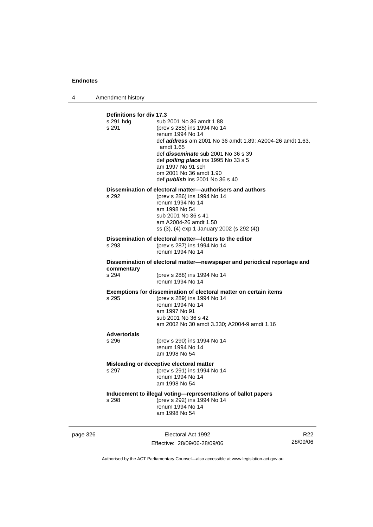4 Amendment history

| Definitions for div 17.3<br>s 291 hda<br>s 291                                         | sub 2001 No 36 amdt 1.88<br>(prev s 285) ins 1994 No 14<br>renum 1994 No 14<br>def <b>address</b> am 2001 No 36 amdt 1.89; A2004-26 amdt 1.63,<br>amdt 1.65<br>def <i>disseminate</i> sub 2001 No 36 s 39<br>def <i>polling place</i> ins 1995 No 33 s 5<br>am 1997 No 91 sch<br>om 2001 No 36 amdt 1.90<br>def <i>publish</i> ins 2001 No 36 s 40 |  |  |
|----------------------------------------------------------------------------------------|----------------------------------------------------------------------------------------------------------------------------------------------------------------------------------------------------------------------------------------------------------------------------------------------------------------------------------------------------|--|--|
| s 292                                                                                  | Dissemination of electoral matter-authorisers and authors<br>(prev s 286) ins 1994 No 14<br>renum 1994 No 14<br>am 1998 No 54<br>sub 2001 No 36 s 41<br>am A2004-26 amdt 1.50<br>ss (3), (4) exp 1 January 2002 (s 292 (4))                                                                                                                        |  |  |
| s 293                                                                                  | Dissemination of electoral matter-letters to the editor<br>(prev s 287) ins 1994 No 14<br>renum 1994 No 14                                                                                                                                                                                                                                         |  |  |
| Dissemination of electoral matter—newspaper and periodical reportage and<br>commentary |                                                                                                                                                                                                                                                                                                                                                    |  |  |
| s 294                                                                                  | (prev s 288) ins 1994 No 14<br>renum 1994 No 14                                                                                                                                                                                                                                                                                                    |  |  |
| s 295                                                                                  | Exemptions for dissemination of electoral matter on certain items<br>(prev s 289) ins 1994 No 14<br>renum 1994 No 14<br>am 1997 No 91<br>sub 2001 No 36 s 42<br>am 2002 No 30 amdt 3.330; A2004-9 amdt 1.16                                                                                                                                        |  |  |
| <b>Advertorials</b><br>s 296                                                           | (prev s 290) ins 1994 No 14<br>renum 1994 No 14<br>am 1998 No 54                                                                                                                                                                                                                                                                                   |  |  |
| s 297                                                                                  | Misleading or deceptive electoral matter<br>(prev s 291) ins 1994 No 14<br>renum 1994 No 14<br>am 1998 No 54                                                                                                                                                                                                                                       |  |  |
| s 298                                                                                  | Inducement to illegal voting-representations of ballot papers<br>(prev s 292) ins 1994 No 14<br>renum 1994 No 14<br>am 1998 No 54                                                                                                                                                                                                                  |  |  |

page 326 Electoral Act 1992 Effective: 28/09/06-28/09/06

R22 28/09/06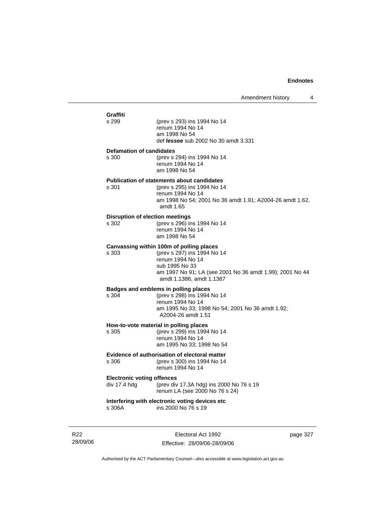| Graffiti                                             |                                                                                                                                                           |  |  |  |  |
|------------------------------------------------------|-----------------------------------------------------------------------------------------------------------------------------------------------------------|--|--|--|--|
| s 299                                                | (prev s 293) ins 1994 No 14<br>renum 1994 No 14<br>am 1998 No 54<br>def <i>lessee</i> sub 2002 No 30 amdt 3.331                                           |  |  |  |  |
| <b>Defamation of candidates</b>                      |                                                                                                                                                           |  |  |  |  |
| s 300                                                | (prev s 294) ins 1994 No 14<br>renum 1994 No 14<br>am 1998 No 54                                                                                          |  |  |  |  |
|                                                      | <b>Publication of statements about candidates</b>                                                                                                         |  |  |  |  |
| s 301                                                | (prev s 295) ins 1994 No 14<br>renum 1994 No 14<br>am 1998 No 54; 2001 No 36 amdt 1.91; A2004-26 amdt 1.62,<br>amdt 1.65                                  |  |  |  |  |
| <b>Disruption of election meetings</b>               |                                                                                                                                                           |  |  |  |  |
| s 302                                                | (prev s 296) ins 1994 No 14<br>renum 1994 No 14<br>am 1998 No 54                                                                                          |  |  |  |  |
|                                                      | Canvassing within 100m of polling places                                                                                                                  |  |  |  |  |
| s 303                                                | (prev s 297) ins 1994 No 14<br>renum 1994 No 14<br>sub 1995 No 33<br>am 1997 No 91; LA (see 2001 No 36 amdt 1.99); 2001 No 44<br>amdt 1.1386, amdt 1.1387 |  |  |  |  |
|                                                      | Badges and emblems in polling places                                                                                                                      |  |  |  |  |
| s 304                                                | (prev s 298) ins 1994 No 14                                                                                                                               |  |  |  |  |
|                                                      | renum 1994 No 14<br>am 1995 No 33; 1998 No 54; 2001 No 36 amdt 1.92;<br>A2004-26 amdt 1.51                                                                |  |  |  |  |
|                                                      | How-to-vote material in polling places                                                                                                                    |  |  |  |  |
| s 305                                                | (prev s 299) ins 1994 No 14                                                                                                                               |  |  |  |  |
|                                                      | renum 1994 No 14<br>am 1995 No 33; 1998 No 54                                                                                                             |  |  |  |  |
| <b>Evidence of authorisation of electoral matter</b> |                                                                                                                                                           |  |  |  |  |
| s 306                                                | (prev s 300) ins 1994 No 14<br>renum 1994 No 14                                                                                                           |  |  |  |  |
| <b>Electronic voting offences</b>                    |                                                                                                                                                           |  |  |  |  |
| div 17.4 hdg                                         | (prev div 17.3A hdg) ins 2000 No 76 s 19<br>renum LA (see 2000 No 76 s 24)                                                                                |  |  |  |  |
| s 306A                                               | Interfering with electronic voting devices etc<br>ins 2000 No 76 s 19                                                                                     |  |  |  |  |
|                                                      |                                                                                                                                                           |  |  |  |  |

R22 28/09/06

Electoral Act 1992 Effective: 28/09/06-28/09/06 page 327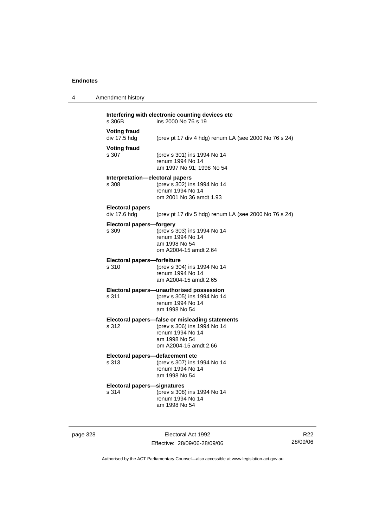4 Amendment history

| s 306B                                   | ins 2000 No 76 s 19                                                                                                                          |
|------------------------------------------|----------------------------------------------------------------------------------------------------------------------------------------------|
| <b>Voting fraud</b><br>div 17.5 hdg      | (prev pt 17 div 4 hdg) renum LA (see 2000 No 76 s 24)                                                                                        |
| <b>Voting fraud</b><br>s 307             | (prev s 301) ins 1994 No 14<br>renum 1994 No 14<br>am 1997 No 91; 1998 No 54                                                                 |
| Interpretation—electoral papers<br>s 308 | (prev s 302) ins 1994 No 14<br>renum 1994 No 14<br>om 2001 No 36 amdt 1.93                                                                   |
| <b>Electoral papers</b><br>div 17.6 hdg  | (prev pt 17 div 5 hdg) renum LA (see 2000 No 76 s 24)                                                                                        |
| <b>Electoral papers-forgery</b><br>s 309 | (prev s 303) ins 1994 No 14<br>renum 1994 No 14<br>am 1998 No 54<br>om A2004-15 amdt 2.64                                                    |
| Electoral papers-forfeiture              |                                                                                                                                              |
| s 310                                    | (prev s 304) ins 1994 No 14<br>renum 1994 No 14<br>am A2004-15 amdt 2.65                                                                     |
| s 311                                    | Electoral papers-unauthorised possession<br>(prev s 305) ins 1994 No 14<br>renum 1994 No 14<br>am 1998 No 54                                 |
| s 312                                    | Electoral papers-false or misleading statements<br>(prev s 306) ins 1994 No 14<br>renum 1994 No 14<br>am 1998 No 54<br>om A2004-15 amdt 2.66 |
|                                          |                                                                                                                                              |

# **Electoral papers—defacement etc**<br>s 313 (prev s 307) ins

s 313 (prev s 307) ins 1994 No 14 renum 1994 No 14 am 1998 No 54

# **Electoral papers—signatures**

(prev s 308) ins 1994 No 14 renum 1994 No 14 am 1998 No 54

page 328 Electoral Act 1992 Effective: 28/09/06-28/09/06

R22 28/09/06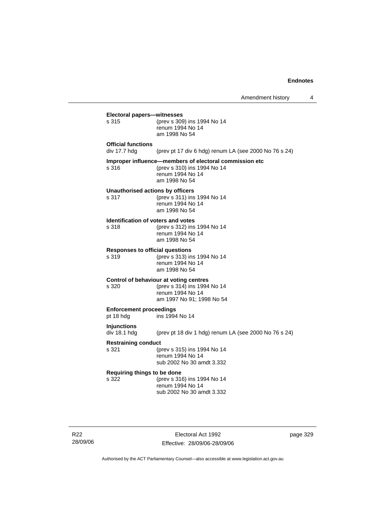|                                                    | Amendment history                                                                                                          | 4        |
|----------------------------------------------------|----------------------------------------------------------------------------------------------------------------------------|----------|
| Electoral papers-witnesses<br>s 315                | (prev s 309) ins 1994 No 14<br>renum 1994 No 14<br>am 1998 No 54                                                           |          |
| <b>Official functions</b><br>div 17.7 hdg          | (prev pt 17 div 6 hdg) renum LA (see 2000 No 76 s 24)                                                                      |          |
| s 316                                              | Improper influence-members of electoral commission etc<br>(prev s 310) ins 1994 No 14<br>renum 1994 No 14<br>am 1998 No 54 |          |
| Unauthorised actions by officers<br>s 317          | (prev s 311) ins 1994 No 14<br>renum 1994 No 14<br>am 1998 No 54                                                           |          |
| <b>Identification of voters and votes</b><br>s 318 | (prev s 312) ins 1994 No 14<br>renum 1994 No 14<br>am 1998 No 54                                                           |          |
| <b>Responses to official questions</b><br>s 319    | (prev s 313) ins 1994 No 14<br>renum 1994 No 14<br>am 1998 No 54                                                           |          |
| s 320                                              | Control of behaviour at voting centres<br>(prev s 314) ins 1994 No 14<br>renum 1994 No 14<br>am 1997 No 91; 1998 No 54     |          |
| <b>Enforcement proceedings</b><br>pt 18 hdg        | ins 1994 No 14                                                                                                             |          |
| Injunctions<br>div 18.1 hdg                        | (prev pt 18 div 1 hdg) renum LA (see 2000 No 76 s 24)                                                                      |          |
| <b>Restraining conduct</b><br>s 321                | (prev s 315) ins 1994 No 14<br>renum 1994 No 14<br>sub 2002 No 30 amdt 3.332                                               |          |
| Requiring things to be done<br>s 322               | (prev s 316) ins 1994 No 14<br>renum 1994 No 14<br>sub 2002 No 30 amdt 3.332                                               |          |
|                                                    |                                                                                                                            |          |
|                                                    | Electoral Act 1992                                                                                                         | page 329 |

R22

Effective: 28/09/06-28/09/06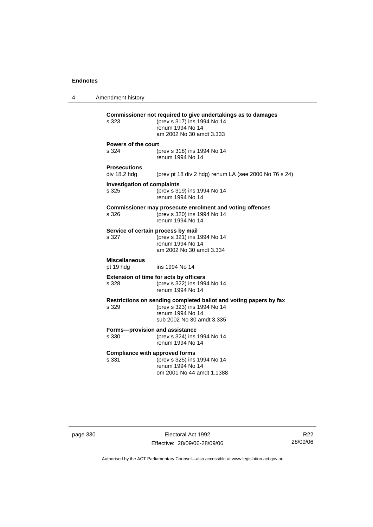4 Amendment history **Commissioner not required to give undertakings as to damages** s 323 (prev s 317) ins 1994 No 14 renum 1994 No 14 am 2002 No 30 amdt 3.333 **Powers of the court** s 324 (prev s 318) ins 1994 No 14 renum 1994 No 14 **Prosecutions**  (prev pt 18 div 2 hdg) renum LA (see 2000 No 76 s 24) **Investigation of complaints** s 325 (prev s 319) ins 1994 No 14 renum 1994 No 14 **Commissioner may prosecute enrolment and voting offences** s 326 (prev s 320) ins 1994 No 14 renum 1994 No 14 **Service of certain process by mail**<br>s 327 (prev s 321) ins 1 s 327 (prev s 321) ins 1994 No 14 renum 1994 No 14 am 2002 No 30 amdt 3.334 **Miscellaneous** pt 19 hdg ins 1994 No 14 **Extension of time for acts by officers** s 328 (prev s 322) ins 1994 No 14 renum 1994 No 14 **Restrictions on sending completed ballot and voting papers by fax** s 329 (prev s 323) ins 1994 No 14 renum 1994 No 14 sub 2002 No 30 amdt 3.335 **Forms—provision and assistance** s 330 (prev s 324) ins 1994 No 14 renum 1994 No 14 **Compliance with approved forms** s 331 (prev s 325) ins 1994 No 14 renum 1994 No 14 om 2001 No 44 amdt 1.1388

page 330 Electoral Act 1992 Effective: 28/09/06-28/09/06

R22 28/09/06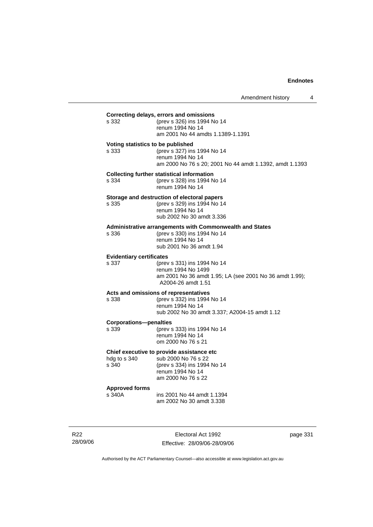| s 332                                    | Correcting delays, errors and omissions<br>(prev s 326) ins 1994 No 14<br>renum 1994 No 14<br>am 2001 No 44 amdts 1.1389-1.1391                 |
|------------------------------------------|-------------------------------------------------------------------------------------------------------------------------------------------------|
| s 333                                    | Voting statistics to be published<br>(prev s 327) ins 1994 No 14<br>renum 1994 No 14<br>am 2000 No 76 s 20; 2001 No 44 amdt 1.1392, amdt 1.1393 |
| s 334                                    | <b>Collecting further statistical information</b><br>(prev s 328) ins 1994 No 14<br>renum 1994 No 14                                            |
| s 335                                    | Storage and destruction of electoral papers<br>(prev s 329) ins 1994 No 14<br>renum 1994 No 14<br>sub 2002 No 30 amdt 3.336                     |
| s 336                                    | Administrative arrangements with Commonwealth and States<br>(prev s 330) ins 1994 No 14<br>renum 1994 No 14<br>sub 2001 No 36 amdt 1.94         |
| <b>Evidentiary certificates</b><br>s 337 | (prev s 331) ins 1994 No 14<br>renum 1994 No 1499<br>am 2001 No 36 amdt 1.95; LA (see 2001 No 36 amdt 1.99);<br>A2004-26 amdt 1.51              |
| s 338                                    | Acts and omissions of representatives<br>(prev s 332) ins 1994 No 14<br>renum 1994 No 14<br>sub 2002 No 30 amdt 3.337; A2004-15 amdt 1.12       |
| <b>Corporations-penalties</b><br>s 339   | (prev s 333) ins 1994 No 14<br>renum 1994 No 14<br>om 2000 No 76 s 21                                                                           |
| hdg to s 340<br>s 340                    | Chief executive to provide assistance etc<br>sub 2000 No 76 s 22<br>(prev s 334) ins 1994 No 14<br>renum 1994 No 14<br>am 2000 No 76 s 22       |
| <b>Approved forms</b><br>s 340A          | ins 2001 No 44 amdt 1.1394<br>am 2002 No 30 amdt 3.338                                                                                          |

R22 28/09/06

Electoral Act 1992 Effective: 28/09/06-28/09/06 page 331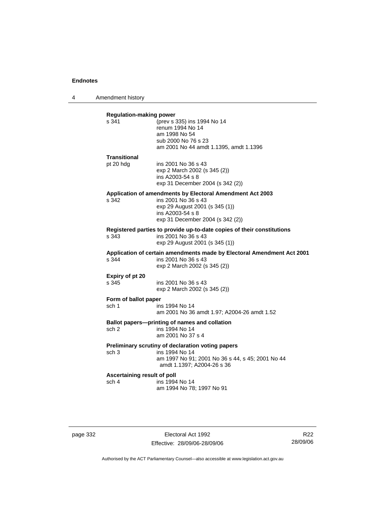4 Amendment history

| <b>Regulation-making power</b><br>s 341 | (prev s 335) ins 1994 No 14                                                                                                   |
|-----------------------------------------|-------------------------------------------------------------------------------------------------------------------------------|
|                                         | renum 1994 No 14                                                                                                              |
|                                         | am 1998 No 54                                                                                                                 |
|                                         | sub 2000 No 76 s 23                                                                                                           |
|                                         | am 2001 No 44 amdt 1.1395, amdt 1.1396                                                                                        |
| Transitional                            |                                                                                                                               |
| pt 20 hdg                               | ins 2001 No 36 s 43                                                                                                           |
|                                         | exp 2 March 2002 (s 345 (2))                                                                                                  |
|                                         | ins A2003-54 s 8                                                                                                              |
|                                         | exp 31 December 2004 (s 342 (2))                                                                                              |
|                                         | Application of amendments by Electoral Amendment Act 2003                                                                     |
| s 342                                   | ins 2001 No 36 s 43                                                                                                           |
|                                         | exp 29 August 2001 (s 345 (1))<br>ins A2003-54 s 8                                                                            |
|                                         | exp 31 December 2004 (s 342 (2))                                                                                              |
|                                         | Registered parties to provide up-to-date copies of their constitutions                                                        |
| s 343                                   | ins 2001 No 36 s 43                                                                                                           |
|                                         | exp 29 August 2001 (s 345 (1))                                                                                                |
| s.344                                   | Application of certain amendments made by Electoral Amendment Act 2001<br>ins 2001 No 36 s 43<br>exp 2 March 2002 (s 345 (2)) |
| Expiry of pt 20                         |                                                                                                                               |
| s 345                                   | ins 2001 No 36 s 43                                                                                                           |
|                                         | exp 2 March 2002 (s 345 (2))                                                                                                  |
| Form of ballot paper                    |                                                                                                                               |
| sch 1                                   | ins 1994 No 14                                                                                                                |
|                                         | am 2001 No 36 amdt 1.97; A2004-26 amdt 1.52                                                                                   |
|                                         | Ballot papers--printing of names and collation                                                                                |
| sch 2                                   | ins 1994 No 14                                                                                                                |
|                                         | am 2001 No 37 s 4                                                                                                             |
|                                         | Preliminary scrutiny of declaration voting papers                                                                             |
| sch <sub>3</sub>                        | ins 1994 No 14                                                                                                                |
|                                         | am 1997 No 91; 2001 No 36 s 44, s 45; 2001 No 44<br>amdt 1.1397; A2004-26 s 36                                                |
| Ascertaining result of poll             |                                                                                                                               |
| sch 4                                   | ins 1994 No 14                                                                                                                |
|                                         | am 1994 No 78; 1997 No 91                                                                                                     |

page 332 Electoral Act 1992 Effective: 28/09/06-28/09/06

R22 28/09/06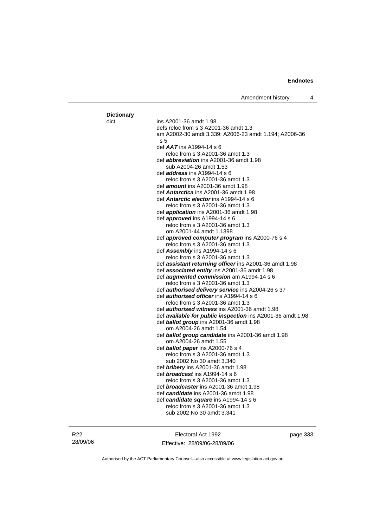| ins A2001-36 amdt 1.98                                            |
|-------------------------------------------------------------------|
| defs reloc from s 3 A2001-36 amdt 1.3                             |
| am A2002-30 amdt 3.339; A2006-23 amdt 1.194; A2006-36             |
| s 5                                                               |
| def $AAT$ ins A1994-14 s 6                                        |
| reloc from s 3 A2001-36 amdt 1.3                                  |
| def <i>abbreviation</i> ins A2001-36 amdt 1.98                    |
| sub A2004-26 amdt 1.53                                            |
| def <i>address</i> ins A1994-14 s 6                               |
| reloc from s 3 A2001-36 amdt 1.3                                  |
| def <i>amount</i> ins A2001-36 amdt 1.98                          |
| def <b>Antarctica</b> ins A2001-36 amdt 1.98                      |
| def <b>Antarctic elector</b> ins A1994-14 s 6                     |
| reloc from s 3 A2001-36 amdt 1.3                                  |
| def <i>application</i> ins A2001-36 amdt 1.98                     |
| def <i>approved</i> ins A1994-14 s 6                              |
| reloc from s 3 A2001-36 amdt 1.3                                  |
| om A2001-44 amdt 1.1398                                           |
| def approved computer program ins A2000-76 s 4                    |
| reloc from s 3 A2001-36 amdt 1.3                                  |
| def Assembly ins A1994-14 s 6                                     |
| reloc from s 3 A2001-36 amdt 1.3                                  |
| def <b>assistant returning officer</b> ins A2001-36 amdt 1.98     |
| def associated entity ins A2001-36 amdt 1.98                      |
| def <b>augmented commission</b> am A1994-14 s 6                   |
| reloc from s 3 A2001-36 amdt 1.3                                  |
| def <b>authorised delivery service</b> ins A2004-26 s 37          |
| def authorised officer ins A1994-14 s 6                           |
| reloc from s 3 A2001-36 amdt 1.3                                  |
| def <b>authorised witness</b> ins A2001-36 amdt 1.98              |
| def <b>available for public inspection</b> ins A2001-36 amdt 1.98 |
| def <b>ballot group</b> ins A2001-36 amdt 1.98                    |
| om A2004-26 amdt 1.54                                             |
| def <b>ballot group candidate</b> ins A2001-36 amdt 1.98          |
| om A2004-26 amdt 1.55                                             |
| def <b>ballot paper</b> ins A2000-76 s 4                          |
| reloc from s 3 A2001-36 amdt 1.3                                  |
| sub 2002 No 30 amdt 3.340                                         |
| def <b>bribery</b> ins A2001-36 amdt 1.98                         |
| def <b>broadcast</b> ins A1994-14 s 6                             |
| reloc from s 3 A2001-36 amdt 1.3                                  |
| def broadcaster ins A2001-36 amdt 1.98                            |
| def candidate ins A2001-36 amdt 1.98                              |
| def candidate square ins A1994-14 s 6                             |
| reloc from s 3 A2001-36 amdt 1.3                                  |
|                                                                   |
| sub 2002 No 30 amdt 3.341                                         |
|                                                                   |

Electoral Act 1992 Effective: 28/09/06-28/09/06 page 333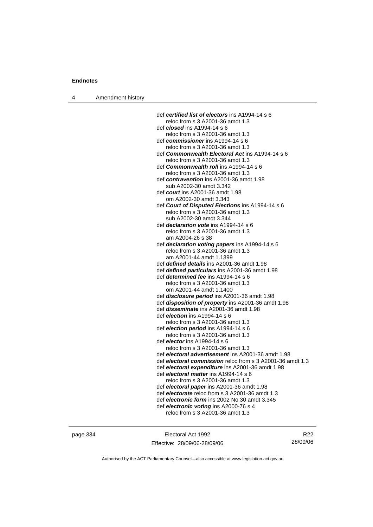|  | Amendment history |  |
|--|-------------------|--|
|--|-------------------|--|

| def certified list of electors ins A1994-14 s 6           |
|-----------------------------------------------------------|
| reloc from s 3 A2001-36 amdt 1.3                          |
| def <b>closed</b> ins A1994-14 s 6                        |
| reloc from s 3 A2001-36 amdt 1.3                          |
| def commissioner ins A1994-14 s 6                         |
| reloc from s 3 A2001-36 amdt 1.3                          |
| def Commonwealth Electoral Act ins A1994-14 s 6           |
| reloc from s 3 A2001-36 amdt 1.3                          |
| def <i>Commonwealth roll</i> ins A1994-14 s 6             |
| reloc from s 3 A2001-36 amdt 1.3                          |
| def contravention ins A2001-36 amdt 1.98                  |
| sub A2002-30 amdt 3.342                                   |
| def court ins A2001-36 amdt 1.98                          |
| om A2002-30 amdt 3.343                                    |
| def Court of Disputed Elections ins A1994-14 s 6          |
| reloc from s 3 A2001-36 amdt 1.3                          |
| sub A2002-30 amdt 3.344                                   |
| def <i>declaration vote</i> ins A1994-14 s 6              |
| reloc from s 3 A2001-36 amdt 1.3                          |
| am A2004-26 s 38                                          |
| def declaration voting papers ins A1994-14 s 6            |
| reloc from s 3 A2001-36 amdt 1.3                          |
| am A2001-44 amdt 1.1399                                   |
| def defined details ins A2001-36 amdt 1.98                |
| def defined particulars ins A2001-36 amdt 1.98            |
| def <i>determined fee</i> ins A1994-14 s 6                |
| reloc from s 3 A2001-36 amdt 1.3                          |
| om A2001-44 amdt 1.1400                                   |
| def disclosure period ins A2001-36 amdt 1.98              |
| def disposition of property ins A2001-36 amdt 1.98        |
| def <i>disseminate</i> ins A2001-36 amdt 1.98             |
| def <i>election</i> ins A1994-14 s 6                      |
| reloc from s 3 A2001-36 amdt 1.3                          |
| def election period ins A1994-14 s 6                      |
| reloc from s 3 A2001-36 amdt 1.3                          |
| def elector ins $A1994-14 s6$                             |
| reloc from s 3 A2001-36 amdt 1.3                          |
| def electoral advertisement ins A2001-36 amdt 1.98        |
| def electoral commission reloc from s 3 A2001-36 amdt 1.3 |
| def electoral expenditure ins A2001-36 amdt 1.98          |
| def electoral matter ins A1994-14 s 6                     |
| reloc from s 3 A2001-36 amdt 1.3                          |
| def electoral paper ins A2001-36 amdt 1.98                |
| def electorate reloc from s 3 A2001-36 amdt 1.3           |
| def electronic form ins 2002 No 30 amdt 3.345             |
| def electronic voting ins A2000-76 s 4                    |
| reloc from s 3 A2001-36 amdt 1.3                          |

page 334 Electoral Act 1992 Effective: 28/09/06-28/09/06

R22 28/09/06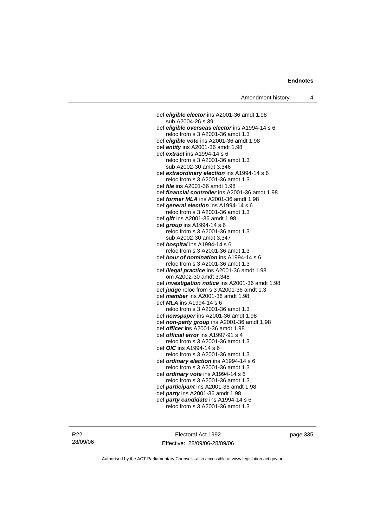def *eligible elector* ins A2001-36 amdt 1.98 sub A2004-26 s 39 def *eligible overseas elector* ins A1994-14 s 6 reloc from s 3 A2001-36 amdt 1.3 def *eligible vote* ins A2001-36 amdt 1.98 def *entity* ins A2001-36 amdt 1.98 def *extract* ins A1994-14 s 6 reloc from s 3 A2001-36 amdt 1.3 sub A2002-30 amdt 3.346 def *extraordinary election* ins A1994-14 s 6 reloc from s 3 A2001-36 amdt 1.3 def *file* ins A2001-36 amdt 1.98 def *financial controller* ins A2001-36 amdt 1.98 def *former MLA* ins A2001-36 amdt 1.98 def *general election* ins A1994-14 s 6 reloc from s 3 A2001-36 amdt 1.3 def *gift* ins A2001-36 amdt 1.98 def *group* ins A1994-14 s 6 reloc from s 3 A2001-36 amdt 1.3 sub A2002-30 amdt 3.347 def *hospital* ins A1994-14 s 6 reloc from s 3 A2001-36 amdt 1.3 def *hour of nomination* ins A1994-14 s 6 reloc from s 3 A2001-36 amdt 1.3 def *illegal practice* ins A2001-36 amdt 1.98 om A2002-30 amdt 3.348 def *investigation notice* ins A2001-36 amdt 1.98 def *judge* reloc from s 3 A2001-36 amdt 1.3 def *member* ins A2001-36 amdt 1.98 def *MLA* ins A1994-14 s 6 reloc from s 3 A2001-36 amdt 1.3 def *newspaper* ins A2001-36 amdt 1.98 def *non-party group* ins A2001-36 amdt 1.98 def *officer* ins A2001-36 amdt 1.98 def *official error* ins A1997-91 s 4 reloc from s 3 A2001-36 amdt 1.3 def *OIC* ins A1994-14 s 6 reloc from s 3 A2001-36 amdt 1.3 def *ordinary election* ins A1994-14 s 6 reloc from s 3 A2001-36 amdt 1.3 def *ordinary vote* ins A1994-14 s 6 reloc from s 3 A2001-36 amdt 1.3 def *participant* ins A2001-36 amdt 1.98 def *party* ins A2001-36 amdt 1.98 def *party candidate* ins A1994-14 s 6 reloc from s 3 A2001-36 amdt 1.3

R22 28/09/06

Electoral Act 1992 Effective: 28/09/06-28/09/06 page 335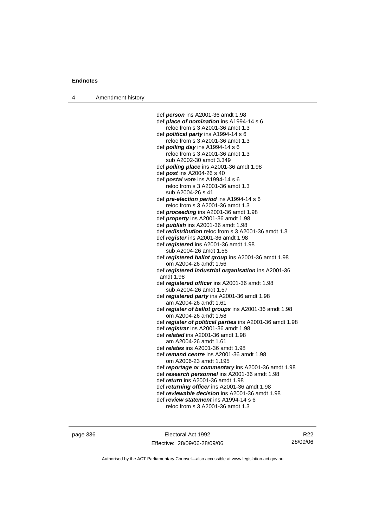4 Amendment history

 def *person* ins A2001-36 amdt 1.98 def *place of nomination* ins A1994-14 s 6 reloc from s 3 A2001-36 amdt 1.3 def *political party* ins A1994-14 s 6 reloc from s 3 A2001-36 amdt 1.3 def *polling day* ins A1994-14 s 6 reloc from s 3 A2001-36 amdt 1.3 sub A2002-30 amdt 3.349 def *polling place* ins A2001-36 amdt 1.98 def *post* ins A2004-26 s 40 def *postal vote* ins A1994-14 s 6 reloc from s 3 A2001-36 amdt 1.3 sub A2004-26 s 41 def *pre-election period* ins A1994-14 s 6 reloc from s 3 A2001-36 amdt 1.3 def *proceeding* ins A2001-36 amdt 1.98 def *property* ins A2001-36 amdt 1.98 def *publish* ins A2001-36 amdt 1.98 def *redistribution* reloc from s 3 A2001-36 amdt 1.3 def *register* ins A2001-36 amdt 1.98 def *registered* ins A2001-36 amdt 1.98 sub A2004-26 amdt 1.56 def *registered ballot group* ins A2001-36 amdt 1.98 om A2004-26 amdt 1.56 def *registered industrial organisation* ins A2001-36 amdt 1.98 def *registered officer* ins A2001-36 amdt 1.98 sub A2004-26 amdt 1.57 def *registered party* ins A2001-36 amdt 1.98 am A2004-26 amdt 1.61 def *register of ballot groups* ins A2001-36 amdt 1.98 om A2004-26 amdt 1.58 def *register of political parties* ins A2001-36 amdt 1.98 def *registrar* ins A2001-36 amdt 1.98 def *related* ins A2001-36 amdt 1.98 am A2004-26 amdt 1.61 def *relates* ins A2001-36 amdt 1.98 def *remand centre* ins A2001-36 amdt 1.98 om A2006-23 amdt 1.195 def *reportage or commentary* ins A2001-36 amdt 1.98 def *research personnel* ins A2001-36 amdt 1.98 def *return* ins A2001-36 amdt 1.98 def *returning officer* ins A2001-36 amdt 1.98 def *reviewable decision* ins A2001-36 amdt 1.98 def *review statement* ins A1994-14 s 6 reloc from s 3 A2001-36 amdt 1.3

page 336 Electoral Act 1992 Effective: 28/09/06-28/09/06

R22 28/09/06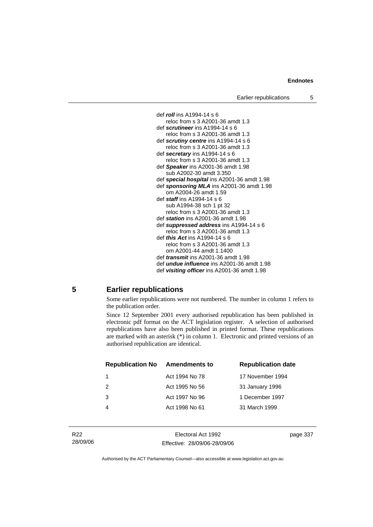Earlier republications 5



### **5 Earlier republications**

Some earlier republications were not numbered. The number in column 1 refers to the publication order.

Since 12 September 2001 every authorised republication has been published in electronic pdf format on the ACT legislation register. A selection of authorised republications have also been published in printed format. These republications are marked with an asterisk (\*) in column 1. Electronic and printed versions of an authorised republication are identical.

| <b>Republication No</b> | Amendments to  | <b>Republication date</b> |
|-------------------------|----------------|---------------------------|
|                         | Act 1994 No 78 | 17 November 1994          |
| $\mathcal{P}$           | Act 1995 No 56 | 31 January 1996           |
| 3                       | Act 1997 No 96 | 1 December 1997           |
|                         | Act 1998 No 61 | 31 March 1999             |
|                         |                |                           |

Electoral Act 1992 Effective: 28/09/06-28/09/06 page 337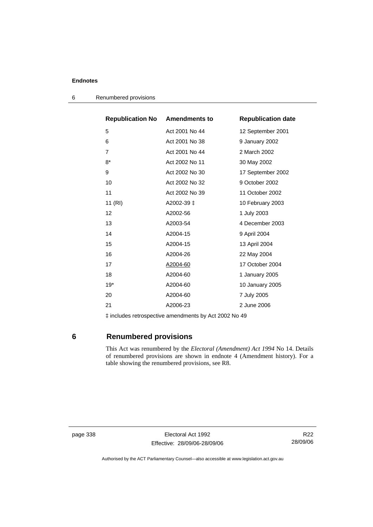| <b>Republication No Amendments to</b> | <b>Republication date</b> |
|---------------------------------------|---------------------------|
| Act 2001 No 44                        | 12 September 2001         |
| Act 2001 No 38                        | 9 January 2002            |
| Act 2001 No 44                        | 2 March 2002              |
| Act 2002 No 11                        | 30 May 2002               |
| Act 2002 No 30                        | 17 September 2002         |
| Act 2002 No 32                        | 9 October 2002            |
| Act 2002 No 39                        | 11 October 2002           |
| A2002-39 ±                            | 10 February 2003          |
| A2002-56                              | 1 July 2003               |
| A2003-54                              | 4 December 2003           |
| A2004-15                              | 9 April 2004              |
| A2004-15                              | 13 April 2004             |
| A2004-26                              | 22 May 2004               |
| A2004-60                              | 17 October 2004           |
| A2004-60                              | 1 January 2005            |
| A2004-60                              | 10 January 2005           |
| A2004-60                              | 7 July 2005               |
| A2006-23                              | 2 June 2006               |
|                                       |                           |

6 Renumbered provisions

‡ includes retrospective amendments by Act 2002 No 49

# **6 Renumbered provisions**

 This Act was renumbered by the *Electoral (Amendment) Act 1994* No 14. Details of renumbered provisions are shown in endnote 4 (Amendment history). For a table showing the renumbered provisions, see R8.

page 338 Electoral Act 1992 Effective: 28/09/06-28/09/06

R22 28/09/06